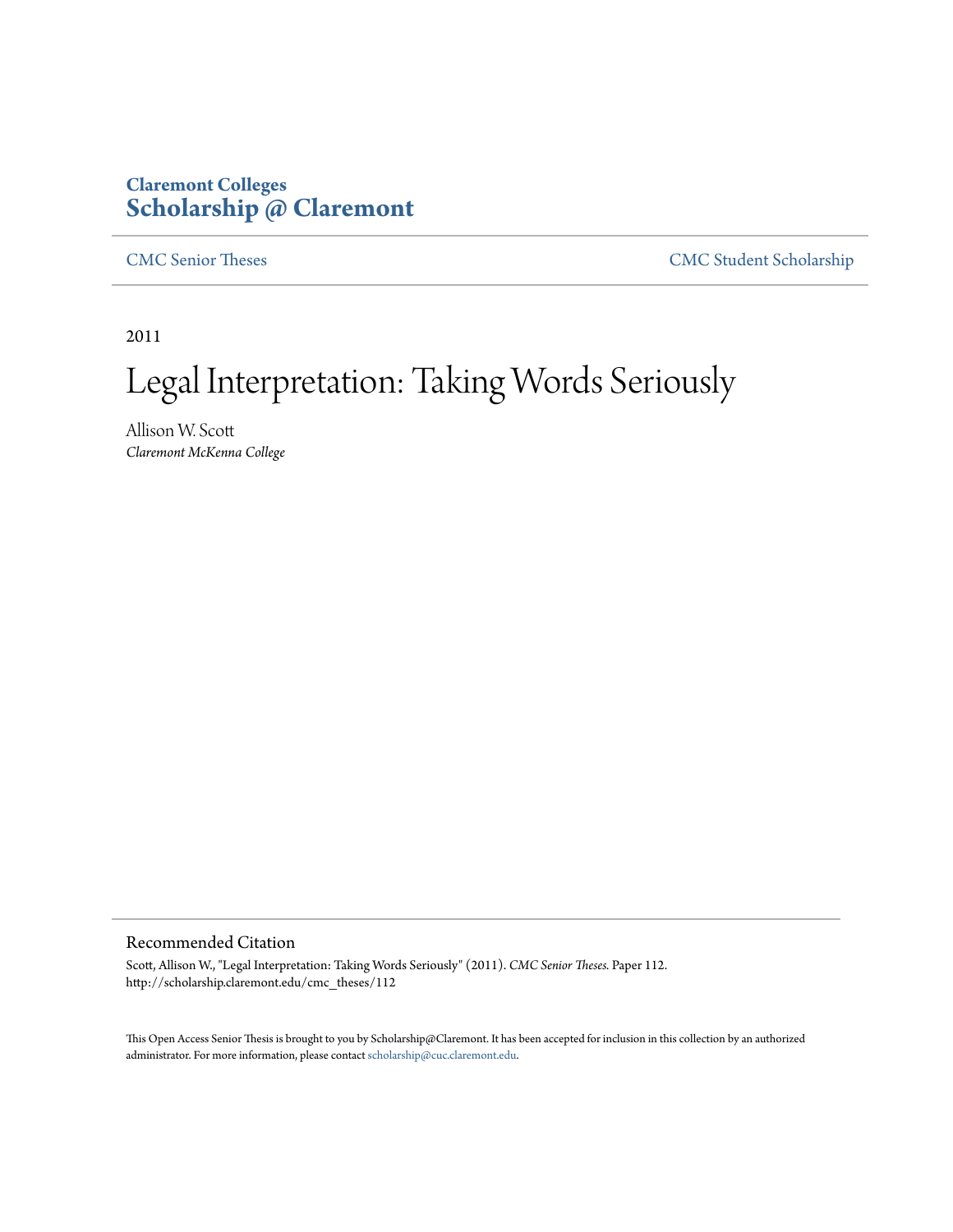## **Claremont Colleges [Scholarship @ Claremont](http://scholarship.claremont.edu)**

[CMC Senior Theses](http://scholarship.claremont.edu/cmc_theses) [CMC Student Scholarship](http://scholarship.claremont.edu/cmc_student)

2011

# Legal Interpretation: Taking Words Seriously

Allison W. Scott *Claremont McKenna College*

#### Recommended Citation

Scott, Allison W., "Legal Interpretation: Taking Words Seriously" (2011). *CMC Senior Theses.* Paper 112. http://scholarship.claremont.edu/cmc\_theses/112

This Open Access Senior Thesis is brought to you by Scholarship@Claremont. It has been accepted for inclusion in this collection by an authorized administrator. For more information, please contact [scholarship@cuc.claremont.edu.](mailto:scholarship@cuc.claremont.edu)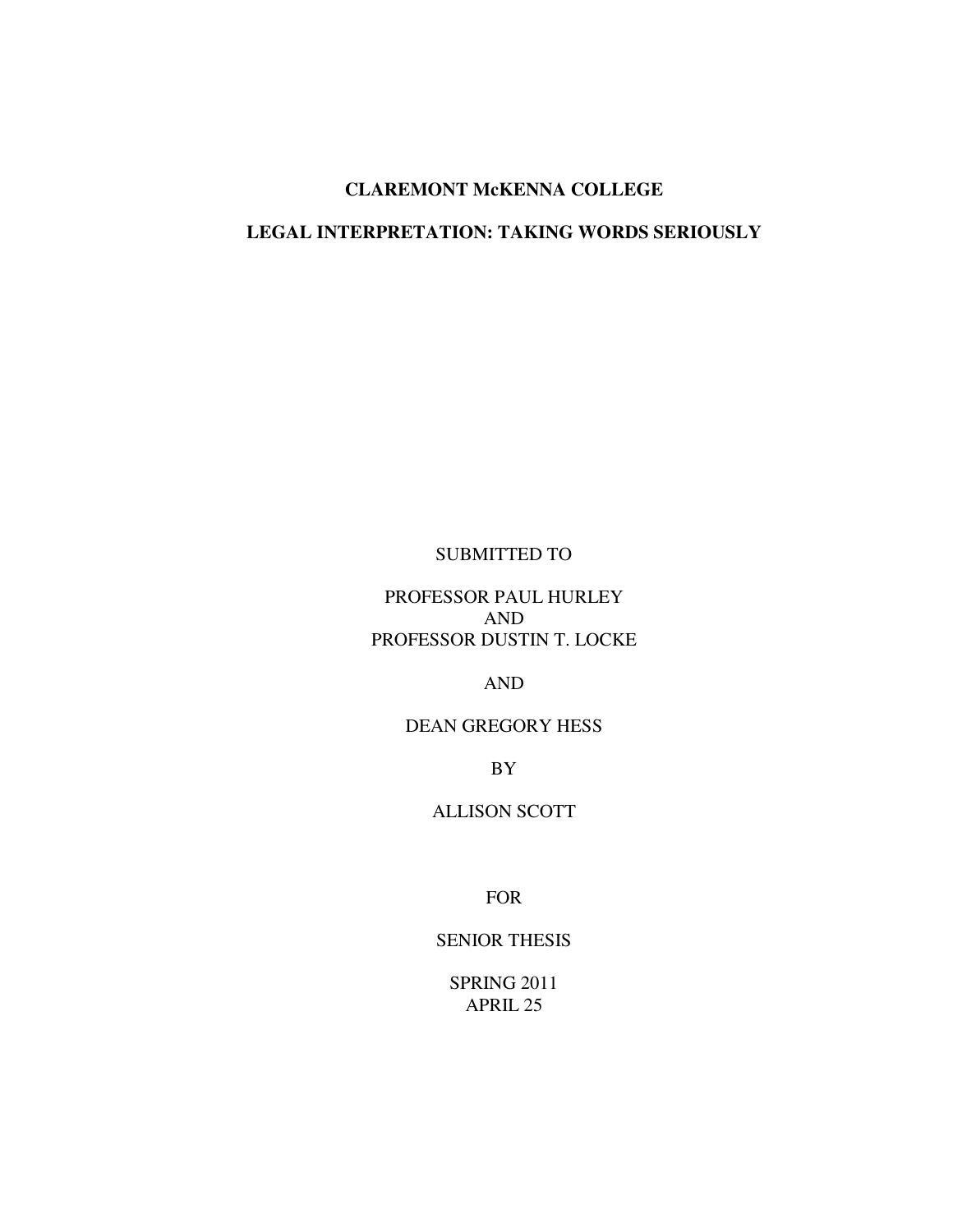### **CLAREMONT McKENNA COLLEGE**

### **LEGAL INTERPRETATION: TAKING WORDS SERIOUSLY**

### SUBMITTED TO

### PROFESSOR PAUL HURLEY AND PROFESSOR DUSTIN T. LOCKE

### AND

### DEAN GREGORY HESS

BY

### ALLISON SCOTT

FOR

### SENIOR THESIS

SPRING 2011 APRIL 25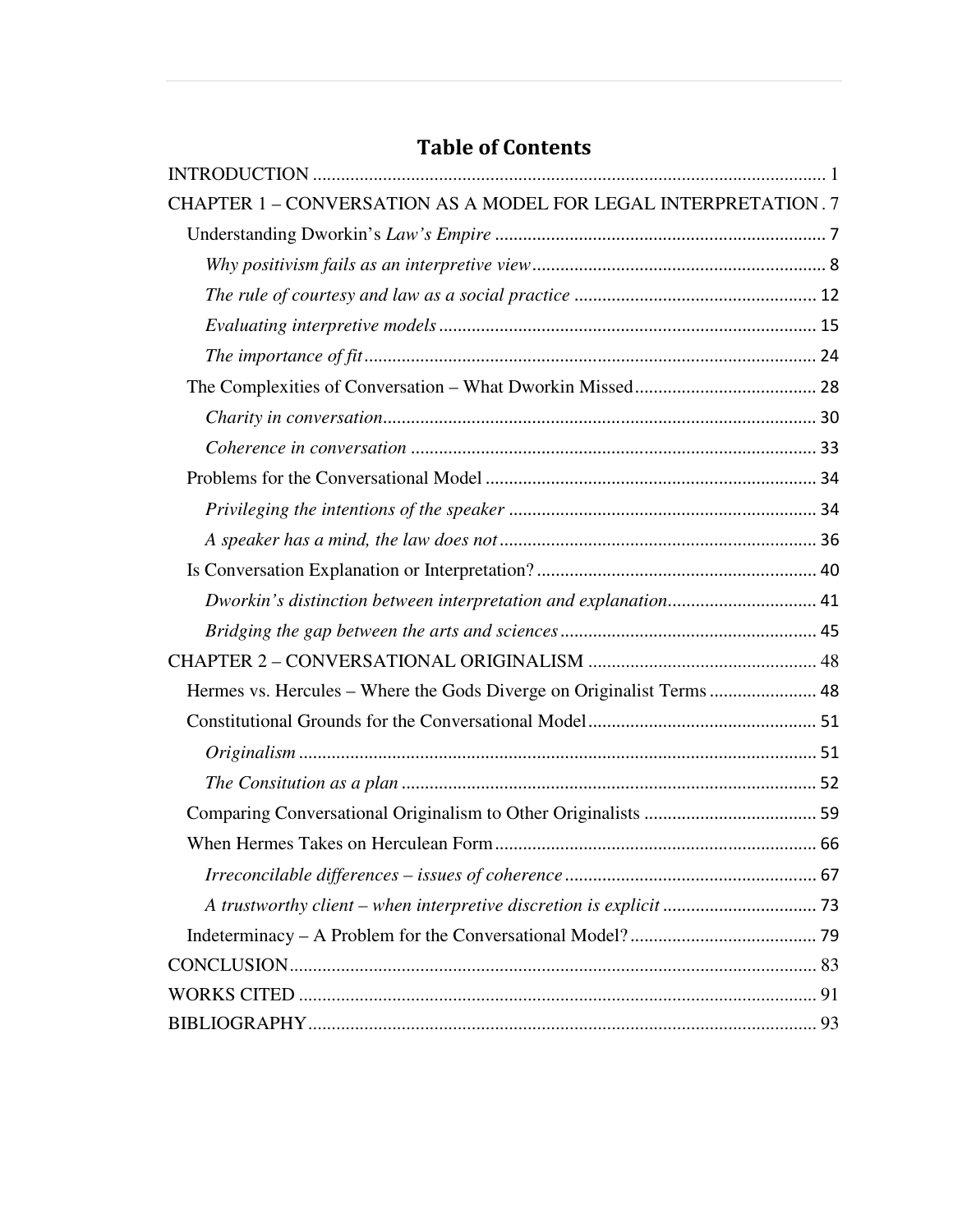# INTRODUCTION .............................................................................................................. 1 CHAPTER 1 – CONVERSATION AS A MODEL FOR LEGAL INTERPRETATION . 7 Understanding Dworkin's *Law's Empire* ....................................................................... 7 *Why positivism fails as an interpretive view* ............................................................... 8 *The rule of courtesy and law as a social practice* .................................................... 12 *Evaluating interpretive models* ................................................................................. 15 *The importance of fit* ................................................................................................. 24 The Complexities of Conversation – What Dworkin Missed ....................................... 28 *Charity in conversation*............................................................................................. 30 *Coherence in conversation* ....................................................................................... 33 Problems for the Conversational Model ....................................................................... 34 *Privileging the intentions of the speaker* .................................................................. 34 *A speaker has a mind, the law does not* .................................................................... 36 Is Conversation Explanation or Interpretation? ............................................................ 40 *Dworkin's distinction between interpretation and explanation*................................ 41 *Bridging the gap between the arts and sciences* ....................................................... 45 CHAPTER 2 – CONVERSATIONAL ORIGINALISM ................................................. 48 Hermes vs. Hercules – Where the Gods Diverge on Originalist Terms ....................... 48 Constitutional Grounds for the Conversational Model ................................................. 51 *Originalism* ............................................................................................................... 51 *The Consitution as a plan* ......................................................................................... 52 Comparing Conversational Originalism to Other Originalists ..................................... 59 When Hermes Takes on Herculean Form ..................................................................... 66 *Irreconcilable differences – issues of coherence* ...................................................... 67 *A trustworthy client – when interpretive discretion is explicit* ................................. 73 Indeterminacy – A Problem for the Conversational Model? ........................................ 79 CONCLUSION ................................................................................................................. 83 WORKS CITED ............................................................................................................... 91 BIBLIOGRAPHY ............................................................................................................. 93

# Table of Contents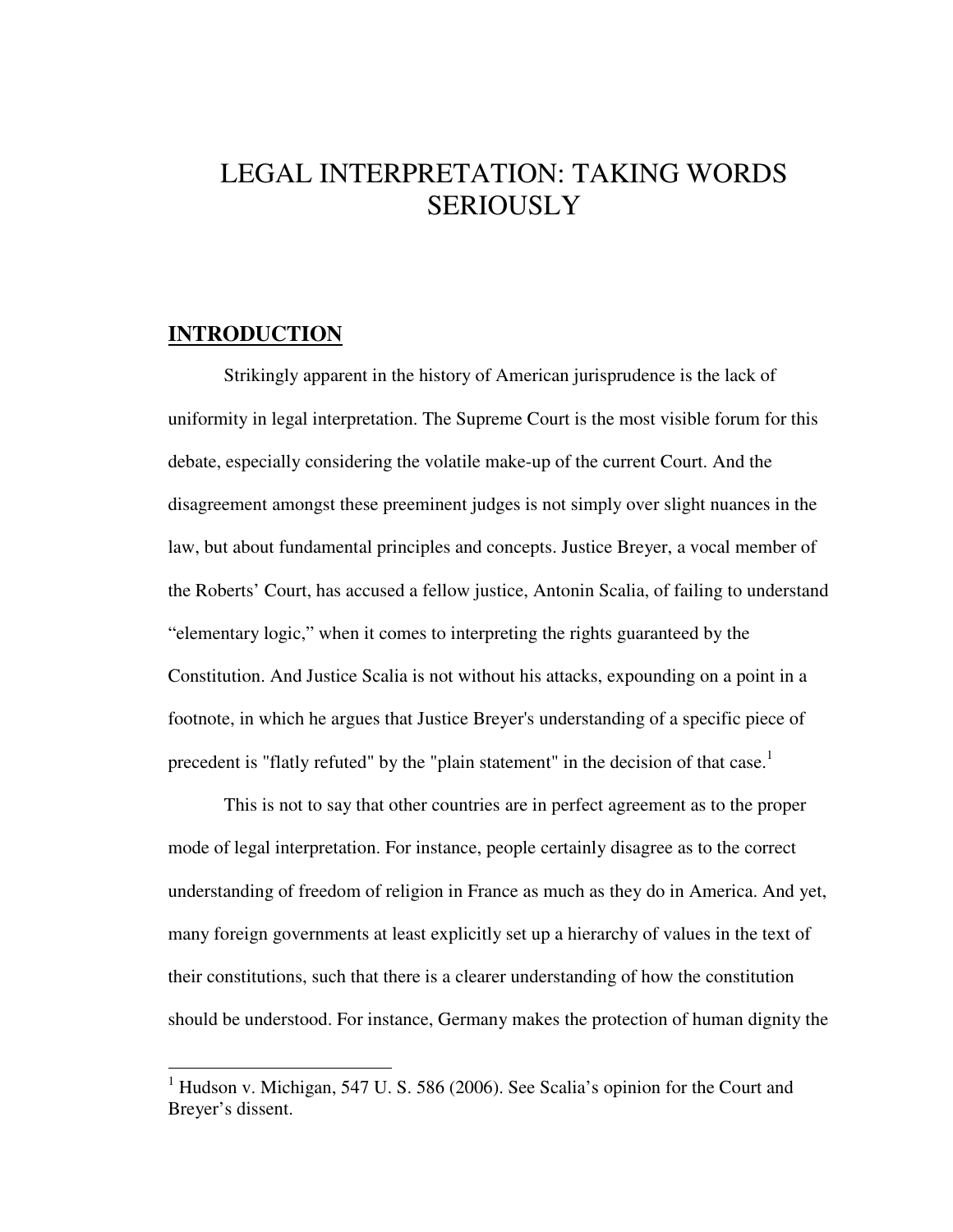# LEGAL INTERPRETATION: TAKING WORDS **SERIOUSLY**

### **INTRODUCTION**

1

Strikingly apparent in the history of American jurisprudence is the lack of uniformity in legal interpretation. The Supreme Court is the most visible forum for this debate, especially considering the volatile make-up of the current Court. And the disagreement amongst these preeminent judges is not simply over slight nuances in the law, but about fundamental principles and concepts. Justice Breyer, a vocal member of the Roberts' Court, has accused a fellow justice, Antonin Scalia, of failing to understand "elementary logic," when it comes to interpreting the rights guaranteed by the Constitution. And Justice Scalia is not without his attacks, expounding on a point in a footnote, in which he argues that Justice Breyer's understanding of a specific piece of precedent is "flatly refuted" by the "plain statement" in the decision of that case.<sup>1</sup>

 This is not to say that other countries are in perfect agreement as to the proper mode of legal interpretation. For instance, people certainly disagree as to the correct understanding of freedom of religion in France as much as they do in America. And yet, many foreign governments at least explicitly set up a hierarchy of values in the text of their constitutions, such that there is a clearer understanding of how the constitution should be understood. For instance, Germany makes the protection of human dignity the

<sup>&</sup>lt;sup>1</sup> Hudson v. Michigan, 547 U. S. 586 (2006). See Scalia's opinion for the Court and Brever's dissent.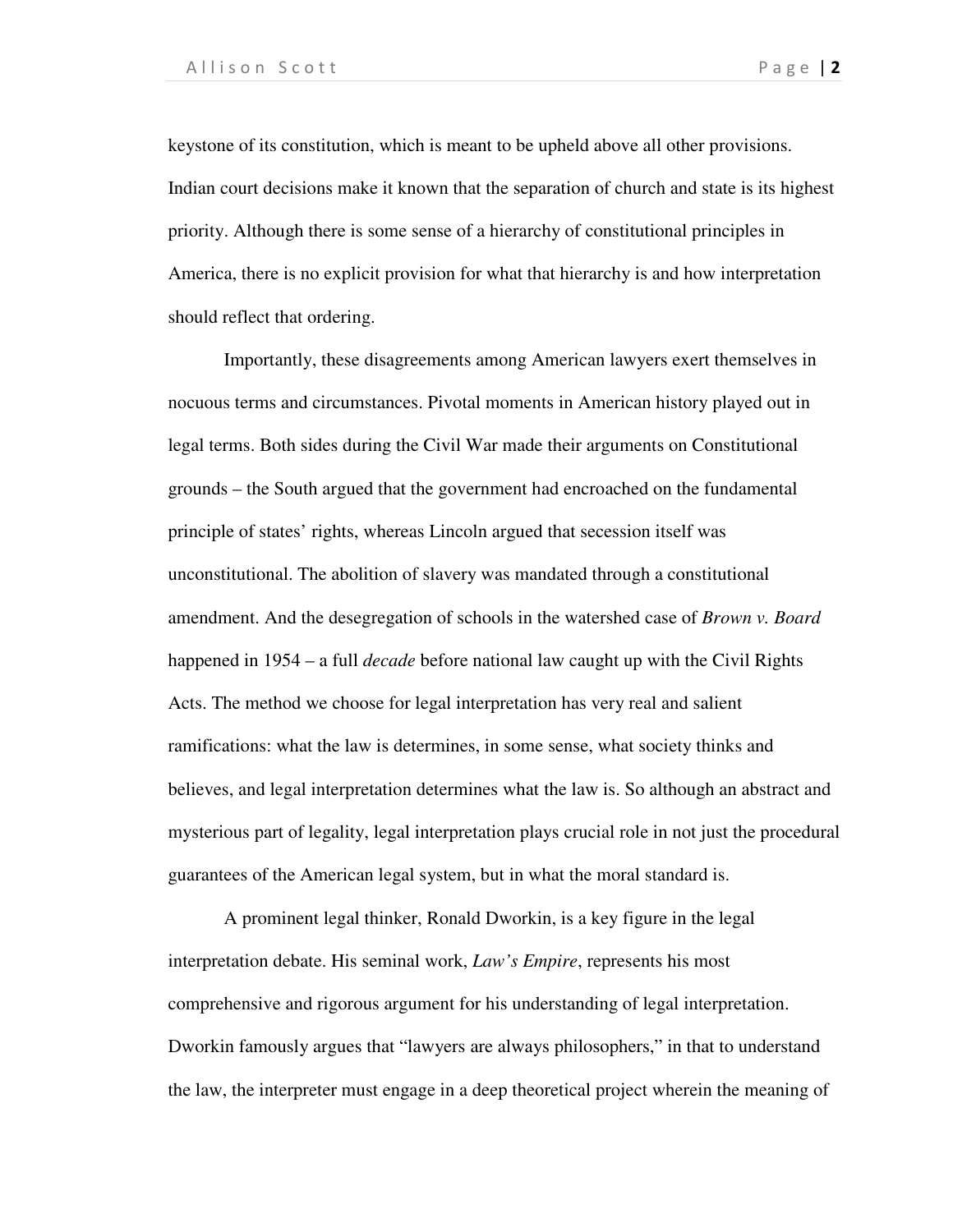keystone of its constitution, which is meant to be upheld above all other provisions. Indian court decisions make it known that the separation of church and state is its highest priority. Although there is some sense of a hierarchy of constitutional principles in America, there is no explicit provision for what that hierarchy is and how interpretation should reflect that ordering.

 Importantly, these disagreements among American lawyers exert themselves in nocuous terms and circumstances. Pivotal moments in American history played out in legal terms. Both sides during the Civil War made their arguments on Constitutional grounds – the South argued that the government had encroached on the fundamental principle of states' rights, whereas Lincoln argued that secession itself was unconstitutional. The abolition of slavery was mandated through a constitutional amendment. And the desegregation of schools in the watershed case of *Brown v. Board*  happened in 1954 – a full *decade* before national law caught up with the Civil Rights Acts. The method we choose for legal interpretation has very real and salient ramifications: what the law is determines, in some sense, what society thinks and believes, and legal interpretation determines what the law is. So although an abstract and mysterious part of legality, legal interpretation plays crucial role in not just the procedural guarantees of the American legal system, but in what the moral standard is.

 A prominent legal thinker, Ronald Dworkin, is a key figure in the legal interpretation debate. His seminal work, *Law's Empire*, represents his most comprehensive and rigorous argument for his understanding of legal interpretation. Dworkin famously argues that "lawyers are always philosophers," in that to understand the law, the interpreter must engage in a deep theoretical project wherein the meaning of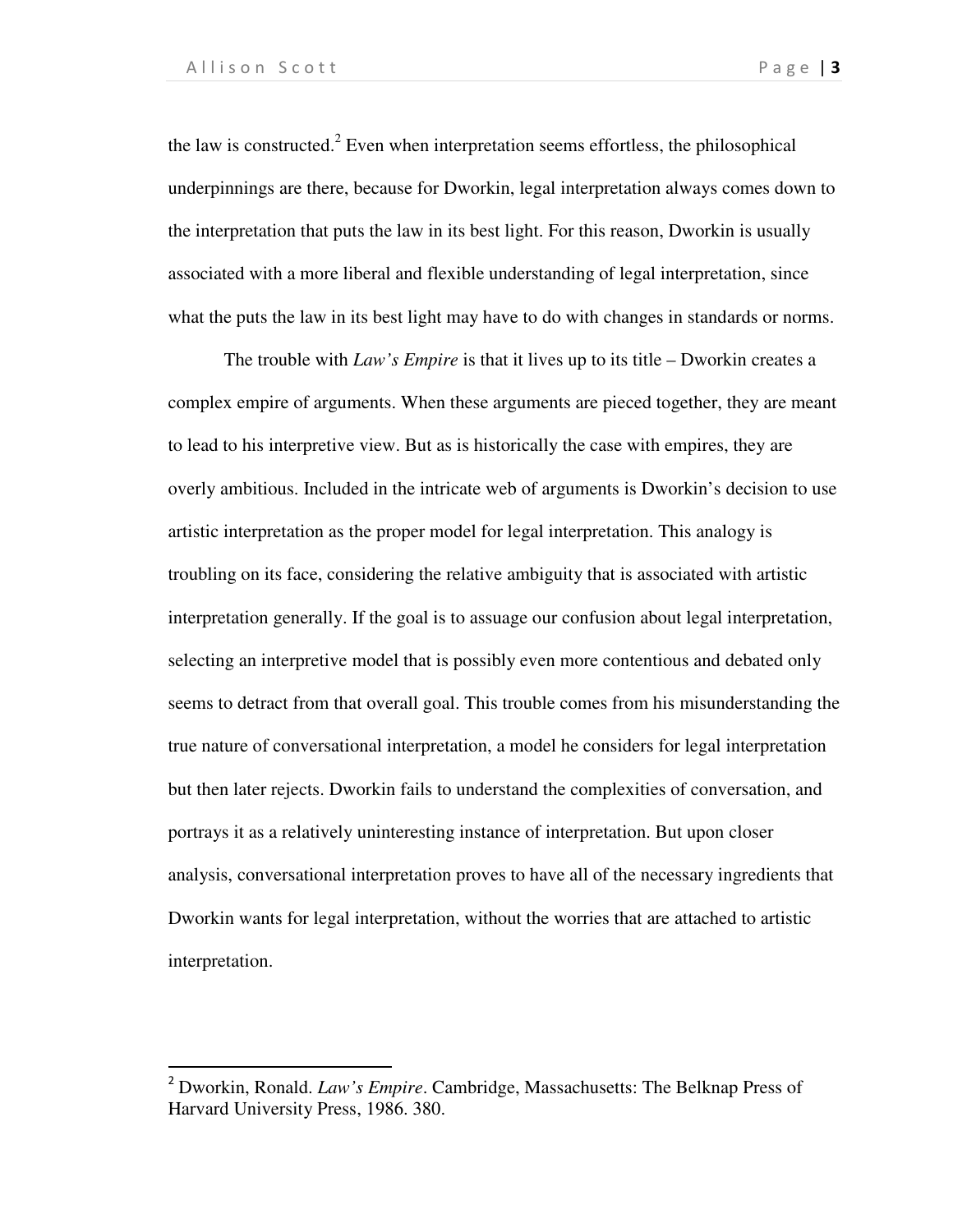1

the law is constructed.<sup>2</sup> Even when interpretation seems effortless, the philosophical underpinnings are there, because for Dworkin, legal interpretation always comes down to the interpretation that puts the law in its best light. For this reason, Dworkin is usually associated with a more liberal and flexible understanding of legal interpretation, since what the puts the law in its best light may have to do with changes in standards or norms.

 The trouble with *Law's Empire* is that it lives up to its title – Dworkin creates a complex empire of arguments. When these arguments are pieced together, they are meant to lead to his interpretive view. But as is historically the case with empires, they are overly ambitious. Included in the intricate web of arguments is Dworkin's decision to use artistic interpretation as the proper model for legal interpretation. This analogy is troubling on its face, considering the relative ambiguity that is associated with artistic interpretation generally. If the goal is to assuage our confusion about legal interpretation, selecting an interpretive model that is possibly even more contentious and debated only seems to detract from that overall goal. This trouble comes from his misunderstanding the true nature of conversational interpretation, a model he considers for legal interpretation but then later rejects. Dworkin fails to understand the complexities of conversation, and portrays it as a relatively uninteresting instance of interpretation. But upon closer analysis, conversational interpretation proves to have all of the necessary ingredients that Dworkin wants for legal interpretation, without the worries that are attached to artistic interpretation.

<sup>2</sup> Dworkin, Ronald. *Law's Empire*. Cambridge, Massachusetts: The Belknap Press of Harvard University Press, 1986. 380.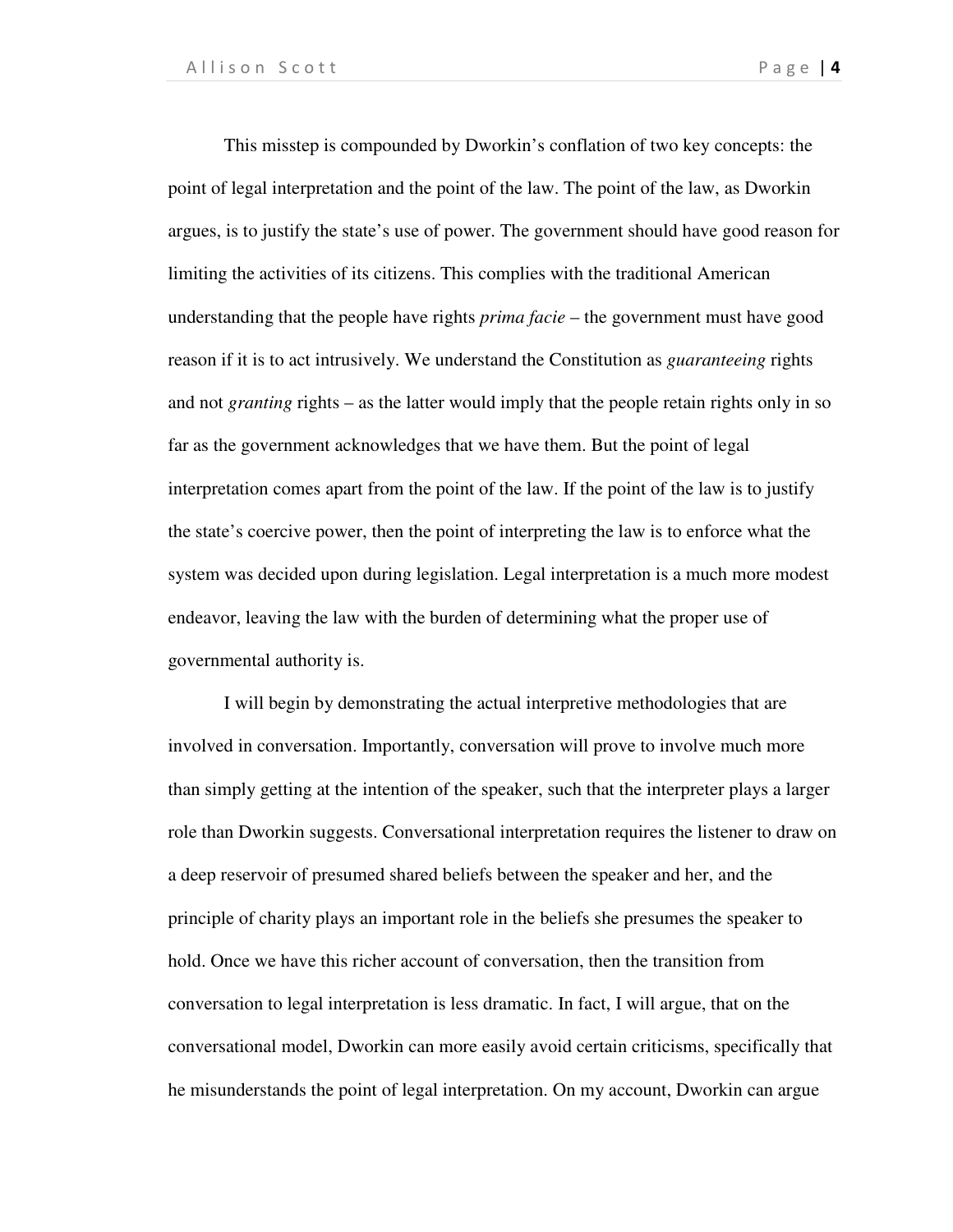This misstep is compounded by Dworkin's conflation of two key concepts: the point of legal interpretation and the point of the law. The point of the law, as Dworkin argues, is to justify the state's use of power. The government should have good reason for limiting the activities of its citizens. This complies with the traditional American understanding that the people have rights *prima facie* – the government must have good reason if it is to act intrusively. We understand the Constitution as *guaranteeing* rights and not *granting* rights – as the latter would imply that the people retain rights only in so far as the government acknowledges that we have them. But the point of legal interpretation comes apart from the point of the law. If the point of the law is to justify the state's coercive power, then the point of interpreting the law is to enforce what the system was decided upon during legislation. Legal interpretation is a much more modest endeavor, leaving the law with the burden of determining what the proper use of governmental authority is.

I will begin by demonstrating the actual interpretive methodologies that are involved in conversation. Importantly, conversation will prove to involve much more than simply getting at the intention of the speaker, such that the interpreter plays a larger role than Dworkin suggests. Conversational interpretation requires the listener to draw on a deep reservoir of presumed shared beliefs between the speaker and her, and the principle of charity plays an important role in the beliefs she presumes the speaker to hold. Once we have this richer account of conversation, then the transition from conversation to legal interpretation is less dramatic. In fact, I will argue, that on the conversational model, Dworkin can more easily avoid certain criticisms, specifically that he misunderstands the point of legal interpretation. On my account, Dworkin can argue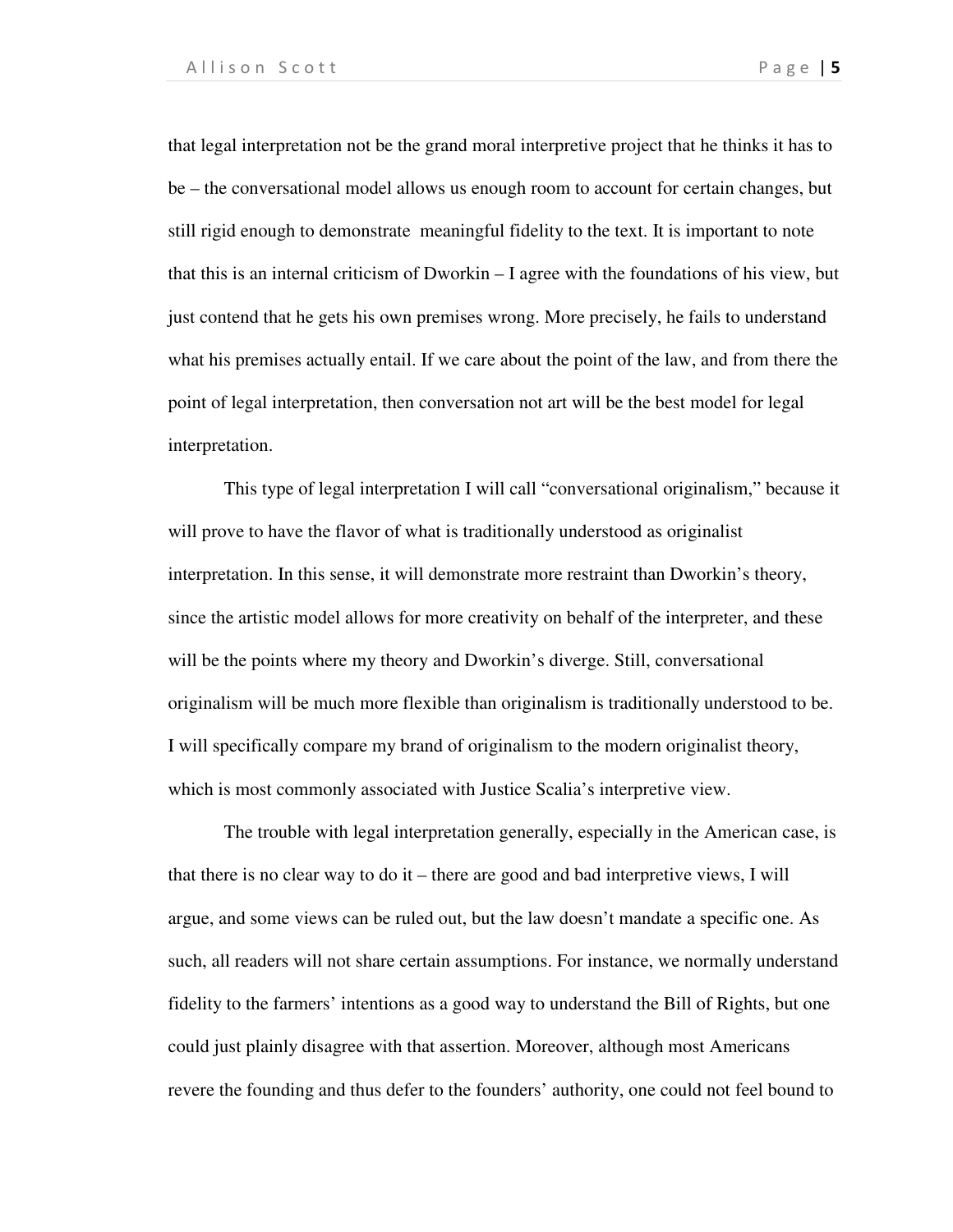that legal interpretation not be the grand moral interpretive project that he thinks it has to be – the conversational model allows us enough room to account for certain changes, but still rigid enough to demonstrate meaningful fidelity to the text. It is important to note that this is an internal criticism of Dworkin – I agree with the foundations of his view, but just contend that he gets his own premises wrong. More precisely, he fails to understand what his premises actually entail. If we care about the point of the law, and from there the point of legal interpretation, then conversation not art will be the best model for legal interpretation.

This type of legal interpretation I will call "conversational originalism," because it will prove to have the flavor of what is traditionally understood as originalist interpretation. In this sense, it will demonstrate more restraint than Dworkin's theory, since the artistic model allows for more creativity on behalf of the interpreter, and these will be the points where my theory and Dworkin's diverge. Still, conversational originalism will be much more flexible than originalism is traditionally understood to be. I will specifically compare my brand of originalism to the modern originalist theory, which is most commonly associated with Justice Scalia's interpretive view.

The trouble with legal interpretation generally, especially in the American case, is that there is no clear way to do it – there are good and bad interpretive views, I will argue, and some views can be ruled out, but the law doesn't mandate a specific one. As such, all readers will not share certain assumptions. For instance, we normally understand fidelity to the farmers' intentions as a good way to understand the Bill of Rights, but one could just plainly disagree with that assertion. Moreover, although most Americans revere the founding and thus defer to the founders' authority, one could not feel bound to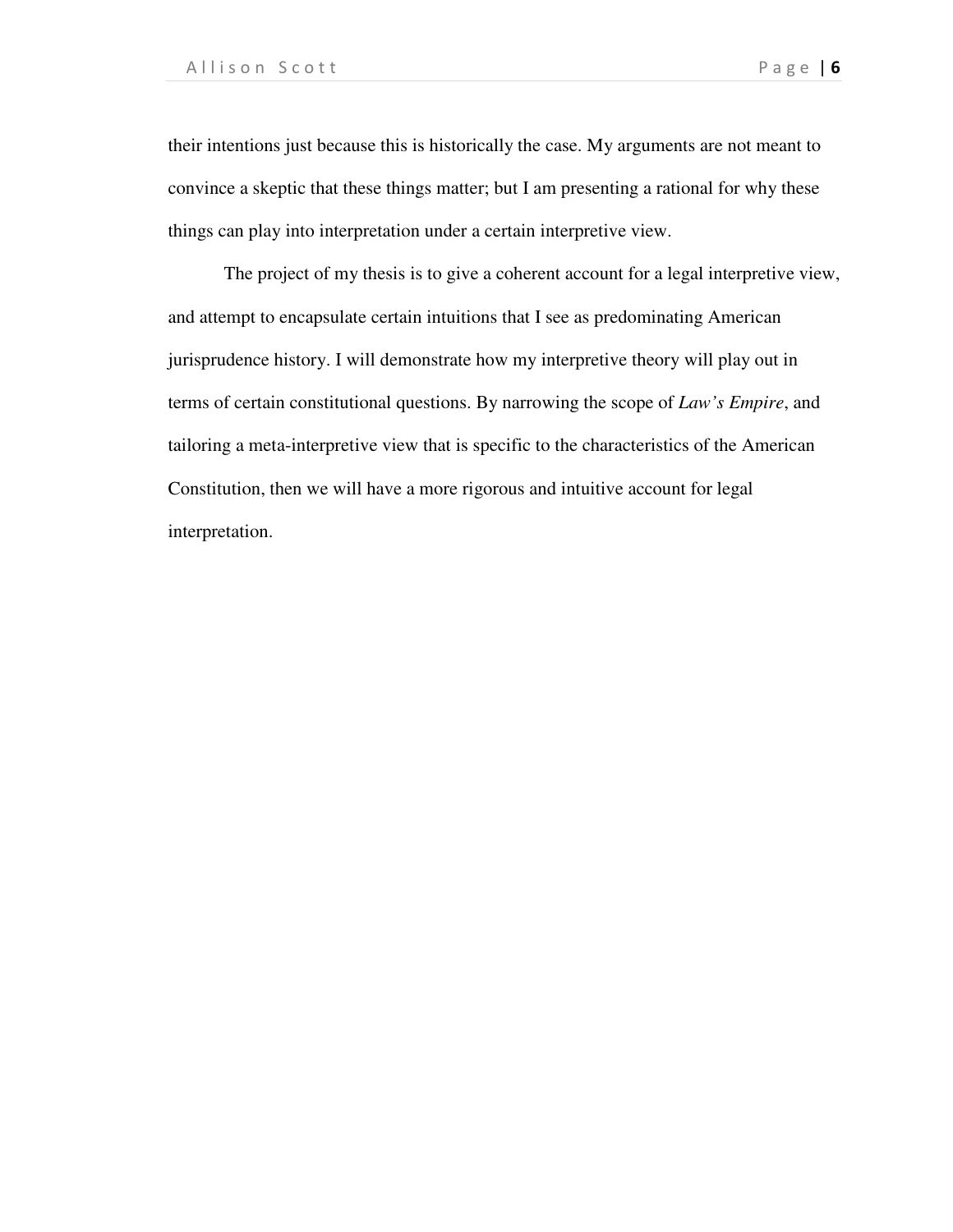their intentions just because this is historically the case. My arguments are not meant to convince a skeptic that these things matter; but I am presenting a rational for why these things can play into interpretation under a certain interpretive view.

The project of my thesis is to give a coherent account for a legal interpretive view, and attempt to encapsulate certain intuitions that I see as predominating American jurisprudence history. I will demonstrate how my interpretive theory will play out in terms of certain constitutional questions. By narrowing the scope of *Law's Empire*, and tailoring a meta-interpretive view that is specific to the characteristics of the American Constitution, then we will have a more rigorous and intuitive account for legal interpretation.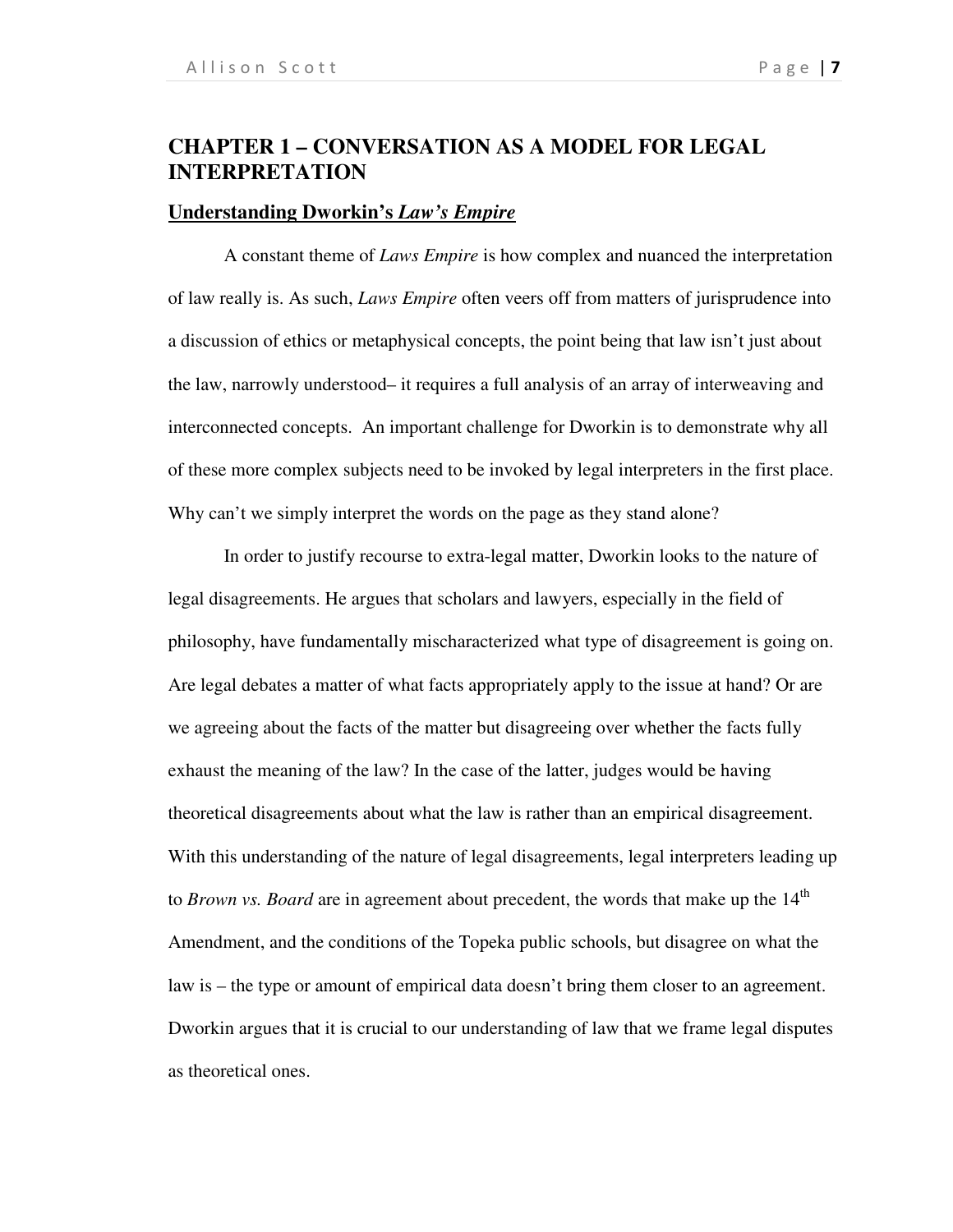### **CHAPTER 1 – CONVERSATION AS A MODEL FOR LEGAL INTERPRETATION**

### **Understanding Dworkin's** *Law's Empire*

A constant theme of *Laws Empire* is how complex and nuanced the interpretation of law really is. As such, *Laws Empire* often veers off from matters of jurisprudence into a discussion of ethics or metaphysical concepts, the point being that law isn't just about the law, narrowly understood– it requires a full analysis of an array of interweaving and interconnected concepts. An important challenge for Dworkin is to demonstrate why all of these more complex subjects need to be invoked by legal interpreters in the first place. Why can't we simply interpret the words on the page as they stand alone?

In order to justify recourse to extra-legal matter, Dworkin looks to the nature of legal disagreements. He argues that scholars and lawyers, especially in the field of philosophy, have fundamentally mischaracterized what type of disagreement is going on. Are legal debates a matter of what facts appropriately apply to the issue at hand? Or are we agreeing about the facts of the matter but disagreeing over whether the facts fully exhaust the meaning of the law? In the case of the latter, judges would be having theoretical disagreements about what the law is rather than an empirical disagreement. With this understanding of the nature of legal disagreements, legal interpreters leading up to *Brown vs. Board* are in agreement about precedent, the words that make up the 14<sup>th</sup> Amendment, and the conditions of the Topeka public schools, but disagree on what the law is – the type or amount of empirical data doesn't bring them closer to an agreement. Dworkin argues that it is crucial to our understanding of law that we frame legal disputes as theoretical ones.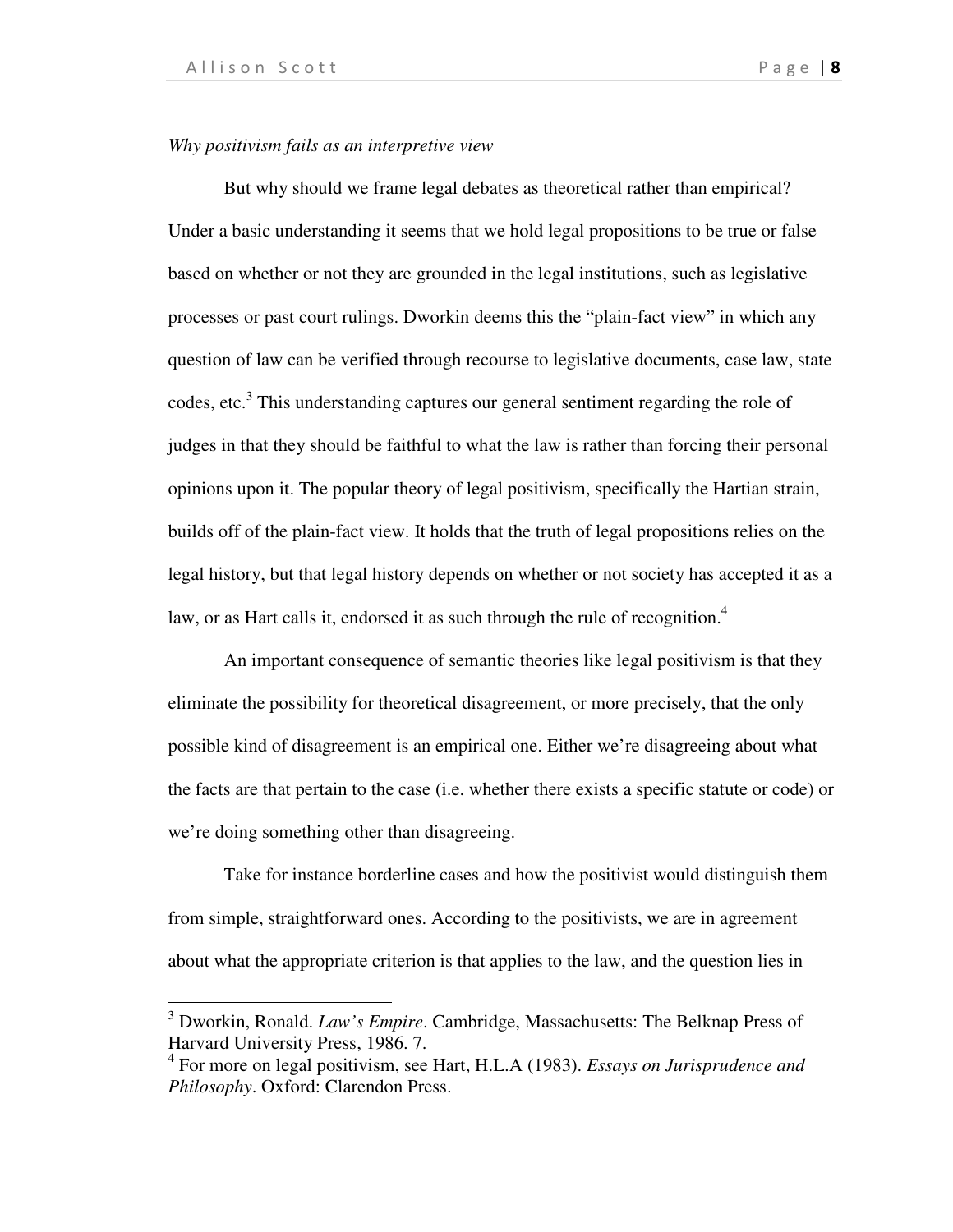j

### *Why positivism fails as an interpretive view*

But why should we frame legal debates as theoretical rather than empirical? Under a basic understanding it seems that we hold legal propositions to be true or false based on whether or not they are grounded in the legal institutions, such as legislative processes or past court rulings. Dworkin deems this the "plain-fact view" in which any question of law can be verified through recourse to legislative documents, case law, state codes, etc.<sup>3</sup> This understanding captures our general sentiment regarding the role of judges in that they should be faithful to what the law is rather than forcing their personal opinions upon it. The popular theory of legal positivism, specifically the Hartian strain, builds off of the plain-fact view. It holds that the truth of legal propositions relies on the legal history, but that legal history depends on whether or not society has accepted it as a law, or as Hart calls it, endorsed it as such through the rule of recognition.<sup>4</sup>

An important consequence of semantic theories like legal positivism is that they eliminate the possibility for theoretical disagreement, or more precisely, that the only possible kind of disagreement is an empirical one. Either we're disagreeing about what the facts are that pertain to the case (i.e. whether there exists a specific statute or code) or we're doing something other than disagreeing.

Take for instance borderline cases and how the positivist would distinguish them from simple, straightforward ones. According to the positivists, we are in agreement about what the appropriate criterion is that applies to the law, and the question lies in

<sup>3</sup> Dworkin, Ronald. *Law's Empire*. Cambridge, Massachusetts: The Belknap Press of Harvard University Press, 1986. 7.

<sup>4</sup> For more on legal positivism, see Hart, H.L.A (1983). *Essays on Jurisprudence and Philosophy*. Oxford: Clarendon Press.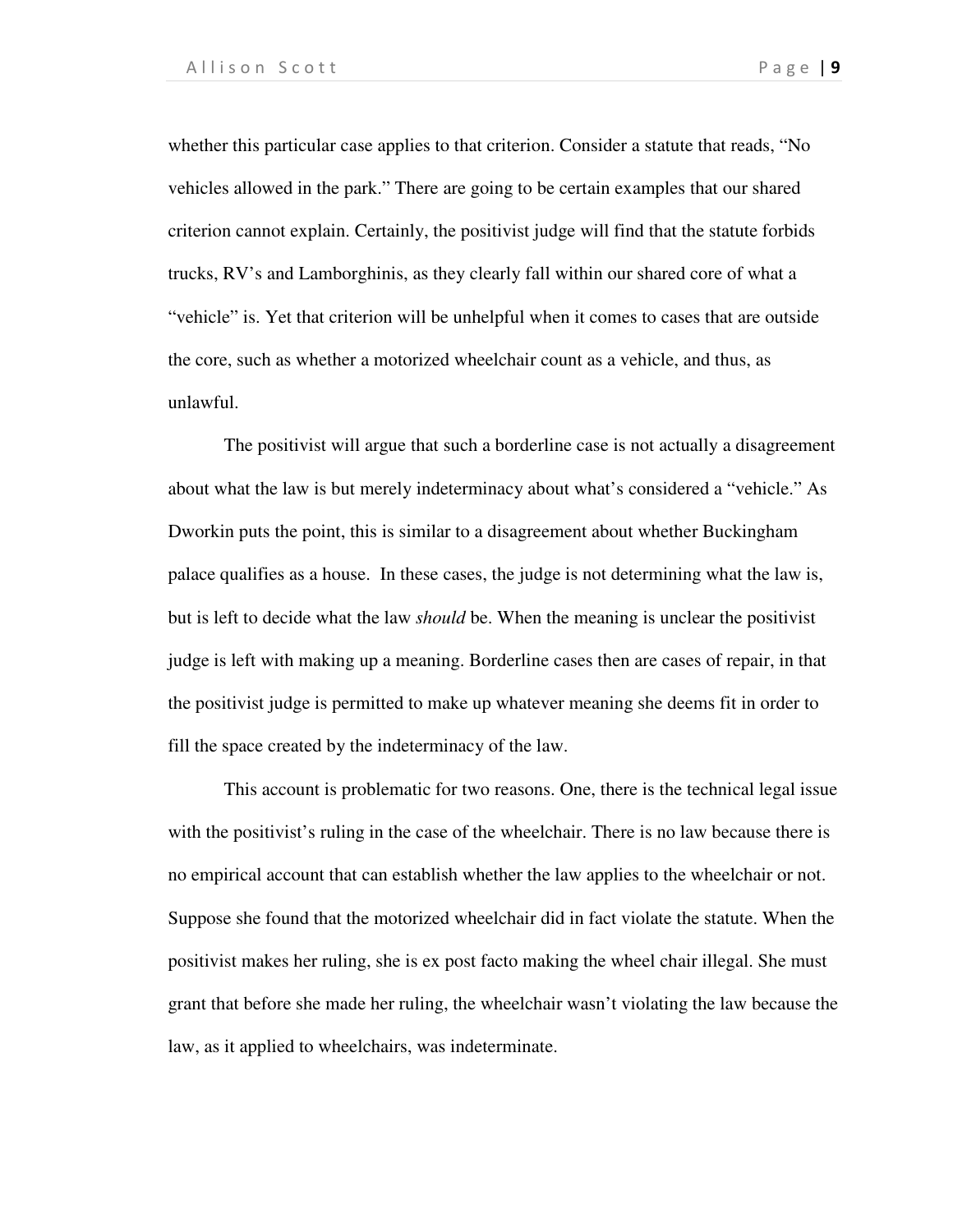whether this particular case applies to that criterion. Consider a statute that reads, "No vehicles allowed in the park." There are going to be certain examples that our shared criterion cannot explain. Certainly, the positivist judge will find that the statute forbids trucks, RV's and Lamborghinis, as they clearly fall within our shared core of what a "vehicle" is. Yet that criterion will be unhelpful when it comes to cases that are outside the core, such as whether a motorized wheelchair count as a vehicle, and thus, as unlawful.

The positivist will argue that such a borderline case is not actually a disagreement about what the law is but merely indeterminacy about what's considered a "vehicle." As Dworkin puts the point, this is similar to a disagreement about whether Buckingham palace qualifies as a house. In these cases, the judge is not determining what the law is, but is left to decide what the law *should* be. When the meaning is unclear the positivist judge is left with making up a meaning. Borderline cases then are cases of repair, in that the positivist judge is permitted to make up whatever meaning she deems fit in order to fill the space created by the indeterminacy of the law.

This account is problematic for two reasons. One, there is the technical legal issue with the positivist's ruling in the case of the wheelchair. There is no law because there is no empirical account that can establish whether the law applies to the wheelchair or not. Suppose she found that the motorized wheelchair did in fact violate the statute. When the positivist makes her ruling, she is ex post facto making the wheel chair illegal. She must grant that before she made her ruling, the wheelchair wasn't violating the law because the law, as it applied to wheelchairs, was indeterminate.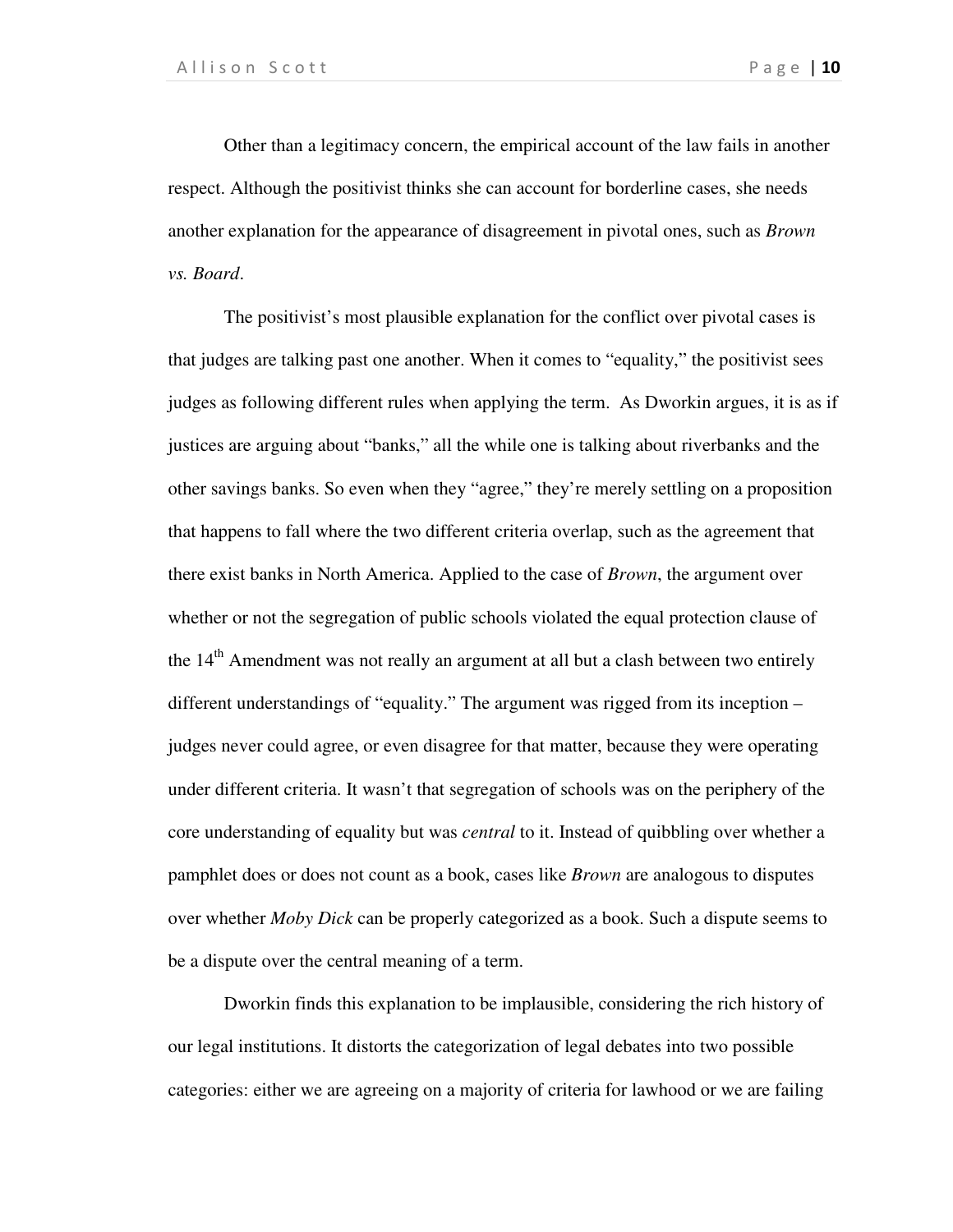Other than a legitimacy concern, the empirical account of the law fails in another respect. Although the positivist thinks she can account for borderline cases, she needs another explanation for the appearance of disagreement in pivotal ones, such as *Brown vs. Board*.

The positivist's most plausible explanation for the conflict over pivotal cases is that judges are talking past one another. When it comes to "equality," the positivist sees judges as following different rules when applying the term. As Dworkin argues, it is as if justices are arguing about "banks," all the while one is talking about riverbanks and the other savings banks. So even when they "agree," they're merely settling on a proposition that happens to fall where the two different criteria overlap, such as the agreement that there exist banks in North America. Applied to the case of *Brown*, the argument over whether or not the segregation of public schools violated the equal protection clause of the 14<sup>th</sup> Amendment was not really an argument at all but a clash between two entirely different understandings of "equality." The argument was rigged from its inception – judges never could agree, or even disagree for that matter, because they were operating under different criteria. It wasn't that segregation of schools was on the periphery of the core understanding of equality but was *central* to it. Instead of quibbling over whether a pamphlet does or does not count as a book, cases like *Brown* are analogous to disputes over whether *Moby Dick* can be properly categorized as a book. Such a dispute seems to be a dispute over the central meaning of a term.

Dworkin finds this explanation to be implausible, considering the rich history of our legal institutions. It distorts the categorization of legal debates into two possible categories: either we are agreeing on a majority of criteria for lawhood or we are failing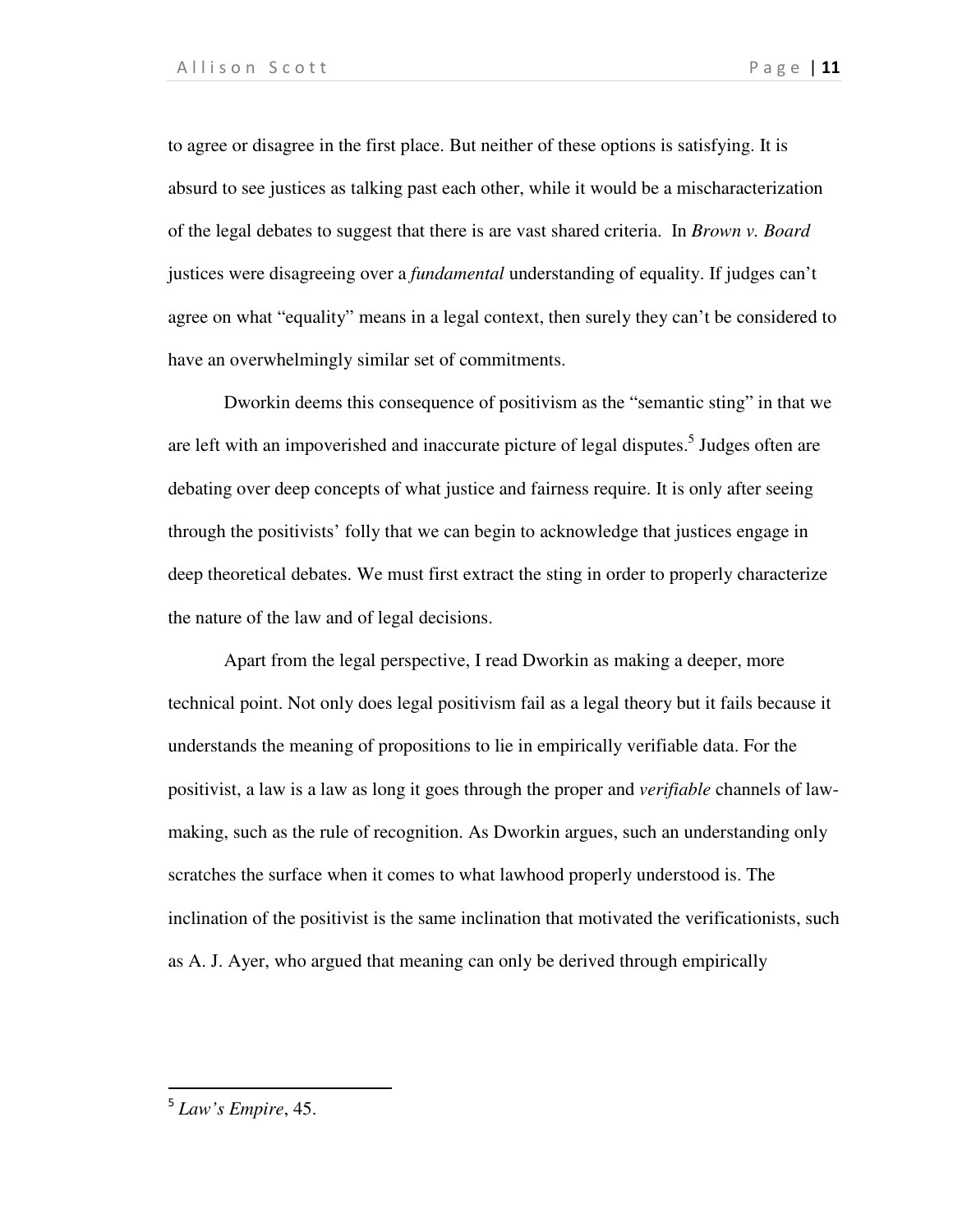to agree or disagree in the first place. But neither of these options is satisfying. It is absurd to see justices as talking past each other, while it would be a mischaracterization of the legal debates to suggest that there is are vast shared criteria. In *Brown v. Board* justices were disagreeing over a *fundamental* understanding of equality. If judges can't agree on what "equality" means in a legal context, then surely they can't be considered to have an overwhelmingly similar set of commitments.

Dworkin deems this consequence of positivism as the "semantic sting" in that we are left with an impoverished and inaccurate picture of legal disputes.<sup>5</sup> Judges often are debating over deep concepts of what justice and fairness require. It is only after seeing through the positivists' folly that we can begin to acknowledge that justices engage in deep theoretical debates. We must first extract the sting in order to properly characterize the nature of the law and of legal decisions.

Apart from the legal perspective, I read Dworkin as making a deeper, more technical point. Not only does legal positivism fail as a legal theory but it fails because it understands the meaning of propositions to lie in empirically verifiable data. For the positivist, a law is a law as long it goes through the proper and *verifiable* channels of lawmaking, such as the rule of recognition. As Dworkin argues, such an understanding only scratches the surface when it comes to what lawhood properly understood is. The inclination of the positivist is the same inclination that motivated the verificationists, such as A. J. Ayer, who argued that meaning can only be derived through empirically

.

<sup>5</sup> *Law's Empire*, 45.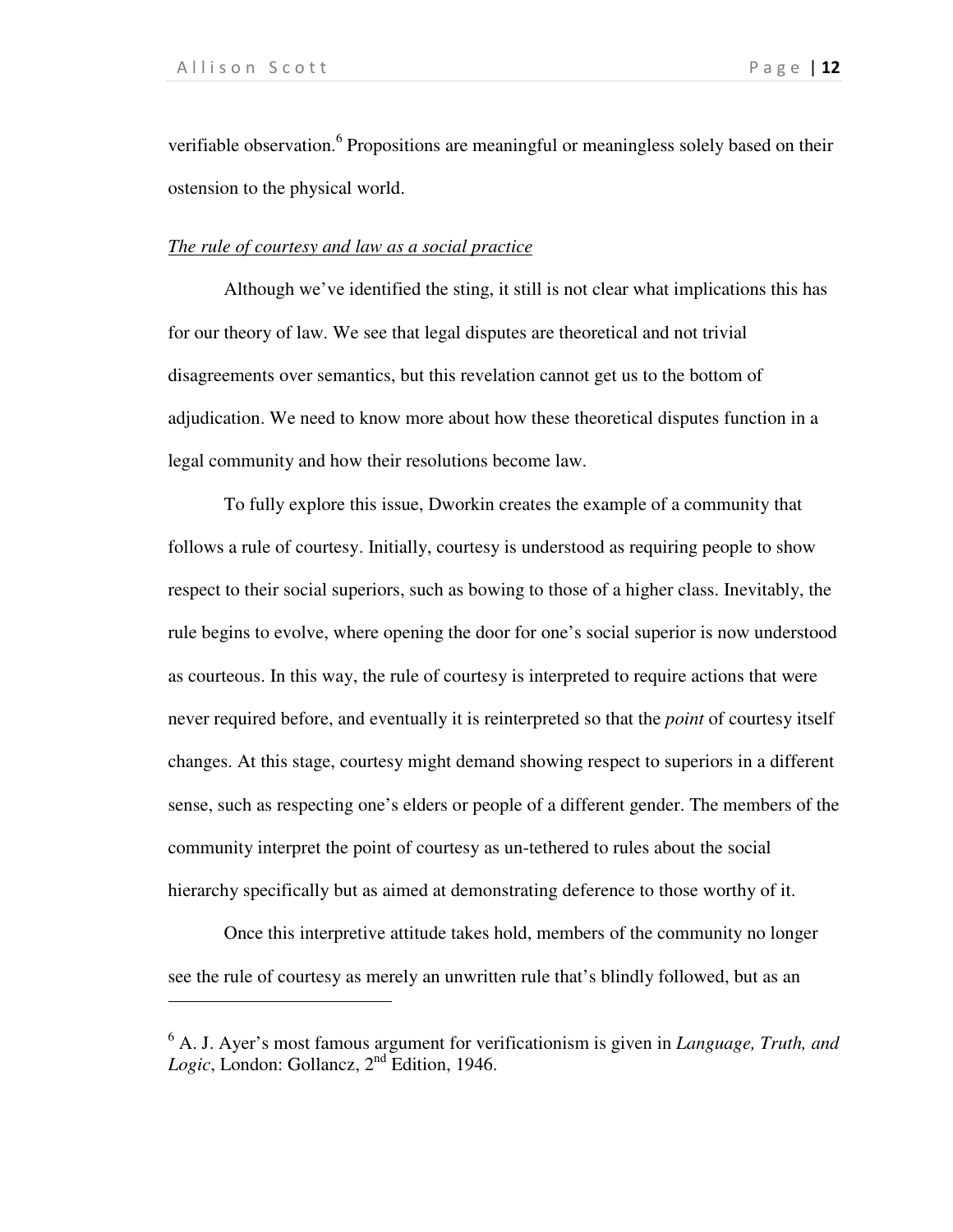.

verifiable observation.<sup>6</sup> Propositions are meaningful or meaningless solely based on their ostension to the physical world.

### *The rule of courtesy and law as a social practice*

Although we've identified the sting, it still is not clear what implications this has for our theory of law. We see that legal disputes are theoretical and not trivial disagreements over semantics, but this revelation cannot get us to the bottom of adjudication. We need to know more about how these theoretical disputes function in a legal community and how their resolutions become law.

To fully explore this issue, Dworkin creates the example of a community that follows a rule of courtesy. Initially, courtesy is understood as requiring people to show respect to their social superiors, such as bowing to those of a higher class. Inevitably, the rule begins to evolve, where opening the door for one's social superior is now understood as courteous. In this way, the rule of courtesy is interpreted to require actions that were never required before, and eventually it is reinterpreted so that the *point* of courtesy itself changes. At this stage, courtesy might demand showing respect to superiors in a different sense, such as respecting one's elders or people of a different gender. The members of the community interpret the point of courtesy as un-tethered to rules about the social hierarchy specifically but as aimed at demonstrating deference to those worthy of it.

Once this interpretive attitude takes hold, members of the community no longer see the rule of courtesy as merely an unwritten rule that's blindly followed, but as an

<sup>6</sup> A. J. Ayer's most famous argument for verificationism is given in *Language, Truth, and Logic*, London: Gollancz, 2nd Edition, 1946.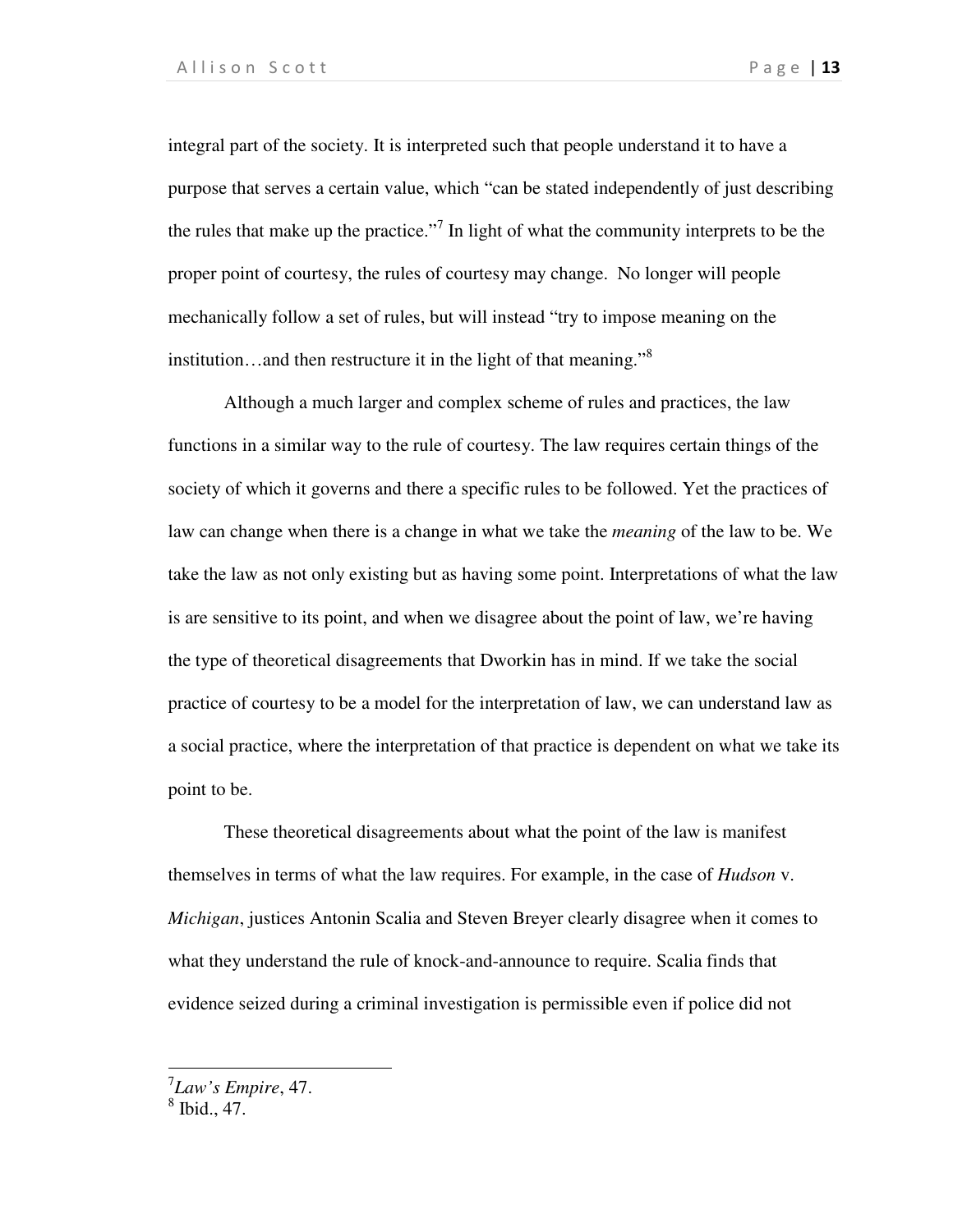integral part of the society. It is interpreted such that people understand it to have a purpose that serves a certain value, which "can be stated independently of just describing the rules that make up the practice."<sup>7</sup> In light of what the community interprets to be the proper point of courtesy, the rules of courtesy may change. No longer will people mechanically follow a set of rules, but will instead "try to impose meaning on the institution...and then restructure it in the light of that meaning."<sup>8</sup>

Although a much larger and complex scheme of rules and practices, the law functions in a similar way to the rule of courtesy. The law requires certain things of the society of which it governs and there a specific rules to be followed. Yet the practices of law can change when there is a change in what we take the *meaning* of the law to be. We take the law as not only existing but as having some point. Interpretations of what the law is are sensitive to its point, and when we disagree about the point of law, we're having the type of theoretical disagreements that Dworkin has in mind. If we take the social practice of courtesy to be a model for the interpretation of law, we can understand law as a social practice, where the interpretation of that practice is dependent on what we take its point to be.

These theoretical disagreements about what the point of the law is manifest themselves in terms of what the law requires. For example, in the case of *Hudson* v. *Michigan*, justices Antonin Scalia and Steven Breyer clearly disagree when it comes to what they understand the rule of knock-and-announce to require. Scalia finds that evidence seized during a criminal investigation is permissible even if police did not

7 *Law's Empire*, 47. 8 Ibid., 47.

1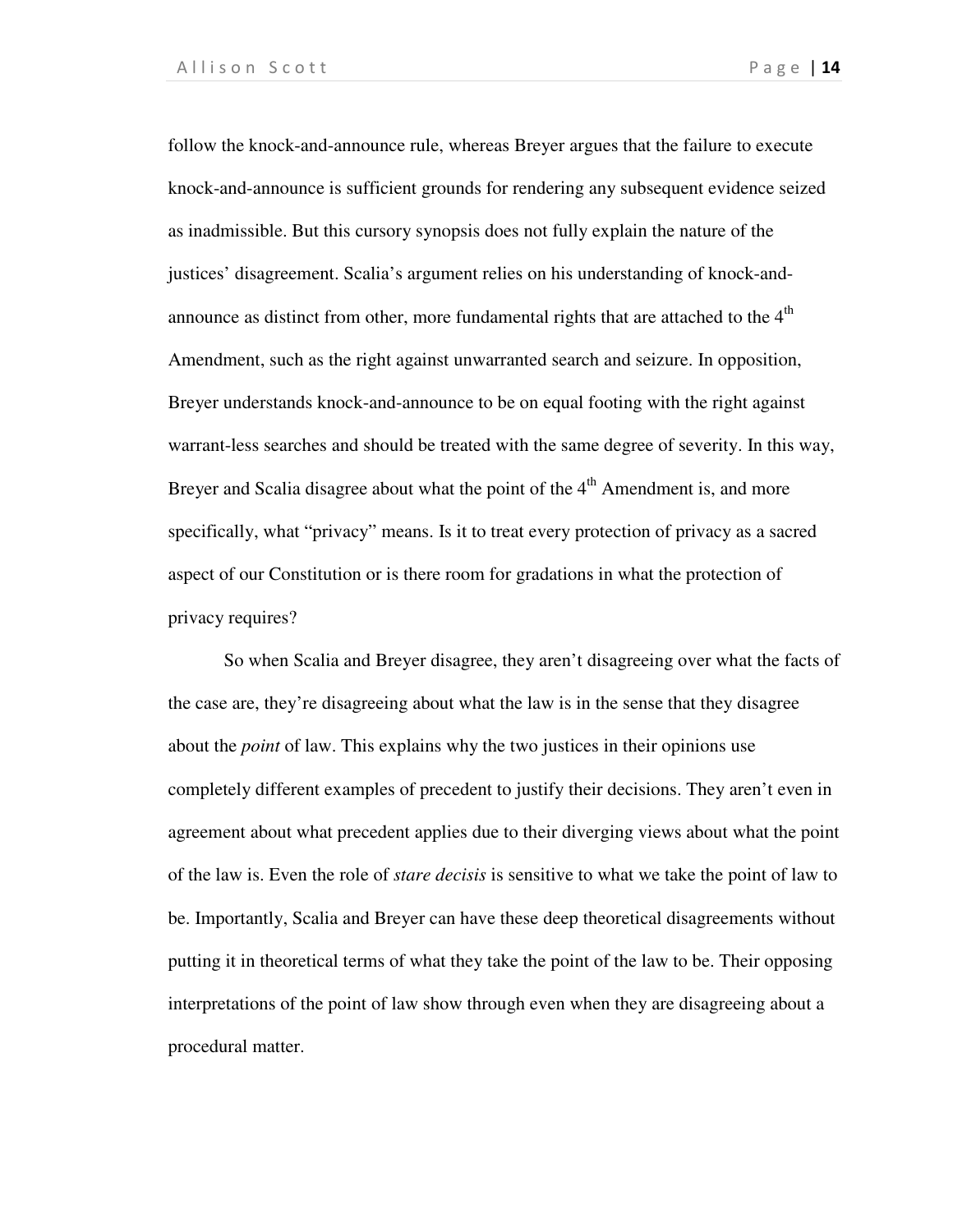follow the knock-and-announce rule, whereas Breyer argues that the failure to execute knock-and-announce is sufficient grounds for rendering any subsequent evidence seized as inadmissible. But this cursory synopsis does not fully explain the nature of the justices' disagreement. Scalia's argument relies on his understanding of knock-andannounce as distinct from other, more fundamental rights that are attached to the  $4<sup>th</sup>$ Amendment, such as the right against unwarranted search and seizure. In opposition, Breyer understands knock-and-announce to be on equal footing with the right against warrant-less searches and should be treated with the same degree of severity. In this way, Breyer and Scalia disagree about what the point of the  $4<sup>th</sup>$  Amendment is, and more specifically, what "privacy" means. Is it to treat every protection of privacy as a sacred aspect of our Constitution or is there room for gradations in what the protection of privacy requires?

So when Scalia and Breyer disagree, they aren't disagreeing over what the facts of the case are, they're disagreeing about what the law is in the sense that they disagree about the *point* of law. This explains why the two justices in their opinions use completely different examples of precedent to justify their decisions. They aren't even in agreement about what precedent applies due to their diverging views about what the point of the law is. Even the role of *stare decisis* is sensitive to what we take the point of law to be. Importantly, Scalia and Breyer can have these deep theoretical disagreements without putting it in theoretical terms of what they take the point of the law to be. Their opposing interpretations of the point of law show through even when they are disagreeing about a procedural matter.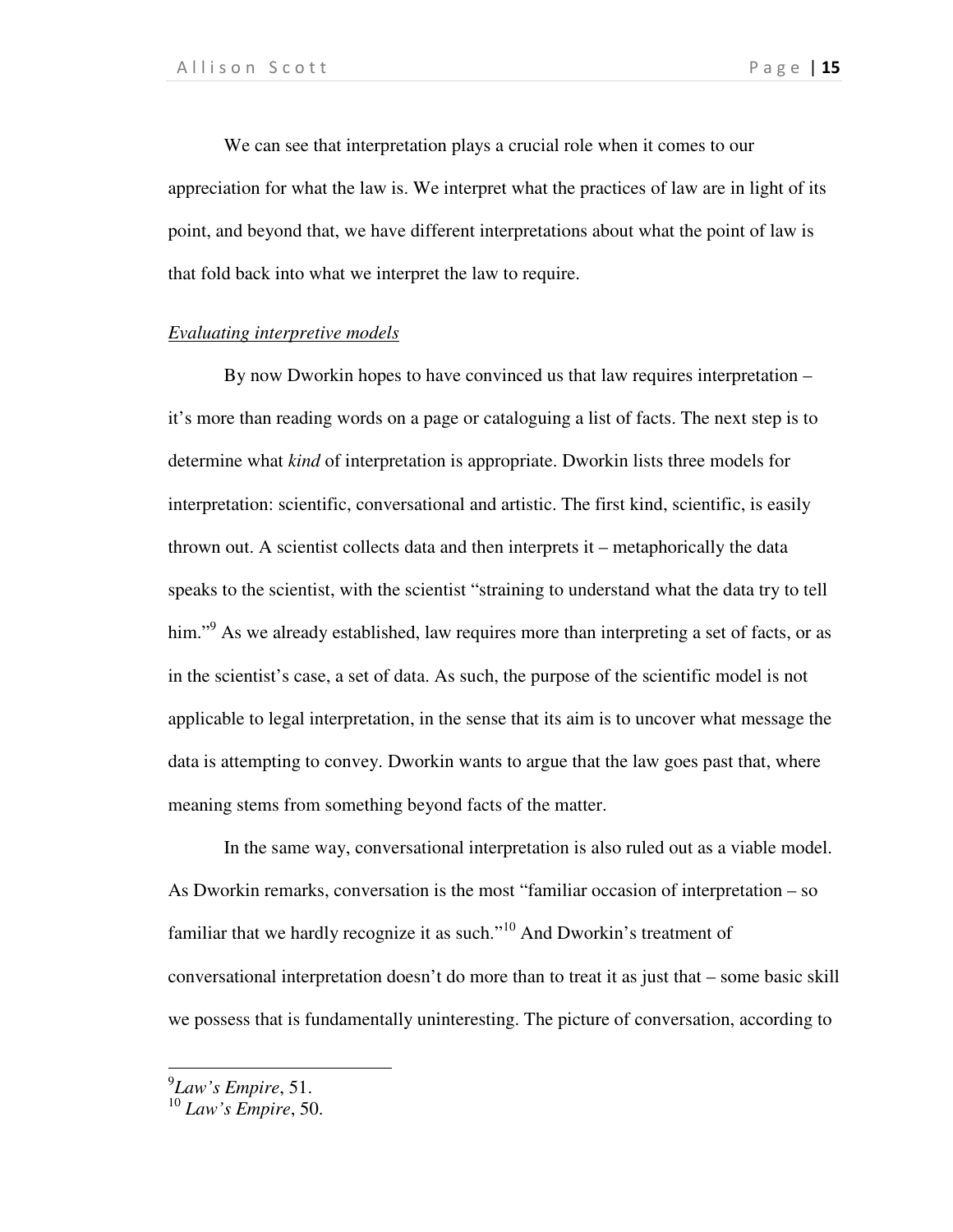We can see that interpretation plays a crucial role when it comes to our appreciation for what the law is. We interpret what the practices of law are in light of its point, and beyond that, we have different interpretations about what the point of law is that fold back into what we interpret the law to require.

### *Evaluating interpretive models*

By now Dworkin hopes to have convinced us that law requires interpretation – it's more than reading words on a page or cataloguing a list of facts. The next step is to determine what *kind* of interpretation is appropriate. Dworkin lists three models for interpretation: scientific, conversational and artistic. The first kind, scientific, is easily thrown out. A scientist collects data and then interprets it – metaphorically the data speaks to the scientist, with the scientist "straining to understand what the data try to tell him."<sup>9</sup> As we already established, law requires more than interpreting a set of facts, or as in the scientist's case, a set of data. As such, the purpose of the scientific model is not applicable to legal interpretation, in the sense that its aim is to uncover what message the data is attempting to convey. Dworkin wants to argue that the law goes past that, where meaning stems from something beyond facts of the matter.

In the same way, conversational interpretation is also ruled out as a viable model. As Dworkin remarks, conversation is the most "familiar occasion of interpretation – so familiar that we hardly recognize it as such."<sup>10</sup> And Dworkin's treatment of conversational interpretation doesn't do more than to treat it as just that – some basic skill we possess that is fundamentally uninteresting. The picture of conversation, according to

<sup>9</sup> *Law's Empire*, 51.

<sup>10</sup> *Law's Empire*, 50.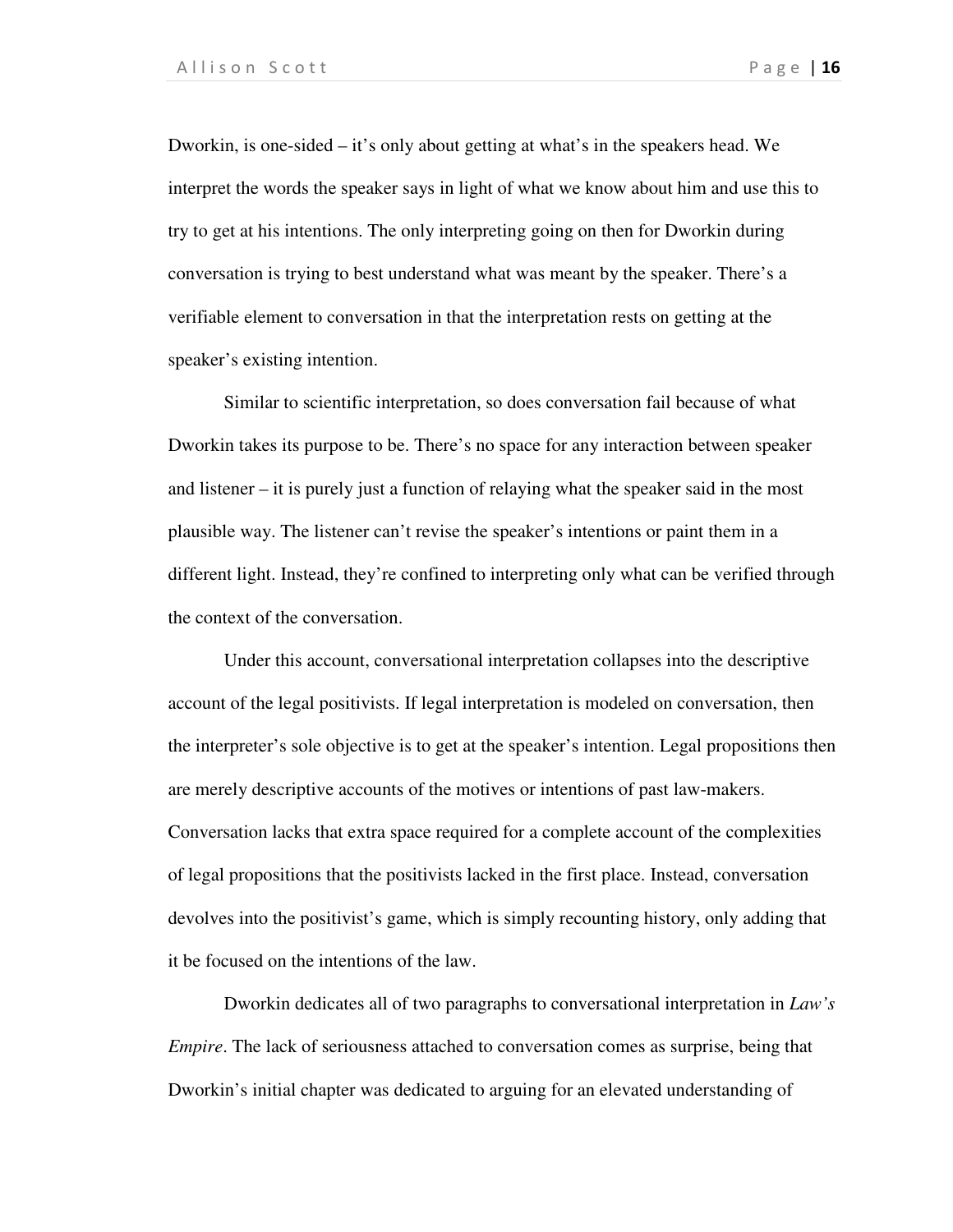Dworkin, is one-sided – it's only about getting at what's in the speakers head. We interpret the words the speaker says in light of what we know about him and use this to try to get at his intentions. The only interpreting going on then for Dworkin during conversation is trying to best understand what was meant by the speaker. There's a verifiable element to conversation in that the interpretation rests on getting at the speaker's existing intention.

Similar to scientific interpretation, so does conversation fail because of what Dworkin takes its purpose to be. There's no space for any interaction between speaker and listener – it is purely just a function of relaying what the speaker said in the most plausible way. The listener can't revise the speaker's intentions or paint them in a different light. Instead, they're confined to interpreting only what can be verified through the context of the conversation.

Under this account, conversational interpretation collapses into the descriptive account of the legal positivists. If legal interpretation is modeled on conversation, then the interpreter's sole objective is to get at the speaker's intention. Legal propositions then are merely descriptive accounts of the motives or intentions of past law-makers. Conversation lacks that extra space required for a complete account of the complexities of legal propositions that the positivists lacked in the first place. Instead, conversation devolves into the positivist's game, which is simply recounting history, only adding that it be focused on the intentions of the law.

Dworkin dedicates all of two paragraphs to conversational interpretation in *Law's Empire*. The lack of seriousness attached to conversation comes as surprise, being that Dworkin's initial chapter was dedicated to arguing for an elevated understanding of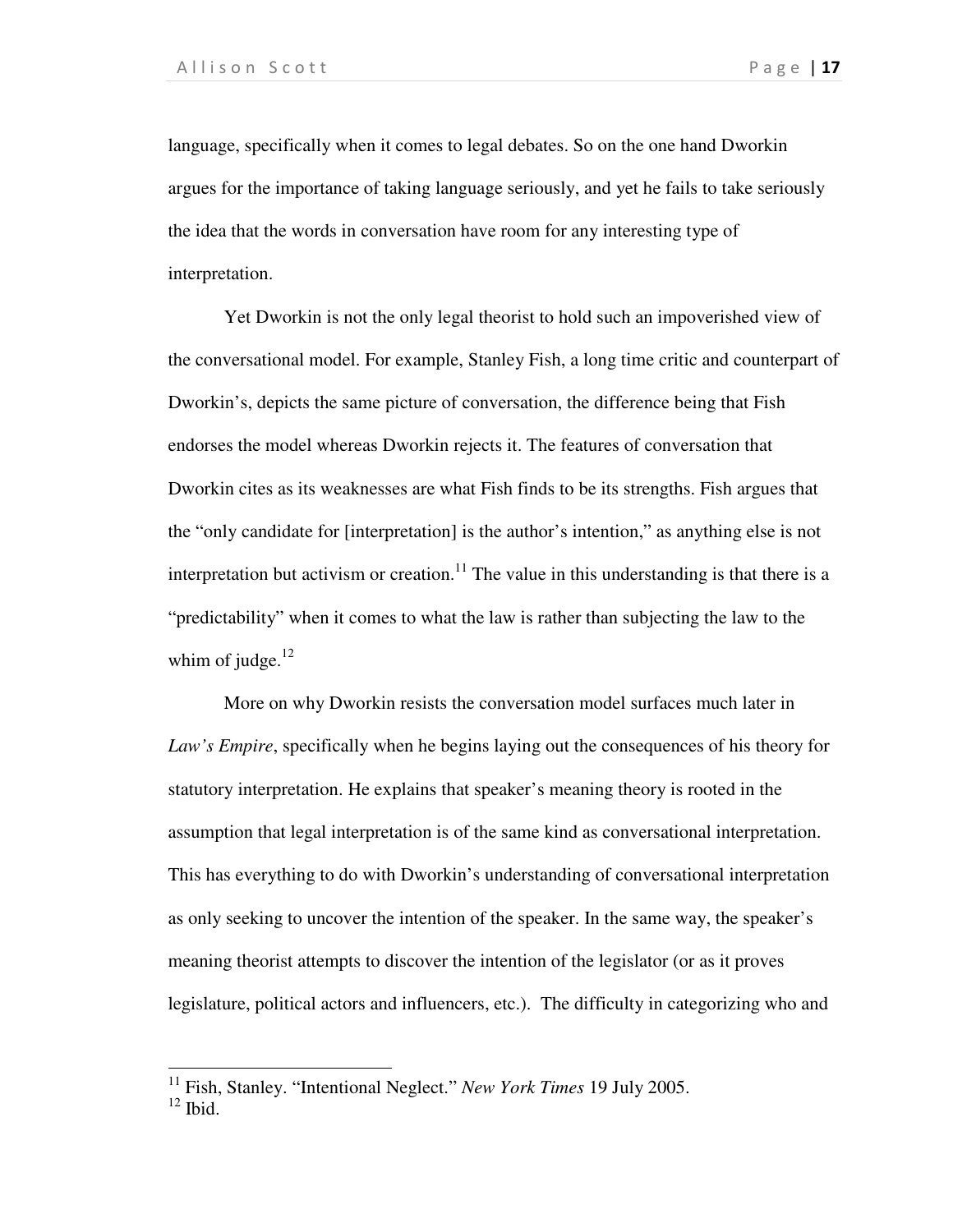language, specifically when it comes to legal debates. So on the one hand Dworkin argues for the importance of taking language seriously, and yet he fails to take seriously the idea that the words in conversation have room for any interesting type of interpretation.

Yet Dworkin is not the only legal theorist to hold such an impoverished view of the conversational model. For example, Stanley Fish, a long time critic and counterpart of Dworkin's, depicts the same picture of conversation, the difference being that Fish endorses the model whereas Dworkin rejects it. The features of conversation that Dworkin cites as its weaknesses are what Fish finds to be its strengths. Fish argues that the "only candidate for [interpretation] is the author's intention," as anything else is not interpretation but activism or creation.<sup>11</sup> The value in this understanding is that there is a "predictability" when it comes to what the law is rather than subjecting the law to the whim of judge. $^{12}$ 

More on why Dworkin resists the conversation model surfaces much later in *Law's Empire*, specifically when he begins laying out the consequences of his theory for statutory interpretation. He explains that speaker's meaning theory is rooted in the assumption that legal interpretation is of the same kind as conversational interpretation. This has everything to do with Dworkin's understanding of conversational interpretation as only seeking to uncover the intention of the speaker. In the same way, the speaker's meaning theorist attempts to discover the intention of the legislator (or as it proves legislature, political actors and influencers, etc.). The difficulty in categorizing who and

<sup>11</sup> Fish, Stanley. "Intentional Neglect." *New York Times* 19 July 2005.

 $12$  Ibid.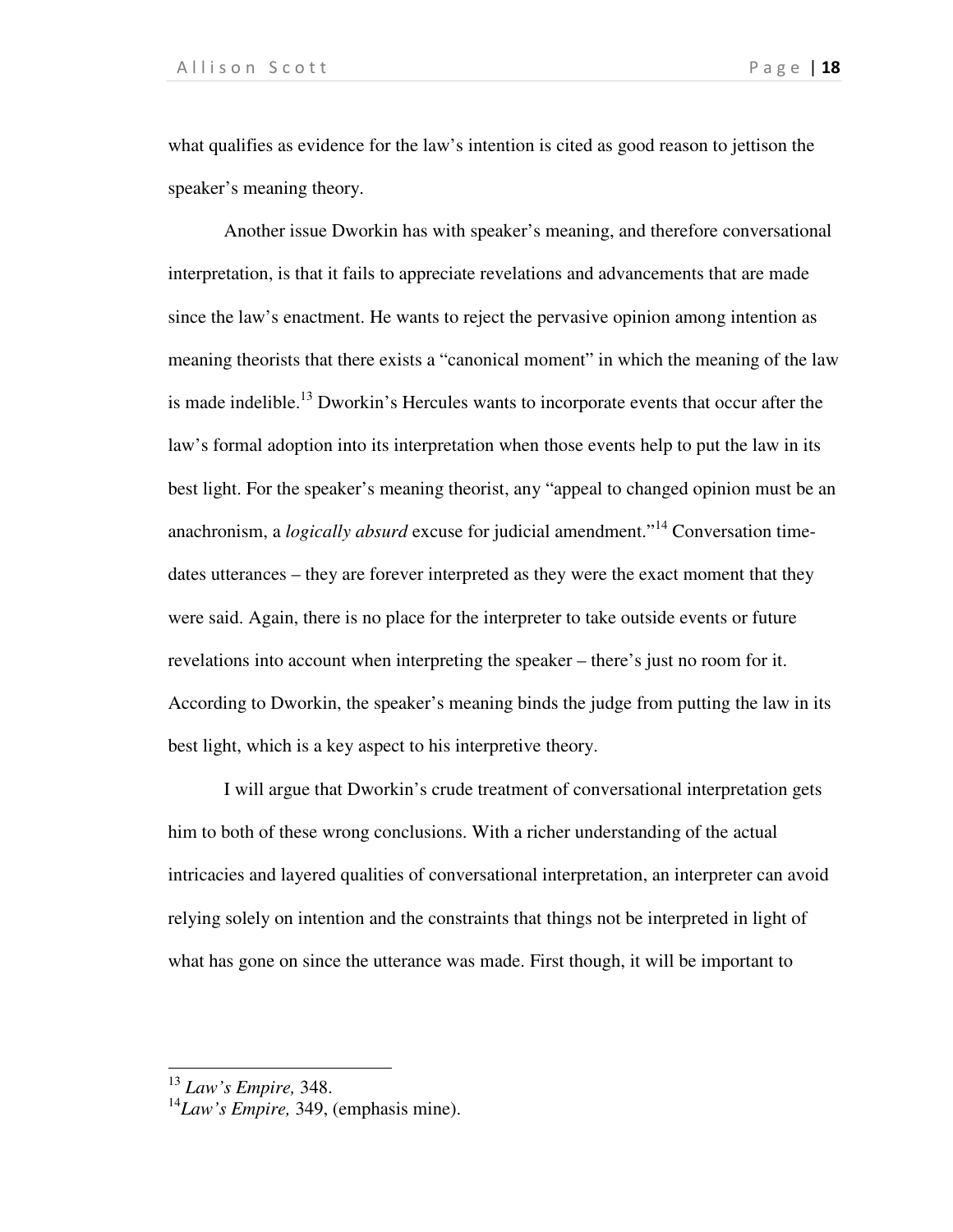what qualifies as evidence for the law's intention is cited as good reason to jettison the speaker's meaning theory.

Another issue Dworkin has with speaker's meaning, and therefore conversational interpretation, is that it fails to appreciate revelations and advancements that are made since the law's enactment. He wants to reject the pervasive opinion among intention as meaning theorists that there exists a "canonical moment" in which the meaning of the law is made indelible.<sup>13</sup> Dworkin's Hercules wants to incorporate events that occur after the law's formal adoption into its interpretation when those events help to put the law in its best light. For the speaker's meaning theorist, any "appeal to changed opinion must be an anachronism, a *logically absurd* excuse for judicial amendment.<sup>"14</sup> Conversation timedates utterances – they are forever interpreted as they were the exact moment that they were said. Again, there is no place for the interpreter to take outside events or future revelations into account when interpreting the speaker – there's just no room for it. According to Dworkin, the speaker's meaning binds the judge from putting the law in its best light, which is a key aspect to his interpretive theory.

I will argue that Dworkin's crude treatment of conversational interpretation gets him to both of these wrong conclusions. With a richer understanding of the actual intricacies and layered qualities of conversational interpretation, an interpreter can avoid relying solely on intention and the constraints that things not be interpreted in light of what has gone on since the utterance was made. First though, it will be important to

<sup>13</sup> *Law's Empire,* 348.

<sup>14</sup>*Law's Empire,* 349, (emphasis mine).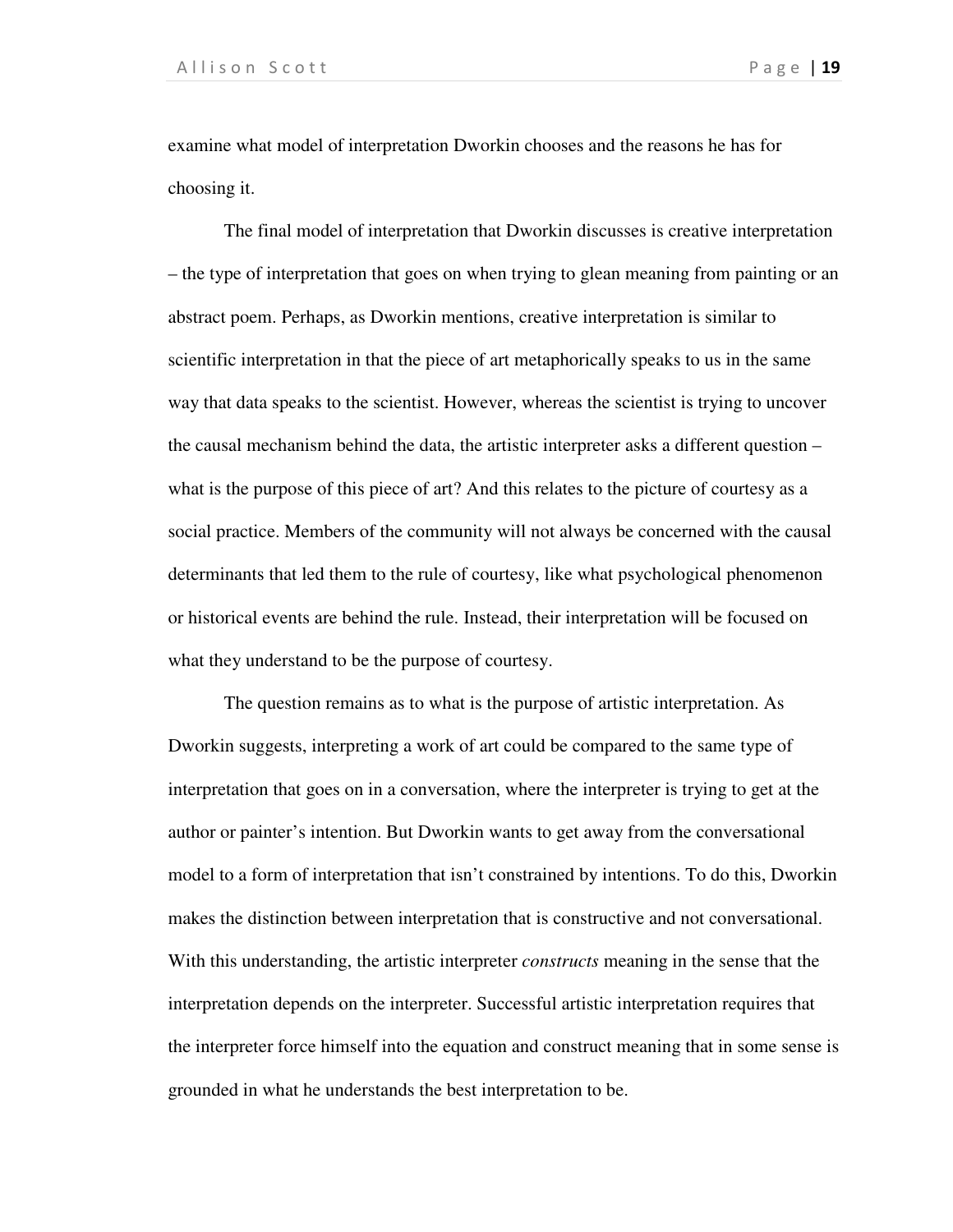examine what model of interpretation Dworkin chooses and the reasons he has for choosing it.

The final model of interpretation that Dworkin discusses is creative interpretation – the type of interpretation that goes on when trying to glean meaning from painting or an abstract poem. Perhaps, as Dworkin mentions, creative interpretation is similar to scientific interpretation in that the piece of art metaphorically speaks to us in the same way that data speaks to the scientist. However, whereas the scientist is trying to uncover the causal mechanism behind the data, the artistic interpreter asks a different question – what is the purpose of this piece of art? And this relates to the picture of courtesy as a social practice. Members of the community will not always be concerned with the causal determinants that led them to the rule of courtesy, like what psychological phenomenon or historical events are behind the rule. Instead, their interpretation will be focused on what they understand to be the purpose of courtesy.

 The question remains as to what is the purpose of artistic interpretation. As Dworkin suggests, interpreting a work of art could be compared to the same type of interpretation that goes on in a conversation, where the interpreter is trying to get at the author or painter's intention. But Dworkin wants to get away from the conversational model to a form of interpretation that isn't constrained by intentions. To do this, Dworkin makes the distinction between interpretation that is constructive and not conversational. With this understanding, the artistic interpreter *constructs* meaning in the sense that the interpretation depends on the interpreter. Successful artistic interpretation requires that the interpreter force himself into the equation and construct meaning that in some sense is grounded in what he understands the best interpretation to be.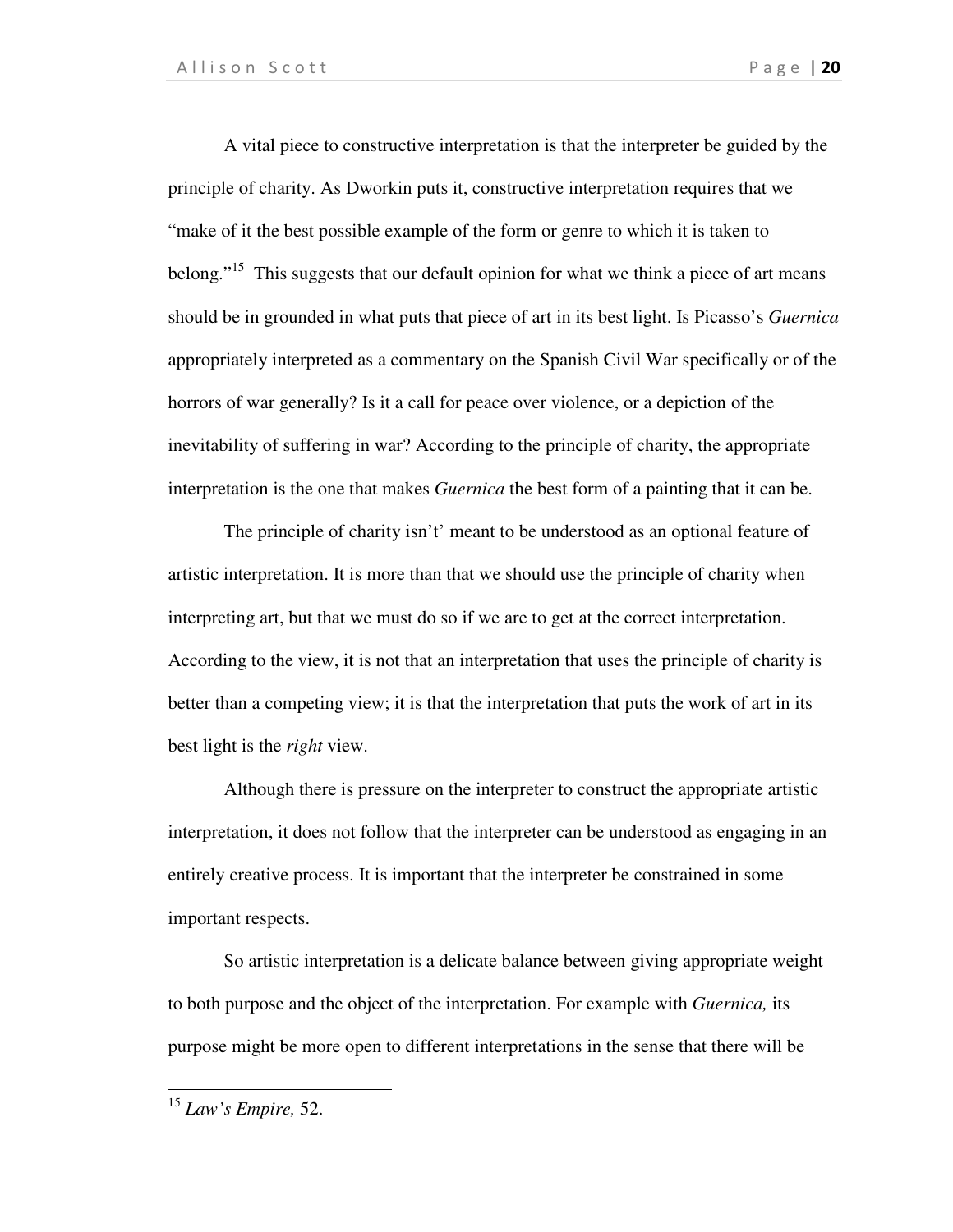A vital piece to constructive interpretation is that the interpreter be guided by the principle of charity. As Dworkin puts it, constructive interpretation requires that we "make of it the best possible example of the form or genre to which it is taken to belong."<sup>15</sup> This suggests that our default opinion for what we think a piece of art means should be in grounded in what puts that piece of art in its best light. Is Picasso's *Guernica*  appropriately interpreted as a commentary on the Spanish Civil War specifically or of the horrors of war generally? Is it a call for peace over violence, or a depiction of the inevitability of suffering in war? According to the principle of charity, the appropriate interpretation is the one that makes *Guernica* the best form of a painting that it can be.

 The principle of charity isn't' meant to be understood as an optional feature of artistic interpretation. It is more than that we should use the principle of charity when interpreting art, but that we must do so if we are to get at the correct interpretation. According to the view, it is not that an interpretation that uses the principle of charity is better than a competing view; it is that the interpretation that puts the work of art in its best light is the *right* view.

 Although there is pressure on the interpreter to construct the appropriate artistic interpretation, it does not follow that the interpreter can be understood as engaging in an entirely creative process. It is important that the interpreter be constrained in some important respects.

So artistic interpretation is a delicate balance between giving appropriate weight to both purpose and the object of the interpretation. For example with *Guernica,* its purpose might be more open to different interpretations in the sense that there will be

<sup>15</sup> *Law's Empire,* 52.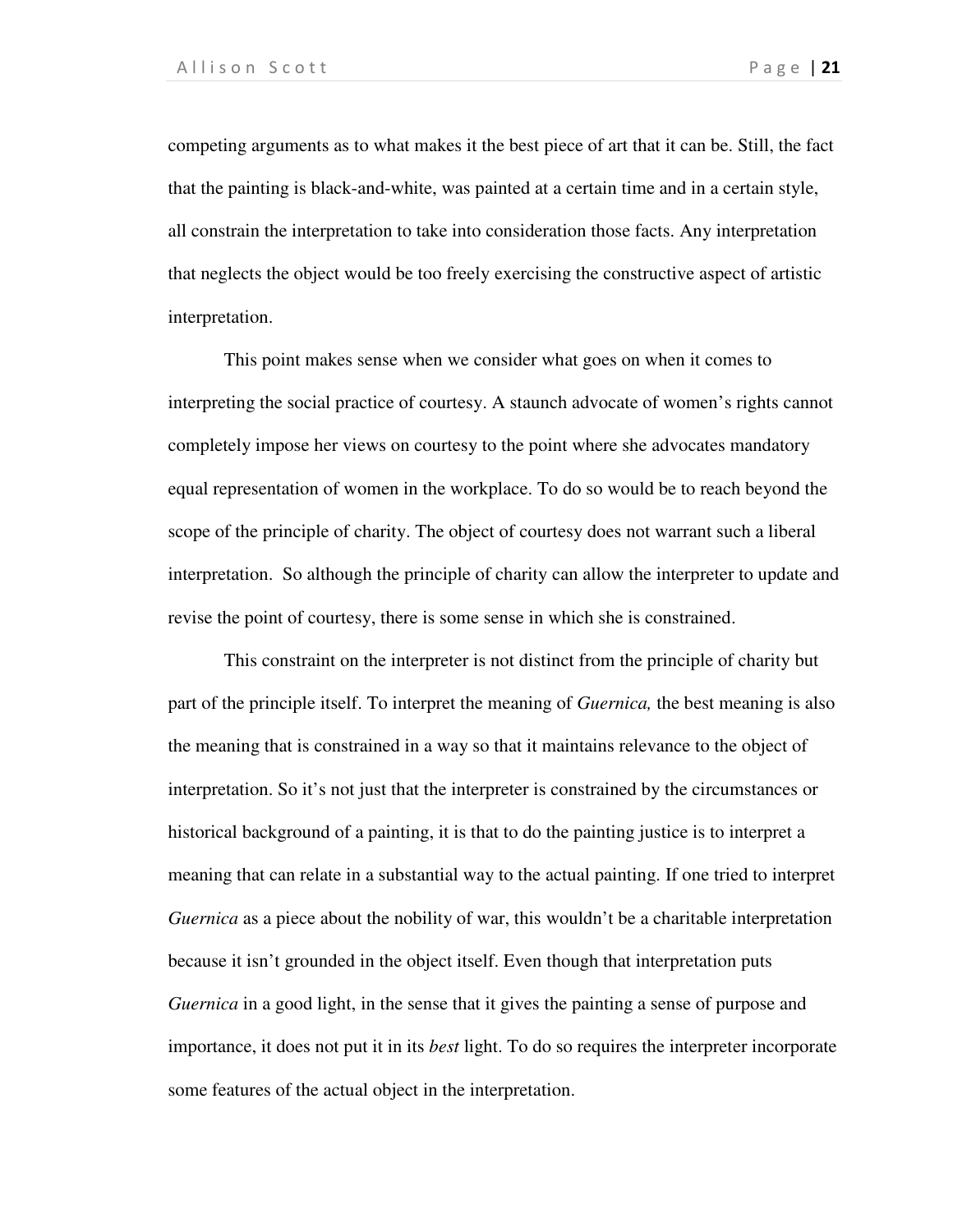competing arguments as to what makes it the best piece of art that it can be. Still, the fact that the painting is black-and-white, was painted at a certain time and in a certain style, all constrain the interpretation to take into consideration those facts. Any interpretation that neglects the object would be too freely exercising the constructive aspect of artistic interpretation.

This point makes sense when we consider what goes on when it comes to interpreting the social practice of courtesy. A staunch advocate of women's rights cannot completely impose her views on courtesy to the point where she advocates mandatory equal representation of women in the workplace. To do so would be to reach beyond the scope of the principle of charity. The object of courtesy does not warrant such a liberal interpretation. So although the principle of charity can allow the interpreter to update and revise the point of courtesy, there is some sense in which she is constrained.

This constraint on the interpreter is not distinct from the principle of charity but part of the principle itself. To interpret the meaning of *Guernica,* the best meaning is also the meaning that is constrained in a way so that it maintains relevance to the object of interpretation. So it's not just that the interpreter is constrained by the circumstances or historical background of a painting, it is that to do the painting justice is to interpret a meaning that can relate in a substantial way to the actual painting. If one tried to interpret *Guernica* as a piece about the nobility of war, this wouldn't be a charitable interpretation because it isn't grounded in the object itself. Even though that interpretation puts *Guernica* in a good light, in the sense that it gives the painting a sense of purpose and importance, it does not put it in its *best* light. To do so requires the interpreter incorporate some features of the actual object in the interpretation.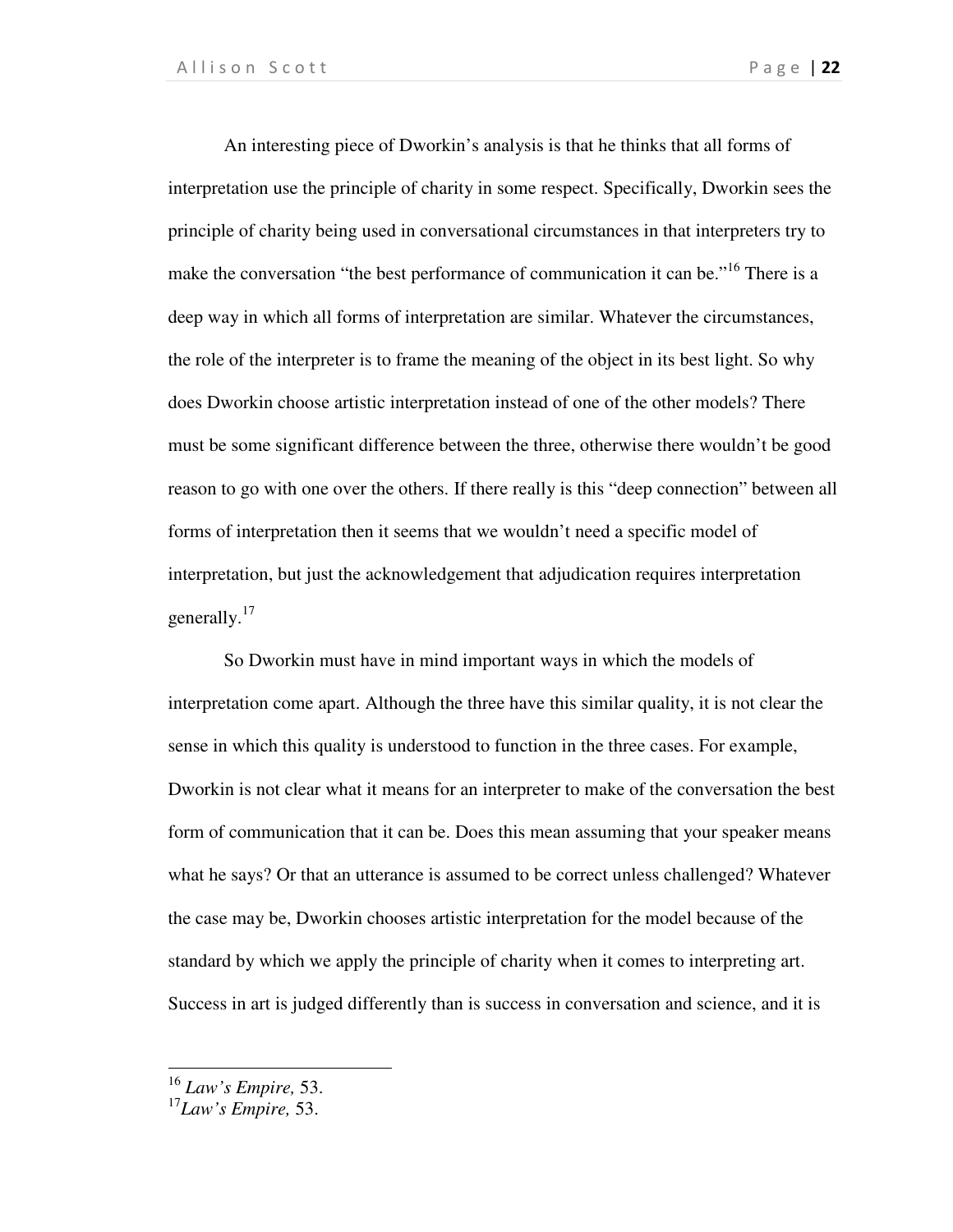An interesting piece of Dworkin's analysis is that he thinks that all forms of interpretation use the principle of charity in some respect. Specifically, Dworkin sees the principle of charity being used in conversational circumstances in that interpreters try to make the conversation "the best performance of communication it can be."<sup>16</sup> There is a deep way in which all forms of interpretation are similar. Whatever the circumstances, the role of the interpreter is to frame the meaning of the object in its best light. So why does Dworkin choose artistic interpretation instead of one of the other models? There must be some significant difference between the three, otherwise there wouldn't be good reason to go with one over the others. If there really is this "deep connection" between all forms of interpretation then it seems that we wouldn't need a specific model of interpretation, but just the acknowledgement that adjudication requires interpretation generally.<sup>17</sup>

So Dworkin must have in mind important ways in which the models of interpretation come apart. Although the three have this similar quality, it is not clear the sense in which this quality is understood to function in the three cases. For example, Dworkin is not clear what it means for an interpreter to make of the conversation the best form of communication that it can be. Does this mean assuming that your speaker means what he says? Or that an utterance is assumed to be correct unless challenged? Whatever the case may be, Dworkin chooses artistic interpretation for the model because of the standard by which we apply the principle of charity when it comes to interpreting art. Success in art is judged differently than is success in conversation and science, and it is

<sup>16</sup> *Law's Empire,* 53.

<sup>17</sup>*Law's Empire,* 53.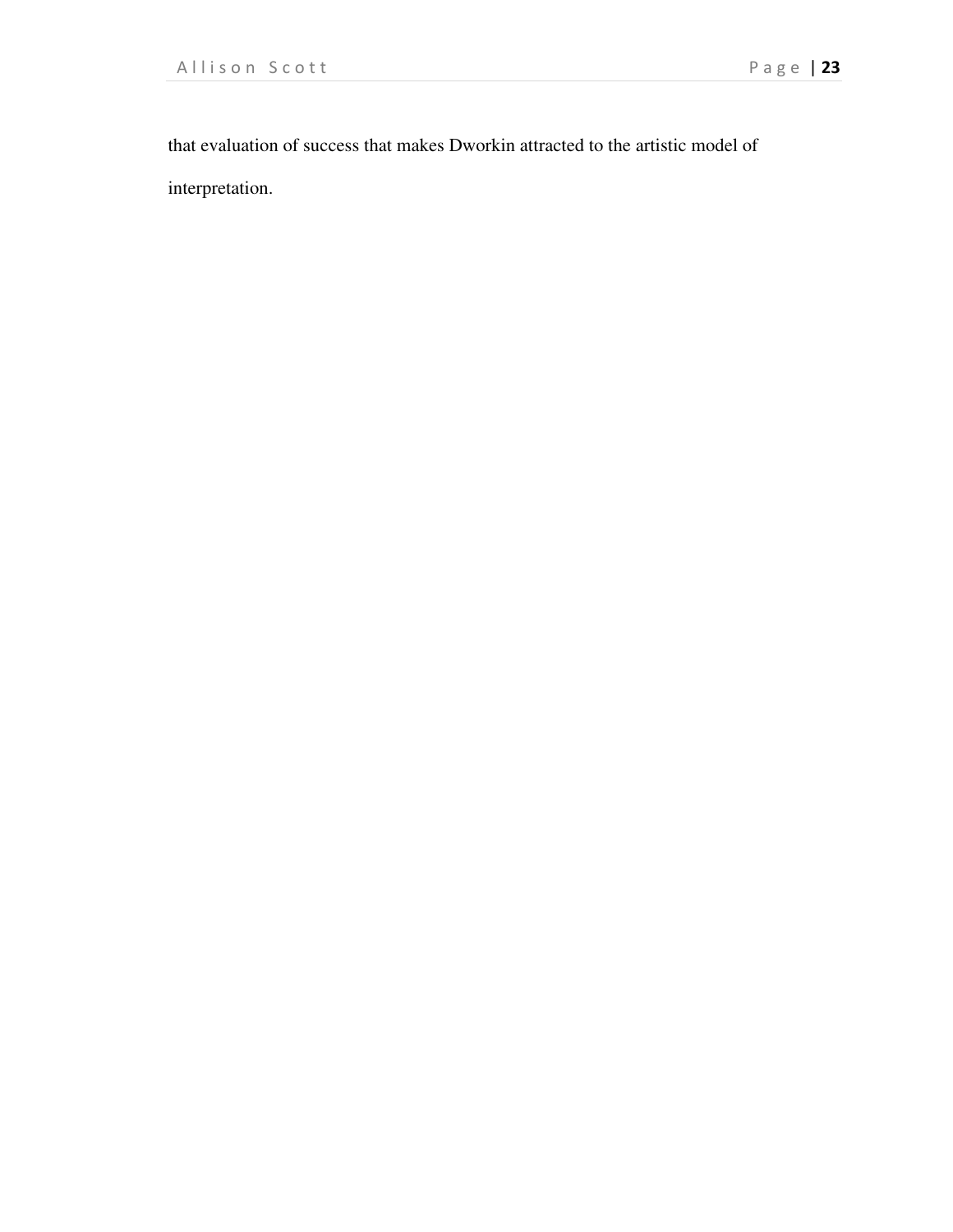that evaluation of success that makes Dworkin attracted to the artistic model of interpretation.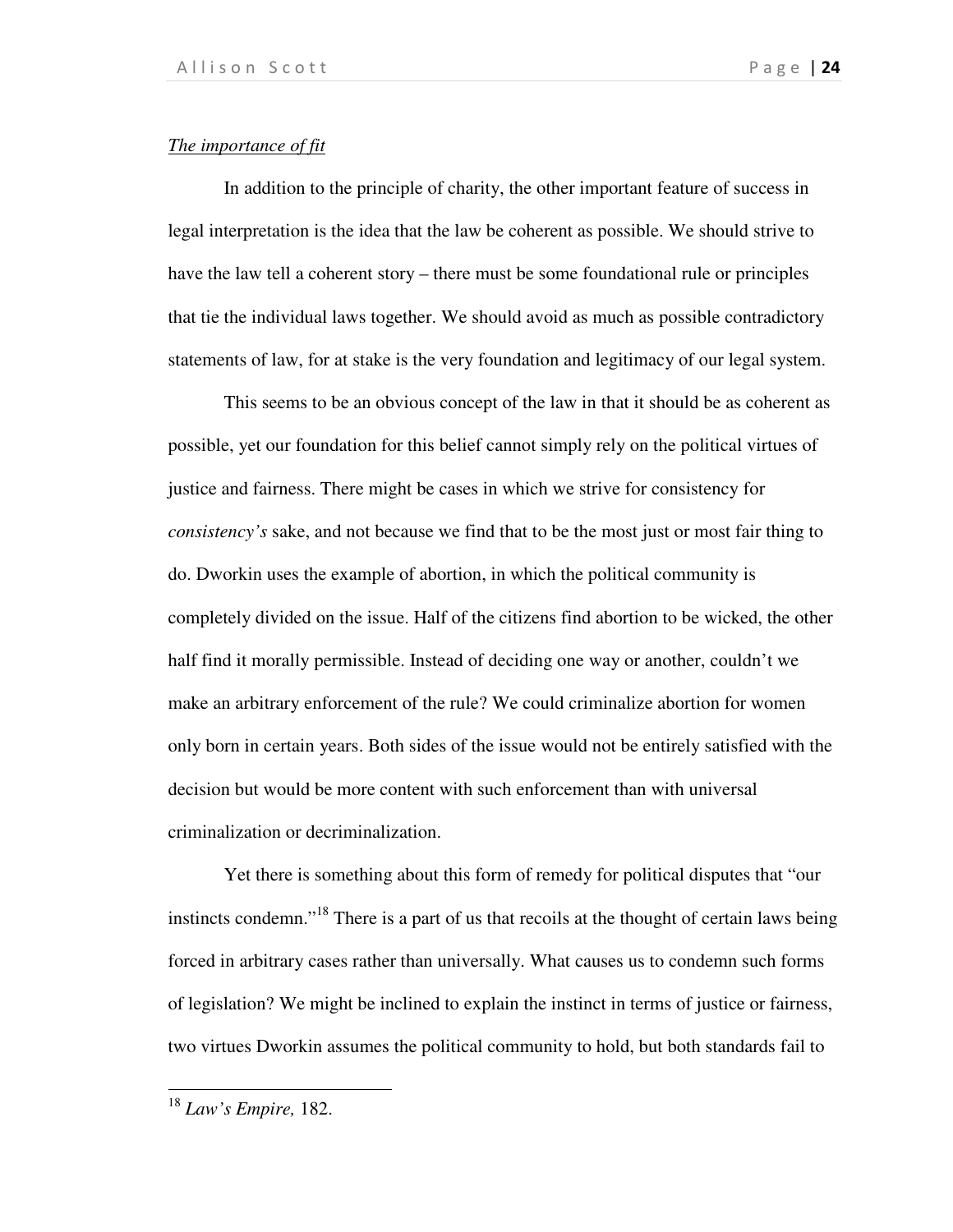### *The importance of fit*

In addition to the principle of charity, the other important feature of success in legal interpretation is the idea that the law be coherent as possible. We should strive to have the law tell a coherent story – there must be some foundational rule or principles that tie the individual laws together. We should avoid as much as possible contradictory statements of law, for at stake is the very foundation and legitimacy of our legal system.

This seems to be an obvious concept of the law in that it should be as coherent as possible, yet our foundation for this belief cannot simply rely on the political virtues of justice and fairness. There might be cases in which we strive for consistency for *consistency's* sake, and not because we find that to be the most just or most fair thing to do. Dworkin uses the example of abortion, in which the political community is completely divided on the issue. Half of the citizens find abortion to be wicked, the other half find it morally permissible. Instead of deciding one way or another, couldn't we make an arbitrary enforcement of the rule? We could criminalize abortion for women only born in certain years. Both sides of the issue would not be entirely satisfied with the decision but would be more content with such enforcement than with universal criminalization or decriminalization.

Yet there is something about this form of remedy for political disputes that "our instincts condemn."<sup>18</sup> There is a part of us that recoils at the thought of certain laws being forced in arbitrary cases rather than universally. What causes us to condemn such forms of legislation? We might be inclined to explain the instinct in terms of justice or fairness, two virtues Dworkin assumes the political community to hold, but both standards fail to

<sup>18</sup> *Law's Empire,* 182.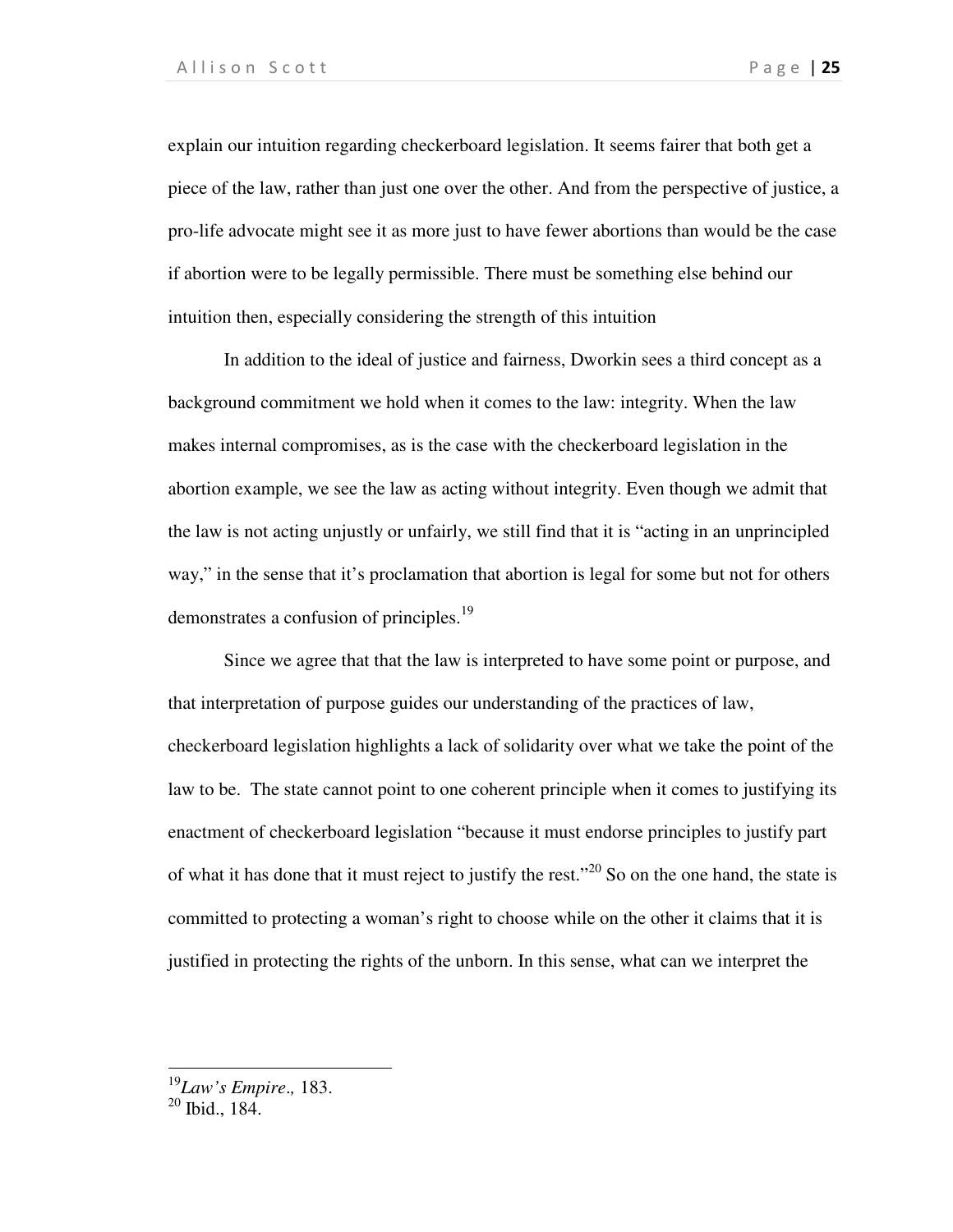explain our intuition regarding checkerboard legislation. It seems fairer that both get a piece of the law, rather than just one over the other. And from the perspective of justice, a pro-life advocate might see it as more just to have fewer abortions than would be the case if abortion were to be legally permissible. There must be something else behind our intuition then, especially considering the strength of this intuition

In addition to the ideal of justice and fairness, Dworkin sees a third concept as a background commitment we hold when it comes to the law: integrity. When the law makes internal compromises, as is the case with the checkerboard legislation in the abortion example, we see the law as acting without integrity. Even though we admit that the law is not acting unjustly or unfairly, we still find that it is "acting in an unprincipled way," in the sense that it's proclamation that abortion is legal for some but not for others demonstrates a confusion of principles.<sup>19</sup>

Since we agree that that the law is interpreted to have some point or purpose, and that interpretation of purpose guides our understanding of the practices of law, checkerboard legislation highlights a lack of solidarity over what we take the point of the law to be. The state cannot point to one coherent principle when it comes to justifying its enactment of checkerboard legislation "because it must endorse principles to justify part of what it has done that it must reject to justify the rest.<sup> $20$ </sup> So on the one hand, the state is committed to protecting a woman's right to choose while on the other it claims that it is justified in protecting the rights of the unborn. In this sense, what can we interpret the

1

<sup>19</sup>*Law's Empire*.*,* 183.

 $20$  Ibid., 184.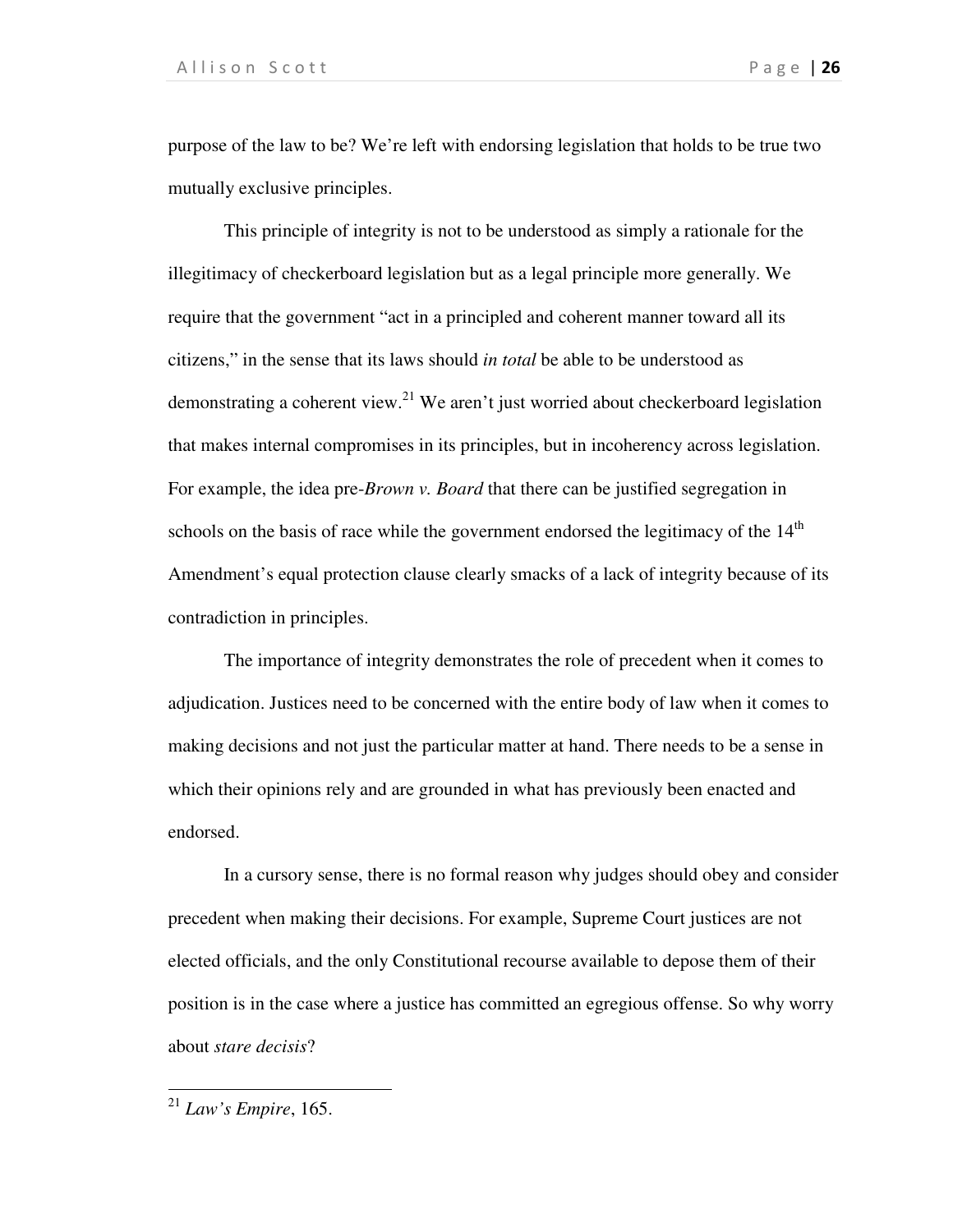purpose of the law to be? We're left with endorsing legislation that holds to be true two mutually exclusive principles.

This principle of integrity is not to be understood as simply a rationale for the illegitimacy of checkerboard legislation but as a legal principle more generally. We require that the government "act in a principled and coherent manner toward all its citizens," in the sense that its laws should *in total* be able to be understood as demonstrating a coherent view. $^{21}$  We aren't just worried about checkerboard legislation that makes internal compromises in its principles, but in incoherency across legislation. For example, the idea pre-*Brown v. Board* that there can be justified segregation in schools on the basis of race while the government endorsed the legitimacy of the  $14<sup>th</sup>$ Amendment's equal protection clause clearly smacks of a lack of integrity because of its contradiction in principles.

The importance of integrity demonstrates the role of precedent when it comes to adjudication. Justices need to be concerned with the entire body of law when it comes to making decisions and not just the particular matter at hand. There needs to be a sense in which their opinions rely and are grounded in what has previously been enacted and endorsed.

In a cursory sense, there is no formal reason why judges should obey and consider precedent when making their decisions. For example, Supreme Court justices are not elected officials, and the only Constitutional recourse available to depose them of their position is in the case where a justice has committed an egregious offense. So why worry about *stare decisis*?

1

<sup>21</sup> *Law's Empire*, 165.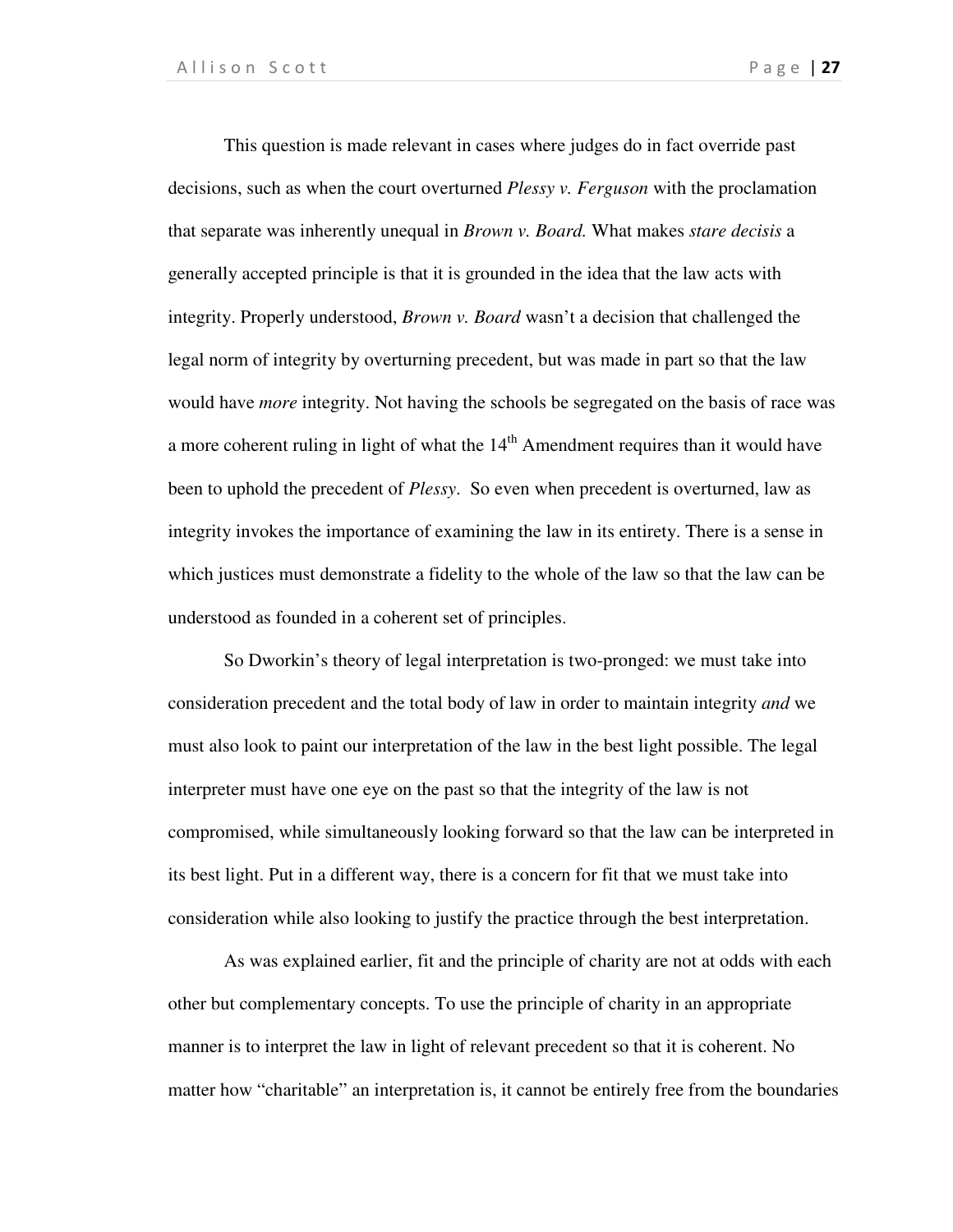This question is made relevant in cases where judges do in fact override past decisions, such as when the court overturned *Plessy v. Ferguson* with the proclamation that separate was inherently unequal in *Brown v. Board.* What makes *stare decisis* a generally accepted principle is that it is grounded in the idea that the law acts with integrity. Properly understood, *Brown v. Board* wasn't a decision that challenged the legal norm of integrity by overturning precedent, but was made in part so that the law would have *more* integrity. Not having the schools be segregated on the basis of race was a more coherent ruling in light of what the  $14<sup>th</sup>$  Amendment requires than it would have been to uphold the precedent of *Plessy*. So even when precedent is overturned, law as integrity invokes the importance of examining the law in its entirety. There is a sense in which justices must demonstrate a fidelity to the whole of the law so that the law can be understood as founded in a coherent set of principles.

So Dworkin's theory of legal interpretation is two-pronged: we must take into consideration precedent and the total body of law in order to maintain integrity *and* we must also look to paint our interpretation of the law in the best light possible. The legal interpreter must have one eye on the past so that the integrity of the law is not compromised, while simultaneously looking forward so that the law can be interpreted in its best light. Put in a different way, there is a concern for fit that we must take into consideration while also looking to justify the practice through the best interpretation.

As was explained earlier, fit and the principle of charity are not at odds with each other but complementary concepts. To use the principle of charity in an appropriate manner is to interpret the law in light of relevant precedent so that it is coherent. No matter how "charitable" an interpretation is, it cannot be entirely free from the boundaries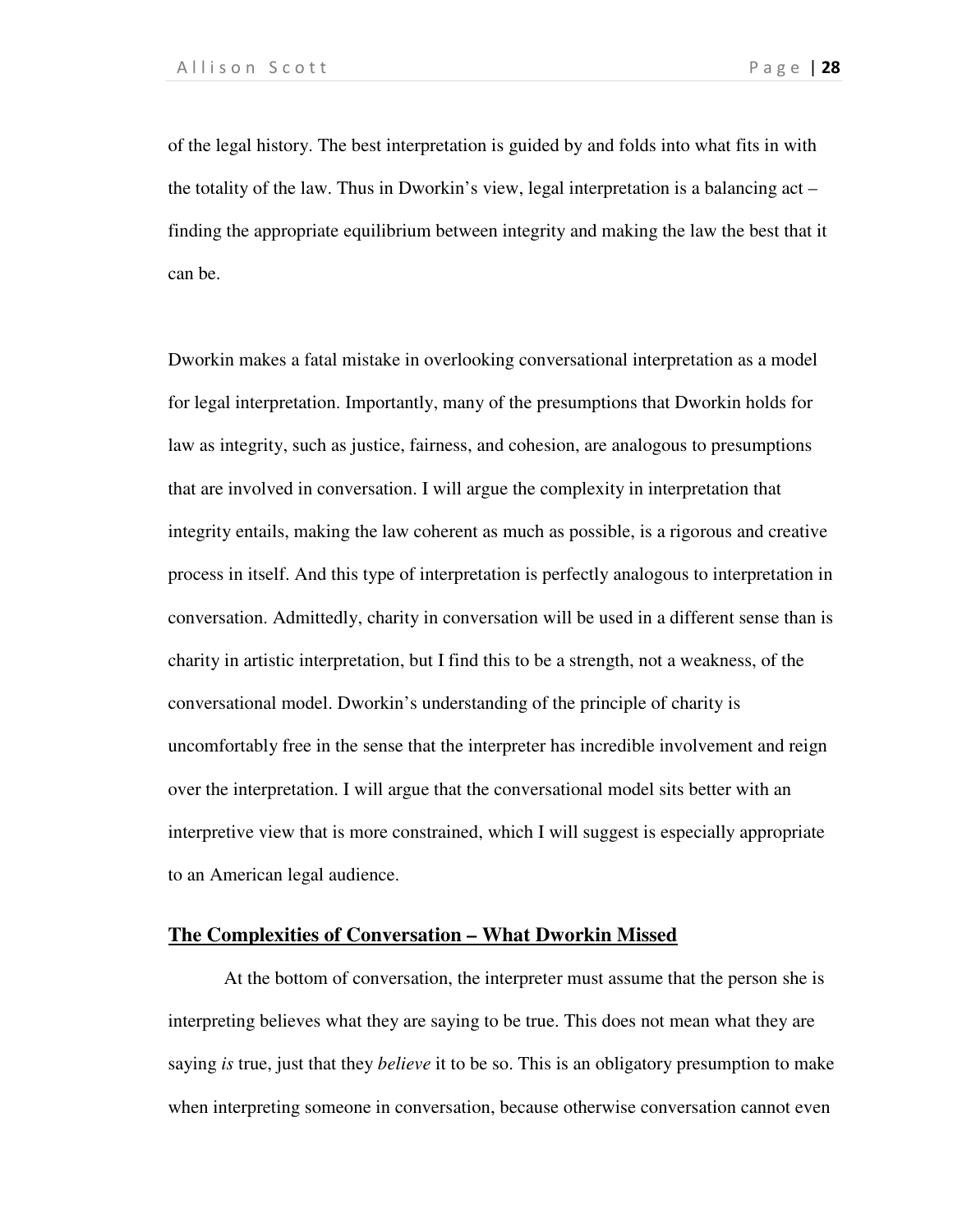of the legal history. The best interpretation is guided by and folds into what fits in with the totality of the law. Thus in Dworkin's view, legal interpretation is a balancing act – finding the appropriate equilibrium between integrity and making the law the best that it can be.

Dworkin makes a fatal mistake in overlooking conversational interpretation as a model for legal interpretation. Importantly, many of the presumptions that Dworkin holds for law as integrity, such as justice, fairness, and cohesion, are analogous to presumptions that are involved in conversation. I will argue the complexity in interpretation that integrity entails, making the law coherent as much as possible, is a rigorous and creative process in itself. And this type of interpretation is perfectly analogous to interpretation in conversation. Admittedly, charity in conversation will be used in a different sense than is charity in artistic interpretation, but I find this to be a strength, not a weakness, of the conversational model. Dworkin's understanding of the principle of charity is uncomfortably free in the sense that the interpreter has incredible involvement and reign over the interpretation. I will argue that the conversational model sits better with an interpretive view that is more constrained, which I will suggest is especially appropriate to an American legal audience.

### **The Complexities of Conversation – What Dworkin Missed**

At the bottom of conversation, the interpreter must assume that the person she is interpreting believes what they are saying to be true. This does not mean what they are saying *is* true, just that they *believe* it to be so. This is an obligatory presumption to make when interpreting someone in conversation, because otherwise conversation cannot even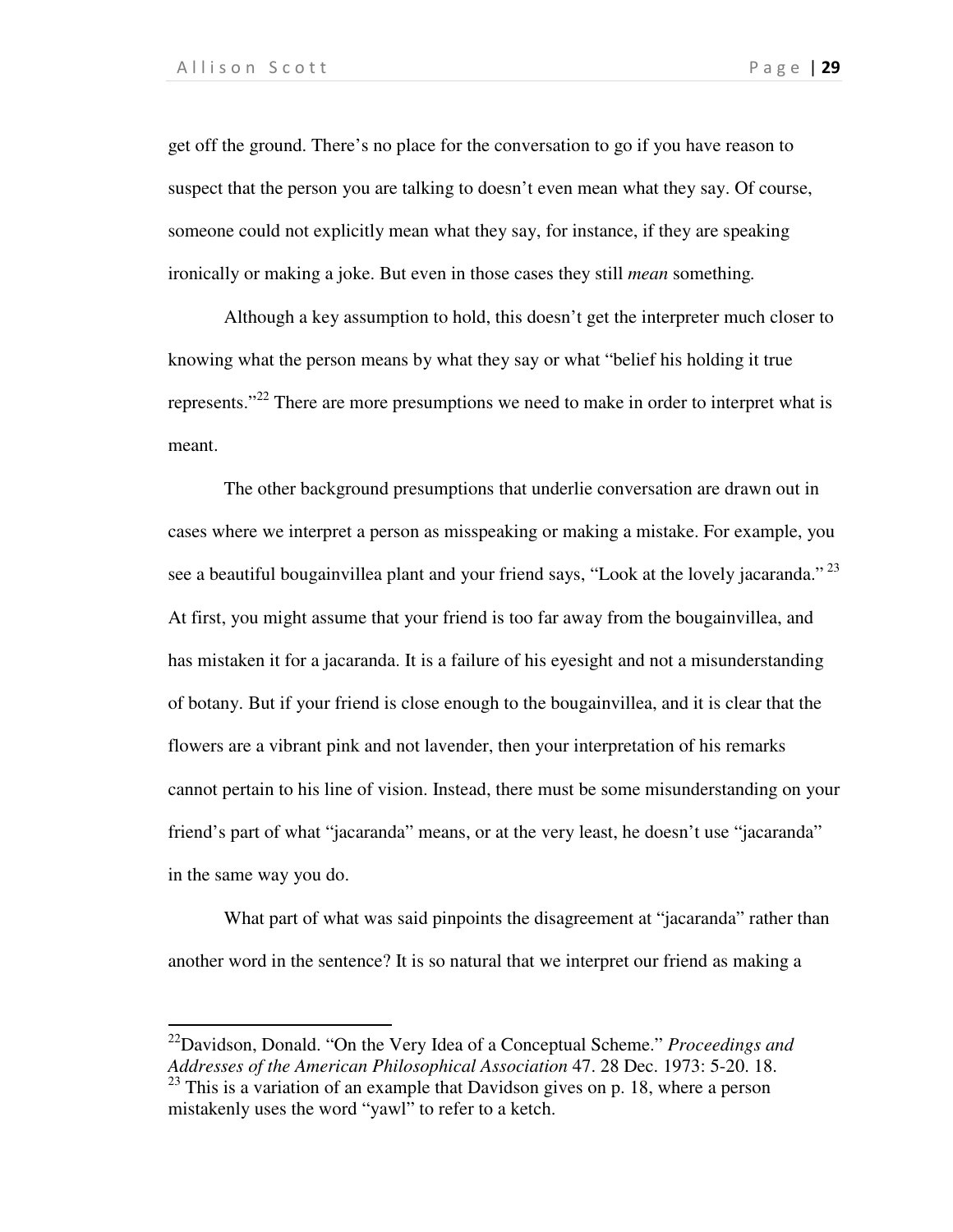.

get off the ground. There's no place for the conversation to go if you have reason to suspect that the person you are talking to doesn't even mean what they say. Of course, someone could not explicitly mean what they say, for instance, if they are speaking ironically or making a joke. But even in those cases they still *mean* something*.* 

Although a key assumption to hold, this doesn't get the interpreter much closer to knowing what the person means by what they say or what "belief his holding it true represents."<sup>22</sup> There are more presumptions we need to make in order to interpret what is meant.

The other background presumptions that underlie conversation are drawn out in cases where we interpret a person as misspeaking or making a mistake. For example, you see a beautiful bougainvillea plant and your friend says, "Look at the lovely jacaranda."<sup>23</sup> At first, you might assume that your friend is too far away from the bougainvillea, and has mistaken it for a jacaranda. It is a failure of his eyesight and not a misunderstanding of botany. But if your friend is close enough to the bougainvillea, and it is clear that the flowers are a vibrant pink and not lavender, then your interpretation of his remarks cannot pertain to his line of vision. Instead, there must be some misunderstanding on your friend's part of what "jacaranda" means, or at the very least, he doesn't use "jacaranda" in the same way you do.

What part of what was said pinpoints the disagreement at "jacaranda" rather than another word in the sentence? It is so natural that we interpret our friend as making a

<sup>22</sup>Davidson, Donald. "On the Very Idea of a Conceptual Scheme." *Proceedings and Addresses of the American Philosophical Association* 47. 28 Dec. 1973: 5-20. 18.

 $23$  This is a variation of an example that Davidson gives on p. 18, where a person mistakenly uses the word "yawl" to refer to a ketch.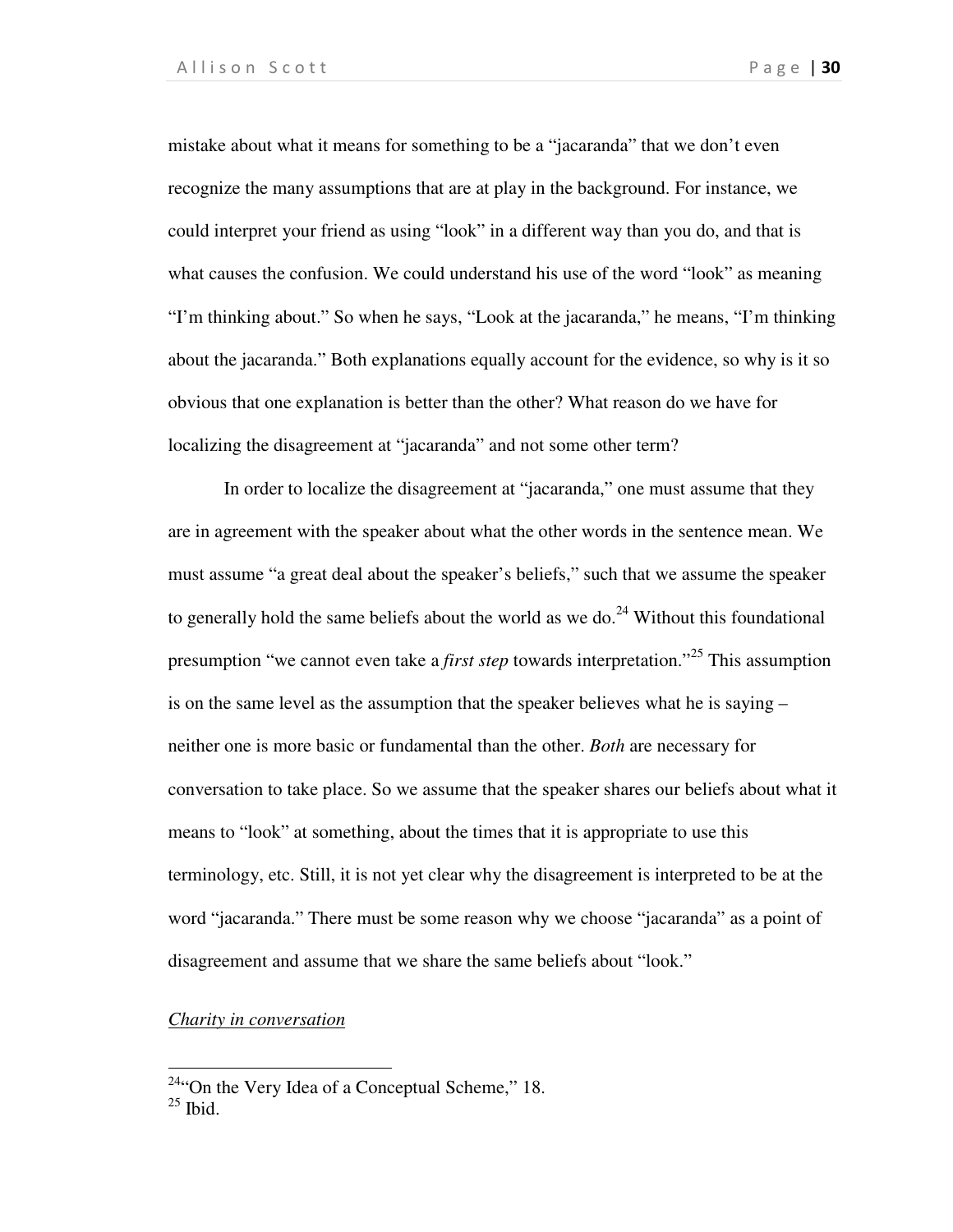mistake about what it means for something to be a "jacaranda" that we don't even recognize the many assumptions that are at play in the background. For instance, we could interpret your friend as using "look" in a different way than you do, and that is what causes the confusion. We could understand his use of the word "look" as meaning "I'm thinking about." So when he says, "Look at the jacaranda," he means, "I'm thinking about the jacaranda." Both explanations equally account for the evidence, so why is it so obvious that one explanation is better than the other? What reason do we have for localizing the disagreement at "jacaranda" and not some other term?

In order to localize the disagreement at "jacaranda," one must assume that they are in agreement with the speaker about what the other words in the sentence mean. We must assume "a great deal about the speaker's beliefs," such that we assume the speaker to generally hold the same beliefs about the world as we do.<sup>24</sup> Without this foundational presumption "we cannot even take a *first step* towards interpretation."<sup>25</sup> This assumption is on the same level as the assumption that the speaker believes what he is saying – neither one is more basic or fundamental than the other. *Both* are necessary for conversation to take place. So we assume that the speaker shares our beliefs about what it means to "look" at something, about the times that it is appropriate to use this terminology, etc. Still, it is not yet clear why the disagreement is interpreted to be at the word "jacaranda." There must be some reason why we choose "jacaranda" as a point of disagreement and assume that we share the same beliefs about "look."

### *Charity in conversation*

 $24$ "On the Very Idea of a Conceptual Scheme," 18.

 $25$  Ibid.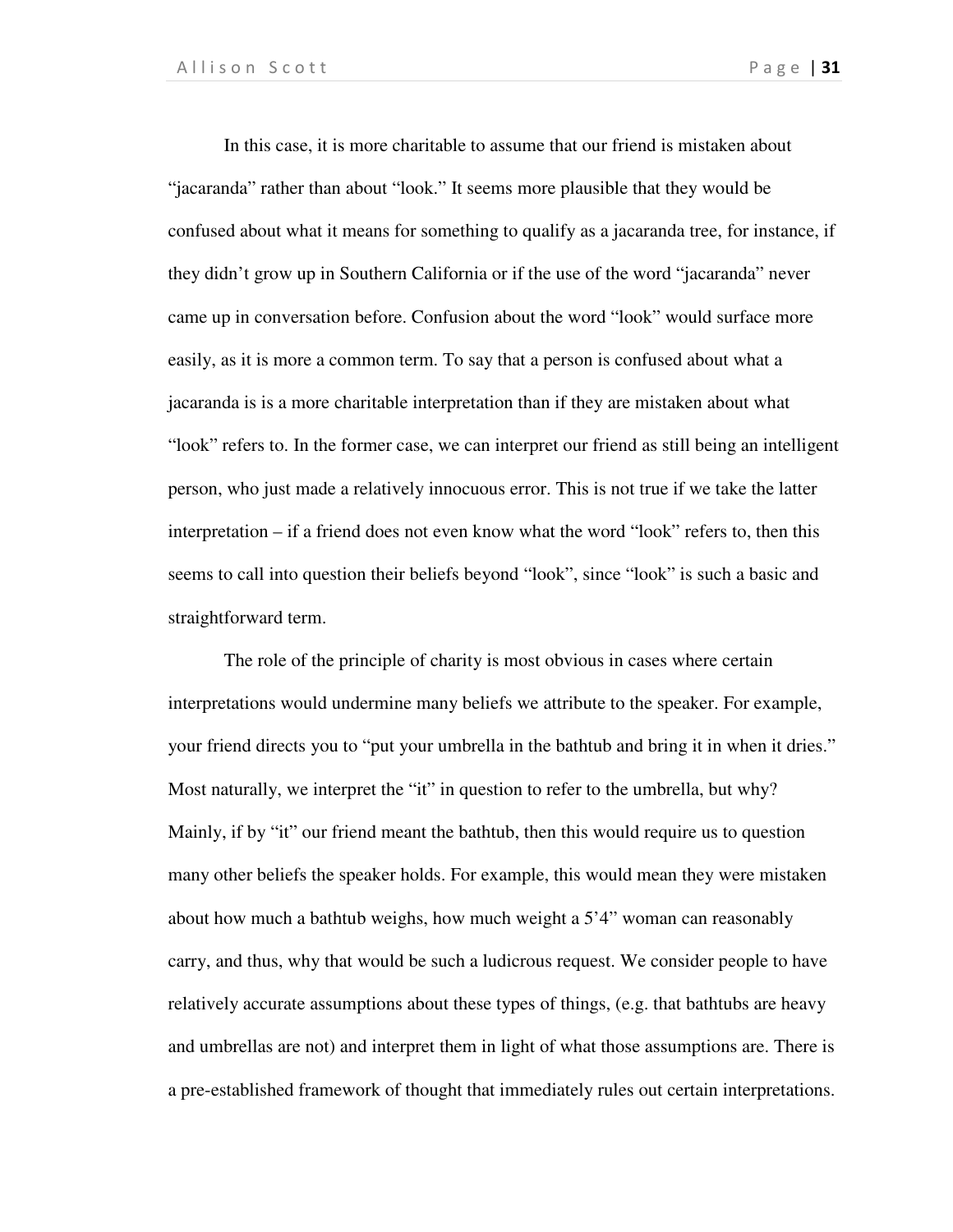In this case, it is more charitable to assume that our friend is mistaken about "jacaranda" rather than about "look." It seems more plausible that they would be confused about what it means for something to qualify as a jacaranda tree, for instance, if they didn't grow up in Southern California or if the use of the word "jacaranda" never came up in conversation before. Confusion about the word "look" would surface more easily, as it is more a common term. To say that a person is confused about what a jacaranda is is a more charitable interpretation than if they are mistaken about what "look" refers to. In the former case, we can interpret our friend as still being an intelligent person, who just made a relatively innocuous error. This is not true if we take the latter interpretation – if a friend does not even know what the word "look" refers to, then this seems to call into question their beliefs beyond "look", since "look" is such a basic and straightforward term.

The role of the principle of charity is most obvious in cases where certain interpretations would undermine many beliefs we attribute to the speaker. For example, your friend directs you to "put your umbrella in the bathtub and bring it in when it dries." Most naturally, we interpret the "it" in question to refer to the umbrella, but why? Mainly, if by "it" our friend meant the bathtub, then this would require us to question many other beliefs the speaker holds. For example, this would mean they were mistaken about how much a bathtub weighs, how much weight a 5'4" woman can reasonably carry, and thus, why that would be such a ludicrous request. We consider people to have relatively accurate assumptions about these types of things, (e.g. that bathtubs are heavy and umbrellas are not) and interpret them in light of what those assumptions are. There is a pre-established framework of thought that immediately rules out certain interpretations.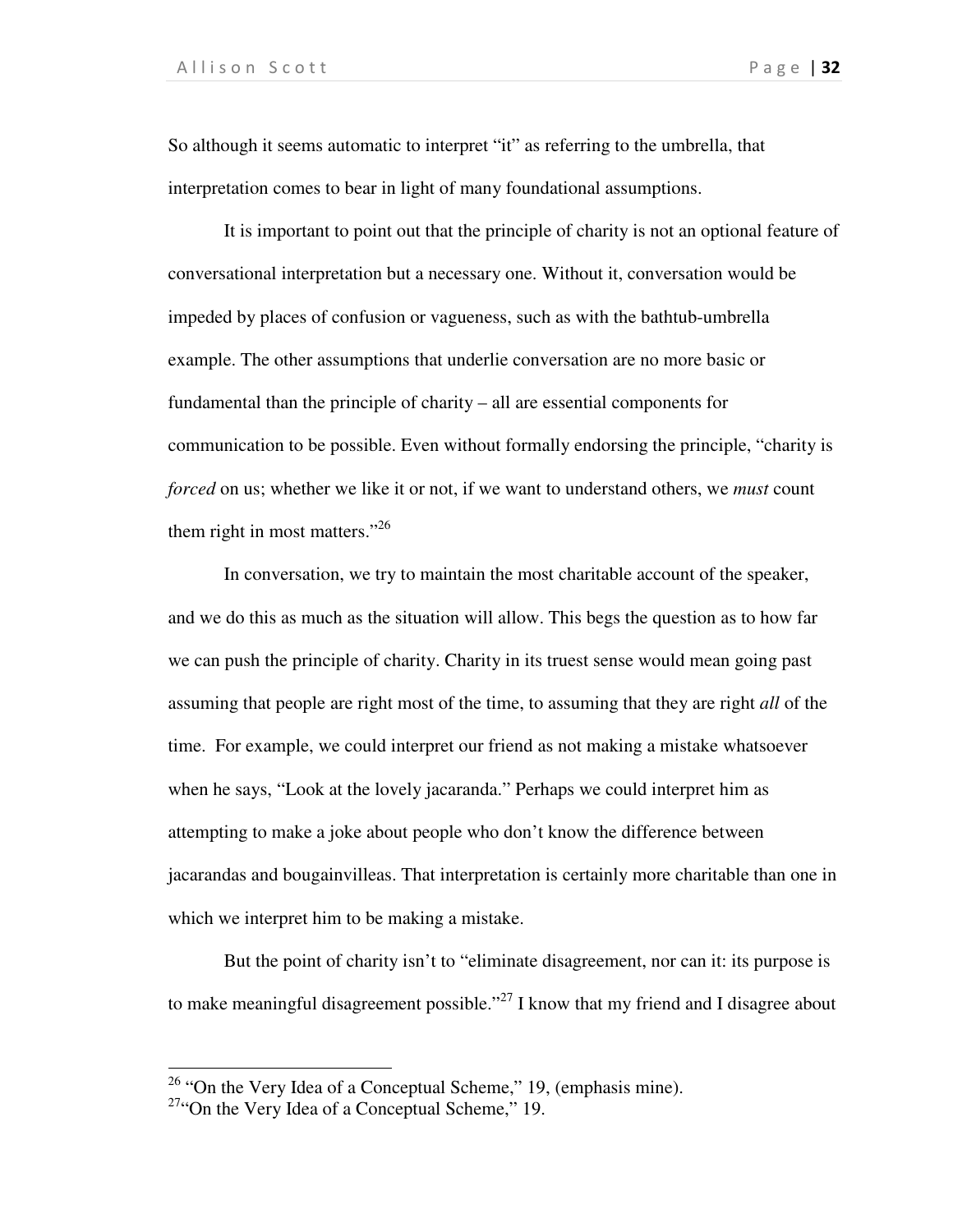So although it seems automatic to interpret "it" as referring to the umbrella, that interpretation comes to bear in light of many foundational assumptions.

It is important to point out that the principle of charity is not an optional feature of conversational interpretation but a necessary one. Without it, conversation would be impeded by places of confusion or vagueness, such as with the bathtub-umbrella example. The other assumptions that underlie conversation are no more basic or fundamental than the principle of charity – all are essential components for communication to be possible. Even without formally endorsing the principle, "charity is *forced* on us; whether we like it or not, if we want to understand others, we *must* count them right in most matters." $^{26}$ 

In conversation, we try to maintain the most charitable account of the speaker, and we do this as much as the situation will allow. This begs the question as to how far we can push the principle of charity. Charity in its truest sense would mean going past assuming that people are right most of the time, to assuming that they are right *all* of the time. For example, we could interpret our friend as not making a mistake whatsoever when he says, "Look at the lovely jacaranda." Perhaps we could interpret him as attempting to make a joke about people who don't know the difference between jacarandas and bougainvilleas. That interpretation is certainly more charitable than one in which we interpret him to be making a mistake.

But the point of charity isn't to "eliminate disagreement, nor can it: its purpose is to make meaningful disagreement possible."<sup>27</sup> I know that my friend and I disagree about

 $26$  "On the Very Idea of a Conceptual Scheme," 19, (emphasis mine).

 $27$ "On the Very Idea of a Conceptual Scheme," 19.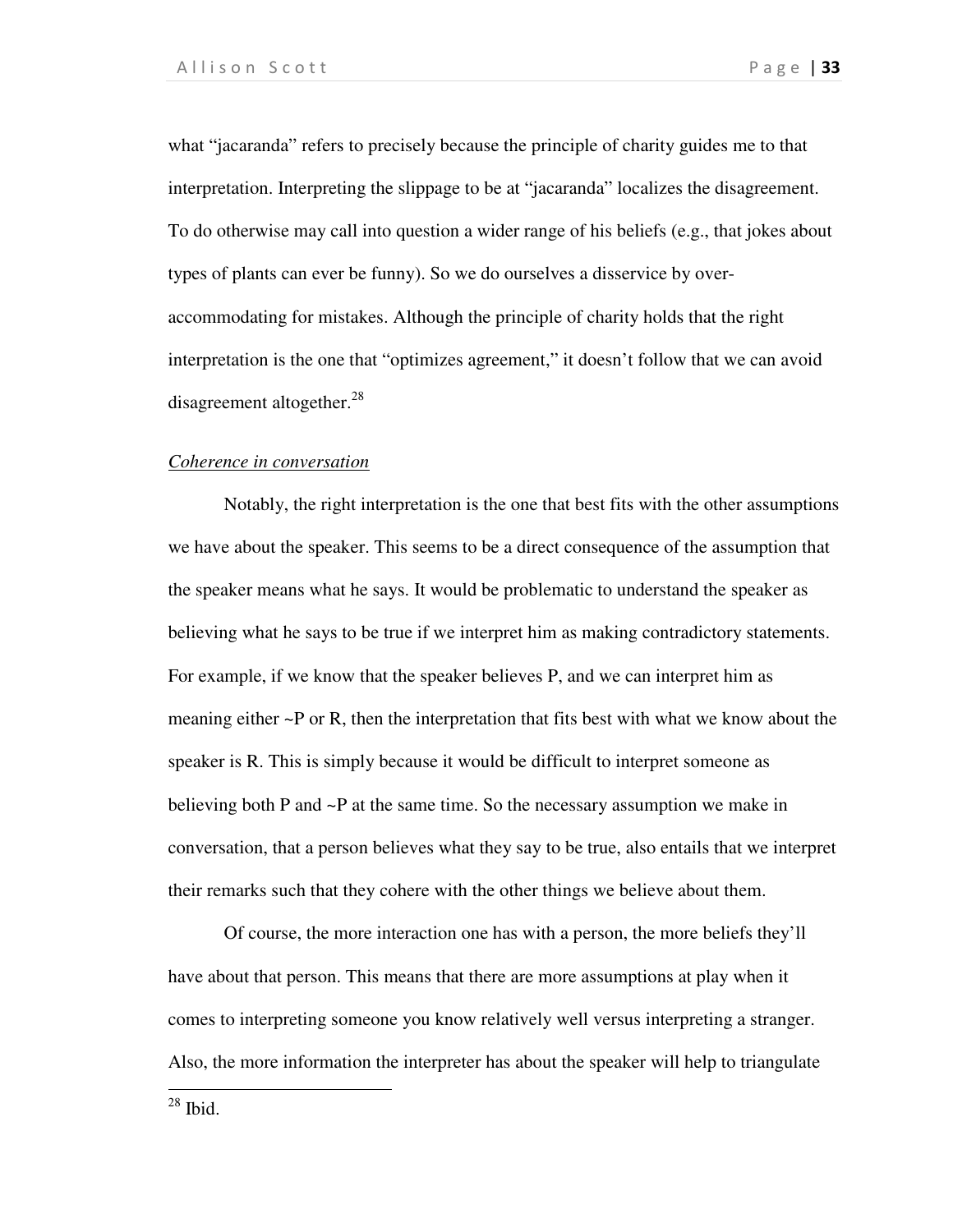what "jacaranda" refers to precisely because the principle of charity guides me to that interpretation. Interpreting the slippage to be at "jacaranda" localizes the disagreement. To do otherwise may call into question a wider range of his beliefs (e.g., that jokes about types of plants can ever be funny). So we do ourselves a disservice by overaccommodating for mistakes. Although the principle of charity holds that the right interpretation is the one that "optimizes agreement," it doesn't follow that we can avoid disagreement altogether.<sup>28</sup>

### *Coherence in conversation*

Notably, the right interpretation is the one that best fits with the other assumptions we have about the speaker. This seems to be a direct consequence of the assumption that the speaker means what he says. It would be problematic to understand the speaker as believing what he says to be true if we interpret him as making contradictory statements. For example, if we know that the speaker believes P, and we can interpret him as meaning either ~P or R, then the interpretation that fits best with what we know about the speaker is R. This is simply because it would be difficult to interpret someone as believing both P and  $\sim$ P at the same time. So the necessary assumption we make in conversation, that a person believes what they say to be true, also entails that we interpret their remarks such that they cohere with the other things we believe about them.

Of course, the more interaction one has with a person, the more beliefs they'll have about that person. This means that there are more assumptions at play when it comes to interpreting someone you know relatively well versus interpreting a stranger. Also, the more information the interpreter has about the speaker will help to triangulate

 $28$  Ibid.

1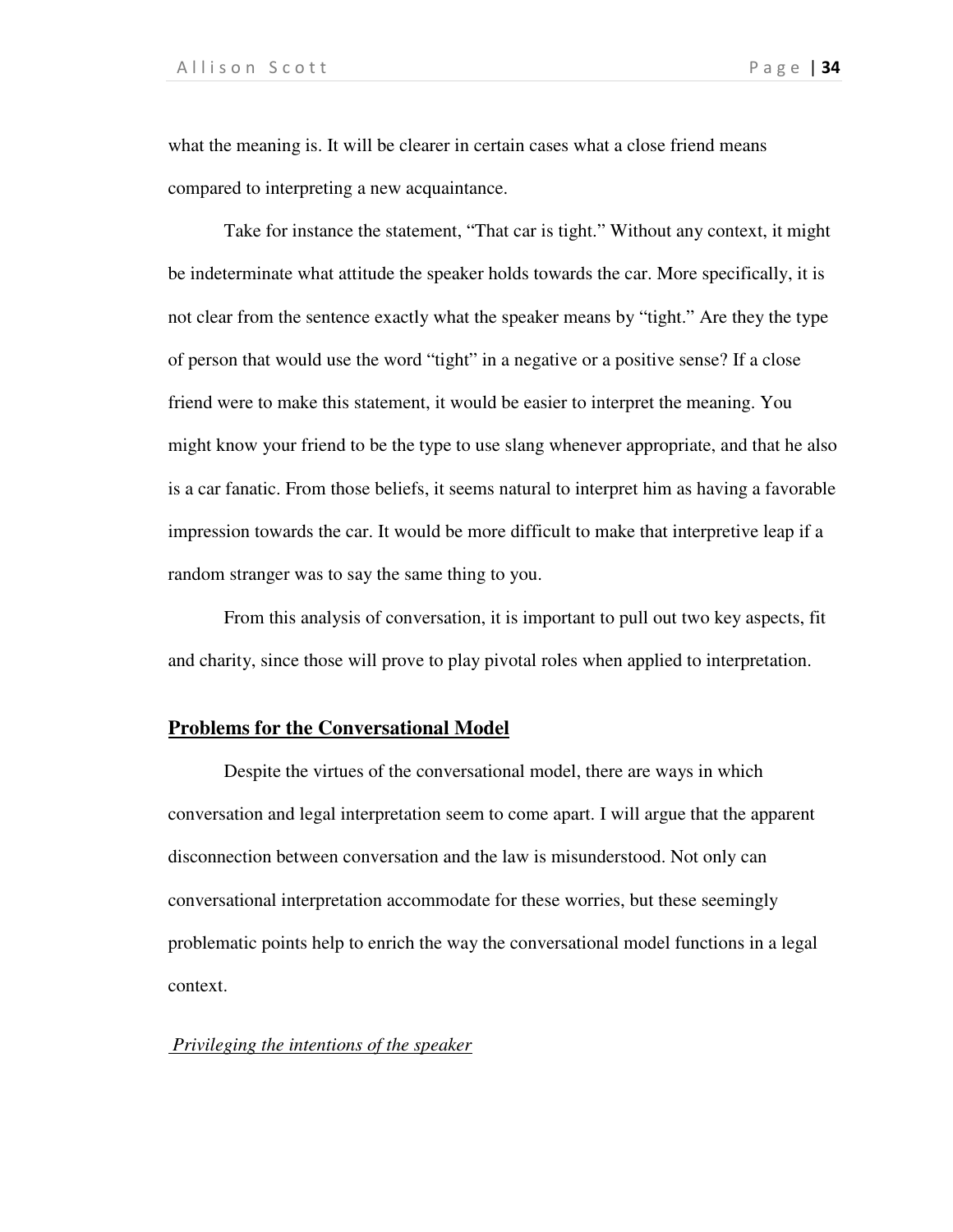what the meaning is. It will be clearer in certain cases what a close friend means compared to interpreting a new acquaintance.

Take for instance the statement, "That car is tight." Without any context, it might be indeterminate what attitude the speaker holds towards the car. More specifically, it is not clear from the sentence exactly what the speaker means by "tight." Are they the type of person that would use the word "tight" in a negative or a positive sense? If a close friend were to make this statement, it would be easier to interpret the meaning. You might know your friend to be the type to use slang whenever appropriate, and that he also is a car fanatic. From those beliefs, it seems natural to interpret him as having a favorable impression towards the car. It would be more difficult to make that interpretive leap if a random stranger was to say the same thing to you.

From this analysis of conversation, it is important to pull out two key aspects, fit and charity, since those will prove to play pivotal roles when applied to interpretation.

### **Problems for the Conversational Model**

Despite the virtues of the conversational model, there are ways in which conversation and legal interpretation seem to come apart. I will argue that the apparent disconnection between conversation and the law is misunderstood. Not only can conversational interpretation accommodate for these worries, but these seemingly problematic points help to enrich the way the conversational model functions in a legal context.

#### *Privileging the intentions of the speaker*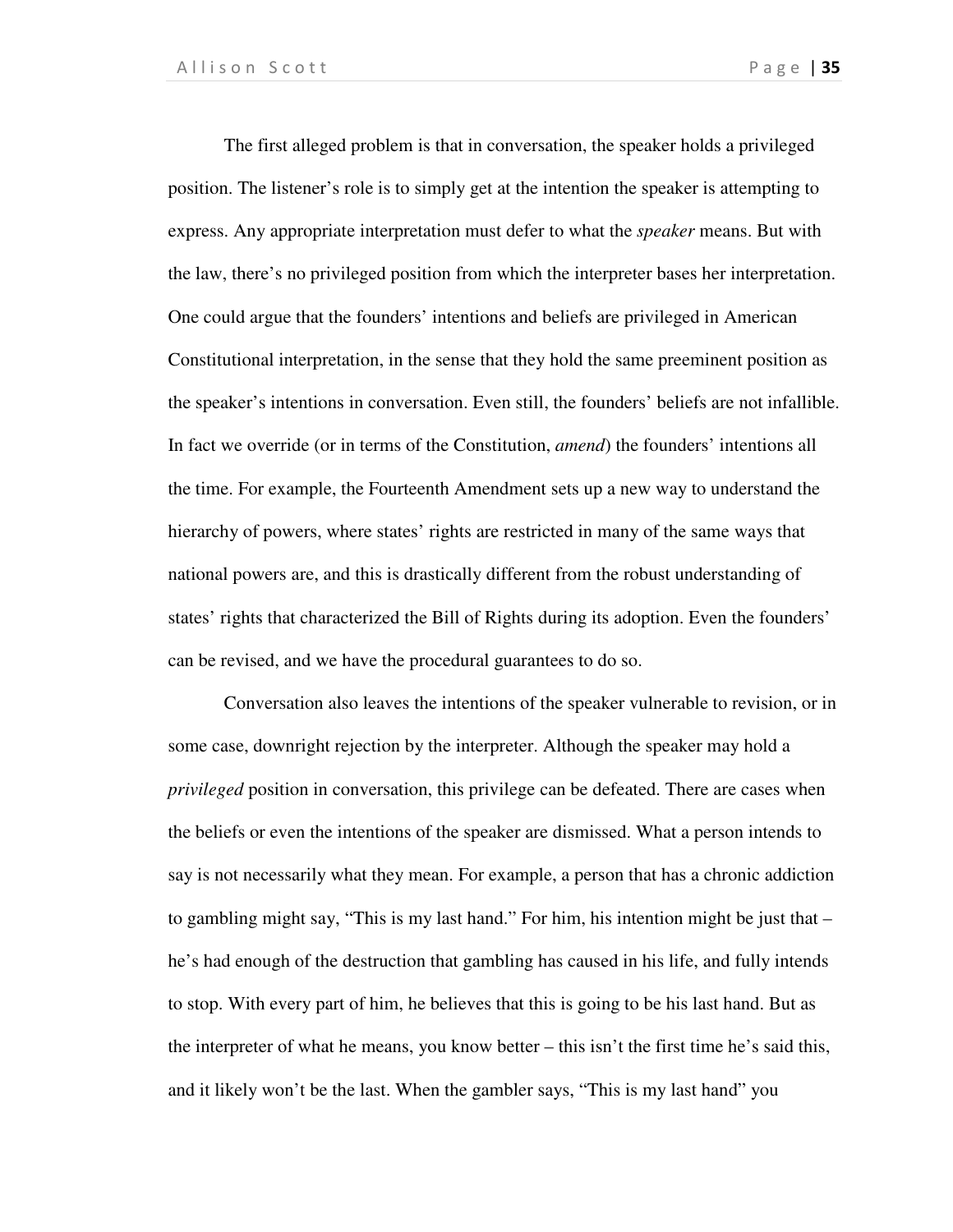The first alleged problem is that in conversation, the speaker holds a privileged position. The listener's role is to simply get at the intention the speaker is attempting to express. Any appropriate interpretation must defer to what the *speaker* means. But with the law, there's no privileged position from which the interpreter bases her interpretation. One could argue that the founders' intentions and beliefs are privileged in American Constitutional interpretation, in the sense that they hold the same preeminent position as the speaker's intentions in conversation. Even still, the founders' beliefs are not infallible. In fact we override (or in terms of the Constitution, *amend*) the founders' intentions all the time. For example, the Fourteenth Amendment sets up a new way to understand the hierarchy of powers, where states' rights are restricted in many of the same ways that national powers are, and this is drastically different from the robust understanding of states' rights that characterized the Bill of Rights during its adoption. Even the founders' can be revised, and we have the procedural guarantees to do so.

 Conversation also leaves the intentions of the speaker vulnerable to revision, or in some case, downright rejection by the interpreter. Although the speaker may hold a *privileged* position in conversation, this privilege can be defeated. There are cases when the beliefs or even the intentions of the speaker are dismissed. What a person intends to say is not necessarily what they mean. For example, a person that has a chronic addiction to gambling might say, "This is my last hand." For him, his intention might be just that – he's had enough of the destruction that gambling has caused in his life, and fully intends to stop. With every part of him, he believes that this is going to be his last hand. But as the interpreter of what he means, you know better – this isn't the first time he's said this, and it likely won't be the last. When the gambler says, "This is my last hand" you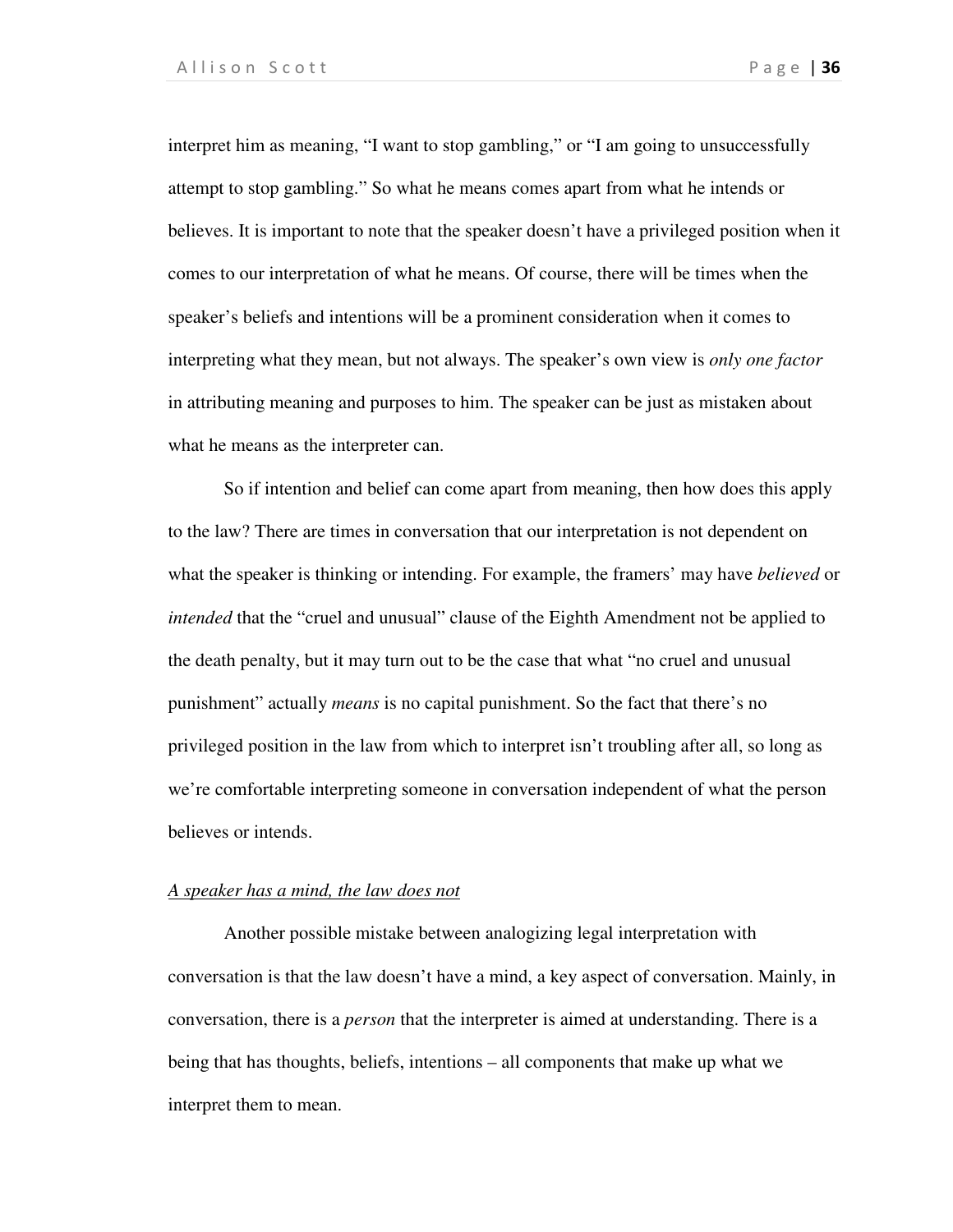interpret him as meaning, "I want to stop gambling," or "I am going to unsuccessfully attempt to stop gambling." So what he means comes apart from what he intends or believes. It is important to note that the speaker doesn't have a privileged position when it comes to our interpretation of what he means. Of course, there will be times when the speaker's beliefs and intentions will be a prominent consideration when it comes to interpreting what they mean, but not always. The speaker's own view is *only one factor* in attributing meaning and purposes to him. The speaker can be just as mistaken about what he means as the interpreter can.

 So if intention and belief can come apart from meaning, then how does this apply to the law? There are times in conversation that our interpretation is not dependent on what the speaker is thinking or intending. For example, the framers' may have *believed* or *intended* that the "cruel and unusual" clause of the Eighth Amendment not be applied to the death penalty, but it may turn out to be the case that what "no cruel and unusual punishment" actually *means* is no capital punishment. So the fact that there's no privileged position in the law from which to interpret isn't troubling after all, so long as we're comfortable interpreting someone in conversation independent of what the person believes or intends.

### *A speaker has a mind, the law does not*

Another possible mistake between analogizing legal interpretation with conversation is that the law doesn't have a mind, a key aspect of conversation. Mainly, in conversation, there is a *person* that the interpreter is aimed at understanding. There is a being that has thoughts, beliefs, intentions – all components that make up what we interpret them to mean.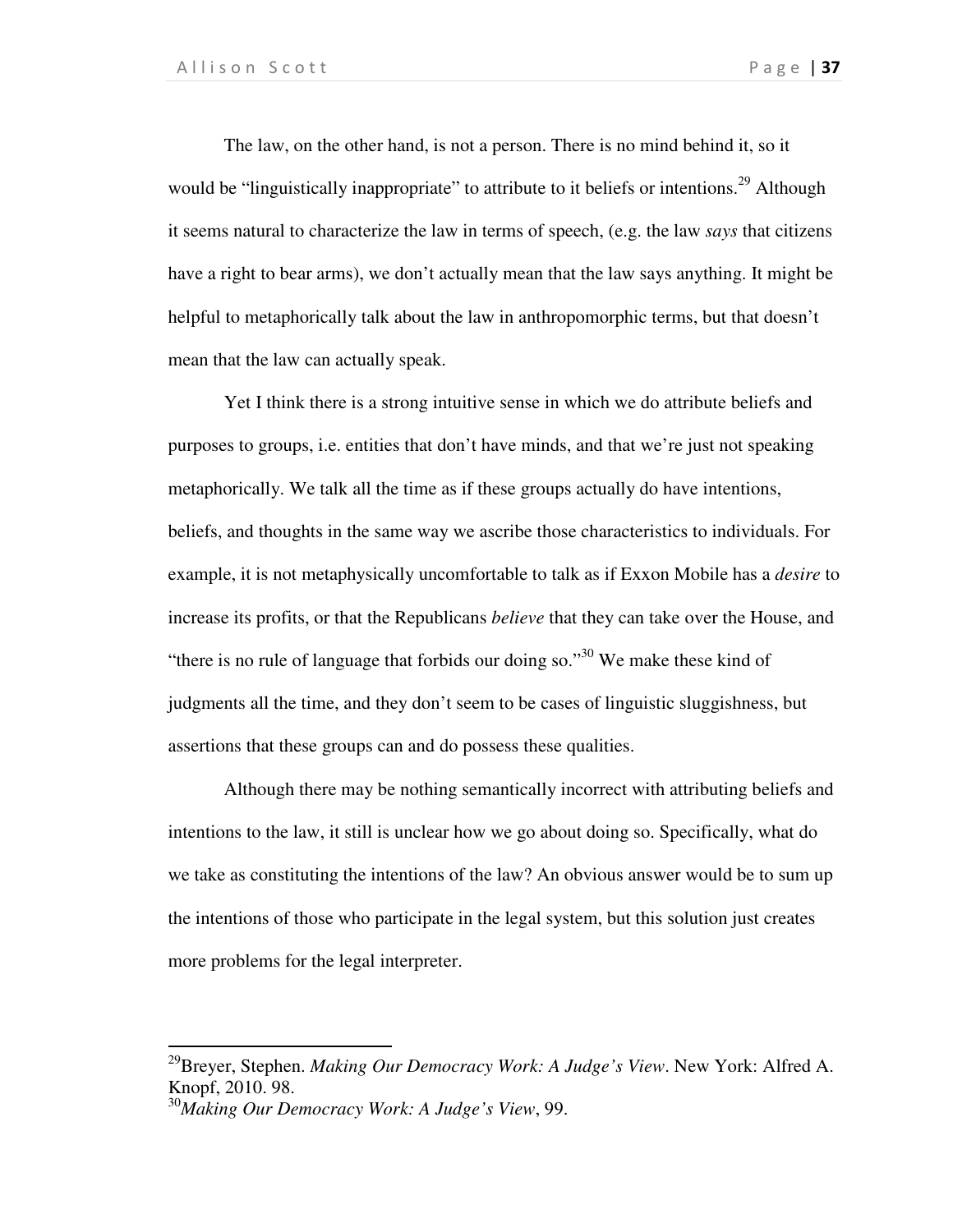The law, on the other hand, is not a person. There is no mind behind it, so it would be "linguistically inappropriate" to attribute to it beliefs or intentions.<sup>29</sup> Although it seems natural to characterize the law in terms of speech, (e.g. the law *says* that citizens have a right to bear arms), we don't actually mean that the law says anything. It might be helpful to metaphorically talk about the law in anthropomorphic terms, but that doesn't mean that the law can actually speak.

 Yet I think there is a strong intuitive sense in which we do attribute beliefs and purposes to groups, i.e. entities that don't have minds, and that we're just not speaking metaphorically. We talk all the time as if these groups actually do have intentions, beliefs, and thoughts in the same way we ascribe those characteristics to individuals. For example, it is not metaphysically uncomfortable to talk as if Exxon Mobile has a *desire* to increase its profits, or that the Republicans *believe* that they can take over the House, and "there is no rule of language that forbids our doing so."<sup>30</sup> We make these kind of judgments all the time, and they don't seem to be cases of linguistic sluggishness, but assertions that these groups can and do possess these qualities.

 Although there may be nothing semantically incorrect with attributing beliefs and intentions to the law, it still is unclear how we go about doing so. Specifically, what do we take as constituting the intentions of the law? An obvious answer would be to sum up the intentions of those who participate in the legal system, but this solution just creates more problems for the legal interpreter.

l

<sup>29</sup>Breyer, Stephen. *Making Our Democracy Work: A Judge's View*. New York: Alfred A. Knopf, 2010. 98.

<sup>30</sup>*Making Our Democracy Work: A Judge's View*, 99.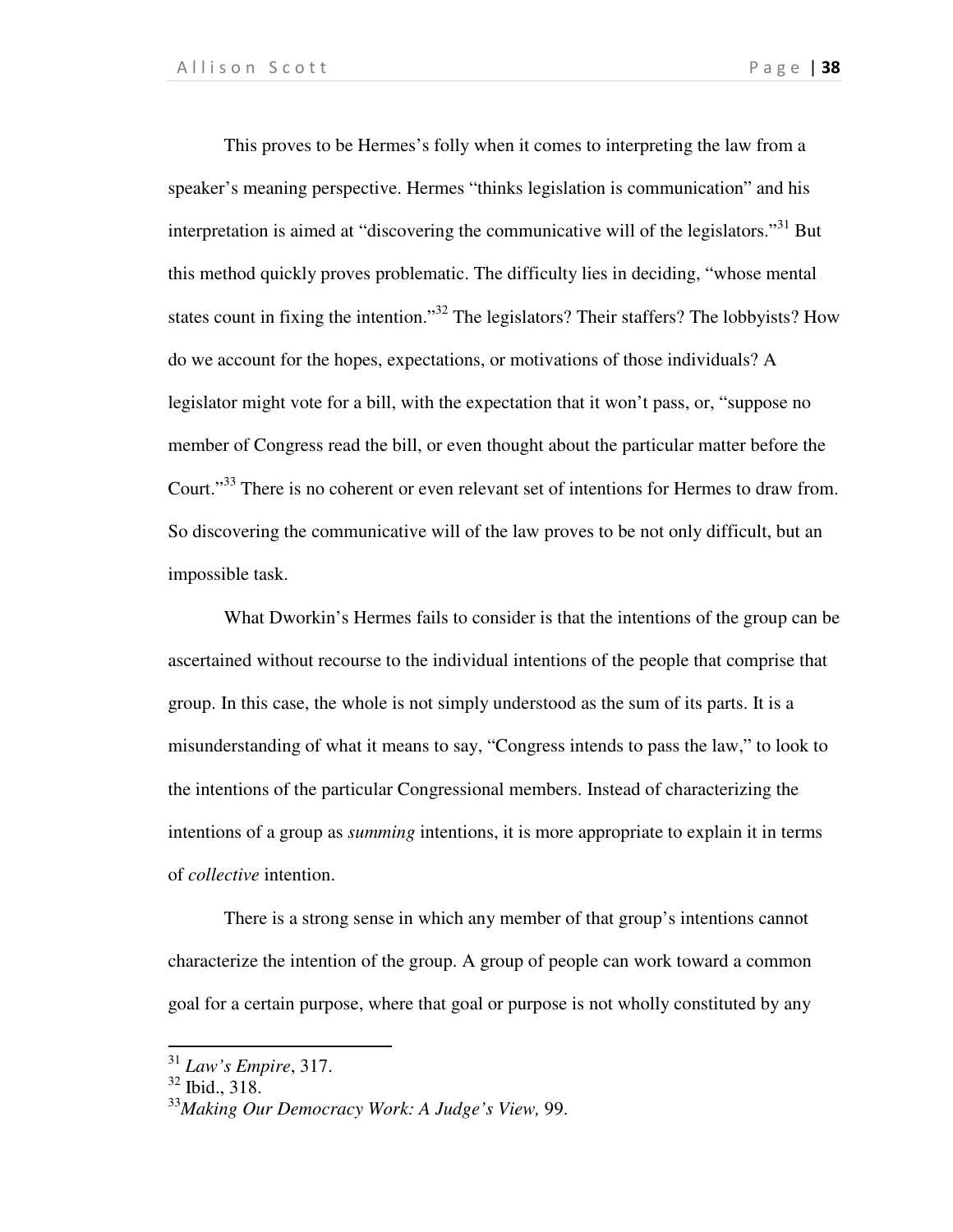This proves to be Hermes's folly when it comes to interpreting the law from a speaker's meaning perspective. Hermes "thinks legislation is communication" and his interpretation is aimed at "discovering the communicative will of the legislators."<sup>31</sup> But this method quickly proves problematic. The difficulty lies in deciding, "whose mental states count in fixing the intention."<sup>32</sup> The legislators? Their staffers? The lobbyists? How do we account for the hopes, expectations, or motivations of those individuals? A legislator might vote for a bill, with the expectation that it won't pass, or, "suppose no member of Congress read the bill, or even thought about the particular matter before the Court."<sup>33</sup> There is no coherent or even relevant set of intentions for Hermes to draw from. So discovering the communicative will of the law proves to be not only difficult, but an impossible task.

 What Dworkin's Hermes fails to consider is that the intentions of the group can be ascertained without recourse to the individual intentions of the people that comprise that group. In this case, the whole is not simply understood as the sum of its parts. It is a misunderstanding of what it means to say, "Congress intends to pass the law," to look to the intentions of the particular Congressional members. Instead of characterizing the intentions of a group as *summing* intentions, it is more appropriate to explain it in terms of *collective* intention.

 There is a strong sense in which any member of that group's intentions cannot characterize the intention of the group. A group of people can work toward a common goal for a certain purpose, where that goal or purpose is not wholly constituted by any

.

<sup>31</sup> *Law's Empire*, 317.

<sup>32</sup> Ibid., 318.

<sup>33</sup>*Making Our Democracy Work: A Judge's View,* 99.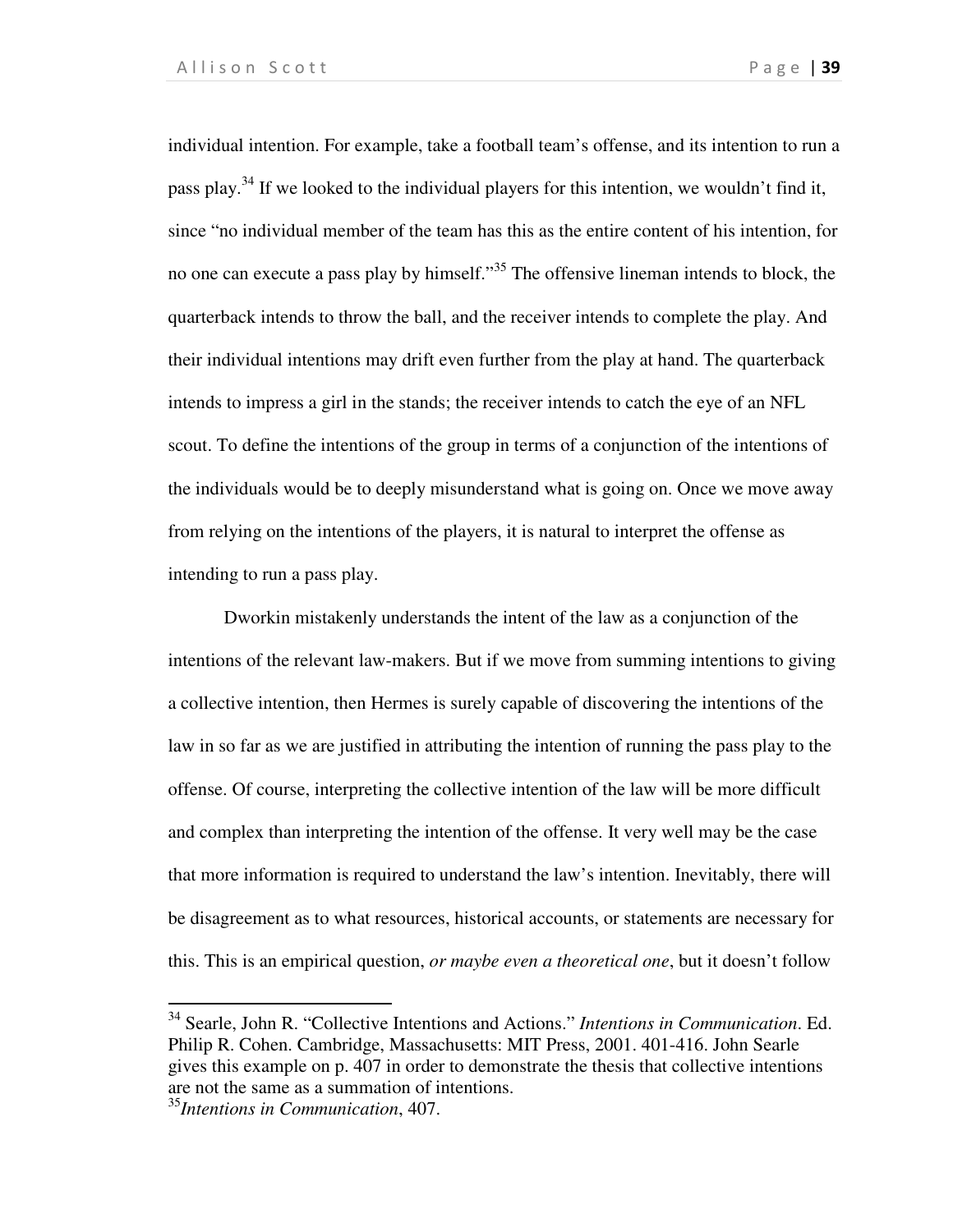individual intention. For example, take a football team's offense, and its intention to run a pass play.<sup>34</sup> If we looked to the individual players for this intention, we wouldn't find it, since "no individual member of the team has this as the entire content of his intention, for no one can execute a pass play by himself."<sup>35</sup> The offensive lineman intends to block, the quarterback intends to throw the ball, and the receiver intends to complete the play. And their individual intentions may drift even further from the play at hand. The quarterback intends to impress a girl in the stands; the receiver intends to catch the eye of an NFL scout. To define the intentions of the group in terms of a conjunction of the intentions of the individuals would be to deeply misunderstand what is going on. Once we move away from relying on the intentions of the players, it is natural to interpret the offense as intending to run a pass play.

Dworkin mistakenly understands the intent of the law as a conjunction of the intentions of the relevant law-makers. But if we move from summing intentions to giving a collective intention, then Hermes is surely capable of discovering the intentions of the law in so far as we are justified in attributing the intention of running the pass play to the offense. Of course, interpreting the collective intention of the law will be more difficult and complex than interpreting the intention of the offense. It very well may be the case that more information is required to understand the law's intention. Inevitably, there will be disagreement as to what resources, historical accounts, or statements are necessary for this. This is an empirical question, *or maybe even a theoretical one*, but it doesn't follow

l

<sup>34</sup> Searle, John R. "Collective Intentions and Actions." *Intentions in Communication*. Ed. Philip R. Cohen. Cambridge, Massachusetts: MIT Press, 2001. 401-416. John Searle gives this example on p. 407 in order to demonstrate the thesis that collective intentions are not the same as a summation of intentions.

<sup>35</sup>*Intentions in Communication*, 407.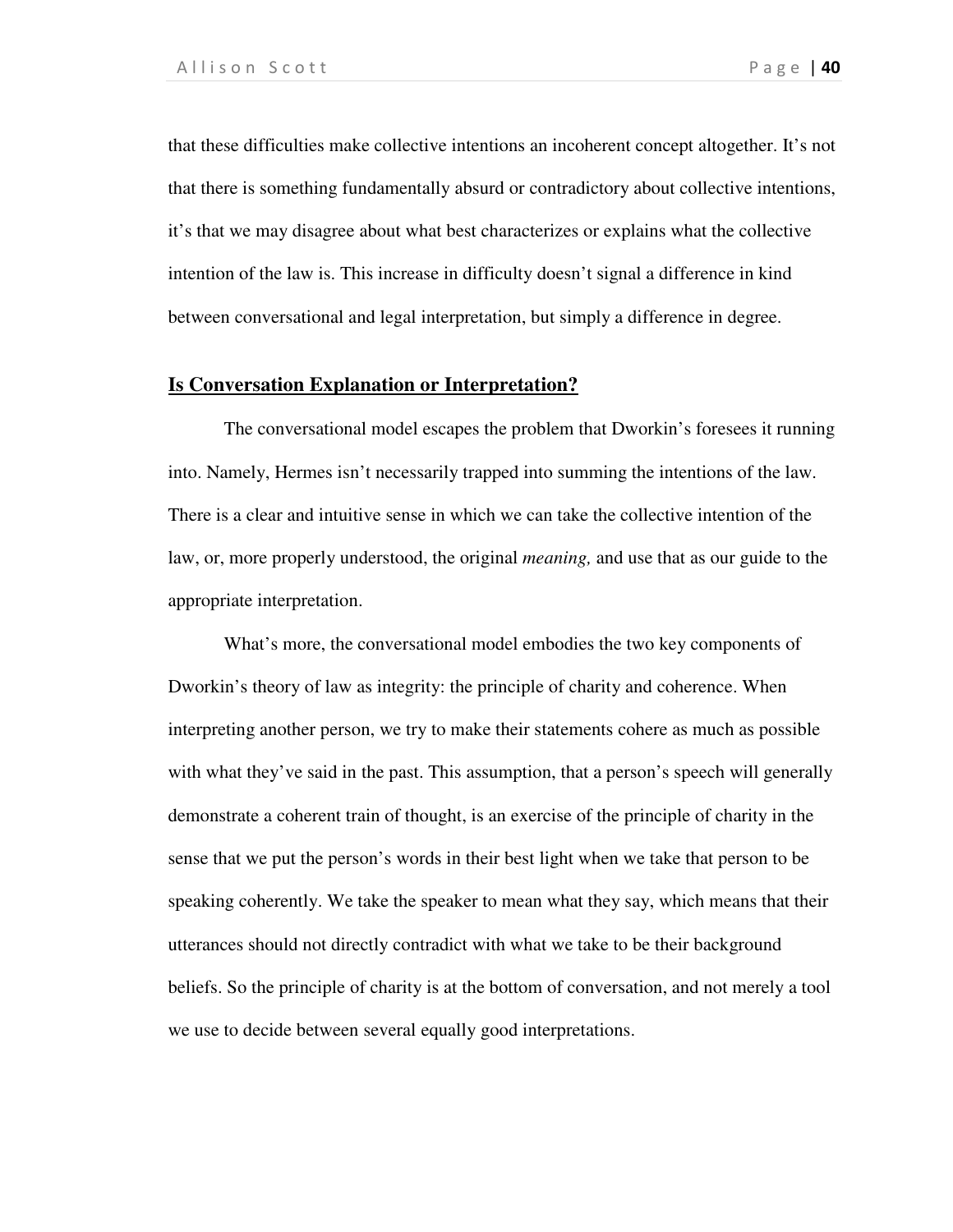that these difficulties make collective intentions an incoherent concept altogether. It's not that there is something fundamentally absurd or contradictory about collective intentions, it's that we may disagree about what best characterizes or explains what the collective intention of the law is. This increase in difficulty doesn't signal a difference in kind between conversational and legal interpretation, but simply a difference in degree.

## **Is Conversation Explanation or Interpretation?**

The conversational model escapes the problem that Dworkin's foresees it running into. Namely, Hermes isn't necessarily trapped into summing the intentions of the law. There is a clear and intuitive sense in which we can take the collective intention of the law, or, more properly understood, the original *meaning,* and use that as our guide to the appropriate interpretation.

 What's more, the conversational model embodies the two key components of Dworkin's theory of law as integrity: the principle of charity and coherence. When interpreting another person, we try to make their statements cohere as much as possible with what they've said in the past. This assumption, that a person's speech will generally demonstrate a coherent train of thought, is an exercise of the principle of charity in the sense that we put the person's words in their best light when we take that person to be speaking coherently. We take the speaker to mean what they say, which means that their utterances should not directly contradict with what we take to be their background beliefs. So the principle of charity is at the bottom of conversation, and not merely a tool we use to decide between several equally good interpretations.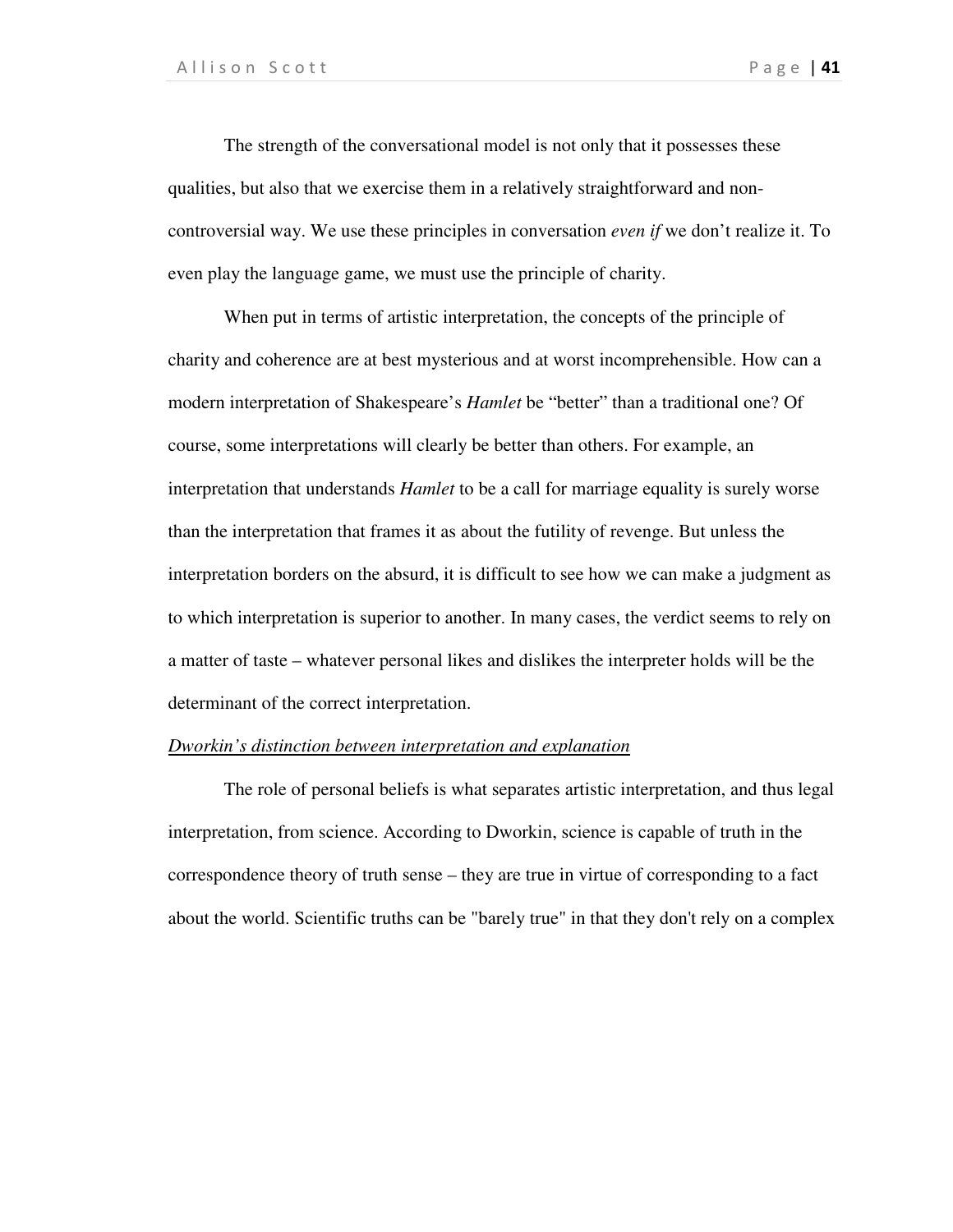The strength of the conversational model is not only that it possesses these qualities, but also that we exercise them in a relatively straightforward and noncontroversial way. We use these principles in conversation *even if* we don't realize it. To even play the language game, we must use the principle of charity.

 When put in terms of artistic interpretation, the concepts of the principle of charity and coherence are at best mysterious and at worst incomprehensible. How can a modern interpretation of Shakespeare's *Hamlet* be "better" than a traditional one? Of course, some interpretations will clearly be better than others. For example, an interpretation that understands *Hamlet* to be a call for marriage equality is surely worse than the interpretation that frames it as about the futility of revenge. But unless the interpretation borders on the absurd, it is difficult to see how we can make a judgment as to which interpretation is superior to another. In many cases, the verdict seems to rely on a matter of taste – whatever personal likes and dislikes the interpreter holds will be the determinant of the correct interpretation.

#### *Dworkin's distinction between interpretation and explanation*

The role of personal beliefs is what separates artistic interpretation, and thus legal interpretation, from science. According to Dworkin, science is capable of truth in the correspondence theory of truth sense – they are true in virtue of corresponding to a fact about the world. Scientific truths can be "barely true" in that they don't rely on a complex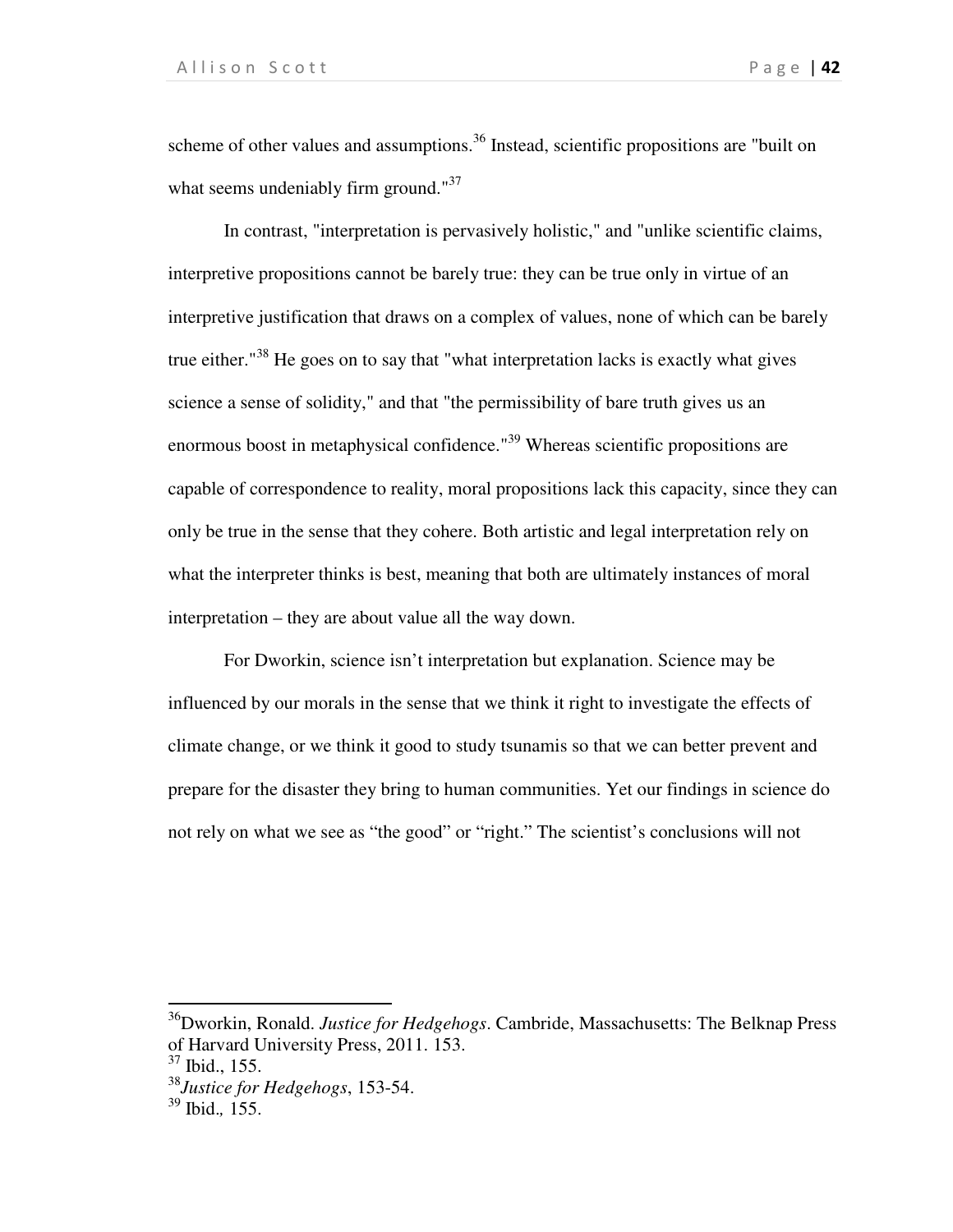scheme of other values and assumptions.<sup>36</sup> Instead, scientific propositions are "built on what seems undeniably firm ground."<sup>37</sup>

In contrast, "interpretation is pervasively holistic," and "unlike scientific claims, interpretive propositions cannot be barely true: they can be true only in virtue of an interpretive justification that draws on a complex of values, none of which can be barely true either."<sup>38</sup> He goes on to say that "what interpretation lacks is exactly what gives science a sense of solidity," and that "the permissibility of bare truth gives us an enormous boost in metaphysical confidence."<sup>39</sup> Whereas scientific propositions are capable of correspondence to reality, moral propositions lack this capacity, since they can only be true in the sense that they cohere. Both artistic and legal interpretation rely on what the interpreter thinks is best, meaning that both are ultimately instances of moral interpretation – they are about value all the way down.

For Dworkin, science isn't interpretation but explanation. Science may be influenced by our morals in the sense that we think it right to investigate the effects of climate change, or we think it good to study tsunamis so that we can better prevent and prepare for the disaster they bring to human communities. Yet our findings in science do not rely on what we see as "the good" or "right." The scientist's conclusions will not

.

<sup>36</sup>Dworkin, Ronald. *Justice for Hedgehogs*. Cambride, Massachusetts: The Belknap Press of Harvard University Press, 2011. 153.

<sup>37</sup> Ibid., 155.

<sup>38</sup>*Justice for Hedgehogs*, 153-54.

<sup>39</sup> Ibid.*,* 155.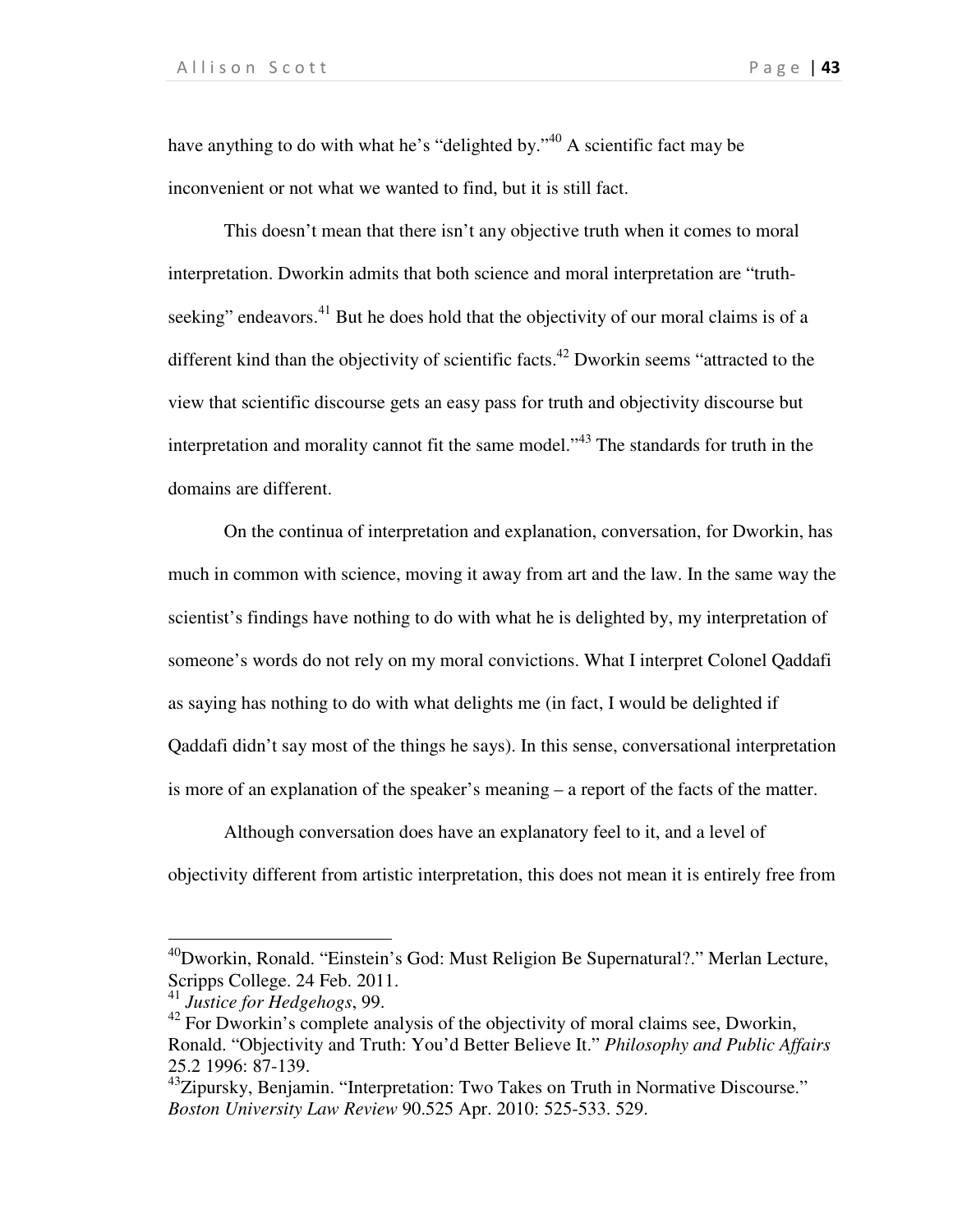have anything to do with what he's "delighted by."<sup>40</sup> A scientific fact may be inconvenient or not what we wanted to find, but it is still fact.

 This doesn't mean that there isn't any objective truth when it comes to moral interpretation. Dworkin admits that both science and moral interpretation are "truthseeking" endeavors.<sup>41</sup> But he does hold that the objectivity of our moral claims is of a different kind than the objectivity of scientific facts.<sup>42</sup> Dworkin seems "attracted to the view that scientific discourse gets an easy pass for truth and objectivity discourse but interpretation and morality cannot fit the same model."<sup>43</sup> The standards for truth in the domains are different.

 On the continua of interpretation and explanation, conversation, for Dworkin, has much in common with science, moving it away from art and the law. In the same way the scientist's findings have nothing to do with what he is delighted by, my interpretation of someone's words do not rely on my moral convictions. What I interpret Colonel Qaddafi as saying has nothing to do with what delights me (in fact, I would be delighted if Qaddafi didn't say most of the things he says). In this sense, conversational interpretation is more of an explanation of the speaker's meaning – a report of the facts of the matter.

Although conversation does have an explanatory feel to it, and a level of objectivity different from artistic interpretation, this does not mean it is entirely free from

l

<sup>40</sup>Dworkin, Ronald. "Einstein's God: Must Religion Be Supernatural?." Merlan Lecture, Scripps College. 24 Feb. 2011.

<sup>41</sup> *Justice for Hedgehogs*, 99.

 $42$  For Dworkin's complete analysis of the objectivity of moral claims see, Dworkin, Ronald. "Objectivity and Truth: You'd Better Believe It." *Philosophy and Public Affairs* 25.2 1996: 87-139.

<sup>&</sup>lt;sup>43</sup>Zipursky, Benjamin. "Interpretation: Two Takes on Truth in Normative Discourse." *Boston University Law Review* 90.525 Apr. 2010: 525-533. 529.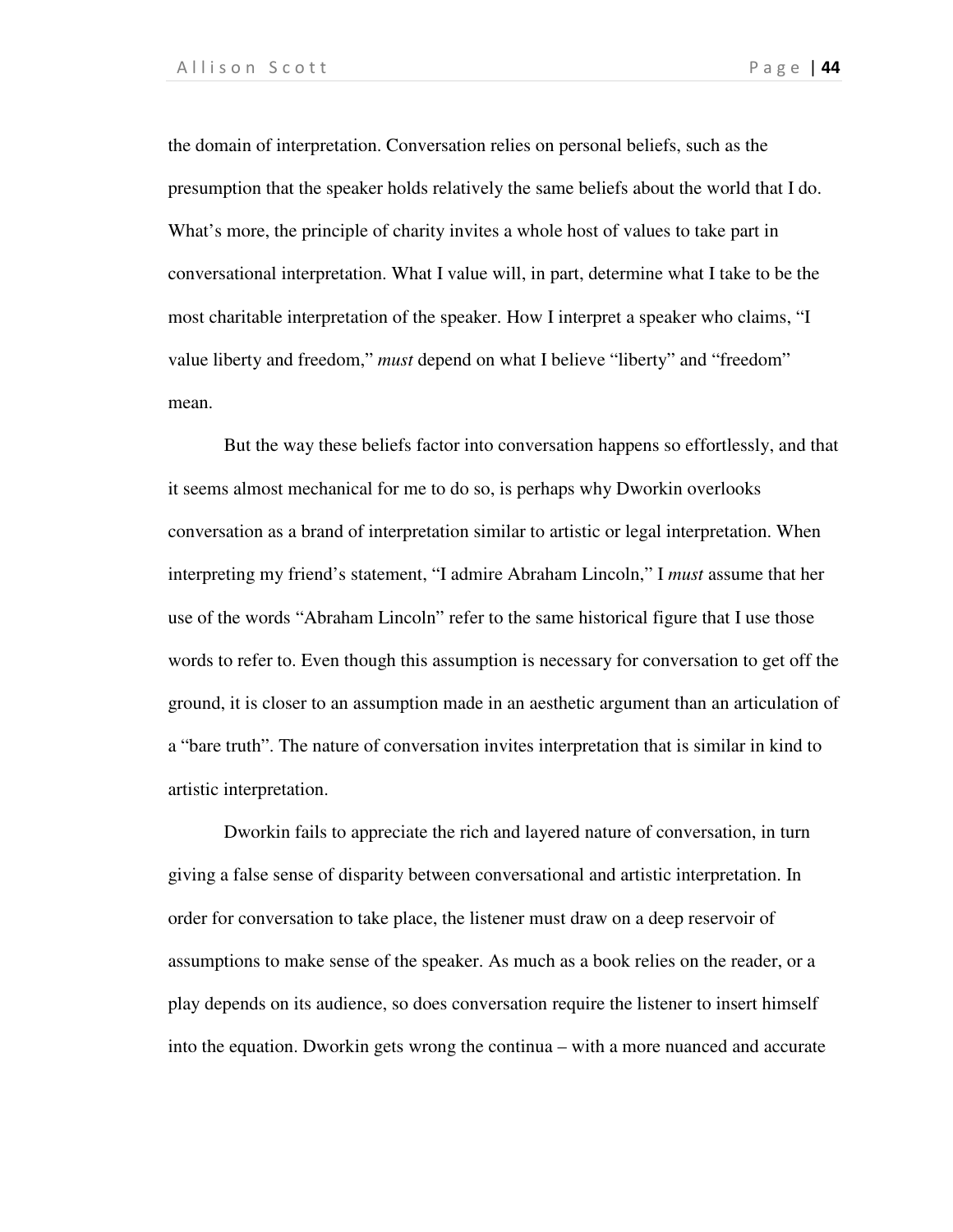the domain of interpretation. Conversation relies on personal beliefs, such as the presumption that the speaker holds relatively the same beliefs about the world that I do. What's more, the principle of charity invites a whole host of values to take part in conversational interpretation. What I value will, in part, determine what I take to be the most charitable interpretation of the speaker. How I interpret a speaker who claims, "I value liberty and freedom," *must* depend on what I believe "liberty" and "freedom" mean.

But the way these beliefs factor into conversation happens so effortlessly, and that it seems almost mechanical for me to do so, is perhaps why Dworkin overlooks conversation as a brand of interpretation similar to artistic or legal interpretation. When interpreting my friend's statement, "I admire Abraham Lincoln," I *must* assume that her use of the words "Abraham Lincoln" refer to the same historical figure that I use those words to refer to. Even though this assumption is necessary for conversation to get off the ground, it is closer to an assumption made in an aesthetic argument than an articulation of a "bare truth". The nature of conversation invites interpretation that is similar in kind to artistic interpretation.

Dworkin fails to appreciate the rich and layered nature of conversation, in turn giving a false sense of disparity between conversational and artistic interpretation. In order for conversation to take place, the listener must draw on a deep reservoir of assumptions to make sense of the speaker. As much as a book relies on the reader, or a play depends on its audience, so does conversation require the listener to insert himself into the equation. Dworkin gets wrong the continua – with a more nuanced and accurate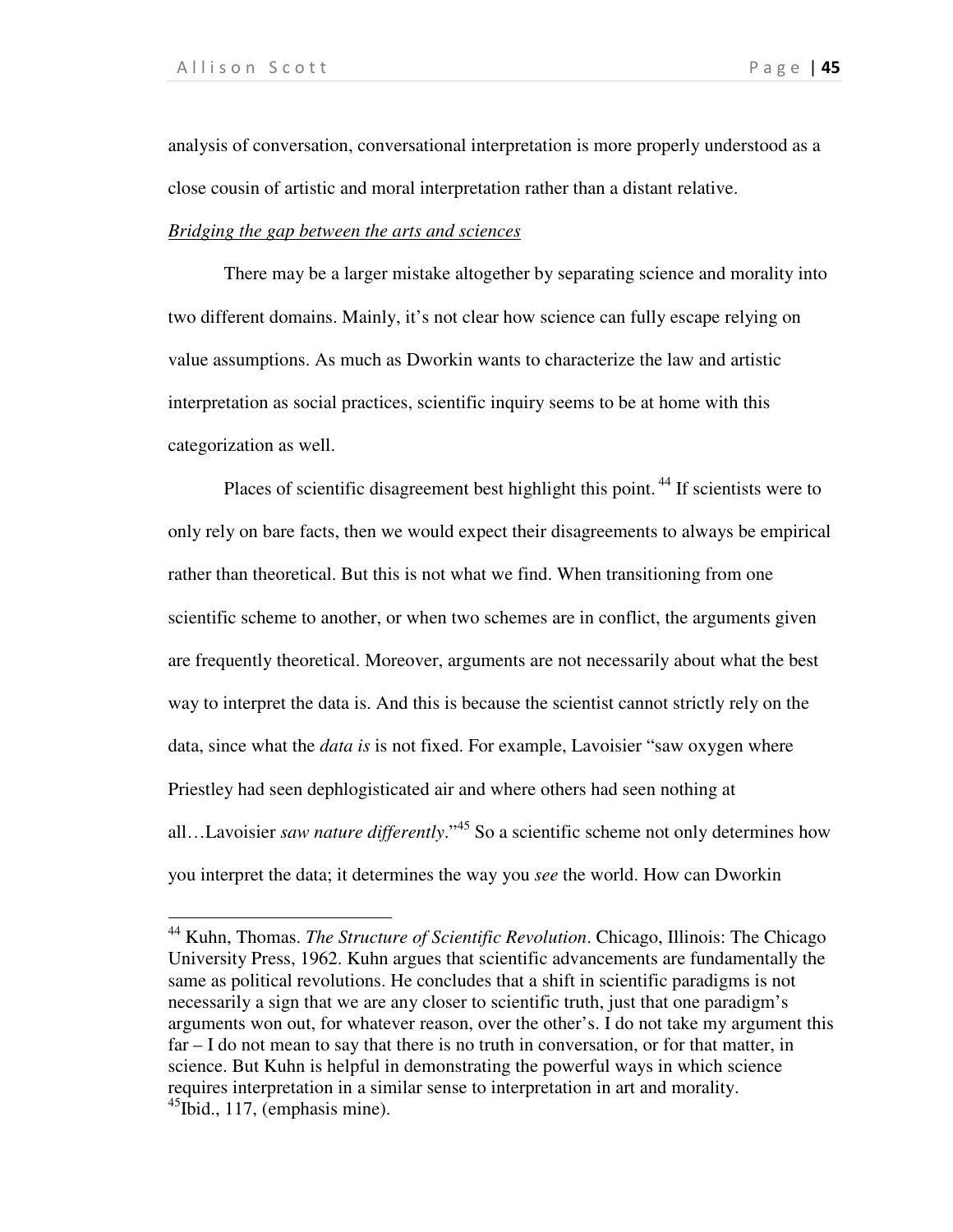l

analysis of conversation, conversational interpretation is more properly understood as a close cousin of artistic and moral interpretation rather than a distant relative.

### *Bridging the gap between the arts and sciences*

There may be a larger mistake altogether by separating science and morality into two different domains. Mainly, it's not clear how science can fully escape relying on value assumptions. As much as Dworkin wants to characterize the law and artistic interpretation as social practices, scientific inquiry seems to be at home with this categorization as well.

Places of scientific disagreement best highlight this point.<sup>44</sup> If scientists were to only rely on bare facts, then we would expect their disagreements to always be empirical rather than theoretical. But this is not what we find. When transitioning from one scientific scheme to another, or when two schemes are in conflict, the arguments given are frequently theoretical. Moreover, arguments are not necessarily about what the best way to interpret the data is. And this is because the scientist cannot strictly rely on the data, since what the *data is* is not fixed. For example, Lavoisier "saw oxygen where Priestley had seen dephlogisticated air and where others had seen nothing at all…Lavoisier *saw nature differently*."<sup>45</sup> So a scientific scheme not only determines how you interpret the data; it determines the way you *see* the world. How can Dworkin

<sup>44</sup> Kuhn, Thomas. *The Structure of Scientific Revolution*. Chicago, Illinois: The Chicago University Press, 1962. Kuhn argues that scientific advancements are fundamentally the same as political revolutions. He concludes that a shift in scientific paradigms is not necessarily a sign that we are any closer to scientific truth, just that one paradigm's arguments won out, for whatever reason, over the other's. I do not take my argument this far – I do not mean to say that there is no truth in conversation, or for that matter, in science. But Kuhn is helpful in demonstrating the powerful ways in which science requires interpretation in a similar sense to interpretation in art and morality.  $^{45}$ Ibid., 117, (emphasis mine).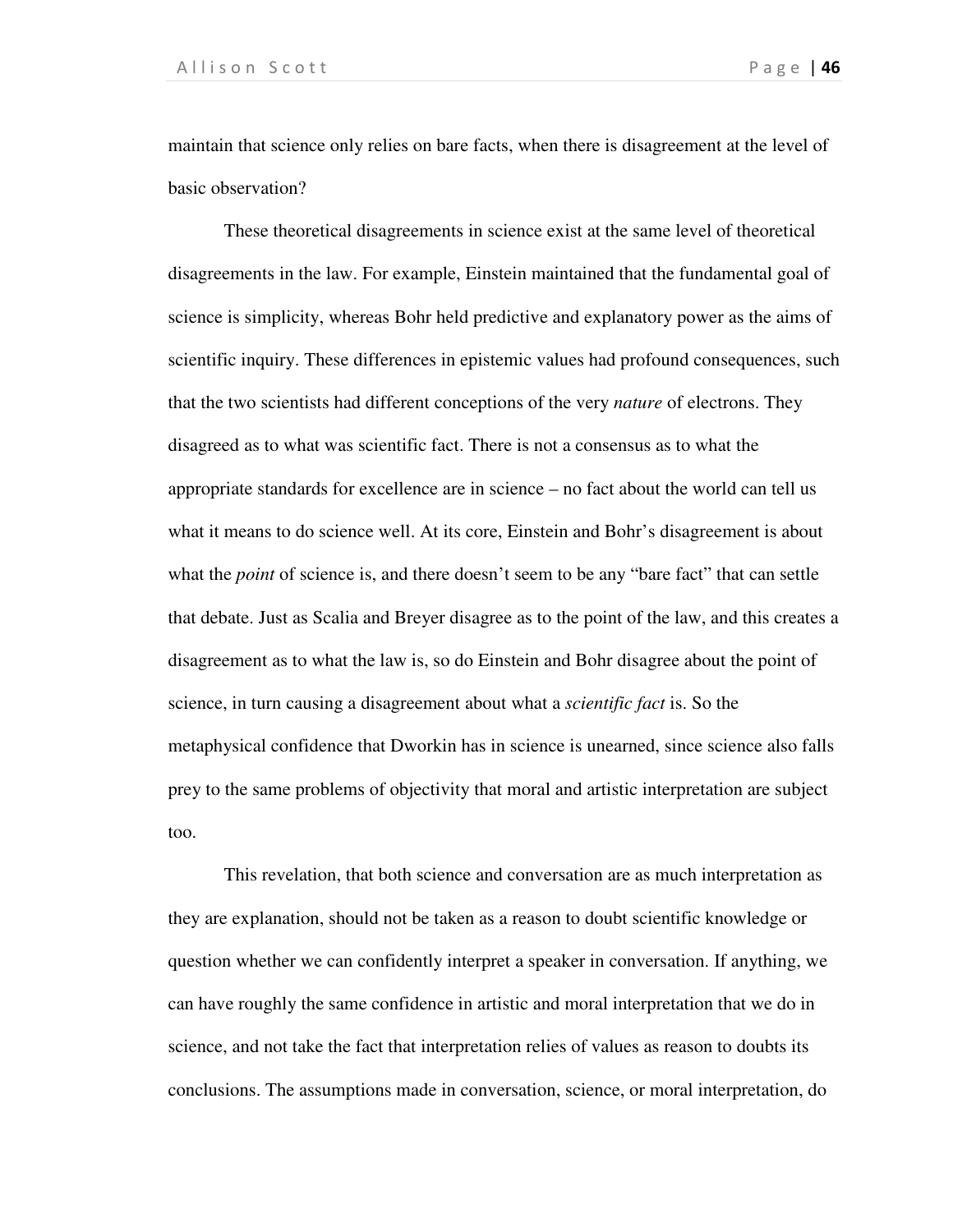maintain that science only relies on bare facts, when there is disagreement at the level of basic observation?

These theoretical disagreements in science exist at the same level of theoretical disagreements in the law. For example, Einstein maintained that the fundamental goal of science is simplicity, whereas Bohr held predictive and explanatory power as the aims of scientific inquiry. These differences in epistemic values had profound consequences, such that the two scientists had different conceptions of the very *nature* of electrons. They disagreed as to what was scientific fact. There is not a consensus as to what the appropriate standards for excellence are in science – no fact about the world can tell us what it means to do science well. At its core, Einstein and Bohr's disagreement is about what the *point* of science is, and there doesn't seem to be any "bare fact" that can settle that debate. Just as Scalia and Breyer disagree as to the point of the law, and this creates a disagreement as to what the law is, so do Einstein and Bohr disagree about the point of science, in turn causing a disagreement about what a *scientific fact* is. So the metaphysical confidence that Dworkin has in science is unearned, since science also falls prey to the same problems of objectivity that moral and artistic interpretation are subject too.

This revelation, that both science and conversation are as much interpretation as they are explanation, should not be taken as a reason to doubt scientific knowledge or question whether we can confidently interpret a speaker in conversation. If anything, we can have roughly the same confidence in artistic and moral interpretation that we do in science, and not take the fact that interpretation relies of values as reason to doubts its conclusions. The assumptions made in conversation, science, or moral interpretation, do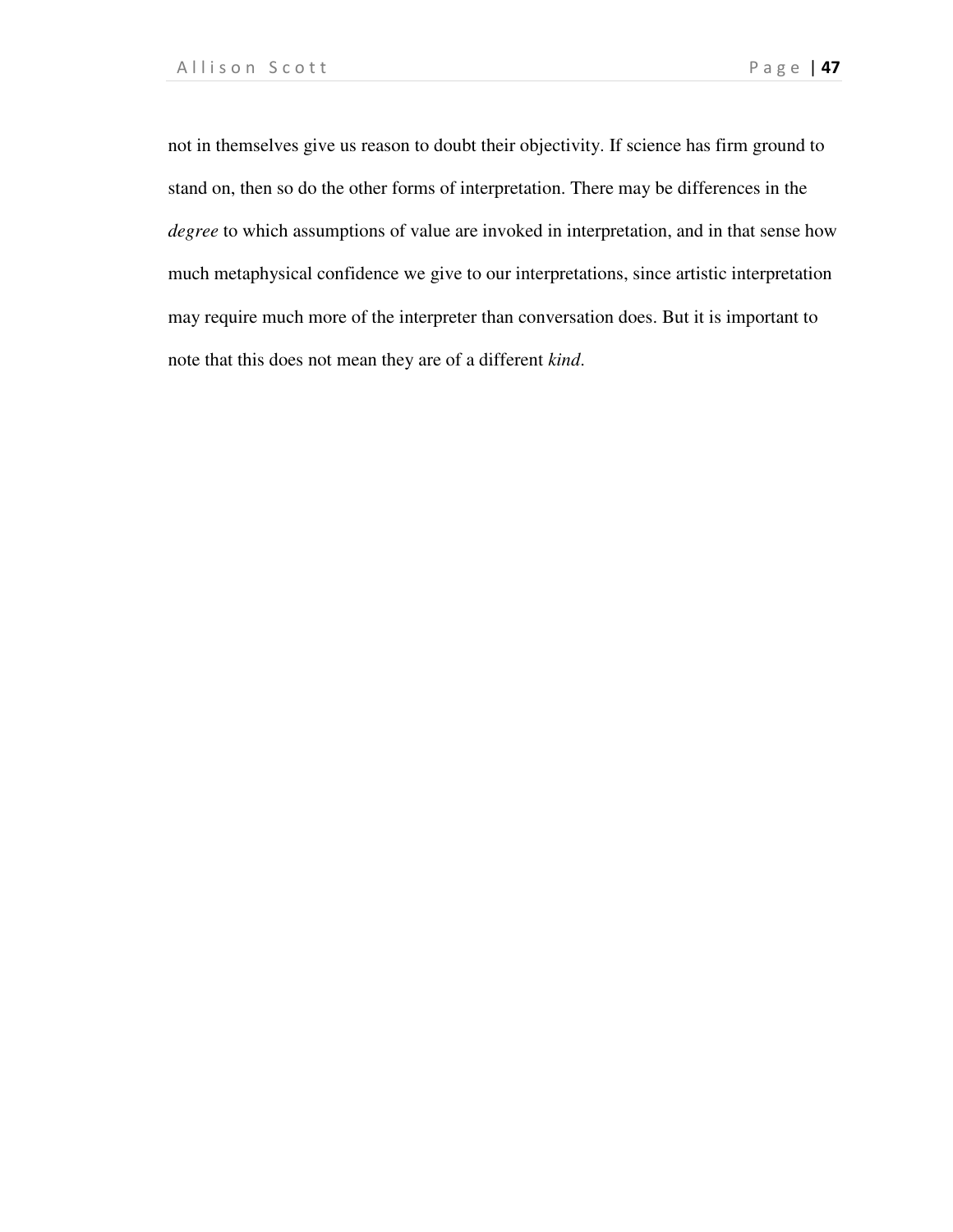not in themselves give us reason to doubt their objectivity. If science has firm ground to stand on, then so do the other forms of interpretation. There may be differences in the *degree* to which assumptions of value are invoked in interpretation, and in that sense how much metaphysical confidence we give to our interpretations, since artistic interpretation may require much more of the interpreter than conversation does. But it is important to note that this does not mean they are of a different *kind*.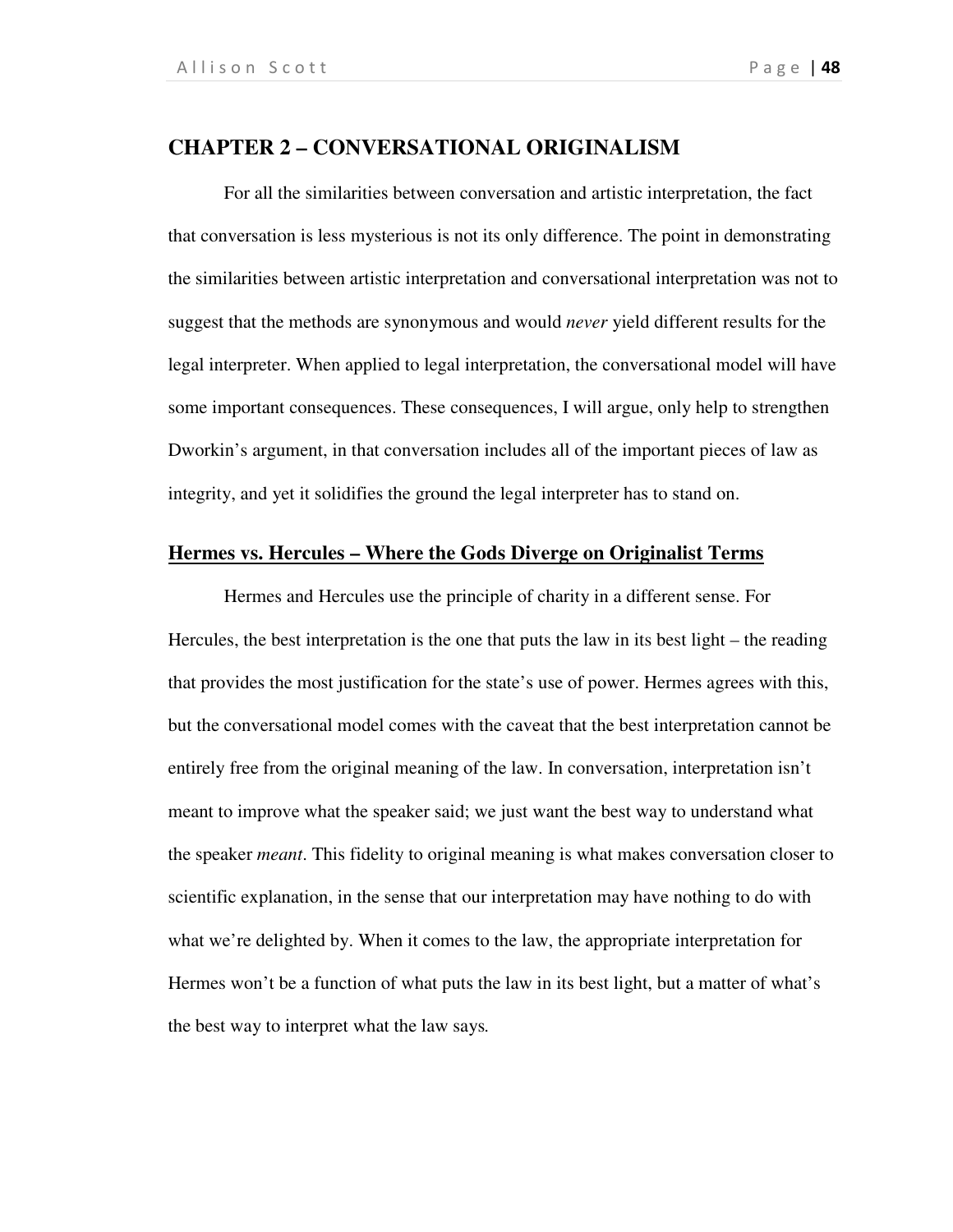# **CHAPTER 2 – CONVERSATIONAL ORIGINALISM**

For all the similarities between conversation and artistic interpretation, the fact that conversation is less mysterious is not its only difference. The point in demonstrating the similarities between artistic interpretation and conversational interpretation was not to suggest that the methods are synonymous and would *never* yield different results for the legal interpreter. When applied to legal interpretation, the conversational model will have some important consequences. These consequences, I will argue, only help to strengthen Dworkin's argument, in that conversation includes all of the important pieces of law as integrity, and yet it solidifies the ground the legal interpreter has to stand on.

#### **Hermes vs. Hercules – Where the Gods Diverge on Originalist Terms**

Hermes and Hercules use the principle of charity in a different sense. For Hercules, the best interpretation is the one that puts the law in its best light – the reading that provides the most justification for the state's use of power. Hermes agrees with this, but the conversational model comes with the caveat that the best interpretation cannot be entirely free from the original meaning of the law. In conversation, interpretation isn't meant to improve what the speaker said; we just want the best way to understand what the speaker *meant*. This fidelity to original meaning is what makes conversation closer to scientific explanation, in the sense that our interpretation may have nothing to do with what we're delighted by. When it comes to the law, the appropriate interpretation for Hermes won't be a function of what puts the law in its best light, but a matter of what's the best way to interpret what the law says*.*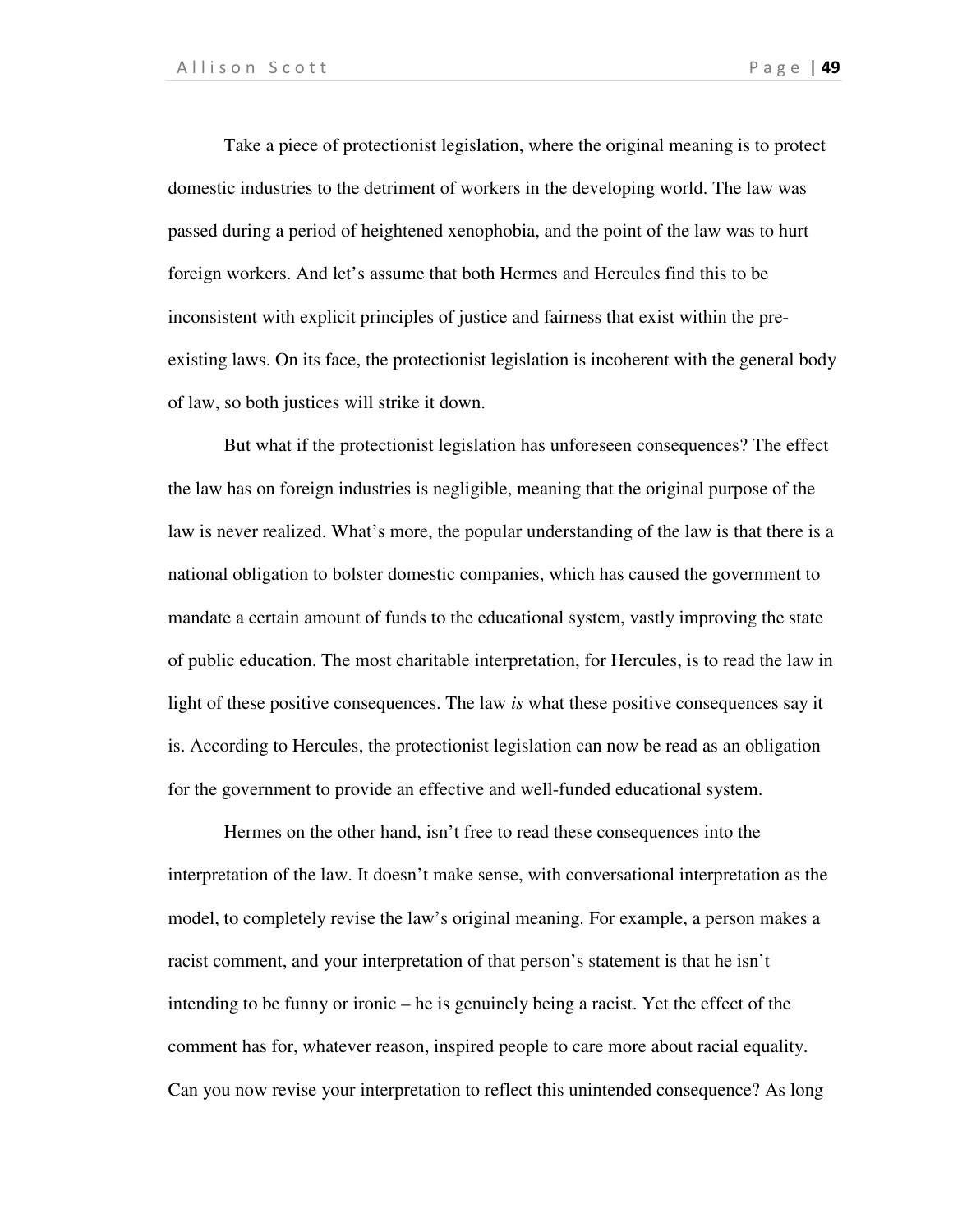Take a piece of protectionist legislation, where the original meaning is to protect domestic industries to the detriment of workers in the developing world. The law was passed during a period of heightened xenophobia, and the point of the law was to hurt foreign workers. And let's assume that both Hermes and Hercules find this to be inconsistent with explicit principles of justice and fairness that exist within the preexisting laws. On its face, the protectionist legislation is incoherent with the general body of law, so both justices will strike it down.

But what if the protectionist legislation has unforeseen consequences? The effect the law has on foreign industries is negligible, meaning that the original purpose of the law is never realized. What's more, the popular understanding of the law is that there is a national obligation to bolster domestic companies, which has caused the government to mandate a certain amount of funds to the educational system, vastly improving the state of public education. The most charitable interpretation, for Hercules, is to read the law in light of these positive consequences. The law *is* what these positive consequences say it is. According to Hercules, the protectionist legislation can now be read as an obligation for the government to provide an effective and well-funded educational system.

Hermes on the other hand, isn't free to read these consequences into the interpretation of the law. It doesn't make sense, with conversational interpretation as the model, to completely revise the law's original meaning. For example, a person makes a racist comment, and your interpretation of that person's statement is that he isn't intending to be funny or ironic – he is genuinely being a racist. Yet the effect of the comment has for, whatever reason, inspired people to care more about racial equality. Can you now revise your interpretation to reflect this unintended consequence? As long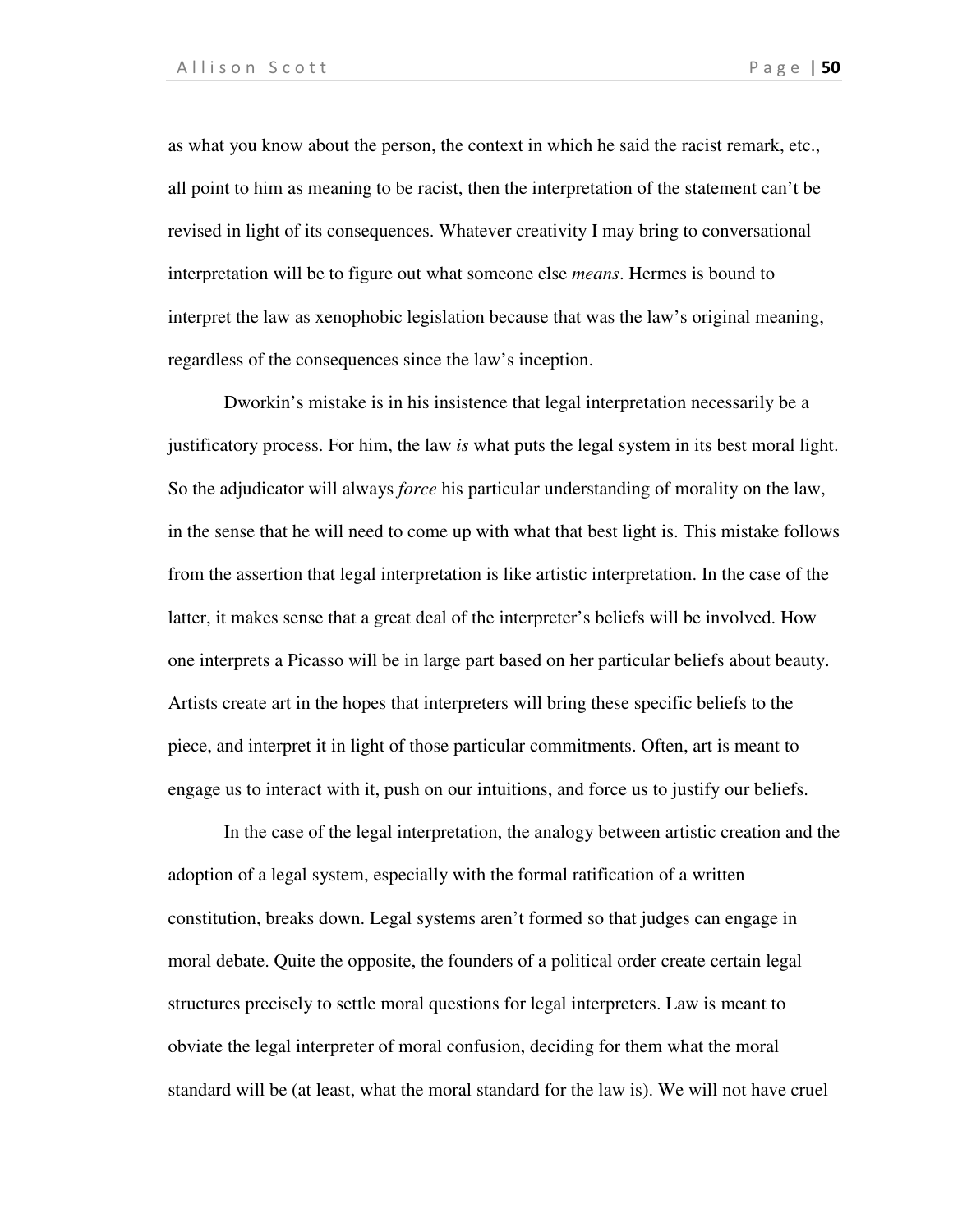as what you know about the person, the context in which he said the racist remark, etc., all point to him as meaning to be racist, then the interpretation of the statement can't be revised in light of its consequences. Whatever creativity I may bring to conversational interpretation will be to figure out what someone else *means*. Hermes is bound to interpret the law as xenophobic legislation because that was the law's original meaning, regardless of the consequences since the law's inception.

Dworkin's mistake is in his insistence that legal interpretation necessarily be a justificatory process. For him, the law *is* what puts the legal system in its best moral light. So the adjudicator will always *force* his particular understanding of morality on the law, in the sense that he will need to come up with what that best light is. This mistake follows from the assertion that legal interpretation is like artistic interpretation. In the case of the latter, it makes sense that a great deal of the interpreter's beliefs will be involved. How one interprets a Picasso will be in large part based on her particular beliefs about beauty. Artists create art in the hopes that interpreters will bring these specific beliefs to the piece, and interpret it in light of those particular commitments. Often, art is meant to engage us to interact with it, push on our intuitions, and force us to justify our beliefs.

In the case of the legal interpretation, the analogy between artistic creation and the adoption of a legal system, especially with the formal ratification of a written constitution, breaks down. Legal systems aren't formed so that judges can engage in moral debate. Quite the opposite, the founders of a political order create certain legal structures precisely to settle moral questions for legal interpreters. Law is meant to obviate the legal interpreter of moral confusion, deciding for them what the moral standard will be (at least, what the moral standard for the law is). We will not have cruel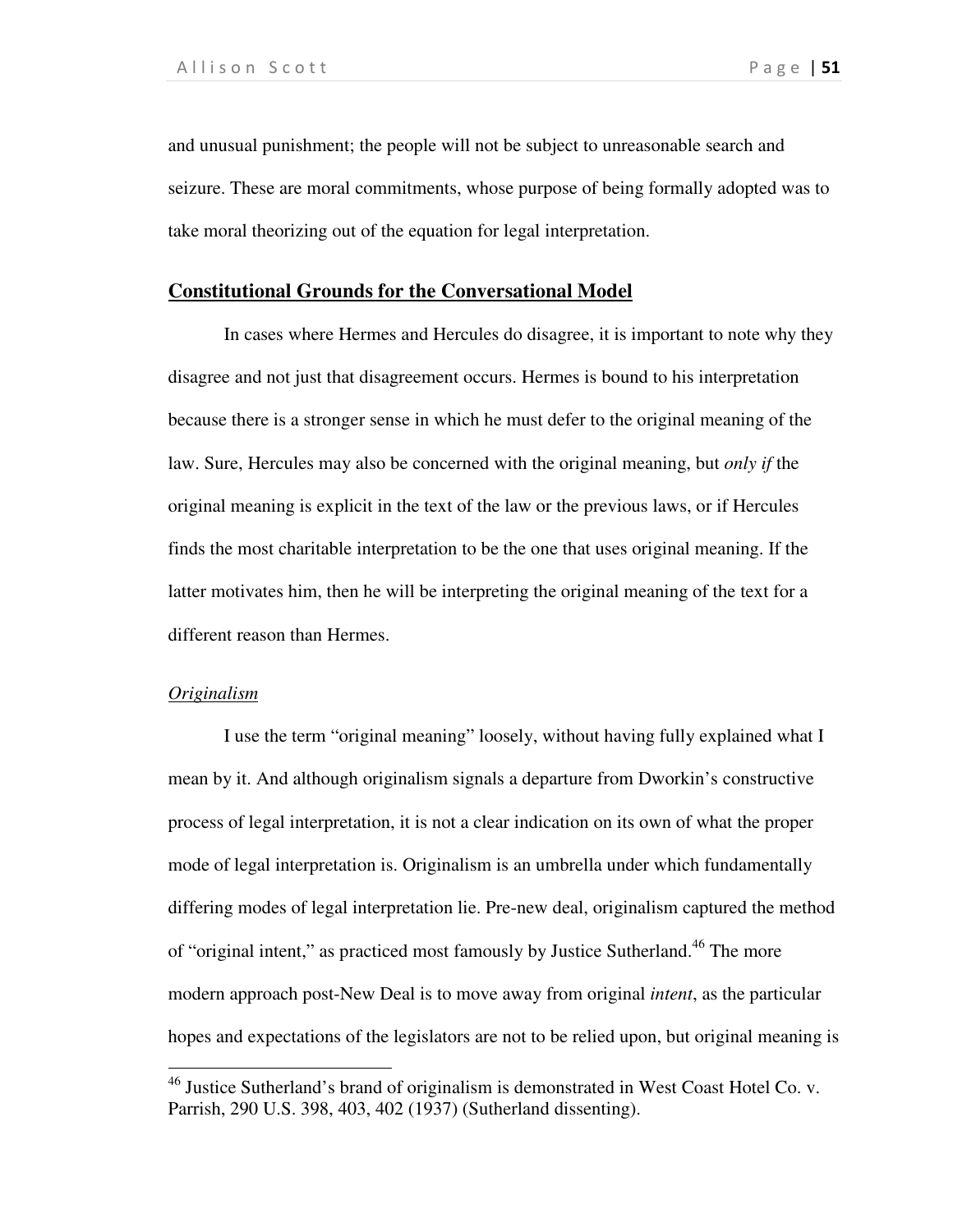and unusual punishment; the people will not be subject to unreasonable search and seizure. These are moral commitments, whose purpose of being formally adopted was to take moral theorizing out of the equation for legal interpretation.

## **Constitutional Grounds for the Conversational Model**

In cases where Hermes and Hercules do disagree, it is important to note why they disagree and not just that disagreement occurs. Hermes is bound to his interpretation because there is a stronger sense in which he must defer to the original meaning of the law. Sure, Hercules may also be concerned with the original meaning, but *only if* the original meaning is explicit in the text of the law or the previous laws, or if Hercules finds the most charitable interpretation to be the one that uses original meaning. If the latter motivates him, then he will be interpreting the original meaning of the text for a different reason than Hermes.

### *Originalism*

 $\overline{a}$ 

I use the term "original meaning" loosely, without having fully explained what I mean by it. And although originalism signals a departure from Dworkin's constructive process of legal interpretation, it is not a clear indication on its own of what the proper mode of legal interpretation is. Originalism is an umbrella under which fundamentally differing modes of legal interpretation lie. Pre-new deal, originalism captured the method of "original intent," as practiced most famously by Justice Sutherland.<sup>46</sup> The more modern approach post-New Deal is to move away from original *intent*, as the particular hopes and expectations of the legislators are not to be relied upon, but original meaning is

 $46$  Justice Sutherland's brand of originalism is demonstrated in West Coast Hotel Co. v. Parrish, 290 U.S. 398, 403, 402 (1937) (Sutherland dissenting).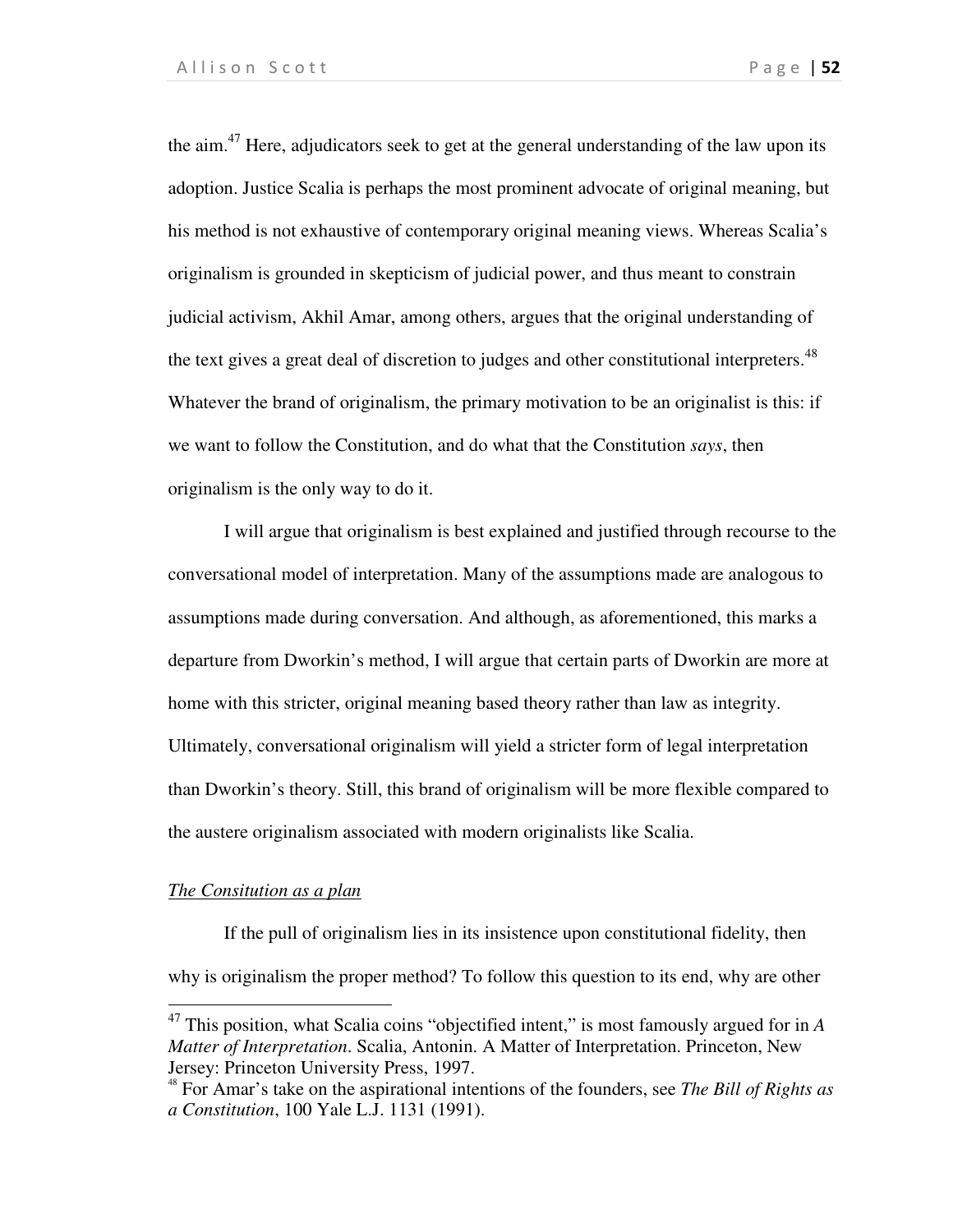the aim. $47$  Here, adjudicators seek to get at the general understanding of the law upon its adoption. Justice Scalia is perhaps the most prominent advocate of original meaning, but his method is not exhaustive of contemporary original meaning views. Whereas Scalia's originalism is grounded in skepticism of judicial power, and thus meant to constrain judicial activism, Akhil Amar, among others, argues that the original understanding of the text gives a great deal of discretion to judges and other constitutional interpreters.<sup>48</sup> Whatever the brand of originalism, the primary motivation to be an originalist is this: if we want to follow the Constitution, and do what that the Constitution *says*, then originalism is the only way to do it.

I will argue that originalism is best explained and justified through recourse to the conversational model of interpretation. Many of the assumptions made are analogous to assumptions made during conversation. And although, as aforementioned, this marks a departure from Dworkin's method, I will argue that certain parts of Dworkin are more at home with this stricter, original meaning based theory rather than law as integrity. Ultimately, conversational originalism will yield a stricter form of legal interpretation than Dworkin's theory. Still, this brand of originalism will be more flexible compared to the austere originalism associated with modern originalists like Scalia.

## *The Consitution as a plan*

 $\overline{a}$ 

If the pull of originalism lies in its insistence upon constitutional fidelity, then why is originalism the proper method? To follow this question to its end, why are other

<sup>47</sup> This position, what Scalia coins "objectified intent," is most famously argued for in *A Matter of Interpretation*. Scalia, Antonin. A Matter of Interpretation. Princeton, New Jersey: Princeton University Press, 1997.

<sup>48</sup> For Amar's take on the aspirational intentions of the founders, see *The Bill of Rights as a Constitution*, 100 Yale L.J. 1131 (1991).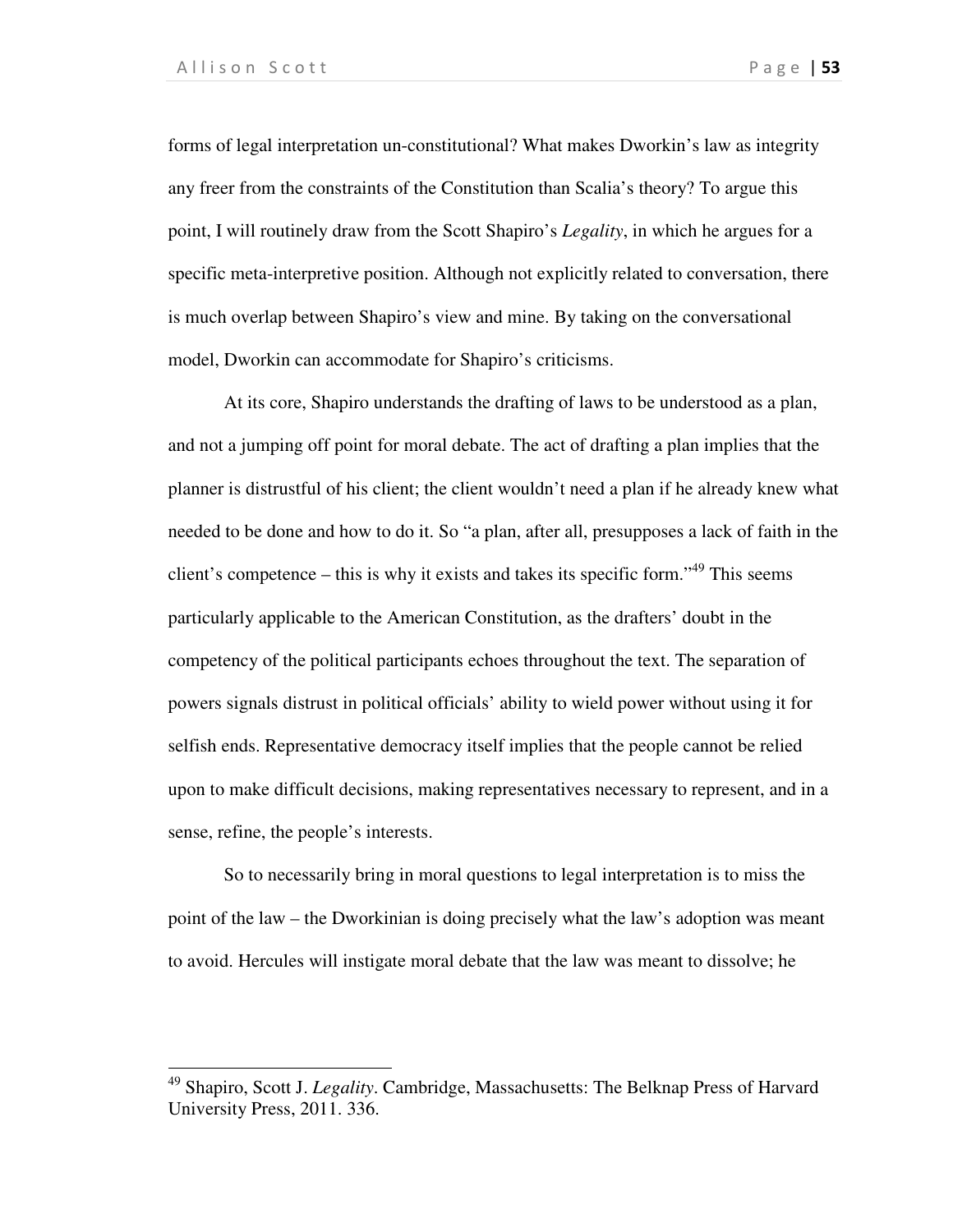1

forms of legal interpretation un-constitutional? What makes Dworkin's law as integrity any freer from the constraints of the Constitution than Scalia's theory? To argue this point, I will routinely draw from the Scott Shapiro's *Legality*, in which he argues for a specific meta-interpretive position. Although not explicitly related to conversation, there is much overlap between Shapiro's view and mine. By taking on the conversational model, Dworkin can accommodate for Shapiro's criticisms.

At its core, Shapiro understands the drafting of laws to be understood as a plan, and not a jumping off point for moral debate. The act of drafting a plan implies that the planner is distrustful of his client; the client wouldn't need a plan if he already knew what needed to be done and how to do it. So "a plan, after all, presupposes a lack of faith in the client's competence – this is why it exists and takes its specific form."<sup>49</sup> This seems particularly applicable to the American Constitution, as the drafters' doubt in the competency of the political participants echoes throughout the text. The separation of powers signals distrust in political officials' ability to wield power without using it for selfish ends. Representative democracy itself implies that the people cannot be relied upon to make difficult decisions, making representatives necessary to represent, and in a sense, refine, the people's interests.

So to necessarily bring in moral questions to legal interpretation is to miss the point of the law – the Dworkinian is doing precisely what the law's adoption was meant to avoid. Hercules will instigate moral debate that the law was meant to dissolve; he

<sup>49</sup> Shapiro, Scott J. *Legality*. Cambridge, Massachusetts: The Belknap Press of Harvard University Press, 2011. 336.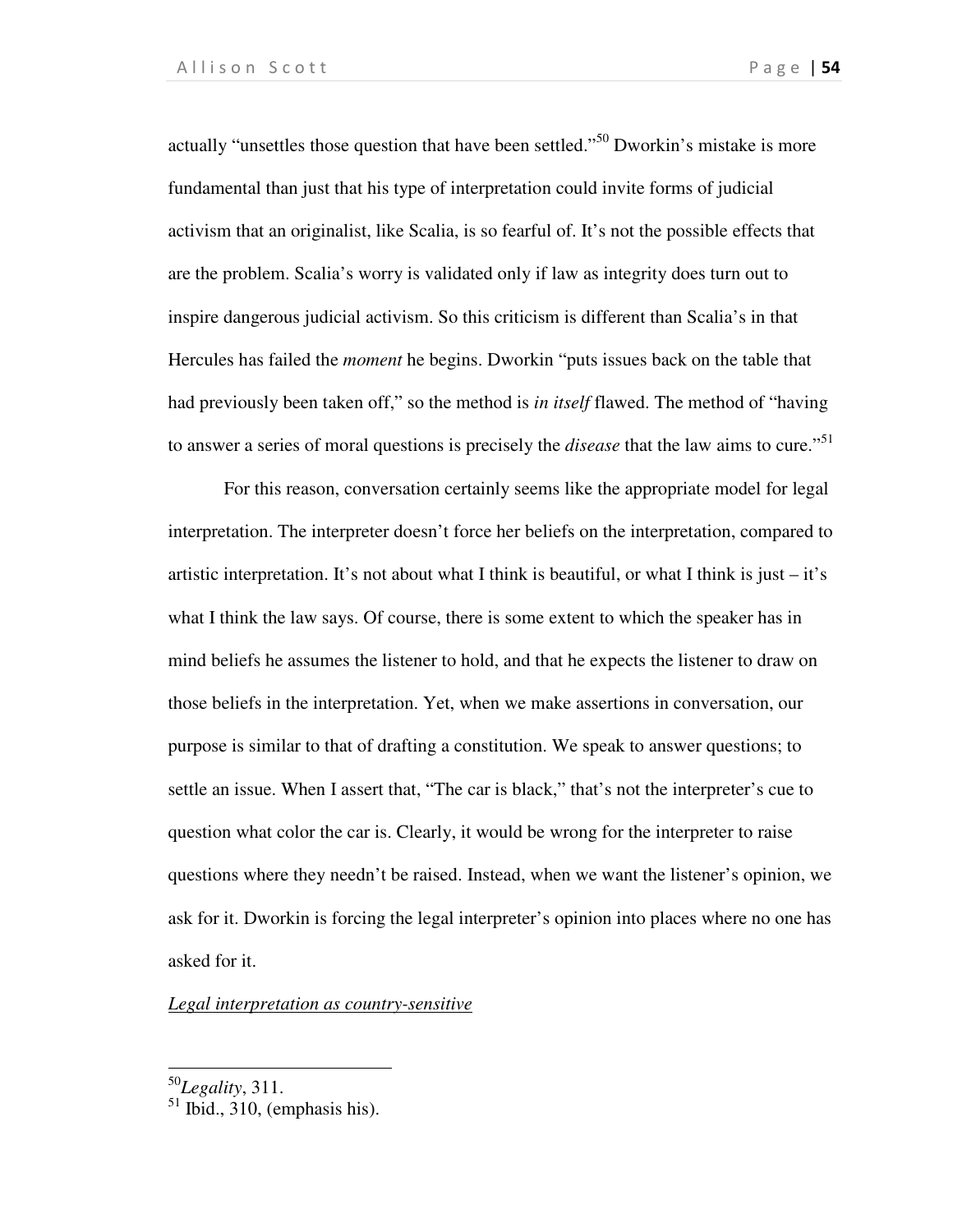actually "unsettles those question that have been settled."<sup>50</sup> Dworkin's mistake is more fundamental than just that his type of interpretation could invite forms of judicial activism that an originalist, like Scalia, is so fearful of. It's not the possible effects that are the problem. Scalia's worry is validated only if law as integrity does turn out to inspire dangerous judicial activism. So this criticism is different than Scalia's in that Hercules has failed the *moment* he begins. Dworkin "puts issues back on the table that had previously been taken off," so the method is *in itself* flawed. The method of "having to answer a series of moral questions is precisely the *disease* that the law aims to cure."<sup>51</sup>

For this reason, conversation certainly seems like the appropriate model for legal interpretation. The interpreter doesn't force her beliefs on the interpretation, compared to artistic interpretation. It's not about what I think is beautiful, or what I think is just – it's what I think the law says. Of course, there is some extent to which the speaker has in mind beliefs he assumes the listener to hold, and that he expects the listener to draw on those beliefs in the interpretation. Yet, when we make assertions in conversation, our purpose is similar to that of drafting a constitution. We speak to answer questions; to settle an issue. When I assert that, "The car is black," that's not the interpreter's cue to question what color the car is. Clearly, it would be wrong for the interpreter to raise questions where they needn't be raised. Instead, when we want the listener's opinion, we ask for it. Dworkin is forcing the legal interpreter's opinion into places where no one has asked for it.

*Legal interpretation as country-sensitive* 

 $\overline{a}$ 

<sup>50</sup>*Legality*, 311.

 $<sup>51</sup>$  Ibid., 310, (emphasis his).</sup>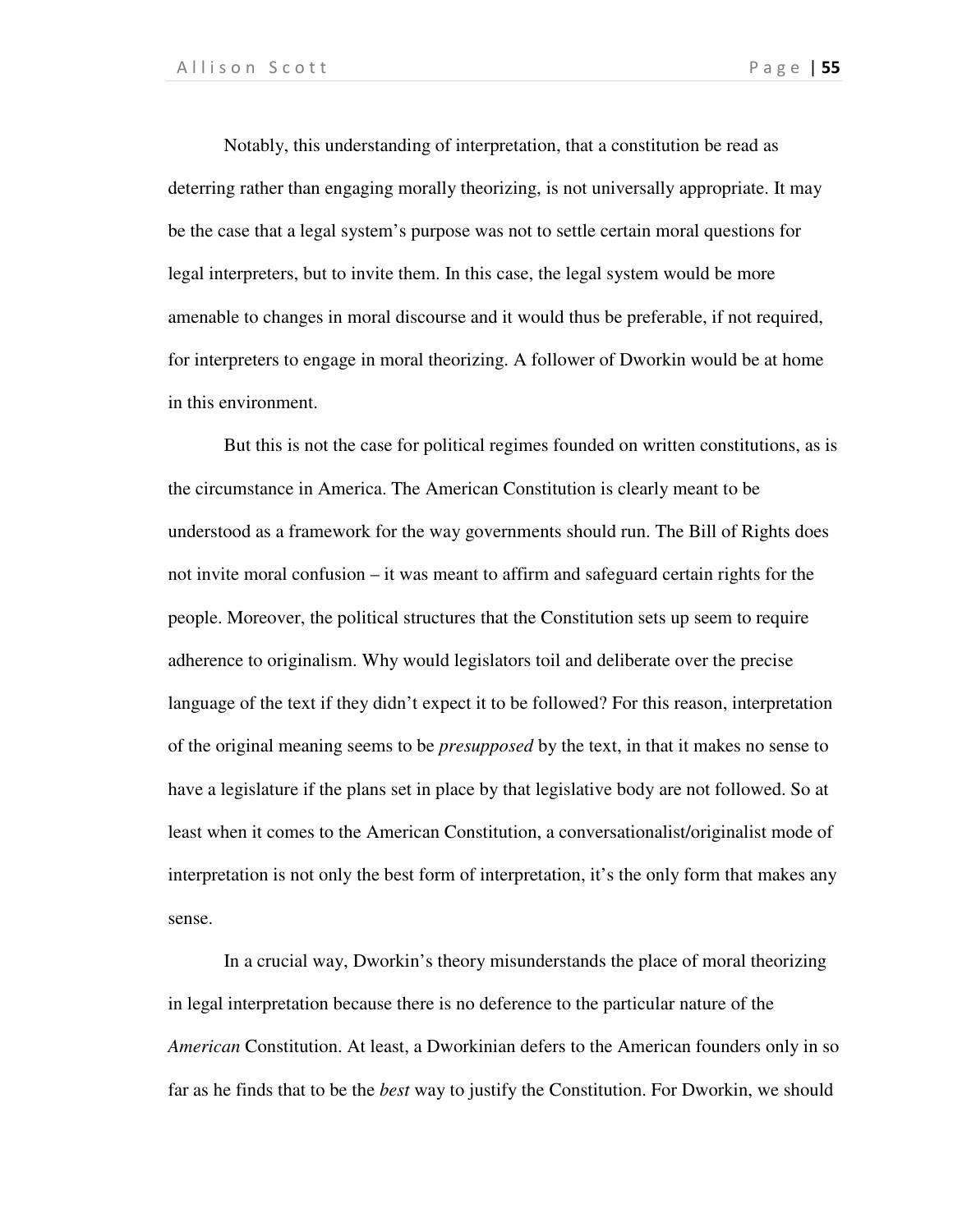Notably, this understanding of interpretation, that a constitution be read as deterring rather than engaging morally theorizing, is not universally appropriate. It may be the case that a legal system's purpose was not to settle certain moral questions for legal interpreters, but to invite them. In this case, the legal system would be more amenable to changes in moral discourse and it would thus be preferable, if not required, for interpreters to engage in moral theorizing. A follower of Dworkin would be at home in this environment.

But this is not the case for political regimes founded on written constitutions, as is the circumstance in America. The American Constitution is clearly meant to be understood as a framework for the way governments should run. The Bill of Rights does not invite moral confusion – it was meant to affirm and safeguard certain rights for the people. Moreover, the political structures that the Constitution sets up seem to require adherence to originalism. Why would legislators toil and deliberate over the precise language of the text if they didn't expect it to be followed? For this reason, interpretation of the original meaning seems to be *presupposed* by the text, in that it makes no sense to have a legislature if the plans set in place by that legislative body are not followed. So at least when it comes to the American Constitution, a conversationalist/originalist mode of interpretation is not only the best form of interpretation, it's the only form that makes any sense.

In a crucial way, Dworkin's theory misunderstands the place of moral theorizing in legal interpretation because there is no deference to the particular nature of the *American* Constitution. At least, a Dworkinian defers to the American founders only in so far as he finds that to be the *best* way to justify the Constitution. For Dworkin, we should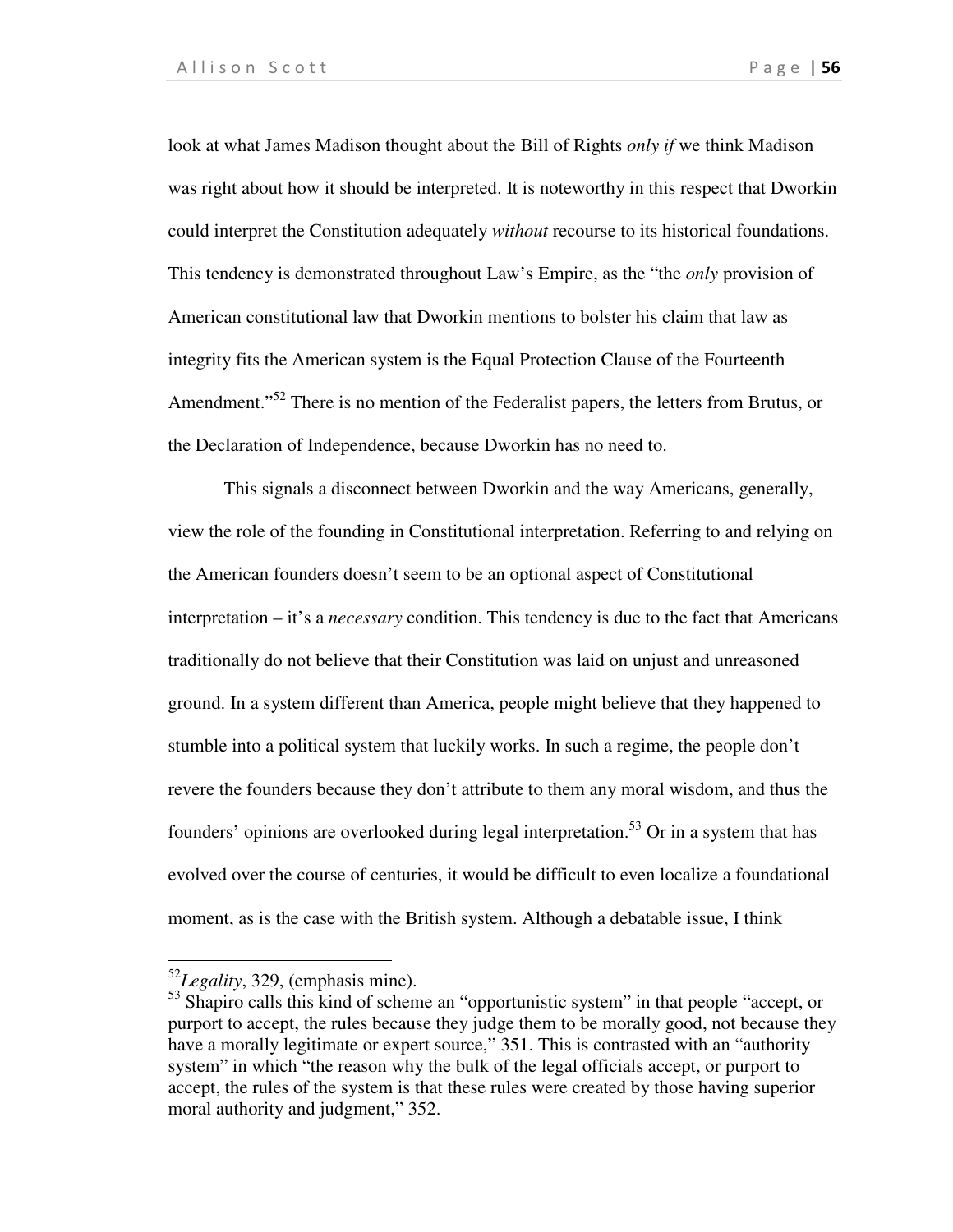look at what James Madison thought about the Bill of Rights *only if* we think Madison was right about how it should be interpreted. It is noteworthy in this respect that Dworkin could interpret the Constitution adequately *without* recourse to its historical foundations. This tendency is demonstrated throughout Law's Empire, as the "the *only* provision of American constitutional law that Dworkin mentions to bolster his claim that law as integrity fits the American system is the Equal Protection Clause of the Fourteenth Amendment."<sup>52</sup> There is no mention of the Federalist papers, the letters from Brutus, or the Declaration of Independence, because Dworkin has no need to.

This signals a disconnect between Dworkin and the way Americans, generally, view the role of the founding in Constitutional interpretation. Referring to and relying on the American founders doesn't seem to be an optional aspect of Constitutional interpretation – it's a *necessary* condition. This tendency is due to the fact that Americans traditionally do not believe that their Constitution was laid on unjust and unreasoned ground. In a system different than America, people might believe that they happened to stumble into a political system that luckily works. In such a regime, the people don't revere the founders because they don't attribute to them any moral wisdom, and thus the founders' opinions are overlooked during legal interpretation.<sup>53</sup> Or in a system that has evolved over the course of centuries, it would be difficult to even localize a foundational moment, as is the case with the British system. Although a debatable issue, I think

1

<sup>52</sup>*Legality*, 329, (emphasis mine).

<sup>&</sup>lt;sup>53</sup> Shapiro calls this kind of scheme an "opportunistic system" in that people "accept, or purport to accept, the rules because they judge them to be morally good, not because they have a morally legitimate or expert source," 351. This is contrasted with an "authority system" in which "the reason why the bulk of the legal officials accept, or purport to accept, the rules of the system is that these rules were created by those having superior moral authority and judgment," 352.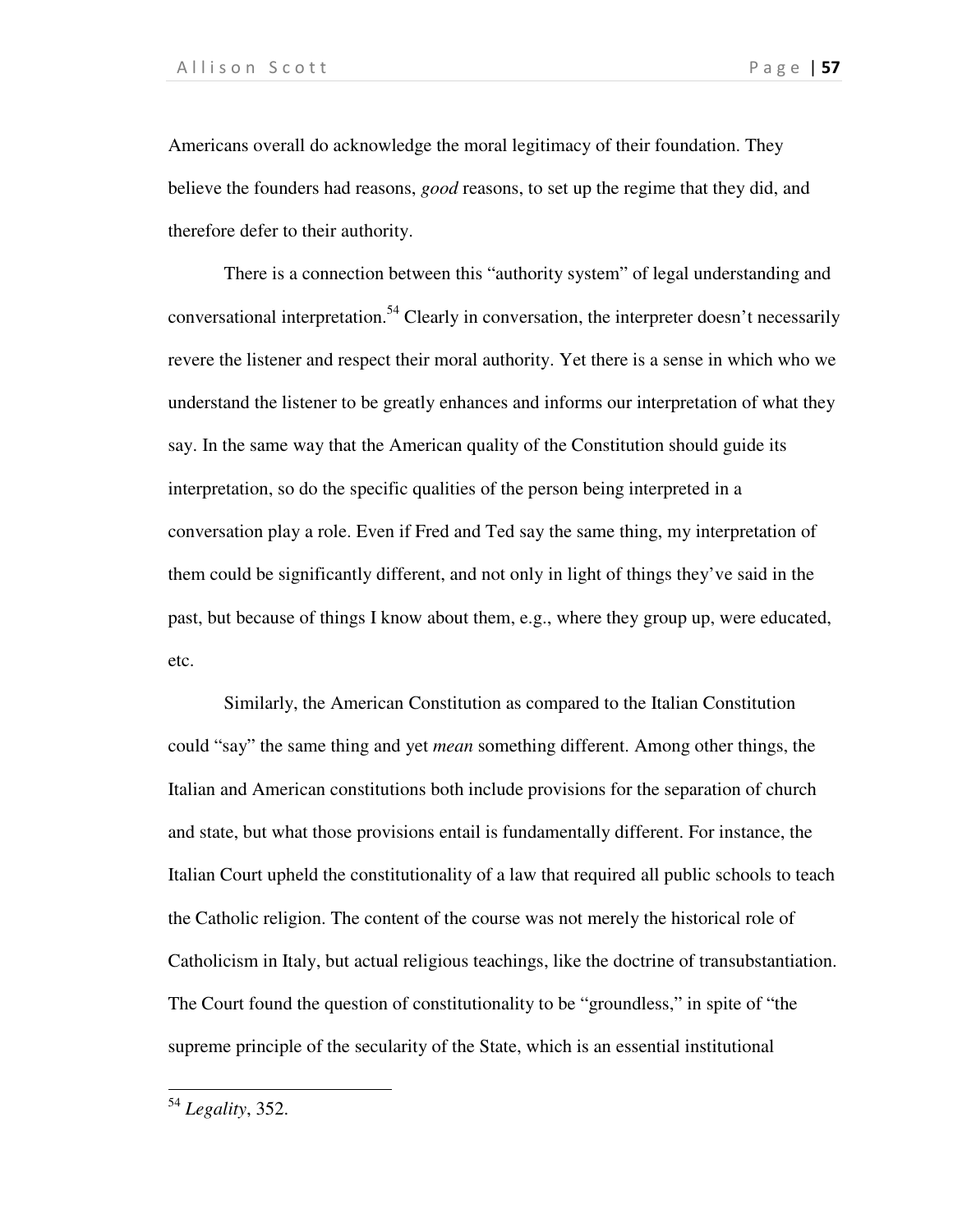Americans overall do acknowledge the moral legitimacy of their foundation. They believe the founders had reasons, *good* reasons, to set up the regime that they did, and therefore defer to their authority.

There is a connection between this "authority system" of legal understanding and conversational interpretation.<sup>54</sup> Clearly in conversation, the interpreter doesn't necessarily revere the listener and respect their moral authority. Yet there is a sense in which who we understand the listener to be greatly enhances and informs our interpretation of what they say. In the same way that the American quality of the Constitution should guide its interpretation, so do the specific qualities of the person being interpreted in a conversation play a role. Even if Fred and Ted say the same thing, my interpretation of them could be significantly different, and not only in light of things they've said in the past, but because of things I know about them, e.g., where they group up, were educated, etc.

Similarly, the American Constitution as compared to the Italian Constitution could "say" the same thing and yet *mean* something different. Among other things, the Italian and American constitutions both include provisions for the separation of church and state, but what those provisions entail is fundamentally different. For instance, the Italian Court upheld the constitutionality of a law that required all public schools to teach the Catholic religion. The content of the course was not merely the historical role of Catholicism in Italy, but actual religious teachings, like the doctrine of transubstantiation. The Court found the question of constitutionality to be "groundless," in spite of "the supreme principle of the secularity of the State, which is an essential institutional

 $\overline{a}$ 

<sup>54</sup> *Legality*, 352.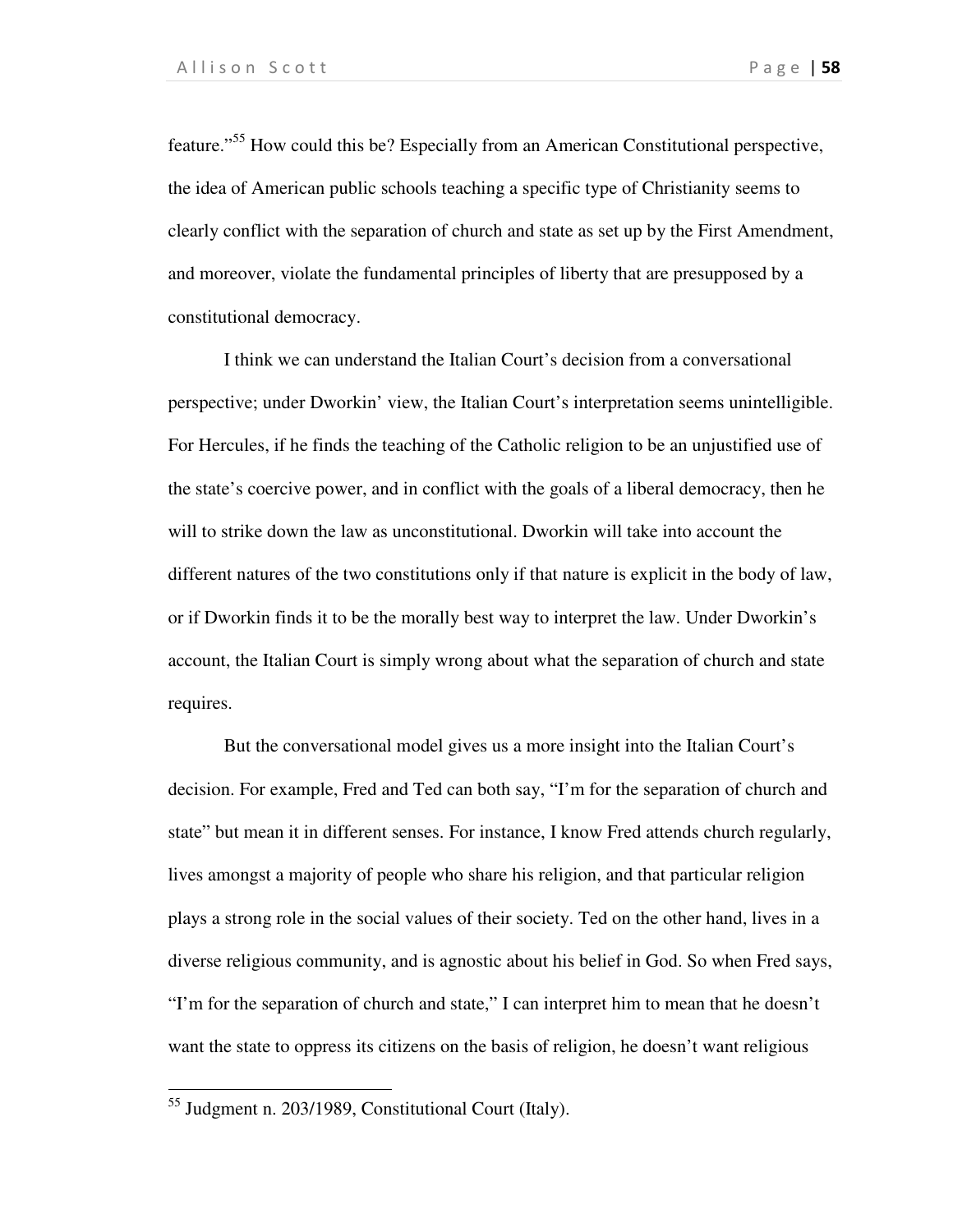feature."<sup>55</sup> How could this be? Especially from an American Constitutional perspective, the idea of American public schools teaching a specific type of Christianity seems to clearly conflict with the separation of church and state as set up by the First Amendment, and moreover, violate the fundamental principles of liberty that are presupposed by a constitutional democracy.

I think we can understand the Italian Court's decision from a conversational perspective; under Dworkin' view, the Italian Court's interpretation seems unintelligible. For Hercules, if he finds the teaching of the Catholic religion to be an unjustified use of the state's coercive power, and in conflict with the goals of a liberal democracy, then he will to strike down the law as unconstitutional. Dworkin will take into account the different natures of the two constitutions only if that nature is explicit in the body of law, or if Dworkin finds it to be the morally best way to interpret the law. Under Dworkin's account, the Italian Court is simply wrong about what the separation of church and state requires.

But the conversational model gives us a more insight into the Italian Court's decision. For example, Fred and Ted can both say, "I'm for the separation of church and state" but mean it in different senses. For instance, I know Fred attends church regularly, lives amongst a majority of people who share his religion, and that particular religion plays a strong role in the social values of their society. Ted on the other hand, lives in a diverse religious community, and is agnostic about his belief in God. So when Fred says, "I'm for the separation of church and state," I can interpret him to mean that he doesn't want the state to oppress its citizens on the basis of religion, he doesn't want religious

1

<sup>55</sup> Judgment n. 203/1989, Constitutional Court (Italy).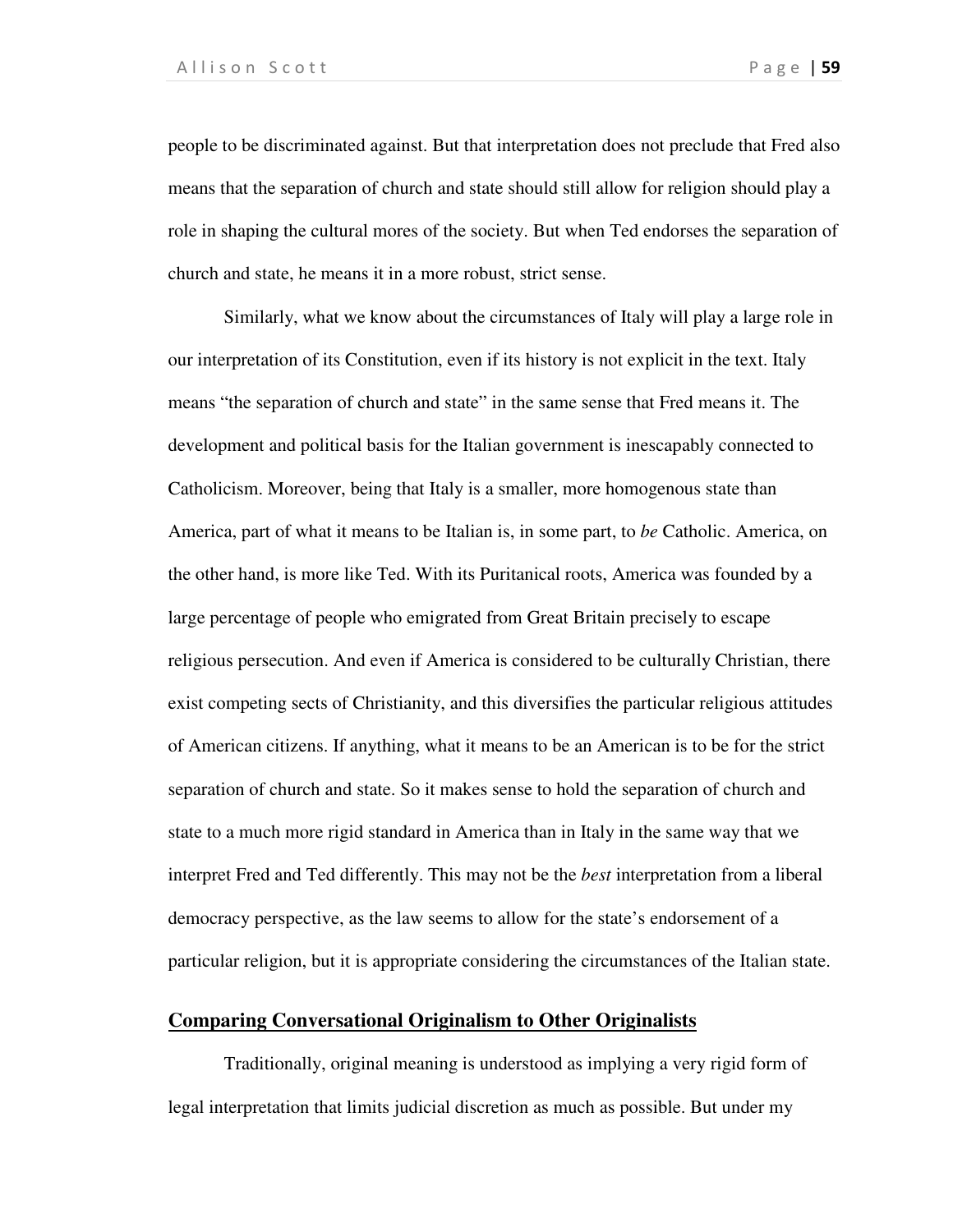people to be discriminated against. But that interpretation does not preclude that Fred also means that the separation of church and state should still allow for religion should play a role in shaping the cultural mores of the society. But when Ted endorses the separation of church and state, he means it in a more robust, strict sense.

Similarly, what we know about the circumstances of Italy will play a large role in our interpretation of its Constitution, even if its history is not explicit in the text. Italy means "the separation of church and state" in the same sense that Fred means it. The development and political basis for the Italian government is inescapably connected to Catholicism. Moreover, being that Italy is a smaller, more homogenous state than America, part of what it means to be Italian is, in some part, to *be* Catholic. America, on the other hand, is more like Ted. With its Puritanical roots, America was founded by a large percentage of people who emigrated from Great Britain precisely to escape religious persecution. And even if America is considered to be culturally Christian, there exist competing sects of Christianity, and this diversifies the particular religious attitudes of American citizens. If anything, what it means to be an American is to be for the strict separation of church and state. So it makes sense to hold the separation of church and state to a much more rigid standard in America than in Italy in the same way that we interpret Fred and Ted differently. This may not be the *best* interpretation from a liberal democracy perspective, as the law seems to allow for the state's endorsement of a particular religion, but it is appropriate considering the circumstances of the Italian state.

# **Comparing Conversational Originalism to Other Originalists**

Traditionally, original meaning is understood as implying a very rigid form of legal interpretation that limits judicial discretion as much as possible. But under my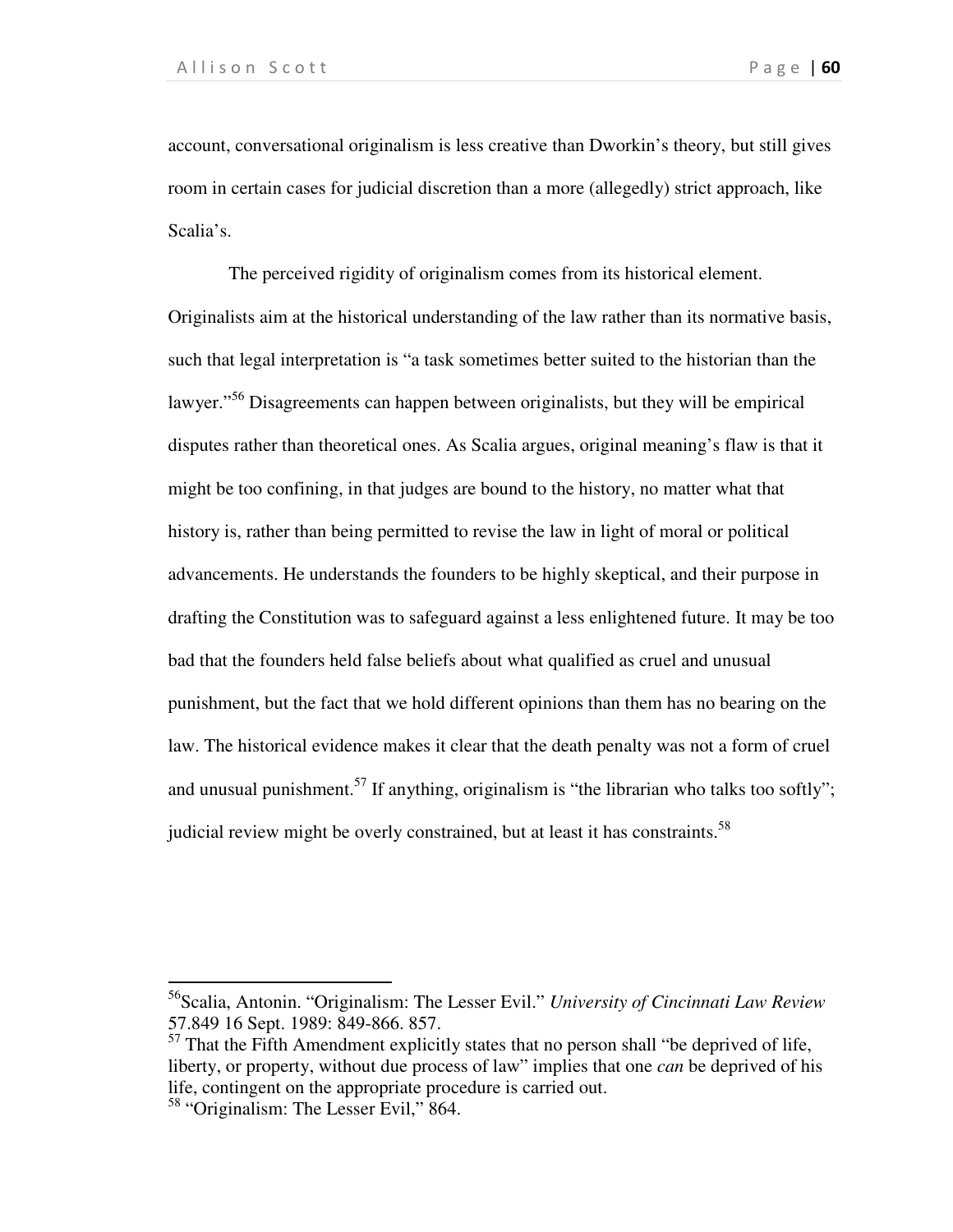account, conversational originalism is less creative than Dworkin's theory, but still gives room in certain cases for judicial discretion than a more (allegedly) strict approach, like Scalia's.

 The perceived rigidity of originalism comes from its historical element. Originalists aim at the historical understanding of the law rather than its normative basis, such that legal interpretation is "a task sometimes better suited to the historian than the lawyer."<sup>56</sup> Disagreements can happen between originalists, but they will be empirical disputes rather than theoretical ones. As Scalia argues, original meaning's flaw is that it might be too confining, in that judges are bound to the history, no matter what that history is, rather than being permitted to revise the law in light of moral or political advancements. He understands the founders to be highly skeptical, and their purpose in drafting the Constitution was to safeguard against a less enlightened future. It may be too bad that the founders held false beliefs about what qualified as cruel and unusual punishment, but the fact that we hold different opinions than them has no bearing on the law. The historical evidence makes it clear that the death penalty was not a form of cruel and unusual punishment.<sup>57</sup> If anything, originalism is "the librarian who talks too softly"; judicial review might be overly constrained, but at least it has constraints.<sup>58</sup>

 $\overline{a}$ 

<sup>56</sup>Scalia, Antonin. "Originalism: The Lesser Evil." *University of Cincinnati Law Review* 57.849 16 Sept. 1989: 849-866. 857.

 $57$  That the Fifth Amendment explicitly states that no person shall "be deprived of life, liberty, or property, without due process of law" implies that one *can* be deprived of his life, contingent on the appropriate procedure is carried out.

<sup>58</sup> "Originalism: The Lesser Evil," 864.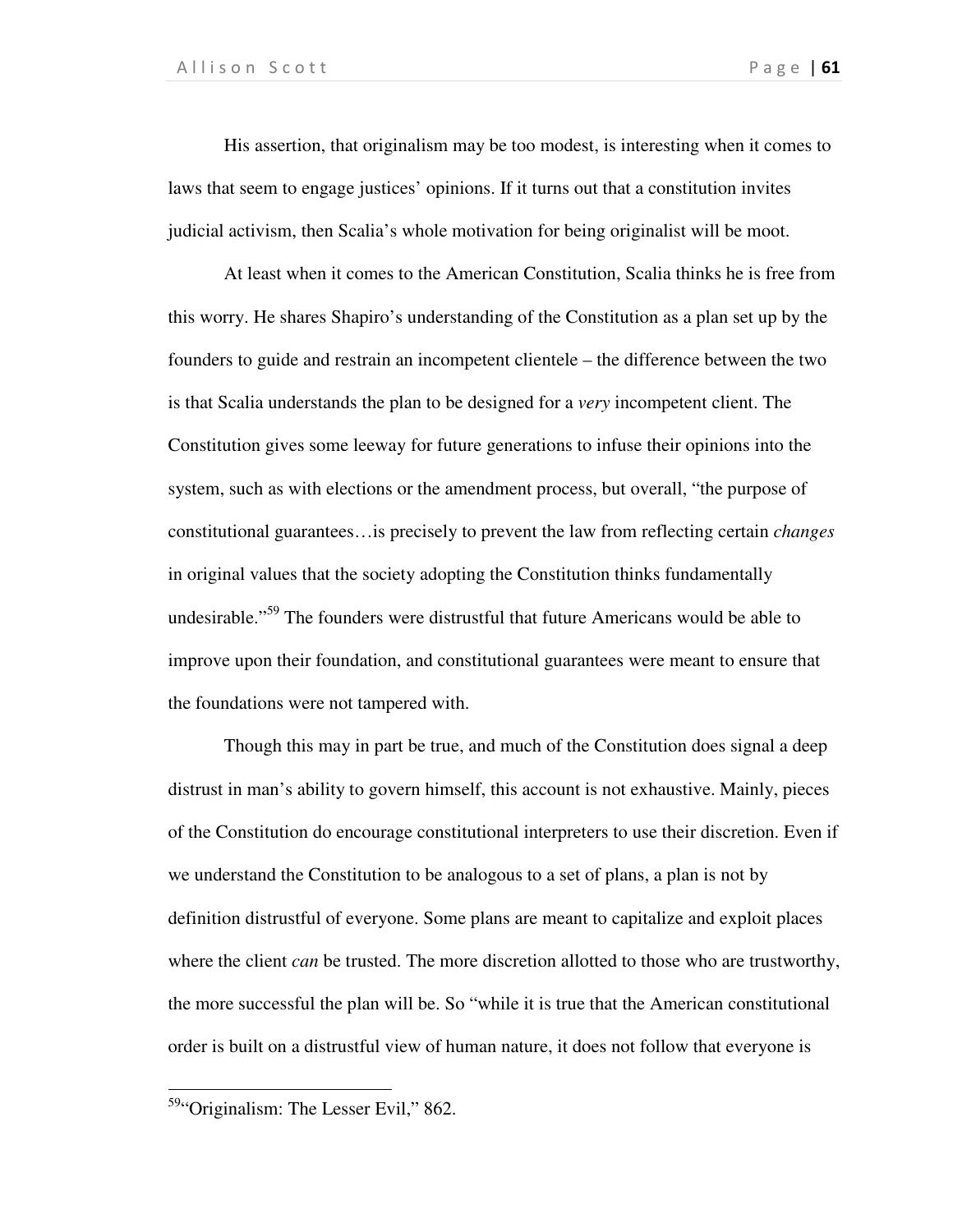His assertion, that originalism may be too modest, is interesting when it comes to laws that seem to engage justices' opinions. If it turns out that a constitution invites judicial activism, then Scalia's whole motivation for being originalist will be moot.

At least when it comes to the American Constitution, Scalia thinks he is free from this worry. He shares Shapiro's understanding of the Constitution as a plan set up by the founders to guide and restrain an incompetent clientele – the difference between the two is that Scalia understands the plan to be designed for a *very* incompetent client. The Constitution gives some leeway for future generations to infuse their opinions into the system, such as with elections or the amendment process, but overall, "the purpose of constitutional guarantees…is precisely to prevent the law from reflecting certain *changes*  in original values that the society adopting the Constitution thinks fundamentally undesirable."<sup>59</sup> The founders were distrustful that future Americans would be able to improve upon their foundation, and constitutional guarantees were meant to ensure that the foundations were not tampered with.

 Though this may in part be true, and much of the Constitution does signal a deep distrust in man's ability to govern himself, this account is not exhaustive. Mainly, pieces of the Constitution do encourage constitutional interpreters to use their discretion. Even if we understand the Constitution to be analogous to a set of plans, a plan is not by definition distrustful of everyone. Some plans are meant to capitalize and exploit places where the client *can* be trusted. The more discretion allotted to those who are trustworthy, the more successful the plan will be. So "while it is true that the American constitutional order is built on a distrustful view of human nature, it does not follow that everyone is

 $\overline{a}$ 

<sup>&</sup>lt;sup>59</sup>"Originalism: The Lesser Evil," 862.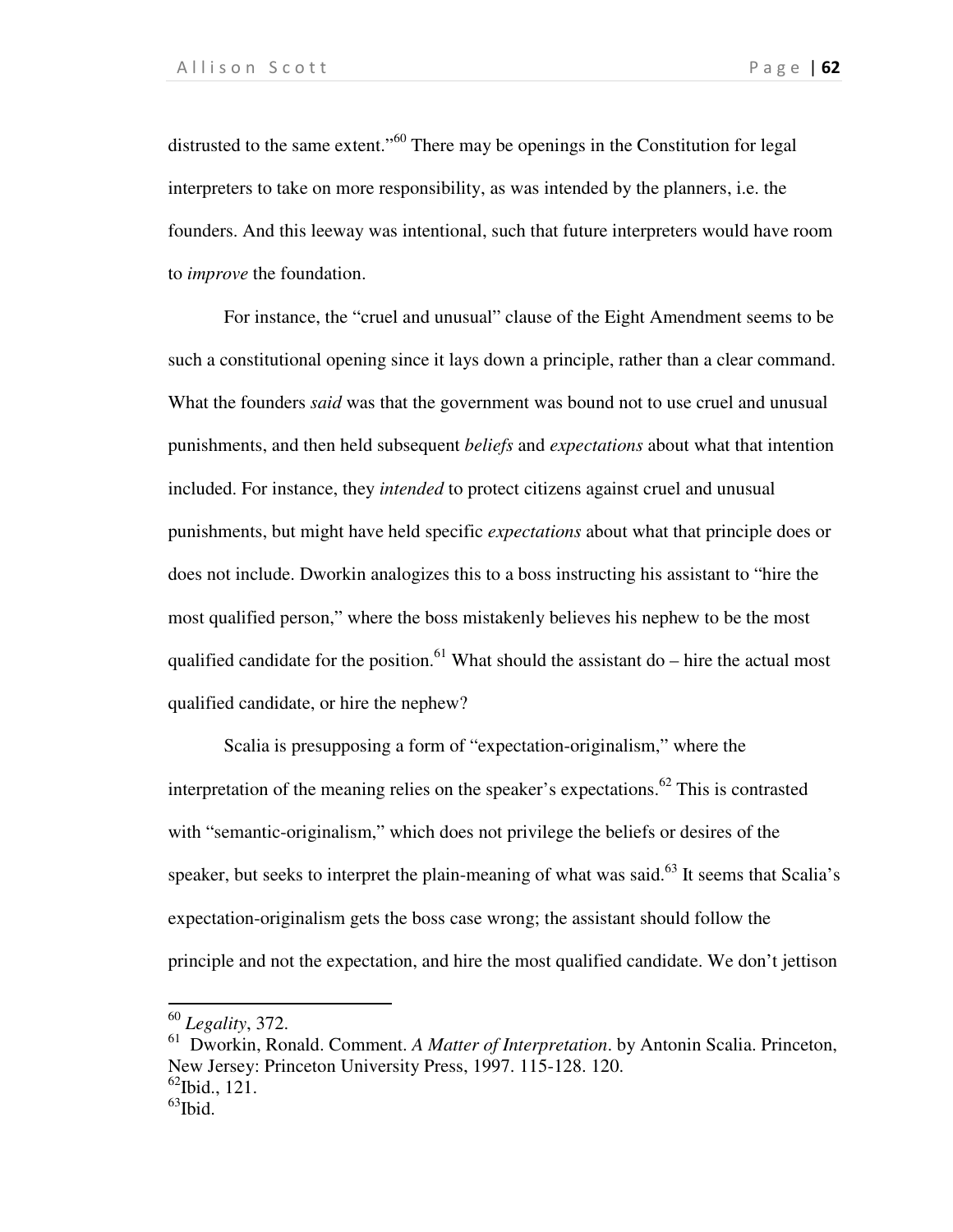distrusted to the same extent."<sup>60</sup> There may be openings in the Constitution for legal interpreters to take on more responsibility, as was intended by the planners, i.e. the founders. And this leeway was intentional, such that future interpreters would have room to *improve* the foundation.

For instance, the "cruel and unusual" clause of the Eight Amendment seems to be such a constitutional opening since it lays down a principle, rather than a clear command. What the founders *said* was that the government was bound not to use cruel and unusual punishments, and then held subsequent *beliefs* and *expectations* about what that intention included. For instance, they *intended* to protect citizens against cruel and unusual punishments, but might have held specific *expectations* about what that principle does or does not include. Dworkin analogizes this to a boss instructing his assistant to "hire the most qualified person," where the boss mistakenly believes his nephew to be the most qualified candidate for the position.<sup>61</sup> What should the assistant do – hire the actual most qualified candidate, or hire the nephew?

Scalia is presupposing a form of "expectation-originalism," where the interpretation of the meaning relies on the speaker's expectations.<sup>62</sup> This is contrasted with "semantic-originalism," which does not privilege the beliefs or desires of the speaker, but seeks to interpret the plain-meaning of what was said. $63$  It seems that Scalia's expectation-originalism gets the boss case wrong; the assistant should follow the principle and not the expectation, and hire the most qualified candidate. We don't jettison

l

<sup>60</sup> *Legality*, 372.

<sup>61</sup> Dworkin, Ronald. Comment. *A Matter of Interpretation*. by Antonin Scalia. Princeton, New Jersey: Princeton University Press, 1997. 115-128. 120.  $^{62}$ Ibid., 121.

 $^{63}$ Ibid.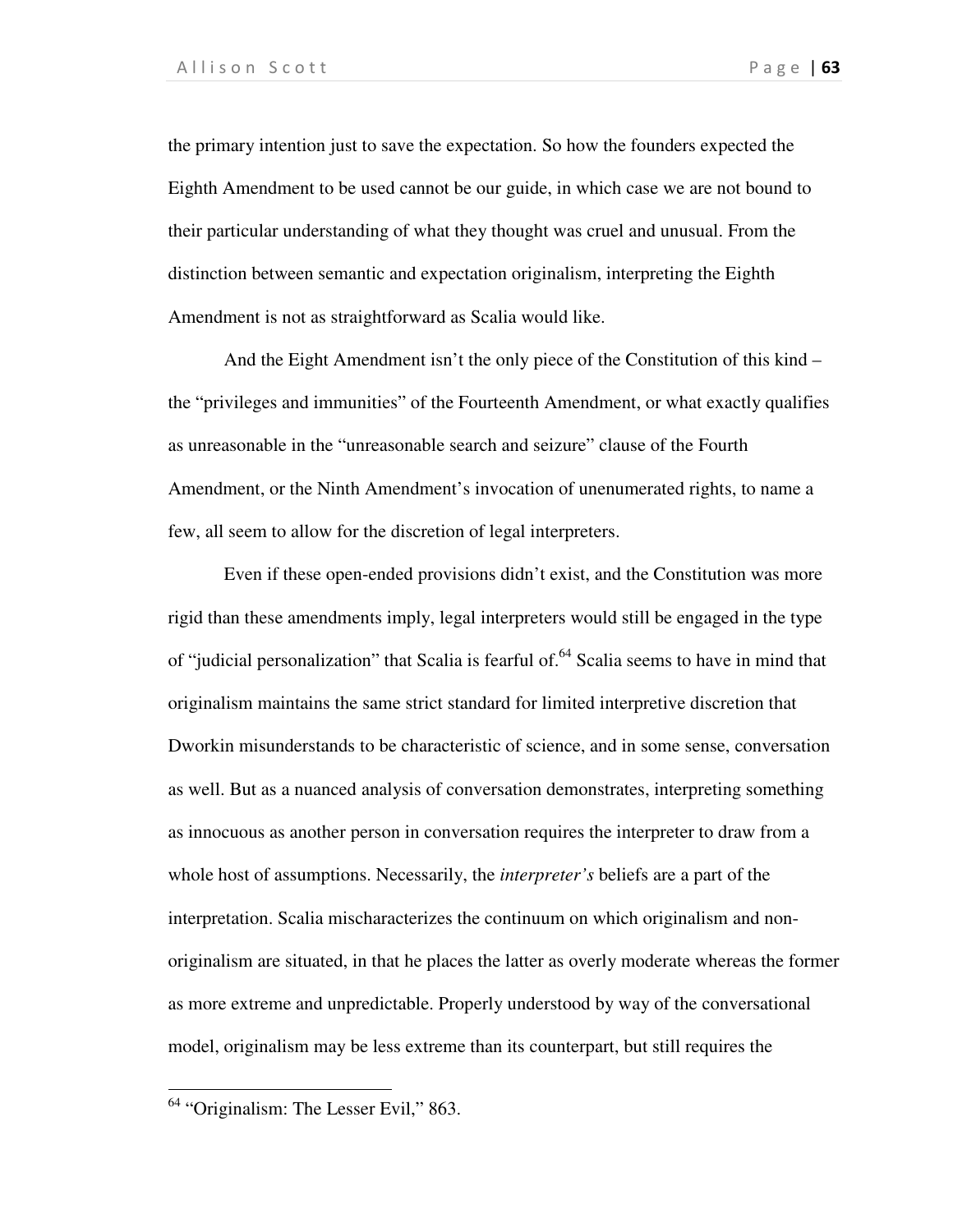the primary intention just to save the expectation. So how the founders expected the Eighth Amendment to be used cannot be our guide, in which case we are not bound to their particular understanding of what they thought was cruel and unusual. From the distinction between semantic and expectation originalism, interpreting the Eighth Amendment is not as straightforward as Scalia would like.

And the Eight Amendment isn't the only piece of the Constitution of this kind – the "privileges and immunities" of the Fourteenth Amendment, or what exactly qualifies as unreasonable in the "unreasonable search and seizure" clause of the Fourth Amendment, or the Ninth Amendment's invocation of unenumerated rights, to name a few, all seem to allow for the discretion of legal interpreters.

Even if these open-ended provisions didn't exist, and the Constitution was more rigid than these amendments imply, legal interpreters would still be engaged in the type of "judicial personalization" that Scalia is fearful of.<sup>64</sup> Scalia seems to have in mind that originalism maintains the same strict standard for limited interpretive discretion that Dworkin misunderstands to be characteristic of science, and in some sense, conversation as well. But as a nuanced analysis of conversation demonstrates, interpreting something as innocuous as another person in conversation requires the interpreter to draw from a whole host of assumptions. Necessarily, the *interpreter's* beliefs are a part of the interpretation. Scalia mischaracterizes the continuum on which originalism and nonoriginalism are situated, in that he places the latter as overly moderate whereas the former as more extreme and unpredictable. Properly understood by way of the conversational model, originalism may be less extreme than its counterpart, but still requires the

1

<sup>&</sup>lt;sup>64</sup> "Originalism: The Lesser Evil," 863.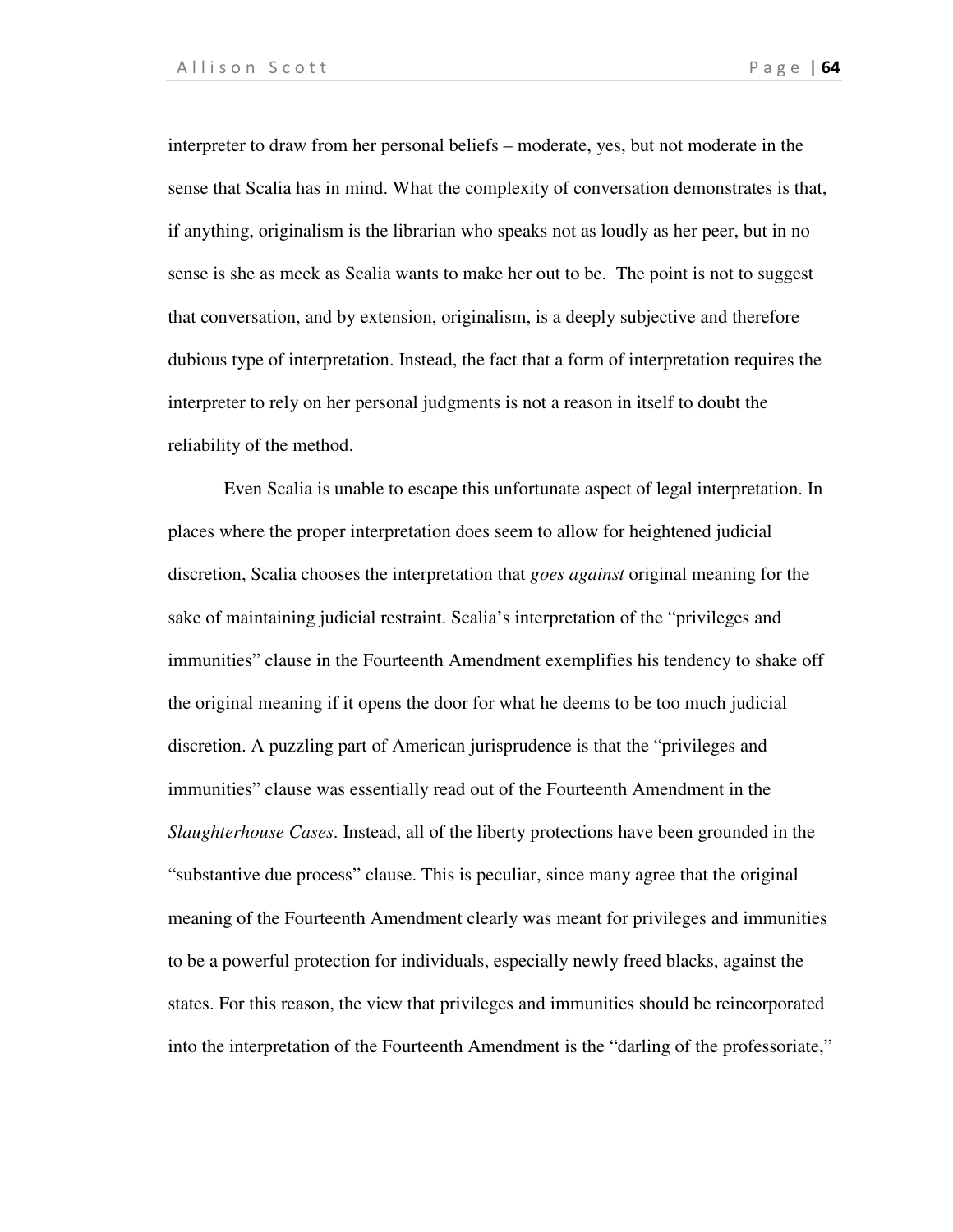interpreter to draw from her personal beliefs – moderate, yes, but not moderate in the sense that Scalia has in mind. What the complexity of conversation demonstrates is that, if anything, originalism is the librarian who speaks not as loudly as her peer, but in no sense is she as meek as Scalia wants to make her out to be. The point is not to suggest that conversation, and by extension, originalism, is a deeply subjective and therefore dubious type of interpretation. Instead, the fact that a form of interpretation requires the interpreter to rely on her personal judgments is not a reason in itself to doubt the reliability of the method.

Even Scalia is unable to escape this unfortunate aspect of legal interpretation. In places where the proper interpretation does seem to allow for heightened judicial discretion, Scalia chooses the interpretation that *goes against* original meaning for the sake of maintaining judicial restraint. Scalia's interpretation of the "privileges and immunities" clause in the Fourteenth Amendment exemplifies his tendency to shake off the original meaning if it opens the door for what he deems to be too much judicial discretion. A puzzling part of American jurisprudence is that the "privileges and immunities" clause was essentially read out of the Fourteenth Amendment in the *Slaughterhouse Cases*. Instead, all of the liberty protections have been grounded in the "substantive due process" clause. This is peculiar, since many agree that the original meaning of the Fourteenth Amendment clearly was meant for privileges and immunities to be a powerful protection for individuals, especially newly freed blacks, against the states. For this reason, the view that privileges and immunities should be reincorporated into the interpretation of the Fourteenth Amendment is the "darling of the professoriate,"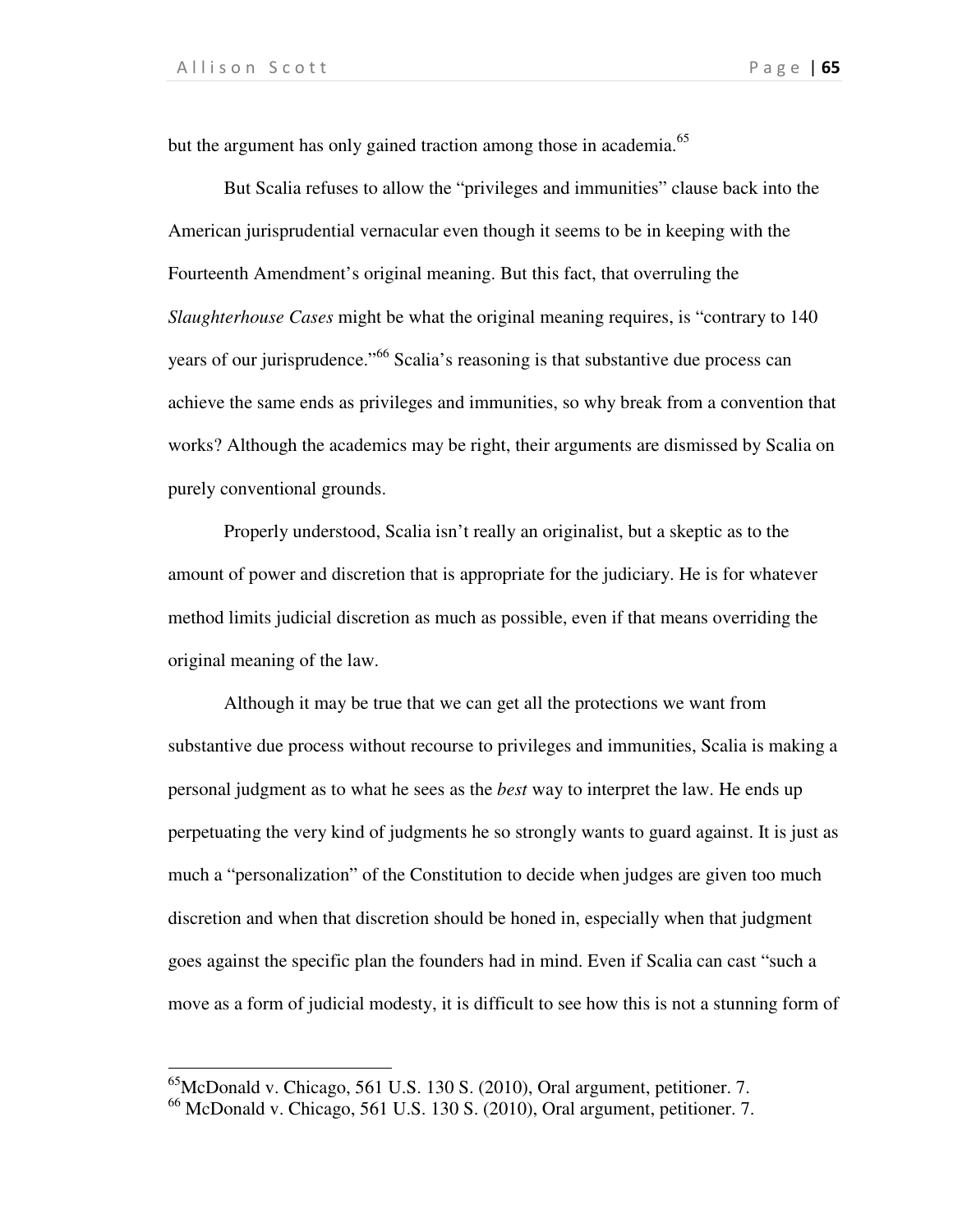$\overline{a}$ 

but the argument has only gained traction among those in academia.<sup>65</sup>

 But Scalia refuses to allow the "privileges and immunities" clause back into the American jurisprudential vernacular even though it seems to be in keeping with the Fourteenth Amendment's original meaning. But this fact, that overruling the *Slaughterhouse Cases* might be what the original meaning requires, is "contrary to 140 years of our jurisprudence."<sup>66</sup> Scalia's reasoning is that substantive due process can achieve the same ends as privileges and immunities, so why break from a convention that works? Although the academics may be right, their arguments are dismissed by Scalia on purely conventional grounds.

 Properly understood, Scalia isn't really an originalist, but a skeptic as to the amount of power and discretion that is appropriate for the judiciary. He is for whatever method limits judicial discretion as much as possible, even if that means overriding the original meaning of the law.

Although it may be true that we can get all the protections we want from substantive due process without recourse to privileges and immunities, Scalia is making a personal judgment as to what he sees as the *best* way to interpret the law. He ends up perpetuating the very kind of judgments he so strongly wants to guard against. It is just as much a "personalization" of the Constitution to decide when judges are given too much discretion and when that discretion should be honed in, especially when that judgment goes against the specific plan the founders had in mind. Even if Scalia can cast "such a move as a form of judicial modesty, it is difficult to see how this is not a stunning form of

 $^{65}$ McDonald v. Chicago, 561 U.S. 130 S. (2010), Oral argument, petitioner. 7.

 $^{66}$  McDonald v. Chicago, 561 U.S. 130 S. (2010), Oral argument, petitioner. 7.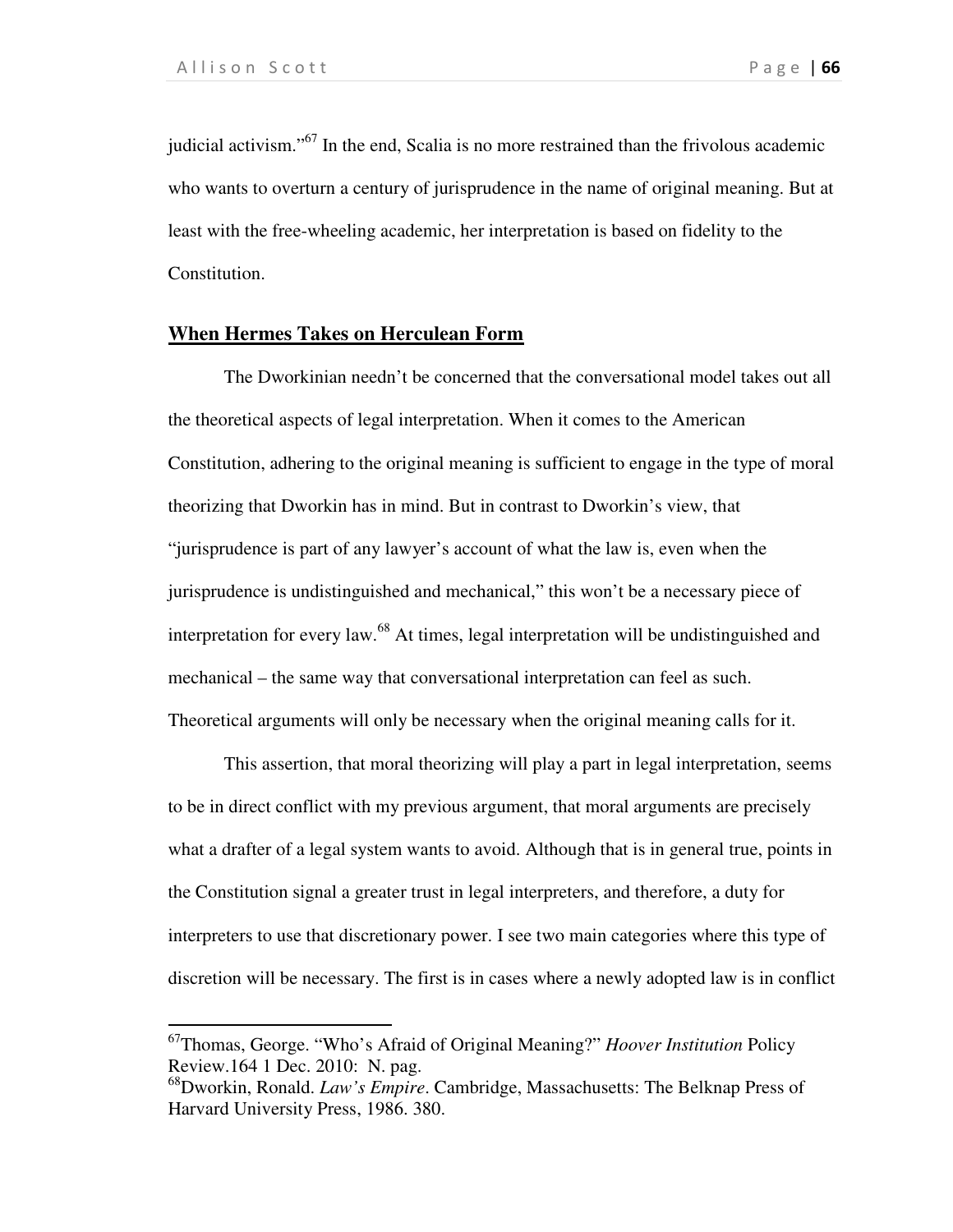l

judicial activism."<sup>67</sup> In the end, Scalia is no more restrained than the frivolous academic who wants to overturn a century of jurisprudence in the name of original meaning. But at least with the free-wheeling academic, her interpretation is based on fidelity to the Constitution.

## **When Hermes Takes on Herculean Form**

The Dworkinian needn't be concerned that the conversational model takes out all the theoretical aspects of legal interpretation. When it comes to the American Constitution, adhering to the original meaning is sufficient to engage in the type of moral theorizing that Dworkin has in mind. But in contrast to Dworkin's view, that "jurisprudence is part of any lawyer's account of what the law is, even when the jurisprudence is undistinguished and mechanical," this won't be a necessary piece of interpretation for every law.<sup>68</sup> At times, legal interpretation will be undistinguished and mechanical – the same way that conversational interpretation can feel as such. Theoretical arguments will only be necessary when the original meaning calls for it.

 This assertion, that moral theorizing will play a part in legal interpretation, seems to be in direct conflict with my previous argument, that moral arguments are precisely what a drafter of a legal system wants to avoid. Although that is in general true, points in the Constitution signal a greater trust in legal interpreters, and therefore, a duty for interpreters to use that discretionary power. I see two main categories where this type of discretion will be necessary. The first is in cases where a newly adopted law is in conflict

<sup>67</sup>Thomas, George. "Who's Afraid of Original Meaning?" *Hoover Institution* Policy Review.164 1 Dec. 2010: N. pag.

<sup>68</sup>Dworkin, Ronald. *Law's Empire*. Cambridge, Massachusetts: The Belknap Press of Harvard University Press, 1986. 380.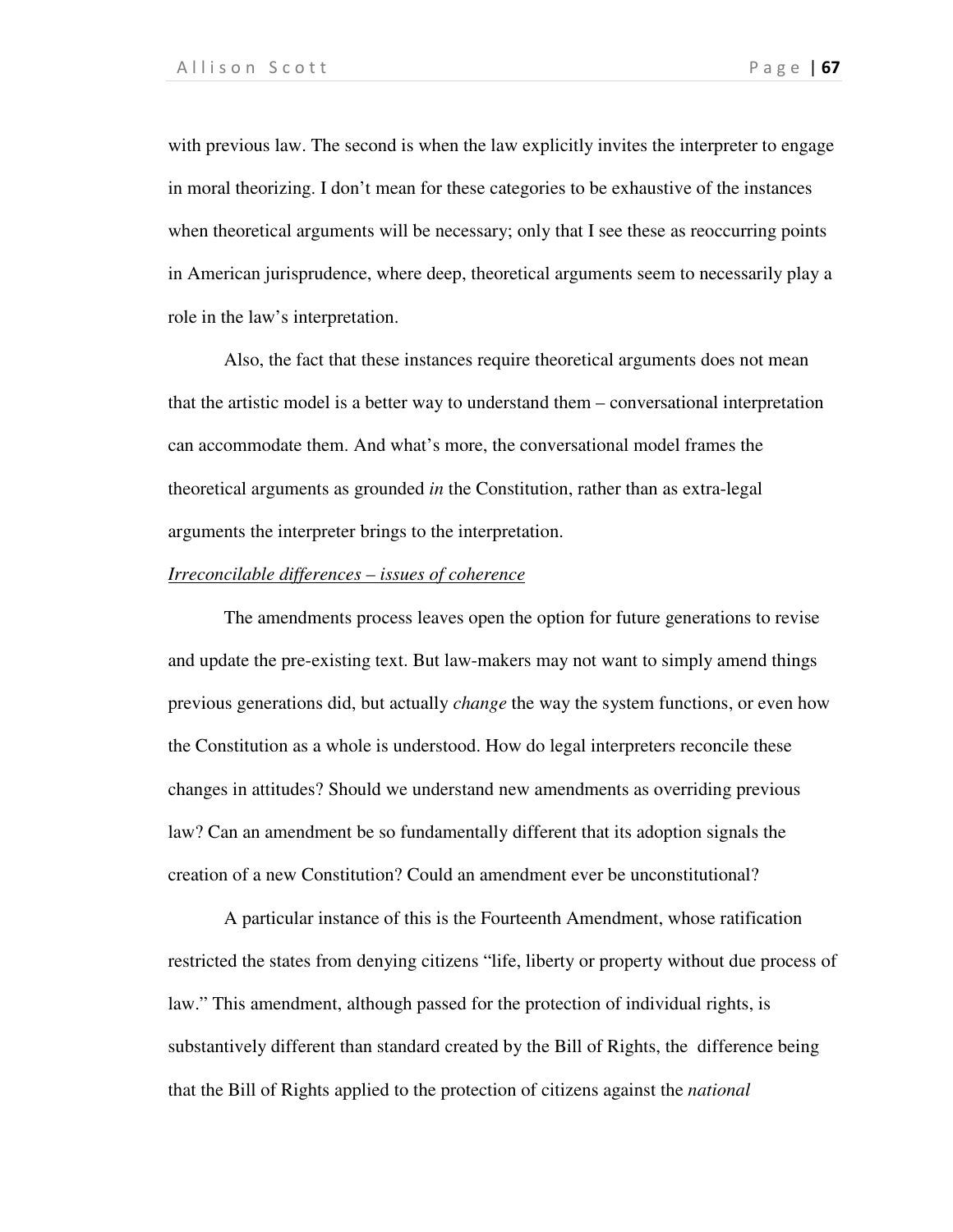with previous law. The second is when the law explicitly invites the interpreter to engage in moral theorizing. I don't mean for these categories to be exhaustive of the instances when theoretical arguments will be necessary; only that I see these as reoccurring points in American jurisprudence, where deep, theoretical arguments seem to necessarily play a role in the law's interpretation.

 Also, the fact that these instances require theoretical arguments does not mean that the artistic model is a better way to understand them – conversational interpretation can accommodate them. And what's more, the conversational model frames the theoretical arguments as grounded *in* the Constitution, rather than as extra-legal arguments the interpreter brings to the interpretation.

#### *Irreconcilable differences – issues of coherence*

The amendments process leaves open the option for future generations to revise and update the pre-existing text. But law-makers may not want to simply amend things previous generations did, but actually *change* the way the system functions, or even how the Constitution as a whole is understood. How do legal interpreters reconcile these changes in attitudes? Should we understand new amendments as overriding previous law? Can an amendment be so fundamentally different that its adoption signals the creation of a new Constitution? Could an amendment ever be unconstitutional?

A particular instance of this is the Fourteenth Amendment, whose ratification restricted the states from denying citizens "life, liberty or property without due process of law." This amendment, although passed for the protection of individual rights, is substantively different than standard created by the Bill of Rights, the difference being that the Bill of Rights applied to the protection of citizens against the *national*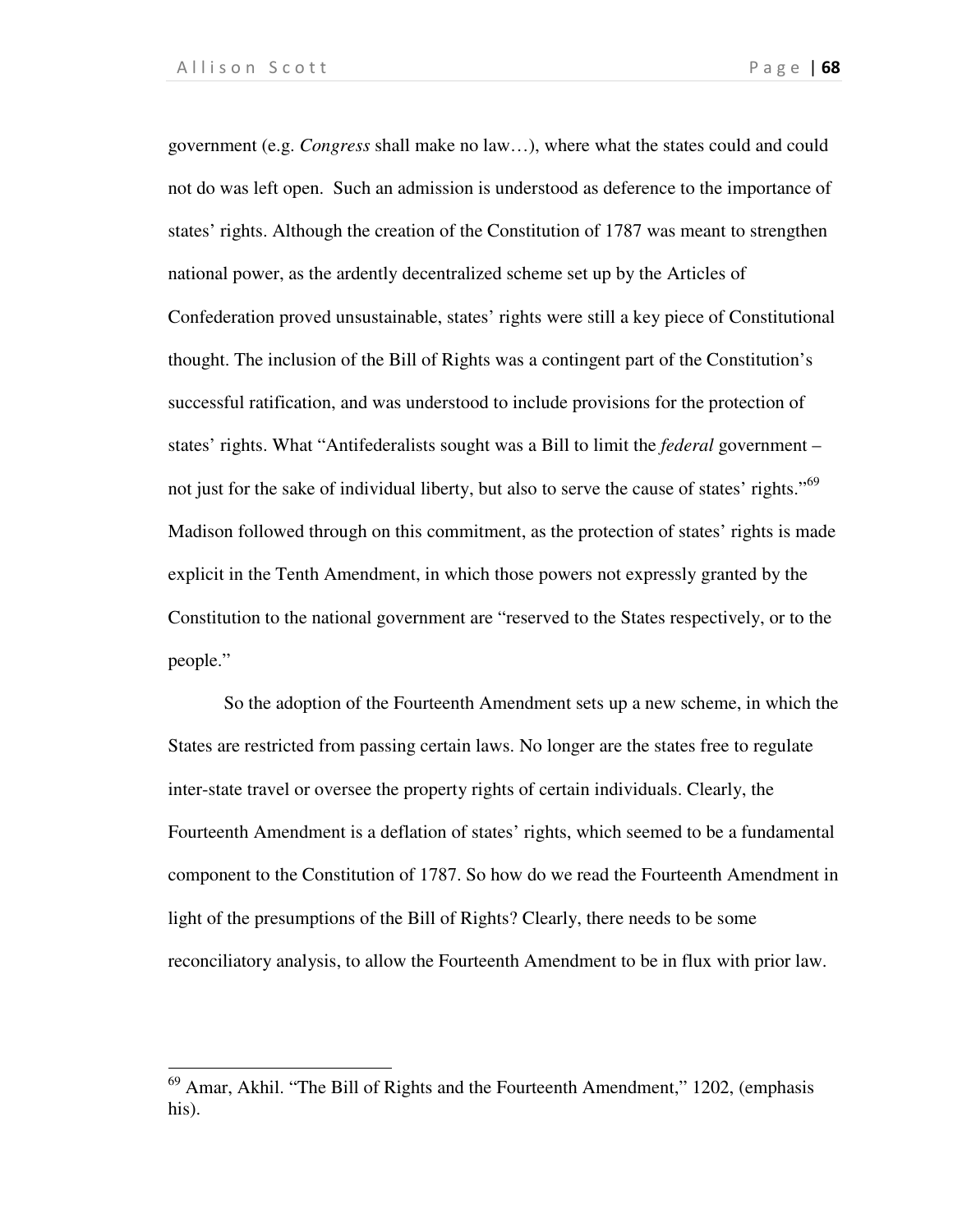1

government (e.g. *Congress* shall make no law…), where what the states could and could not do was left open. Such an admission is understood as deference to the importance of states' rights. Although the creation of the Constitution of 1787 was meant to strengthen national power, as the ardently decentralized scheme set up by the Articles of Confederation proved unsustainable, states' rights were still a key piece of Constitutional thought. The inclusion of the Bill of Rights was a contingent part of the Constitution's successful ratification, and was understood to include provisions for the protection of states' rights. What "Antifederalists sought was a Bill to limit the *federal* government – not just for the sake of individual liberty, but also to serve the cause of states' rights."<sup>69</sup> Madison followed through on this commitment, as the protection of states' rights is made explicit in the Tenth Amendment, in which those powers not expressly granted by the Constitution to the national government are "reserved to the States respectively, or to the people."

So the adoption of the Fourteenth Amendment sets up a new scheme, in which the States are restricted from passing certain laws. No longer are the states free to regulate inter-state travel or oversee the property rights of certain individuals. Clearly, the Fourteenth Amendment is a deflation of states' rights, which seemed to be a fundamental component to the Constitution of 1787. So how do we read the Fourteenth Amendment in light of the presumptions of the Bill of Rights? Clearly, there needs to be some reconciliatory analysis, to allow the Fourteenth Amendment to be in flux with prior law.

<sup>&</sup>lt;sup>69</sup> Amar, Akhil. "The Bill of Rights and the Fourteenth Amendment," 1202, (emphasis his).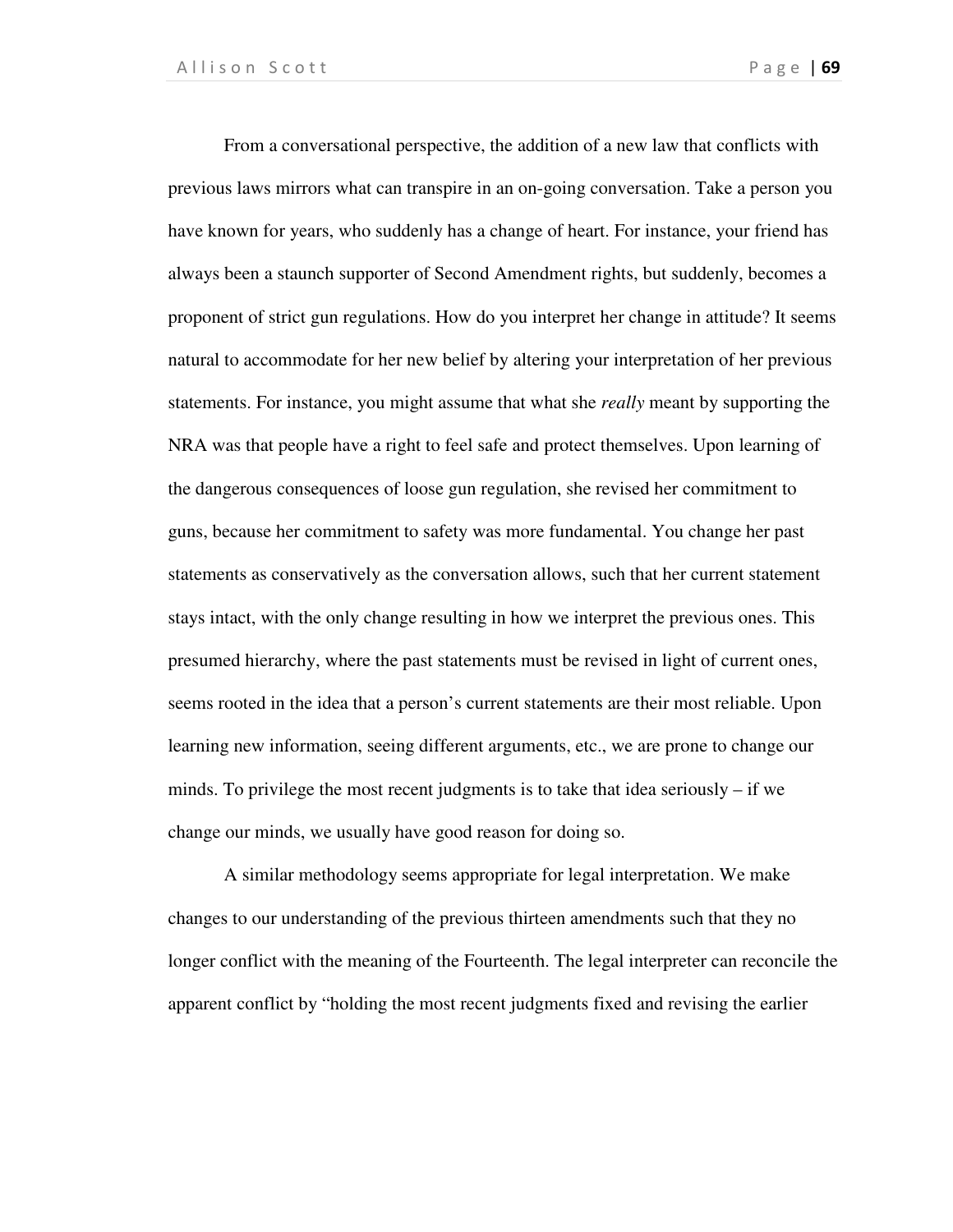From a conversational perspective, the addition of a new law that conflicts with previous laws mirrors what can transpire in an on-going conversation. Take a person you have known for years, who suddenly has a change of heart. For instance, your friend has always been a staunch supporter of Second Amendment rights, but suddenly, becomes a proponent of strict gun regulations. How do you interpret her change in attitude? It seems natural to accommodate for her new belief by altering your interpretation of her previous statements. For instance, you might assume that what she *really* meant by supporting the NRA was that people have a right to feel safe and protect themselves. Upon learning of the dangerous consequences of loose gun regulation, she revised her commitment to guns, because her commitment to safety was more fundamental. You change her past statements as conservatively as the conversation allows, such that her current statement stays intact, with the only change resulting in how we interpret the previous ones. This presumed hierarchy, where the past statements must be revised in light of current ones, seems rooted in the idea that a person's current statements are their most reliable. Upon learning new information, seeing different arguments, etc., we are prone to change our minds. To privilege the most recent judgments is to take that idea seriously – if we change our minds, we usually have good reason for doing so.

A similar methodology seems appropriate for legal interpretation. We make changes to our understanding of the previous thirteen amendments such that they no longer conflict with the meaning of the Fourteenth. The legal interpreter can reconcile the apparent conflict by "holding the most recent judgments fixed and revising the earlier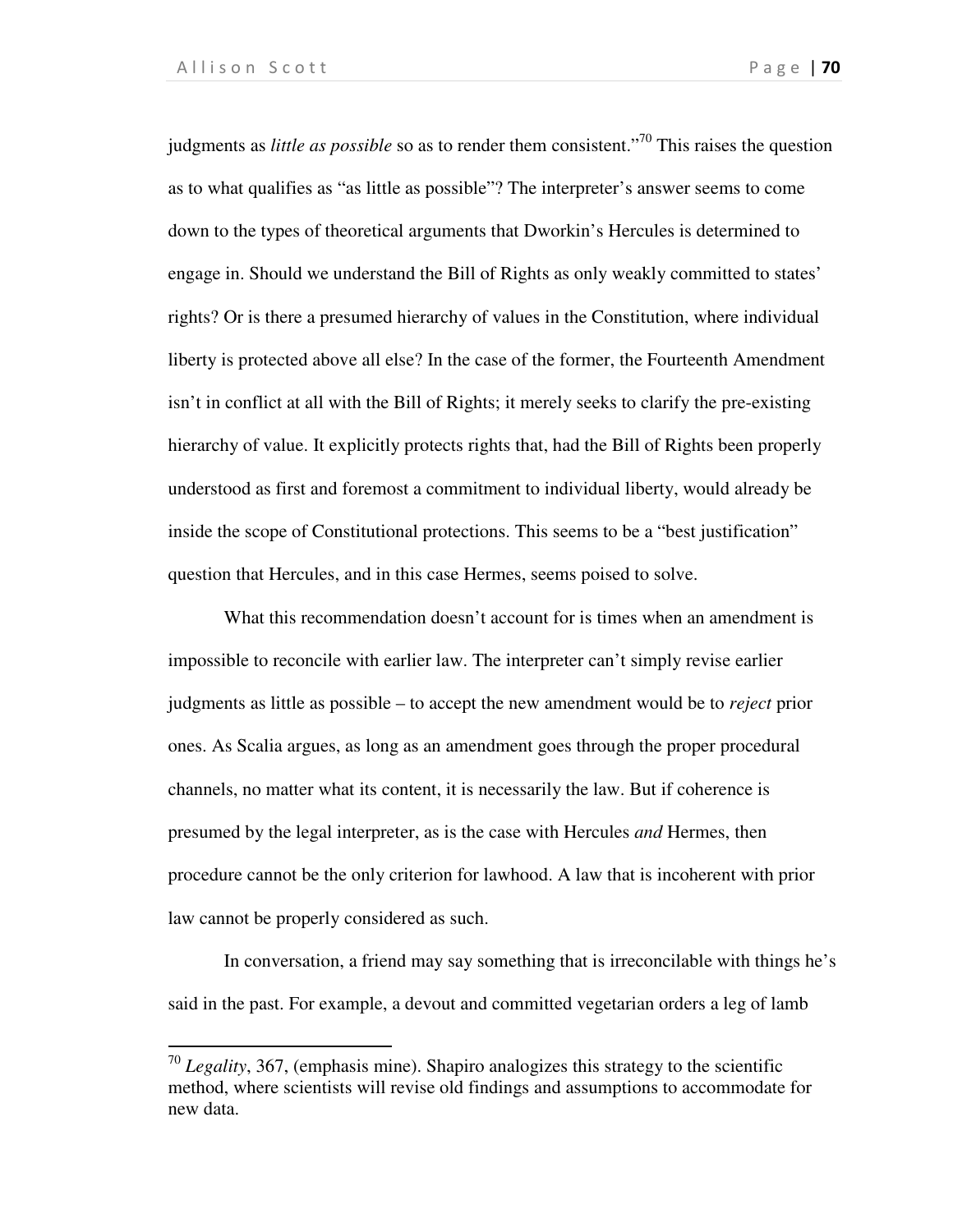l

judgments as *little as possible* so as to render them consistent."<sup>70</sup> This raises the question as to what qualifies as "as little as possible"? The interpreter's answer seems to come down to the types of theoretical arguments that Dworkin's Hercules is determined to engage in. Should we understand the Bill of Rights as only weakly committed to states' rights? Or is there a presumed hierarchy of values in the Constitution, where individual liberty is protected above all else? In the case of the former, the Fourteenth Amendment isn't in conflict at all with the Bill of Rights; it merely seeks to clarify the pre-existing hierarchy of value. It explicitly protects rights that, had the Bill of Rights been properly understood as first and foremost a commitment to individual liberty, would already be inside the scope of Constitutional protections. This seems to be a "best justification" question that Hercules, and in this case Hermes, seems poised to solve.

What this recommendation doesn't account for is times when an amendment is impossible to reconcile with earlier law. The interpreter can't simply revise earlier judgments as little as possible – to accept the new amendment would be to *reject* prior ones. As Scalia argues, as long as an amendment goes through the proper procedural channels, no matter what its content, it is necessarily the law. But if coherence is presumed by the legal interpreter, as is the case with Hercules *and* Hermes, then procedure cannot be the only criterion for lawhood. A law that is incoherent with prior law cannot be properly considered as such.

In conversation, a friend may say something that is irreconcilable with things he's said in the past. For example, a devout and committed vegetarian orders a leg of lamb

<sup>70</sup> *Legality*, 367, (emphasis mine). Shapiro analogizes this strategy to the scientific method, where scientists will revise old findings and assumptions to accommodate for new data.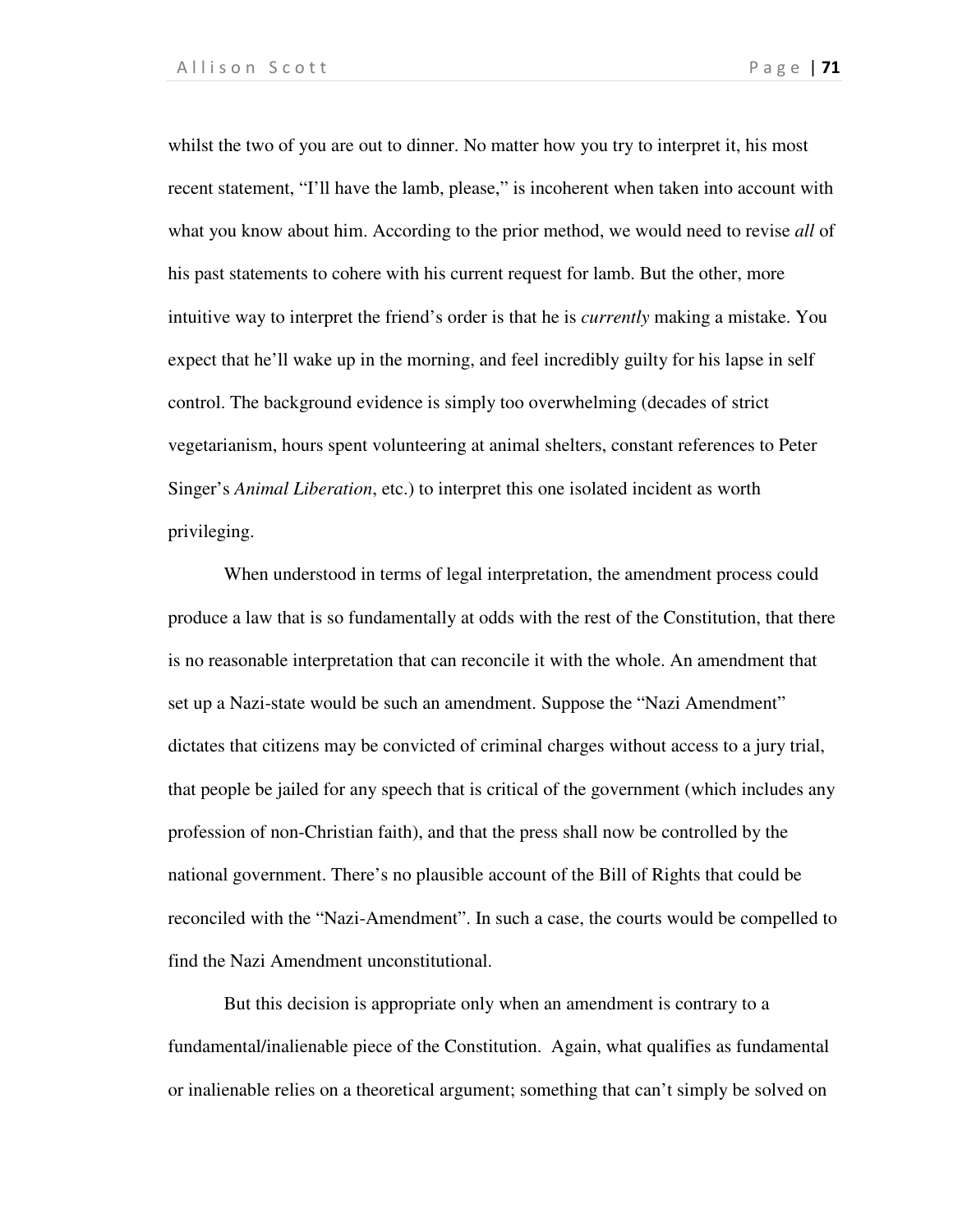whilst the two of you are out to dinner. No matter how you try to interpret it, his most recent statement, "I'll have the lamb, please," is incoherent when taken into account with what you know about him. According to the prior method, we would need to revise *all* of his past statements to cohere with his current request for lamb. But the other, more intuitive way to interpret the friend's order is that he is *currently* making a mistake. You expect that he'll wake up in the morning, and feel incredibly guilty for his lapse in self control. The background evidence is simply too overwhelming (decades of strict vegetarianism, hours spent volunteering at animal shelters, constant references to Peter Singer's *Animal Liberation*, etc.) to interpret this one isolated incident as worth privileging.

When understood in terms of legal interpretation, the amendment process could produce a law that is so fundamentally at odds with the rest of the Constitution, that there is no reasonable interpretation that can reconcile it with the whole. An amendment that set up a Nazi-state would be such an amendment. Suppose the "Nazi Amendment" dictates that citizens may be convicted of criminal charges without access to a jury trial, that people be jailed for any speech that is critical of the government (which includes any profession of non-Christian faith), and that the press shall now be controlled by the national government. There's no plausible account of the Bill of Rights that could be reconciled with the "Nazi-Amendment". In such a case, the courts would be compelled to find the Nazi Amendment unconstitutional.

But this decision is appropriate only when an amendment is contrary to a fundamental/inalienable piece of the Constitution. Again, what qualifies as fundamental or inalienable relies on a theoretical argument; something that can't simply be solved on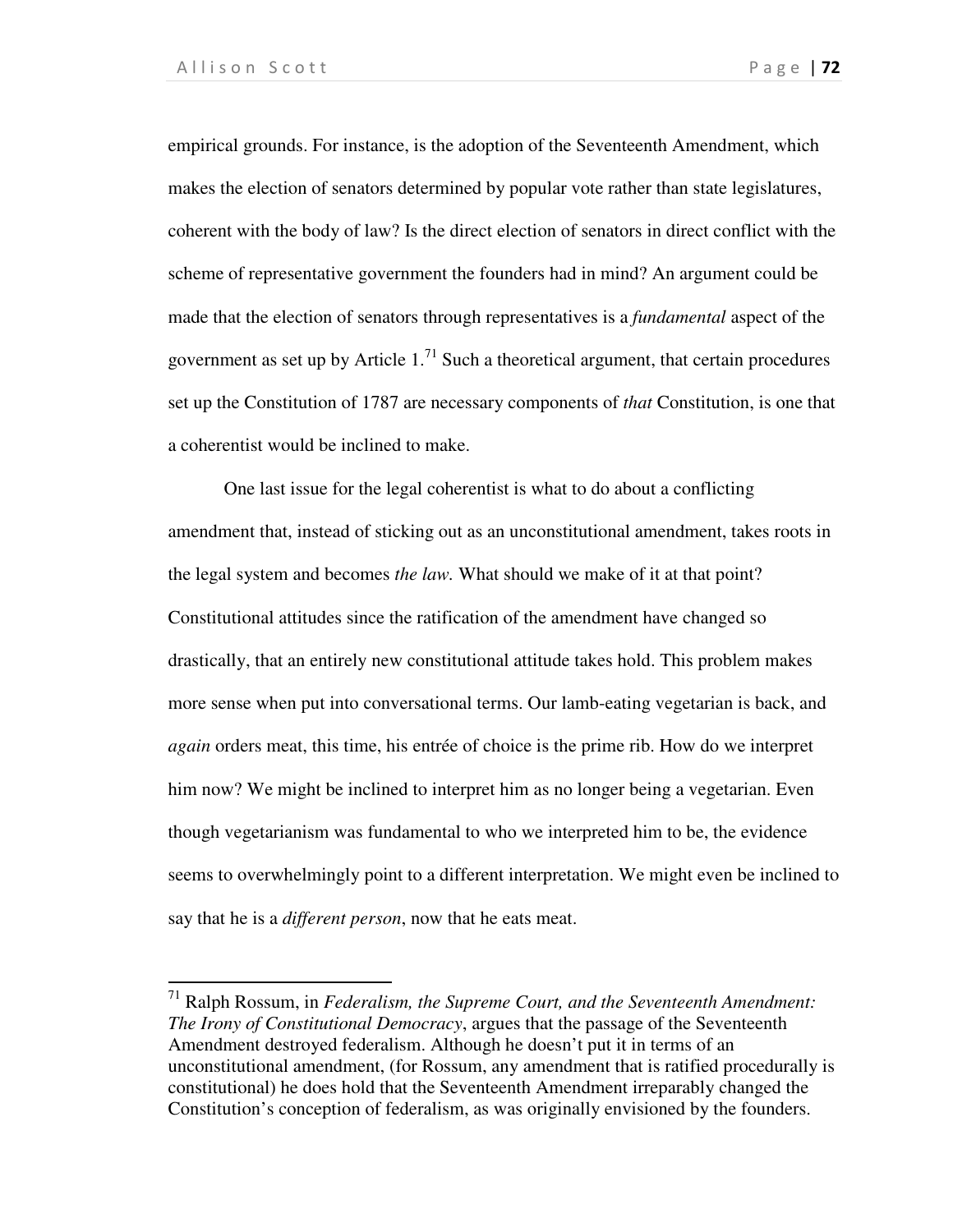$\overline{a}$ 

empirical grounds. For instance, is the adoption of the Seventeenth Amendment, which makes the election of senators determined by popular vote rather than state legislatures, coherent with the body of law? Is the direct election of senators in direct conflict with the scheme of representative government the founders had in mind? An argument could be made that the election of senators through representatives is a *fundamental* aspect of the government as set up by Article  $1<sup>71</sup>$  Such a theoretical argument, that certain procedures set up the Constitution of 1787 are necessary components of *that* Constitution, is one that a coherentist would be inclined to make.

One last issue for the legal coherentist is what to do about a conflicting amendment that, instead of sticking out as an unconstitutional amendment, takes roots in the legal system and becomes *the law.* What should we make of it at that point? Constitutional attitudes since the ratification of the amendment have changed so drastically, that an entirely new constitutional attitude takes hold. This problem makes more sense when put into conversational terms. Our lamb-eating vegetarian is back, and *again* orders meat, this time, his entrée of choice is the prime rib. How do we interpret him now? We might be inclined to interpret him as no longer being a vegetarian. Even though vegetarianism was fundamental to who we interpreted him to be, the evidence seems to overwhelmingly point to a different interpretation. We might even be inclined to say that he is a *different person*, now that he eats meat.

<sup>71</sup> Ralph Rossum, in *Federalism, the Supreme Court, and the Seventeenth Amendment: The Irony of Constitutional Democracy*, argues that the passage of the Seventeenth Amendment destroyed federalism. Although he doesn't put it in terms of an unconstitutional amendment, (for Rossum, any amendment that is ratified procedurally is constitutional) he does hold that the Seventeenth Amendment irreparably changed the Constitution's conception of federalism, as was originally envisioned by the founders.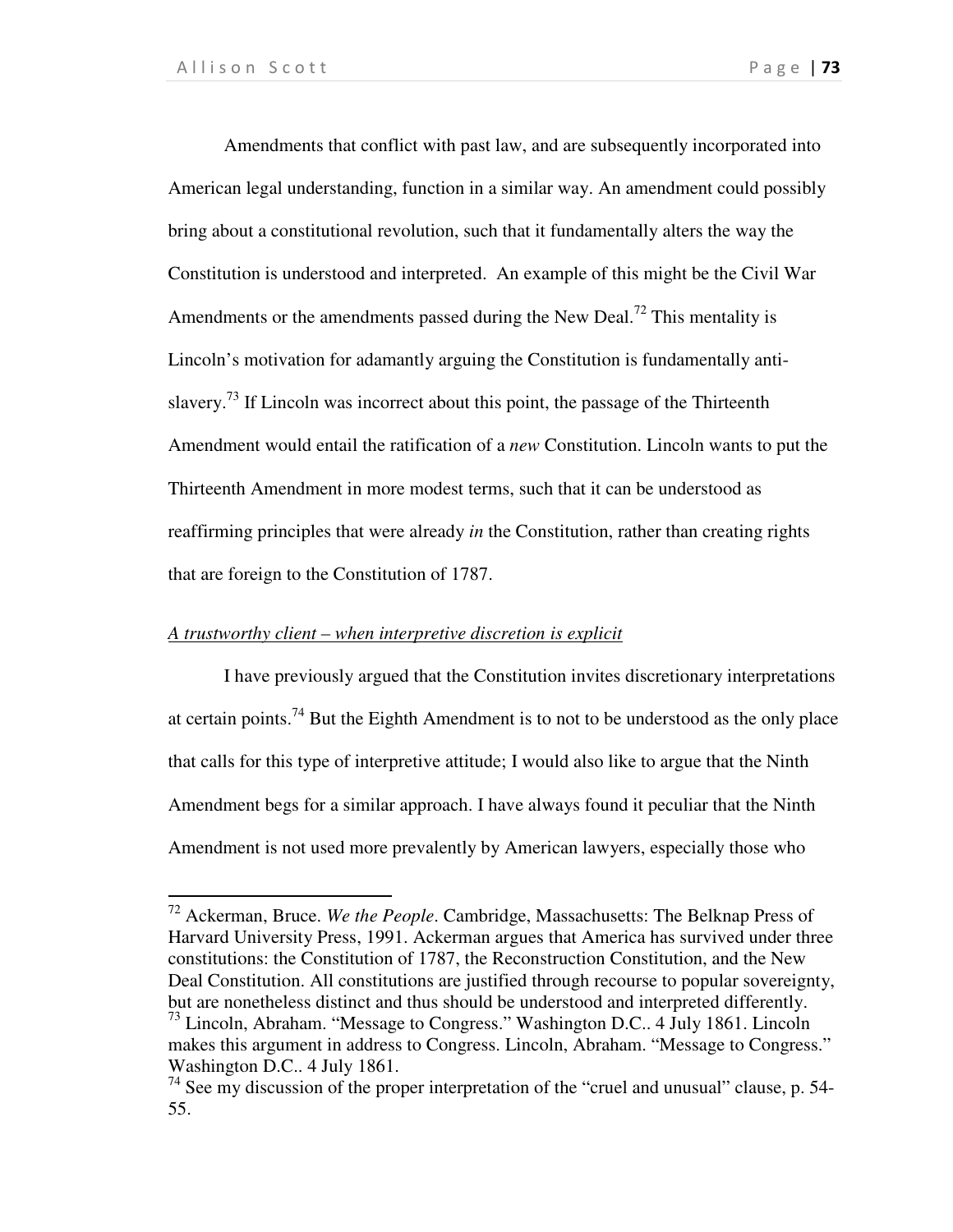l

Amendments that conflict with past law, and are subsequently incorporated into American legal understanding, function in a similar way. An amendment could possibly bring about a constitutional revolution, such that it fundamentally alters the way the Constitution is understood and interpreted. An example of this might be the Civil War Amendments or the amendments passed during the New Deal.<sup>72</sup> This mentality is Lincoln's motivation for adamantly arguing the Constitution is fundamentally antislavery.<sup>73</sup> If Lincoln was incorrect about this point, the passage of the Thirteenth Amendment would entail the ratification of a *new* Constitution. Lincoln wants to put the Thirteenth Amendment in more modest terms, such that it can be understood as reaffirming principles that were already *in* the Constitution, rather than creating rights that are foreign to the Constitution of 1787.

### *A trustworthy client – when interpretive discretion is explicit*

I have previously argued that the Constitution invites discretionary interpretations at certain points.<sup>74</sup> But the Eighth Amendment is to not to be understood as the only place that calls for this type of interpretive attitude; I would also like to argue that the Ninth Amendment begs for a similar approach. I have always found it peculiar that the Ninth Amendment is not used more prevalently by American lawyers, especially those who

<sup>72</sup> Ackerman, Bruce. *We the People*. Cambridge, Massachusetts: The Belknap Press of Harvard University Press, 1991. Ackerman argues that America has survived under three constitutions: the Constitution of 1787, the Reconstruction Constitution, and the New Deal Constitution. All constitutions are justified through recourse to popular sovereignty, but are nonetheless distinct and thus should be understood and interpreted differently. <sup>73</sup> Lincoln, Abraham. "Message to Congress." Washington D.C.. 4 July 1861. Lincoln makes this argument in address to Congress. Lincoln, Abraham. "Message to Congress." Washington D.C.. 4 July 1861.

 $74$  See my discussion of the proper interpretation of the "cruel and unusual" clause, p. 54-55.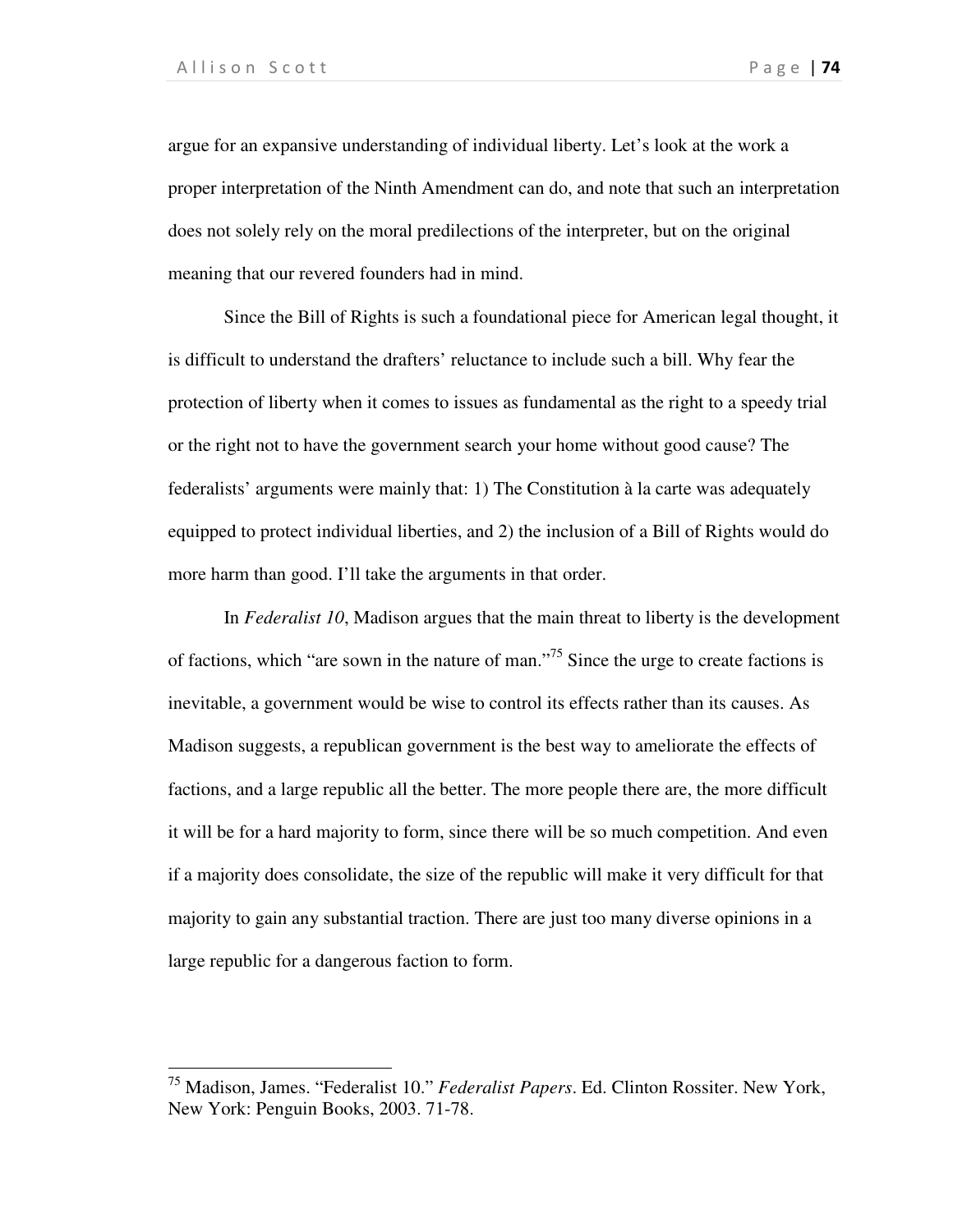$\overline{a}$ 

argue for an expansive understanding of individual liberty. Let's look at the work a proper interpretation of the Ninth Amendment can do, and note that such an interpretation does not solely rely on the moral predilections of the interpreter, but on the original meaning that our revered founders had in mind.

Since the Bill of Rights is such a foundational piece for American legal thought, it is difficult to understand the drafters' reluctance to include such a bill. Why fear the protection of liberty when it comes to issues as fundamental as the right to a speedy trial or the right not to have the government search your home without good cause? The federalists' arguments were mainly that: 1) The Constitution à la carte was adequately equipped to protect individual liberties, and 2) the inclusion of a Bill of Rights would do more harm than good. I'll take the arguments in that order.

In *Federalist 10*, Madison argues that the main threat to liberty is the development of factions, which "are sown in the nature of man."<sup>75</sup> Since the urge to create factions is inevitable, a government would be wise to control its effects rather than its causes. As Madison suggests, a republican government is the best way to ameliorate the effects of factions, and a large republic all the better. The more people there are, the more difficult it will be for a hard majority to form, since there will be so much competition. And even if a majority does consolidate, the size of the republic will make it very difficult for that majority to gain any substantial traction. There are just too many diverse opinions in a large republic for a dangerous faction to form.

<sup>75</sup> Madison, James. "Federalist 10." *Federalist Papers*. Ed. Clinton Rossiter. New York, New York: Penguin Books, 2003. 71-78.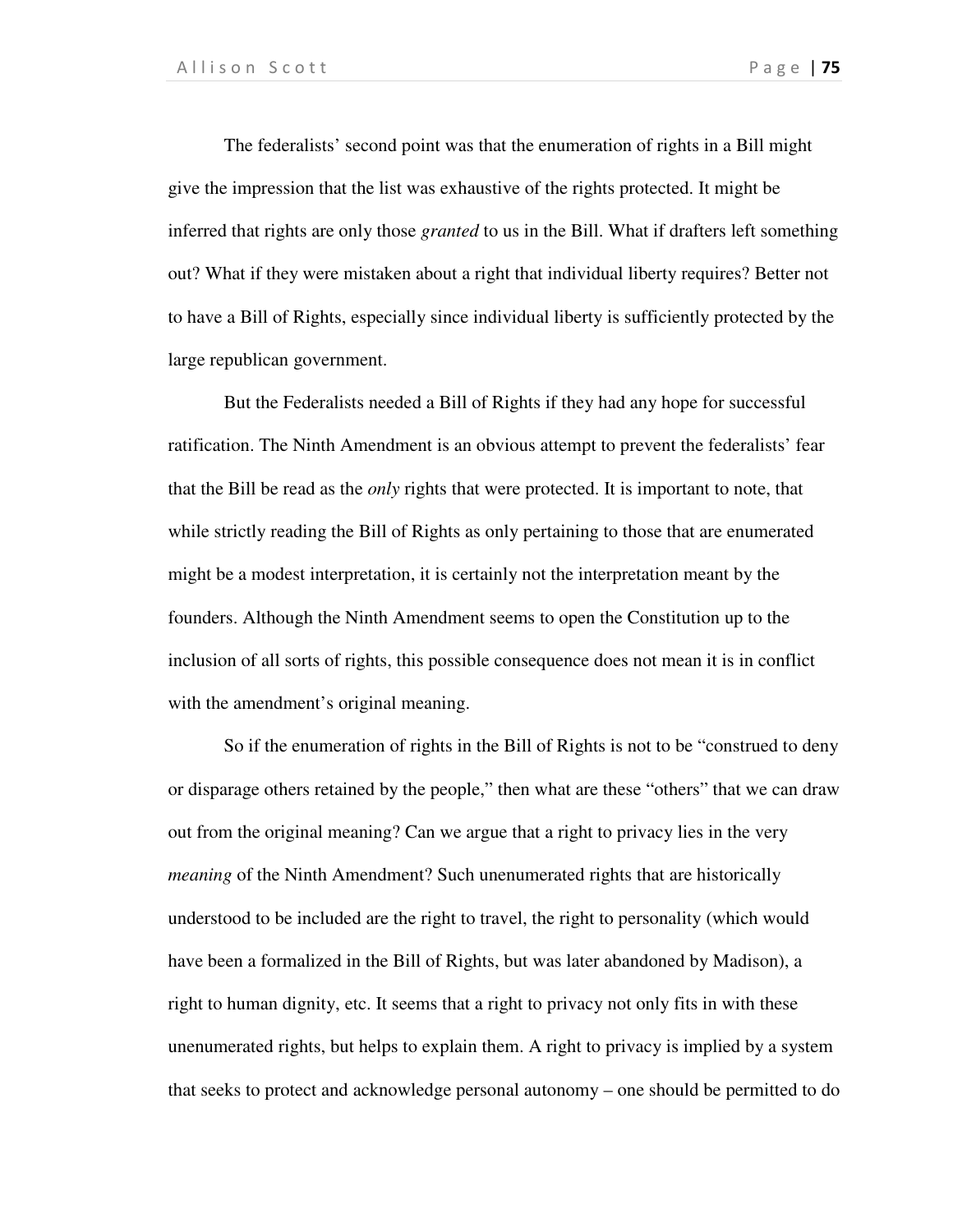The federalists' second point was that the enumeration of rights in a Bill might give the impression that the list was exhaustive of the rights protected. It might be inferred that rights are only those *granted* to us in the Bill. What if drafters left something out? What if they were mistaken about a right that individual liberty requires? Better not to have a Bill of Rights, especially since individual liberty is sufficiently protected by the large republican government.

But the Federalists needed a Bill of Rights if they had any hope for successful ratification. The Ninth Amendment is an obvious attempt to prevent the federalists' fear that the Bill be read as the *only* rights that were protected. It is important to note, that while strictly reading the Bill of Rights as only pertaining to those that are enumerated might be a modest interpretation, it is certainly not the interpretation meant by the founders. Although the Ninth Amendment seems to open the Constitution up to the inclusion of all sorts of rights, this possible consequence does not mean it is in conflict with the amendment's original meaning.

So if the enumeration of rights in the Bill of Rights is not to be "construed to deny or disparage others retained by the people," then what are these "others" that we can draw out from the original meaning? Can we argue that a right to privacy lies in the very *meaning* of the Ninth Amendment? Such unenumerated rights that are historically understood to be included are the right to travel, the right to personality (which would have been a formalized in the Bill of Rights, but was later abandoned by Madison), a right to human dignity, etc. It seems that a right to privacy not only fits in with these unenumerated rights, but helps to explain them. A right to privacy is implied by a system that seeks to protect and acknowledge personal autonomy – one should be permitted to do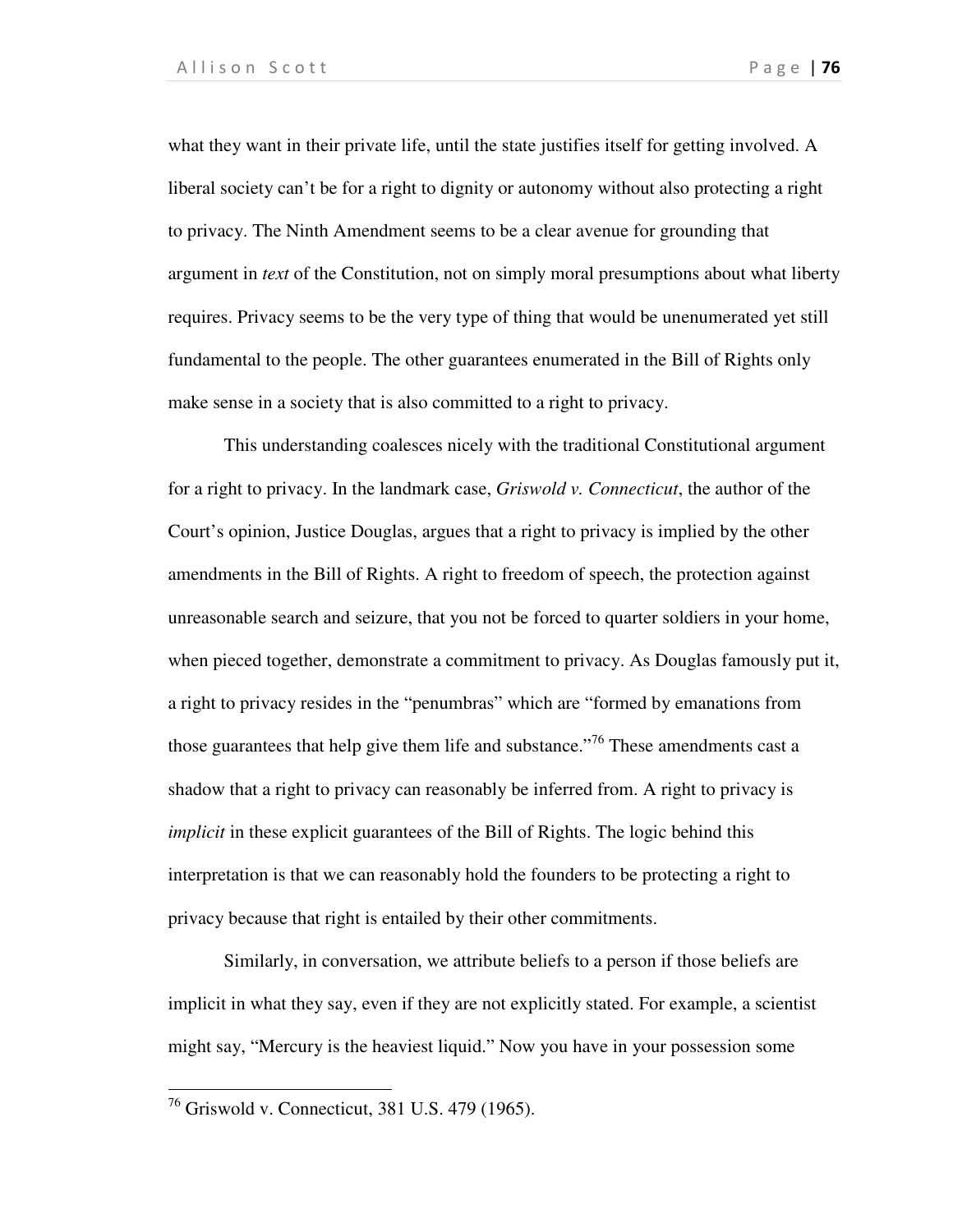what they want in their private life, until the state justifies itself for getting involved. A liberal society can't be for a right to dignity or autonomy without also protecting a right to privacy. The Ninth Amendment seems to be a clear avenue for grounding that argument in *text* of the Constitution, not on simply moral presumptions about what liberty requires. Privacy seems to be the very type of thing that would be unenumerated yet still fundamental to the people. The other guarantees enumerated in the Bill of Rights only make sense in a society that is also committed to a right to privacy.

This understanding coalesces nicely with the traditional Constitutional argument for a right to privacy. In the landmark case, *Griswold v. Connecticut*, the author of the Court's opinion, Justice Douglas, argues that a right to privacy is implied by the other amendments in the Bill of Rights. A right to freedom of speech, the protection against unreasonable search and seizure, that you not be forced to quarter soldiers in your home, when pieced together, demonstrate a commitment to privacy. As Douglas famously put it, a right to privacy resides in the "penumbras" which are "formed by emanations from those guarantees that help give them life and substance.<sup>"76</sup> These amendments cast a shadow that a right to privacy can reasonably be inferred from. A right to privacy is *implicit* in these explicit guarantees of the Bill of Rights. The logic behind this interpretation is that we can reasonably hold the founders to be protecting a right to privacy because that right is entailed by their other commitments.

Similarly, in conversation, we attribute beliefs to a person if those beliefs are implicit in what they say, even if they are not explicitly stated. For example, a scientist might say, "Mercury is the heaviest liquid." Now you have in your possession some

 $\overline{a}$ 

<sup>&</sup>lt;sup>76</sup> Griswold v. Connecticut, 381 U.S. 479 (1965).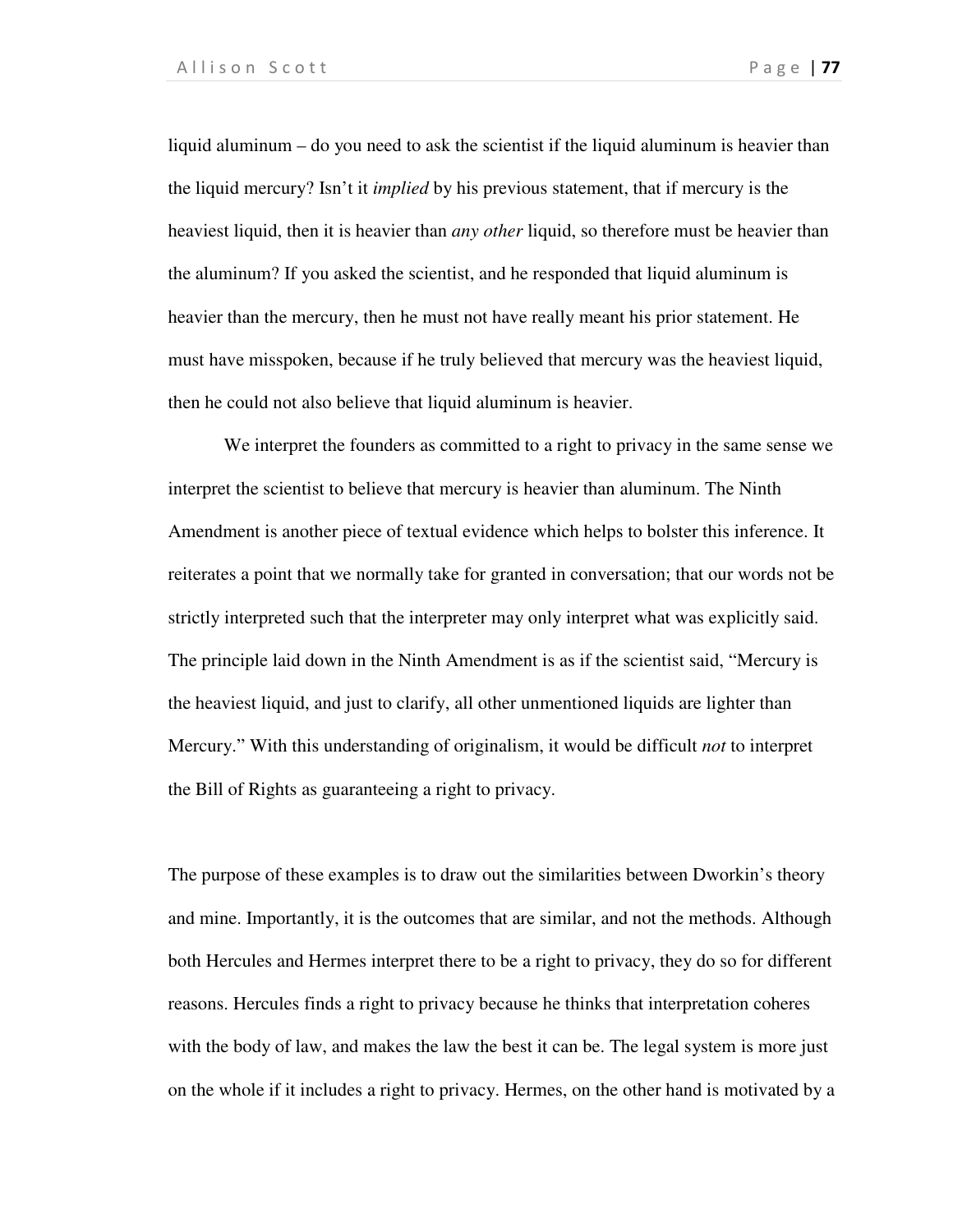liquid aluminum – do you need to ask the scientist if the liquid aluminum is heavier than the liquid mercury? Isn't it *implied* by his previous statement, that if mercury is the heaviest liquid, then it is heavier than *any other* liquid, so therefore must be heavier than the aluminum? If you asked the scientist, and he responded that liquid aluminum is heavier than the mercury, then he must not have really meant his prior statement. He must have misspoken, because if he truly believed that mercury was the heaviest liquid, then he could not also believe that liquid aluminum is heavier.

We interpret the founders as committed to a right to privacy in the same sense we interpret the scientist to believe that mercury is heavier than aluminum. The Ninth Amendment is another piece of textual evidence which helps to bolster this inference. It reiterates a point that we normally take for granted in conversation; that our words not be strictly interpreted such that the interpreter may only interpret what was explicitly said. The principle laid down in the Ninth Amendment is as if the scientist said, "Mercury is the heaviest liquid, and just to clarify, all other unmentioned liquids are lighter than Mercury." With this understanding of originalism, it would be difficult *not* to interpret the Bill of Rights as guaranteeing a right to privacy.

The purpose of these examples is to draw out the similarities between Dworkin's theory and mine. Importantly, it is the outcomes that are similar, and not the methods. Although both Hercules and Hermes interpret there to be a right to privacy, they do so for different reasons. Hercules finds a right to privacy because he thinks that interpretation coheres with the body of law, and makes the law the best it can be. The legal system is more just on the whole if it includes a right to privacy. Hermes, on the other hand is motivated by a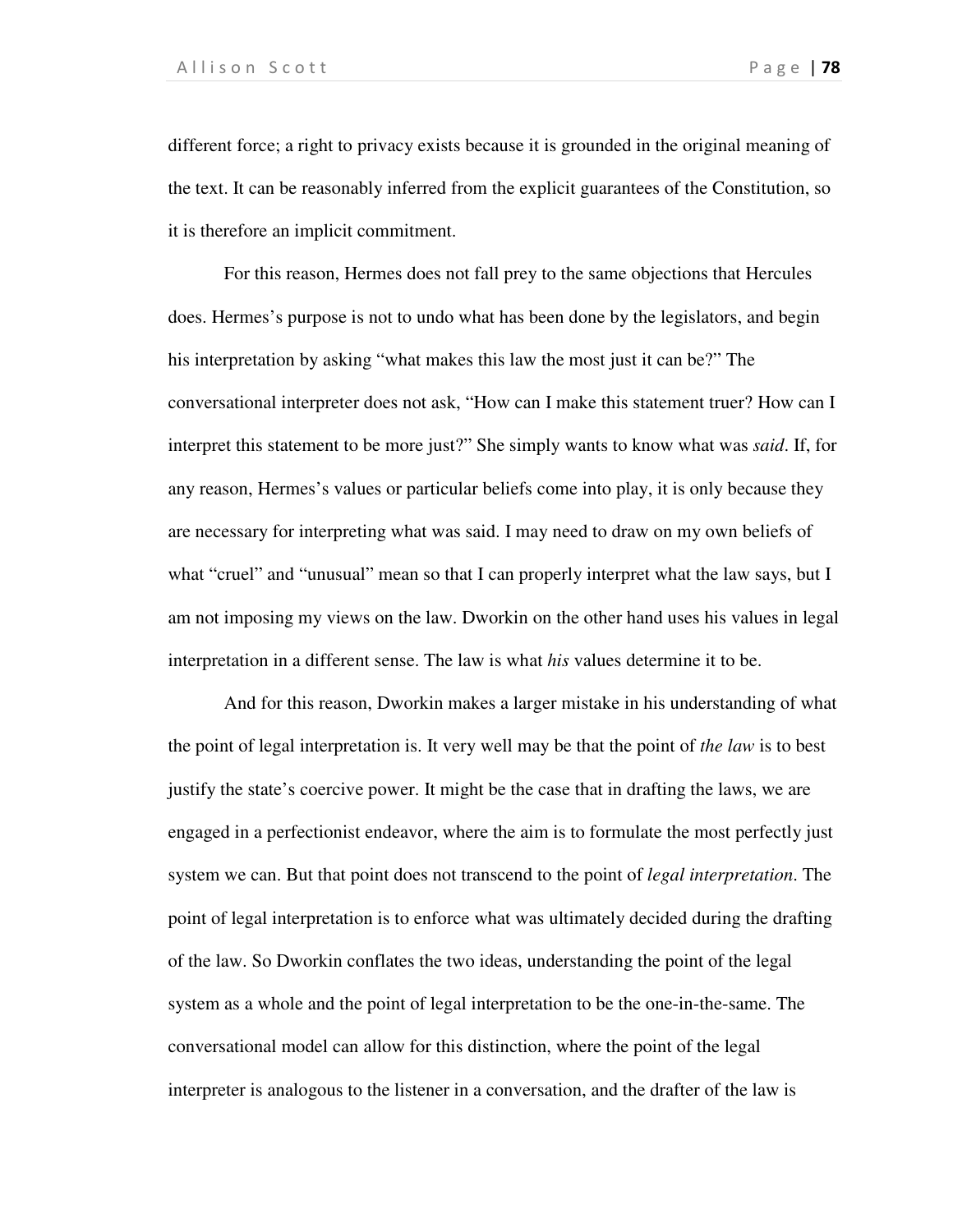different force; a right to privacy exists because it is grounded in the original meaning of the text. It can be reasonably inferred from the explicit guarantees of the Constitution, so it is therefore an implicit commitment.

For this reason, Hermes does not fall prey to the same objections that Hercules does. Hermes's purpose is not to undo what has been done by the legislators, and begin his interpretation by asking "what makes this law the most just it can be?" The conversational interpreter does not ask, "How can I make this statement truer? How can I interpret this statement to be more just?" She simply wants to know what was *said*. If, for any reason, Hermes's values or particular beliefs come into play, it is only because they are necessary for interpreting what was said. I may need to draw on my own beliefs of what "cruel" and "unusual" mean so that I can properly interpret what the law says, but I am not imposing my views on the law. Dworkin on the other hand uses his values in legal interpretation in a different sense. The law is what *his* values determine it to be.

 And for this reason, Dworkin makes a larger mistake in his understanding of what the point of legal interpretation is. It very well may be that the point of *the law* is to best justify the state's coercive power. It might be the case that in drafting the laws, we are engaged in a perfectionist endeavor, where the aim is to formulate the most perfectly just system we can. But that point does not transcend to the point of *legal interpretation*. The point of legal interpretation is to enforce what was ultimately decided during the drafting of the law. So Dworkin conflates the two ideas, understanding the point of the legal system as a whole and the point of legal interpretation to be the one-in-the-same. The conversational model can allow for this distinction, where the point of the legal interpreter is analogous to the listener in a conversation, and the drafter of the law is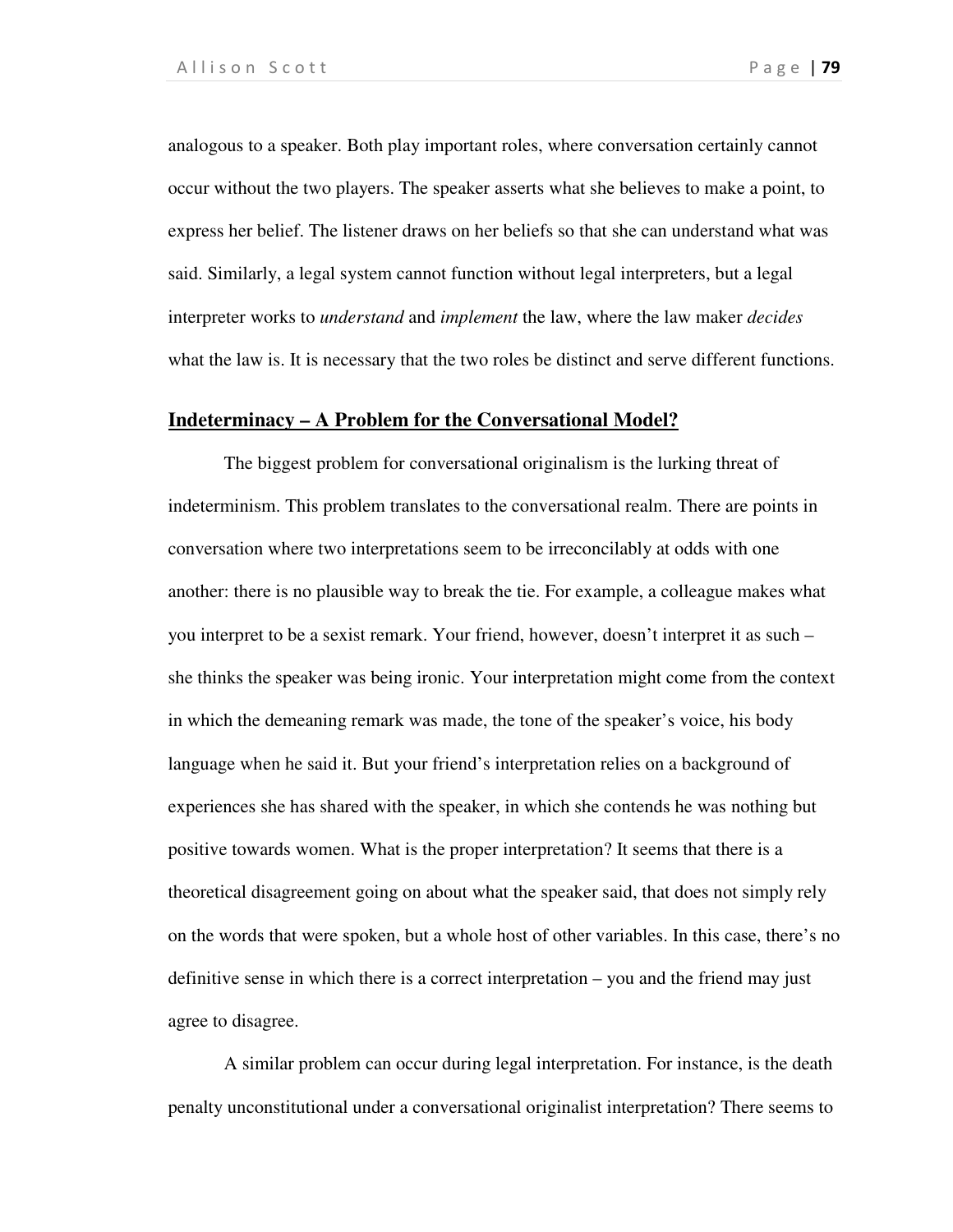analogous to a speaker. Both play important roles, where conversation certainly cannot occur without the two players. The speaker asserts what she believes to make a point, to express her belief. The listener draws on her beliefs so that she can understand what was said. Similarly, a legal system cannot function without legal interpreters, but a legal interpreter works to *understand* and *implement* the law, where the law maker *decides* what the law is. It is necessary that the two roles be distinct and serve different functions.

#### **Indeterminacy – A Problem for the Conversational Model?**

The biggest problem for conversational originalism is the lurking threat of indeterminism. This problem translates to the conversational realm. There are points in conversation where two interpretations seem to be irreconcilably at odds with one another: there is no plausible way to break the tie. For example, a colleague makes what you interpret to be a sexist remark. Your friend, however, doesn't interpret it as such – she thinks the speaker was being ironic. Your interpretation might come from the context in which the demeaning remark was made, the tone of the speaker's voice, his body language when he said it. But your friend's interpretation relies on a background of experiences she has shared with the speaker, in which she contends he was nothing but positive towards women. What is the proper interpretation? It seems that there is a theoretical disagreement going on about what the speaker said, that does not simply rely on the words that were spoken, but a whole host of other variables. In this case, there's no definitive sense in which there is a correct interpretation – you and the friend may just agree to disagree.

A similar problem can occur during legal interpretation. For instance, is the death penalty unconstitutional under a conversational originalist interpretation? There seems to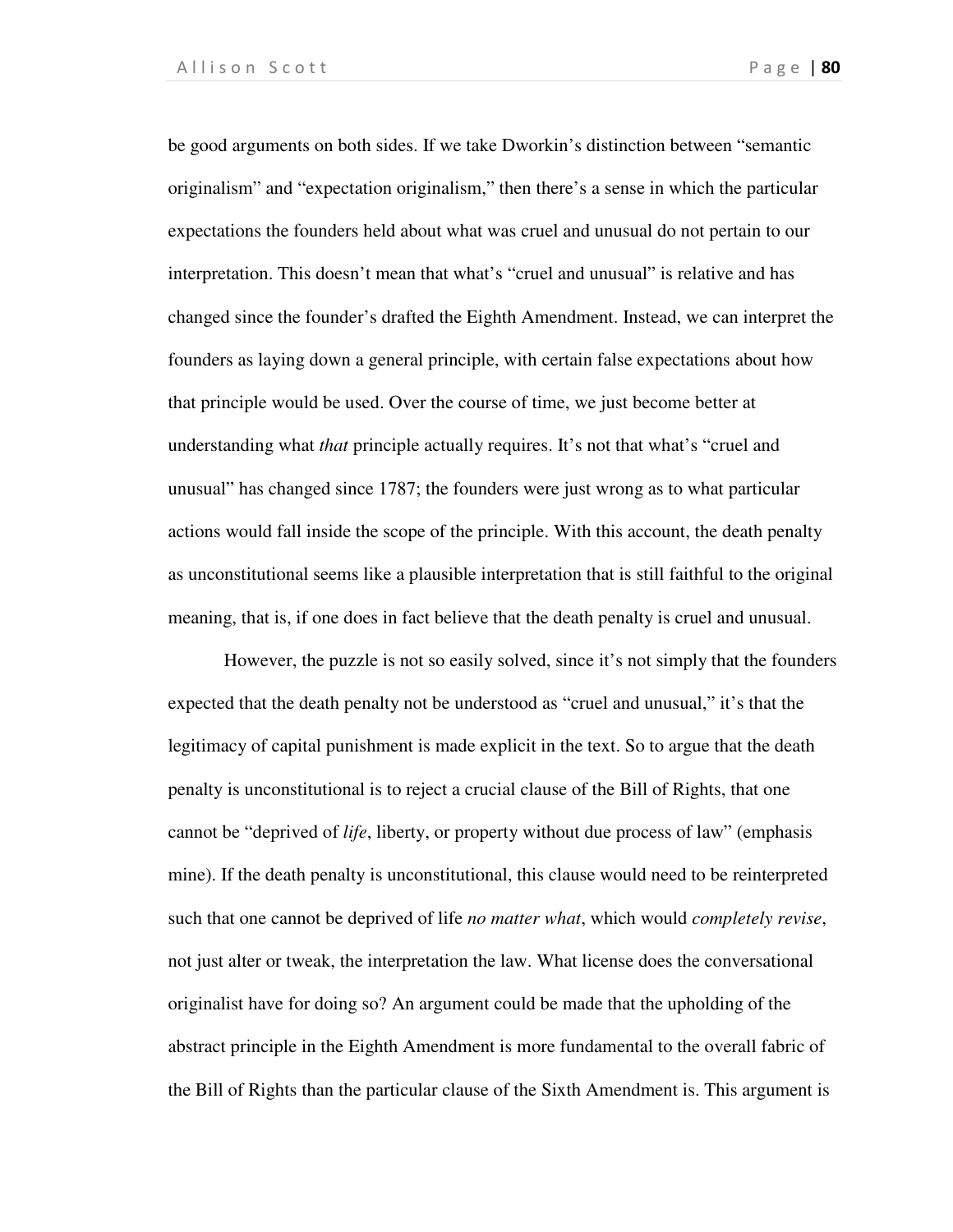be good arguments on both sides. If we take Dworkin's distinction between "semantic originalism" and "expectation originalism," then there's a sense in which the particular expectations the founders held about what was cruel and unusual do not pertain to our interpretation. This doesn't mean that what's "cruel and unusual" is relative and has changed since the founder's drafted the Eighth Amendment. Instead, we can interpret the founders as laying down a general principle, with certain false expectations about how that principle would be used. Over the course of time, we just become better at understanding what *that* principle actually requires. It's not that what's "cruel and unusual" has changed since 1787; the founders were just wrong as to what particular actions would fall inside the scope of the principle. With this account, the death penalty as unconstitutional seems like a plausible interpretation that is still faithful to the original meaning, that is, if one does in fact believe that the death penalty is cruel and unusual.

However, the puzzle is not so easily solved, since it's not simply that the founders expected that the death penalty not be understood as "cruel and unusual," it's that the legitimacy of capital punishment is made explicit in the text. So to argue that the death penalty is unconstitutional is to reject a crucial clause of the Bill of Rights, that one cannot be "deprived of *life*, liberty, or property without due process of law" (emphasis mine). If the death penalty is unconstitutional, this clause would need to be reinterpreted such that one cannot be deprived of life *no matter what*, which would *completely revise*, not just alter or tweak, the interpretation the law. What license does the conversational originalist have for doing so? An argument could be made that the upholding of the abstract principle in the Eighth Amendment is more fundamental to the overall fabric of the Bill of Rights than the particular clause of the Sixth Amendment is. This argument is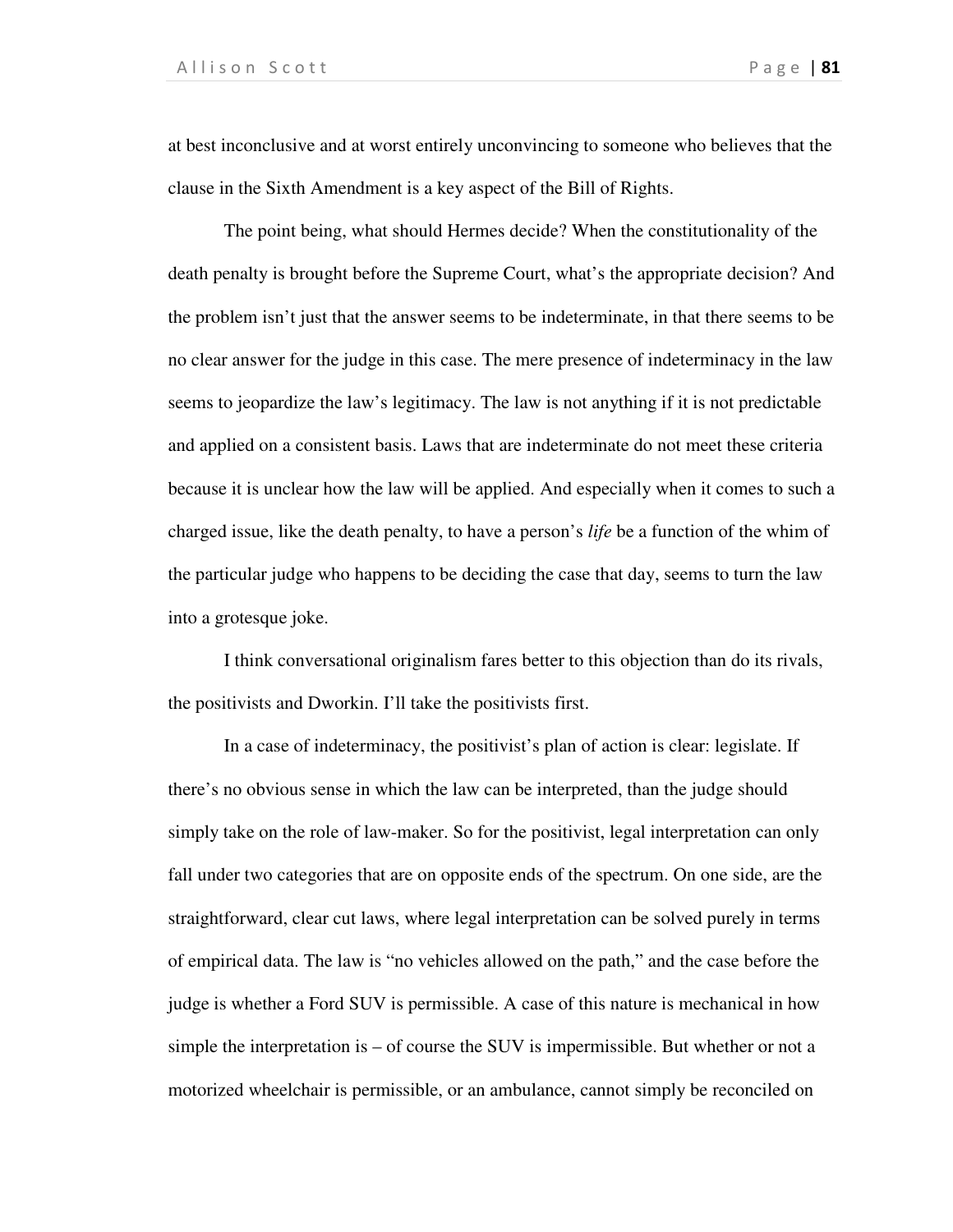at best inconclusive and at worst entirely unconvincing to someone who believes that the clause in the Sixth Amendment is a key aspect of the Bill of Rights.

The point being, what should Hermes decide? When the constitutionality of the death penalty is brought before the Supreme Court, what's the appropriate decision? And the problem isn't just that the answer seems to be indeterminate, in that there seems to be no clear answer for the judge in this case. The mere presence of indeterminacy in the law seems to jeopardize the law's legitimacy. The law is not anything if it is not predictable and applied on a consistent basis. Laws that are indeterminate do not meet these criteria because it is unclear how the law will be applied. And especially when it comes to such a charged issue, like the death penalty, to have a person's *life* be a function of the whim of the particular judge who happens to be deciding the case that day, seems to turn the law into a grotesque joke.

I think conversational originalism fares better to this objection than do its rivals, the positivists and Dworkin. I'll take the positivists first.

In a case of indeterminacy, the positivist's plan of action is clear: legislate. If there's no obvious sense in which the law can be interpreted, than the judge should simply take on the role of law-maker. So for the positivist, legal interpretation can only fall under two categories that are on opposite ends of the spectrum. On one side, are the straightforward, clear cut laws, where legal interpretation can be solved purely in terms of empirical data. The law is "no vehicles allowed on the path," and the case before the judge is whether a Ford SUV is permissible. A case of this nature is mechanical in how simple the interpretation is  $-$  of course the SUV is impermissible. But whether or not a motorized wheelchair is permissible, or an ambulance, cannot simply be reconciled on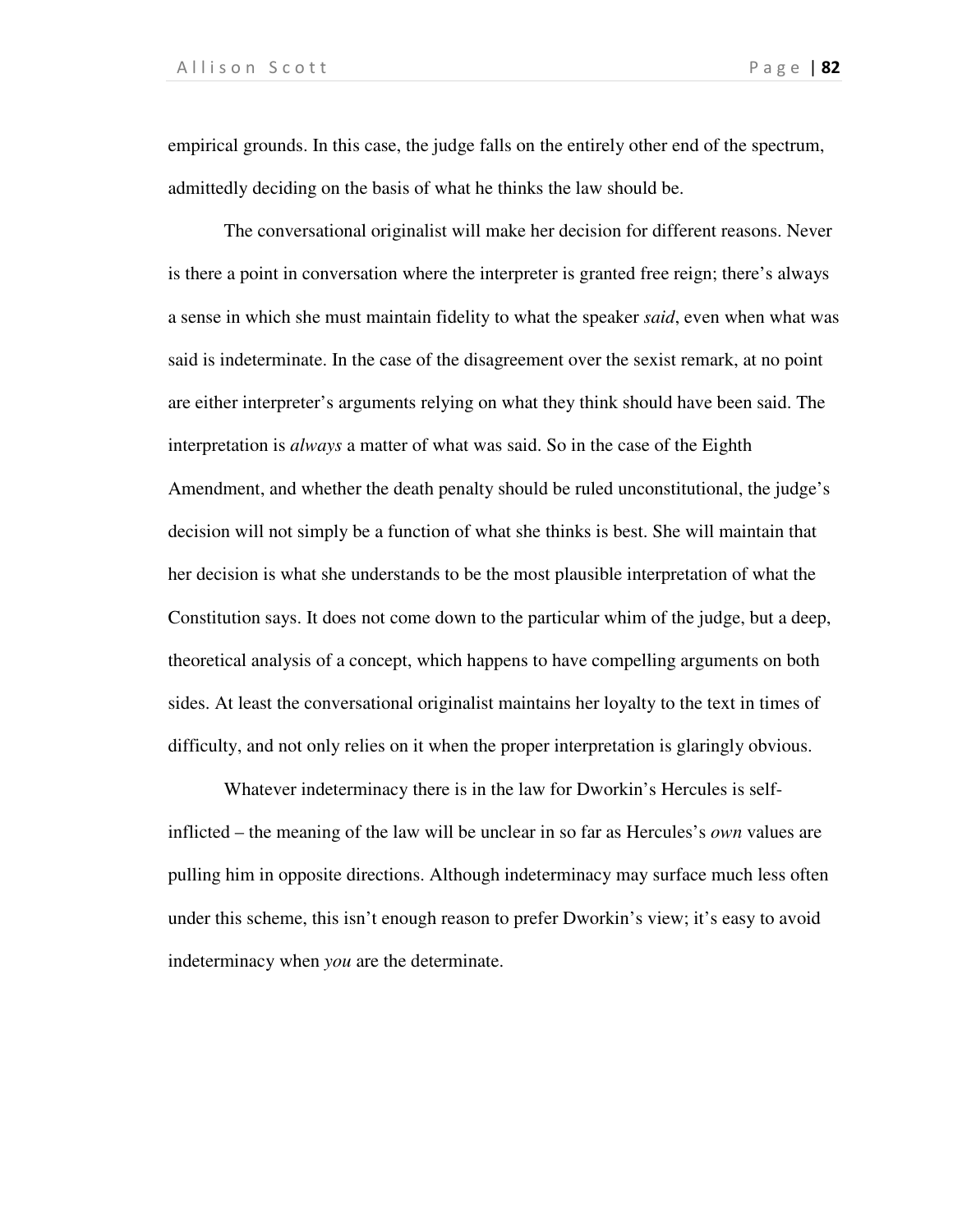empirical grounds. In this case, the judge falls on the entirely other end of the spectrum, admittedly deciding on the basis of what he thinks the law should be.

The conversational originalist will make her decision for different reasons. Never is there a point in conversation where the interpreter is granted free reign; there's always a sense in which she must maintain fidelity to what the speaker *said*, even when what was said is indeterminate. In the case of the disagreement over the sexist remark, at no point are either interpreter's arguments relying on what they think should have been said. The interpretation is *always* a matter of what was said. So in the case of the Eighth Amendment, and whether the death penalty should be ruled unconstitutional, the judge's decision will not simply be a function of what she thinks is best. She will maintain that her decision is what she understands to be the most plausible interpretation of what the Constitution says. It does not come down to the particular whim of the judge, but a deep, theoretical analysis of a concept, which happens to have compelling arguments on both sides. At least the conversational originalist maintains her loyalty to the text in times of difficulty, and not only relies on it when the proper interpretation is glaringly obvious.

Whatever indeterminacy there is in the law for Dworkin's Hercules is selfinflicted – the meaning of the law will be unclear in so far as Hercules's *own* values are pulling him in opposite directions. Although indeterminacy may surface much less often under this scheme, this isn't enough reason to prefer Dworkin's view; it's easy to avoid indeterminacy when *you* are the determinate.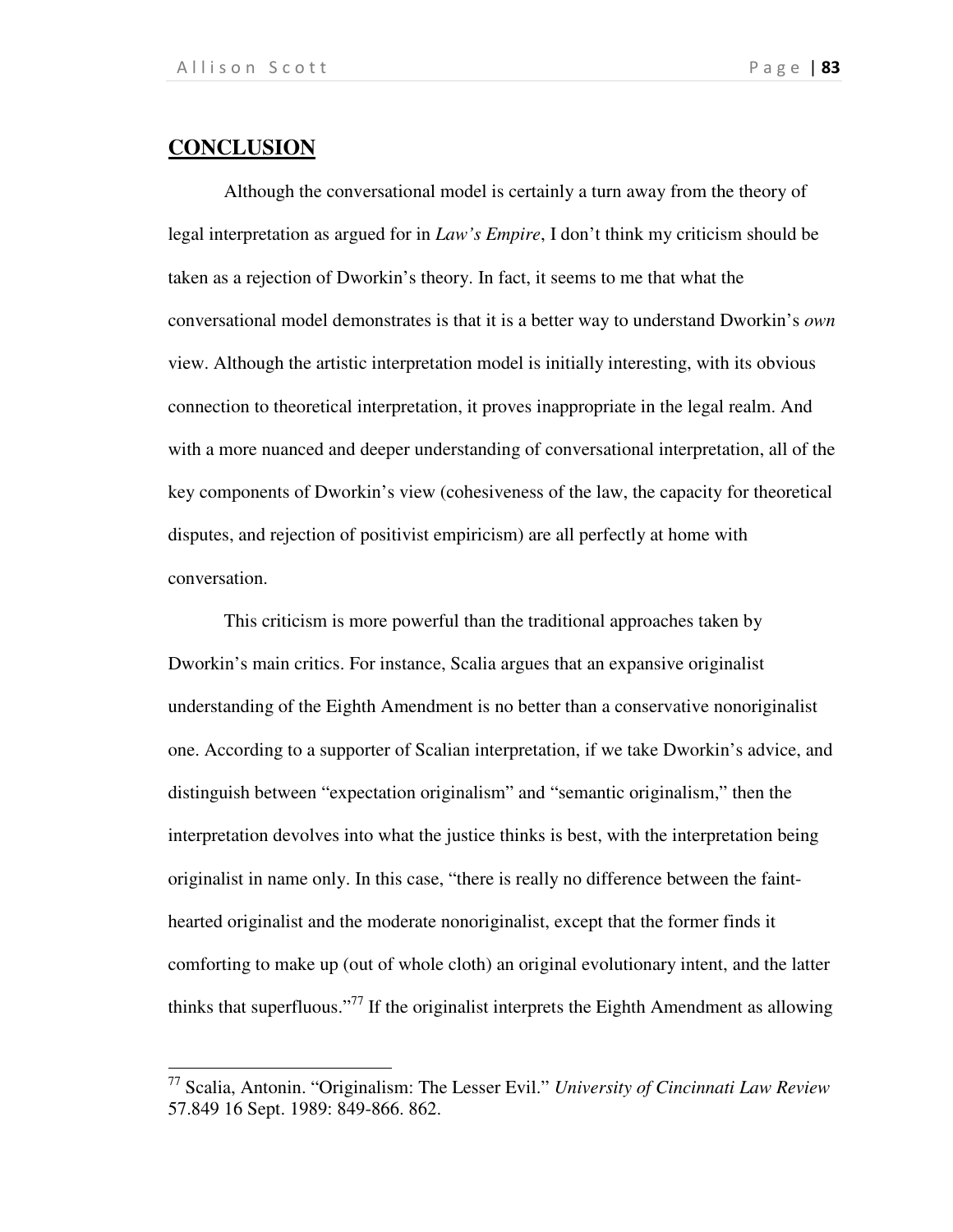# **CONCLUSION**

 $\overline{a}$ 

Although the conversational model is certainly a turn away from the theory of legal interpretation as argued for in *Law's Empire*, I don't think my criticism should be taken as a rejection of Dworkin's theory. In fact, it seems to me that what the conversational model demonstrates is that it is a better way to understand Dworkin's *own* view. Although the artistic interpretation model is initially interesting, with its obvious connection to theoretical interpretation, it proves inappropriate in the legal realm. And with a more nuanced and deeper understanding of conversational interpretation, all of the key components of Dworkin's view (cohesiveness of the law, the capacity for theoretical disputes, and rejection of positivist empiricism) are all perfectly at home with conversation.

 This criticism is more powerful than the traditional approaches taken by Dworkin's main critics. For instance, Scalia argues that an expansive originalist understanding of the Eighth Amendment is no better than a conservative nonoriginalist one. According to a supporter of Scalian interpretation, if we take Dworkin's advice, and distinguish between "expectation originalism" and "semantic originalism," then the interpretation devolves into what the justice thinks is best, with the interpretation being originalist in name only. In this case, "there is really no difference between the fainthearted originalist and the moderate nonoriginalist, except that the former finds it comforting to make up (out of whole cloth) an original evolutionary intent, and the latter thinks that superfluous."<sup>77</sup> If the originalist interprets the Eighth Amendment as allowing

<sup>77</sup> Scalia, Antonin. "Originalism: The Lesser Evil." *University of Cincinnati Law Review* 57.849 16 Sept. 1989: 849-866. 862.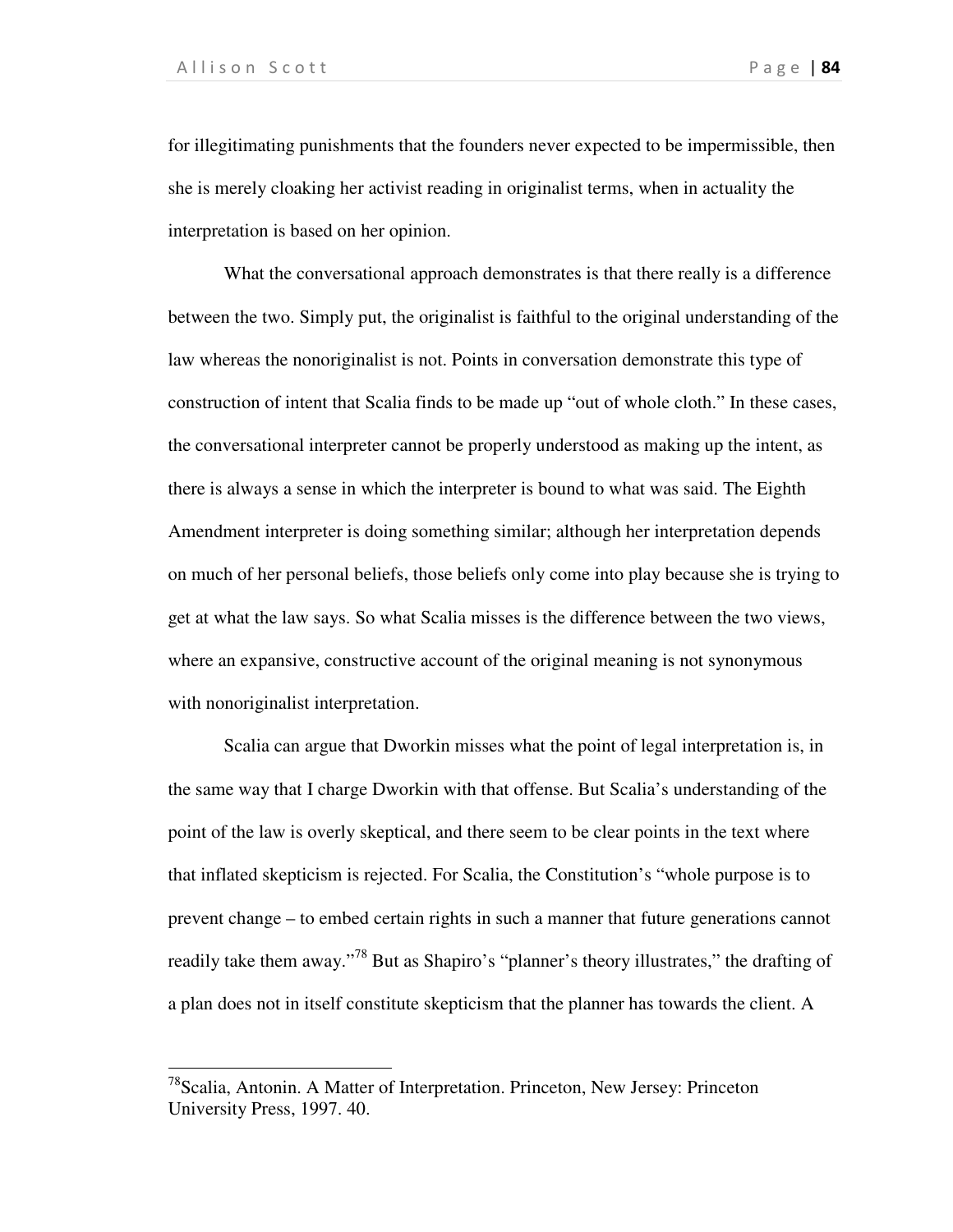$\overline{a}$ 

for illegitimating punishments that the founders never expected to be impermissible, then she is merely cloaking her activist reading in originalist terms, when in actuality the interpretation is based on her opinion.

 What the conversational approach demonstrates is that there really is a difference between the two. Simply put, the originalist is faithful to the original understanding of the law whereas the nonoriginalist is not. Points in conversation demonstrate this type of construction of intent that Scalia finds to be made up "out of whole cloth." In these cases, the conversational interpreter cannot be properly understood as making up the intent, as there is always a sense in which the interpreter is bound to what was said. The Eighth Amendment interpreter is doing something similar; although her interpretation depends on much of her personal beliefs, those beliefs only come into play because she is trying to get at what the law says. So what Scalia misses is the difference between the two views, where an expansive, constructive account of the original meaning is not synonymous with nonoriginalist interpretation.

 Scalia can argue that Dworkin misses what the point of legal interpretation is, in the same way that I charge Dworkin with that offense. But Scalia's understanding of the point of the law is overly skeptical, and there seem to be clear points in the text where that inflated skepticism is rejected. For Scalia, the Constitution's "whole purpose is to prevent change – to embed certain rights in such a manner that future generations cannot readily take them away."<sup>78</sup> But as Shapiro's "planner's theory illustrates," the drafting of a plan does not in itself constitute skepticism that the planner has towards the client. A

<sup>78</sup>Scalia, Antonin. A Matter of Interpretation. Princeton, New Jersey: Princeton University Press, 1997. 40.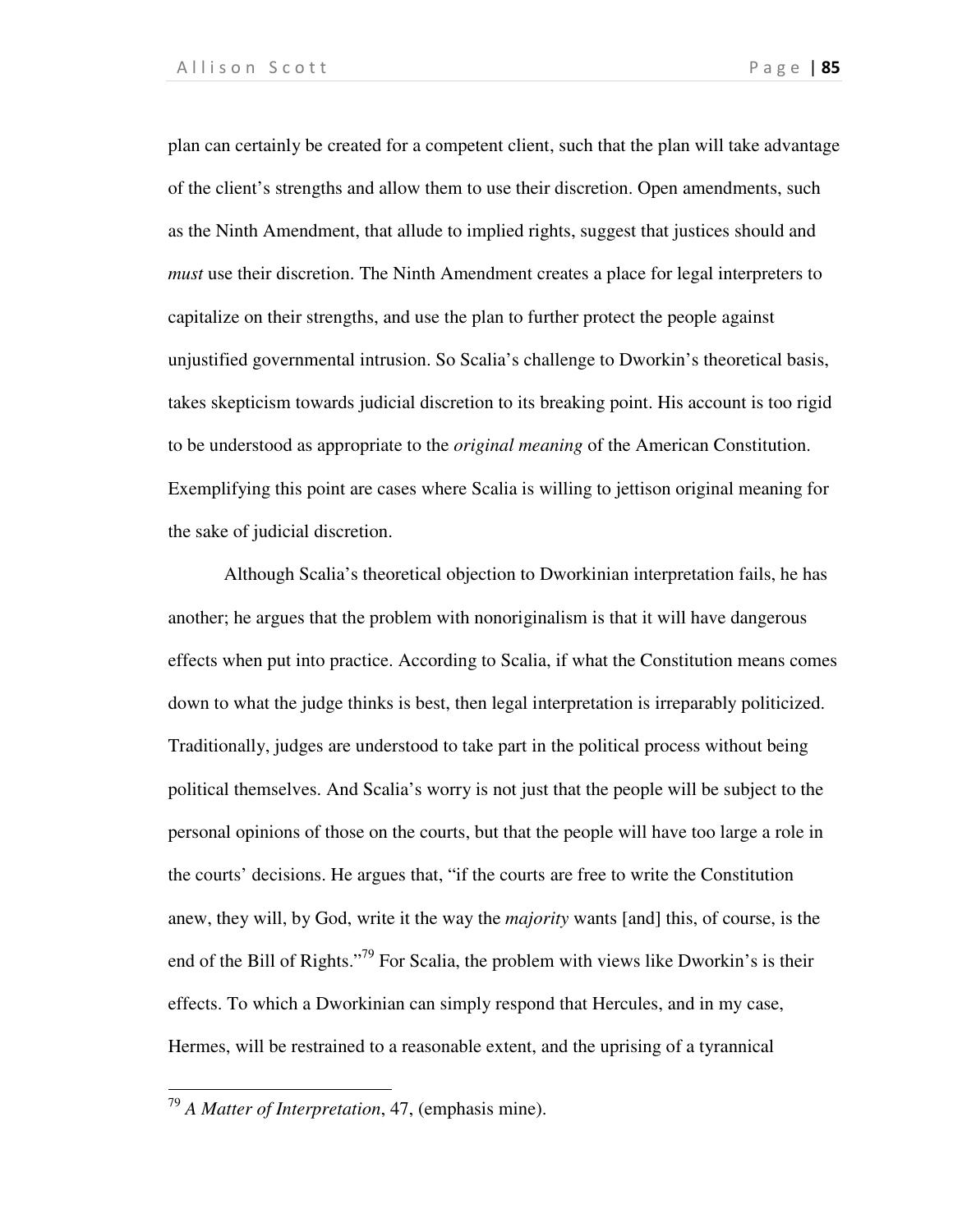plan can certainly be created for a competent client, such that the plan will take advantage of the client's strengths and allow them to use their discretion. Open amendments, such as the Ninth Amendment, that allude to implied rights, suggest that justices should and *must* use their discretion. The Ninth Amendment creates a place for legal interpreters to capitalize on their strengths, and use the plan to further protect the people against unjustified governmental intrusion. So Scalia's challenge to Dworkin's theoretical basis, takes skepticism towards judicial discretion to its breaking point. His account is too rigid to be understood as appropriate to the *original meaning* of the American Constitution. Exemplifying this point are cases where Scalia is willing to jettison original meaning for the sake of judicial discretion.

 Although Scalia's theoretical objection to Dworkinian interpretation fails, he has another; he argues that the problem with nonoriginalism is that it will have dangerous effects when put into practice. According to Scalia, if what the Constitution means comes down to what the judge thinks is best, then legal interpretation is irreparably politicized. Traditionally, judges are understood to take part in the political process without being political themselves. And Scalia's worry is not just that the people will be subject to the personal opinions of those on the courts, but that the people will have too large a role in the courts' decisions. He argues that, "if the courts are free to write the Constitution anew, they will, by God, write it the way the *majority* wants [and] this, of course, is the end of the Bill of Rights."<sup>79</sup> For Scalia, the problem with views like Dworkin's is their effects. To which a Dworkinian can simply respond that Hercules, and in my case, Hermes, will be restrained to a reasonable extent, and the uprising of a tyrannical

1

<sup>79</sup> *A Matter of Interpretation*, 47, (emphasis mine).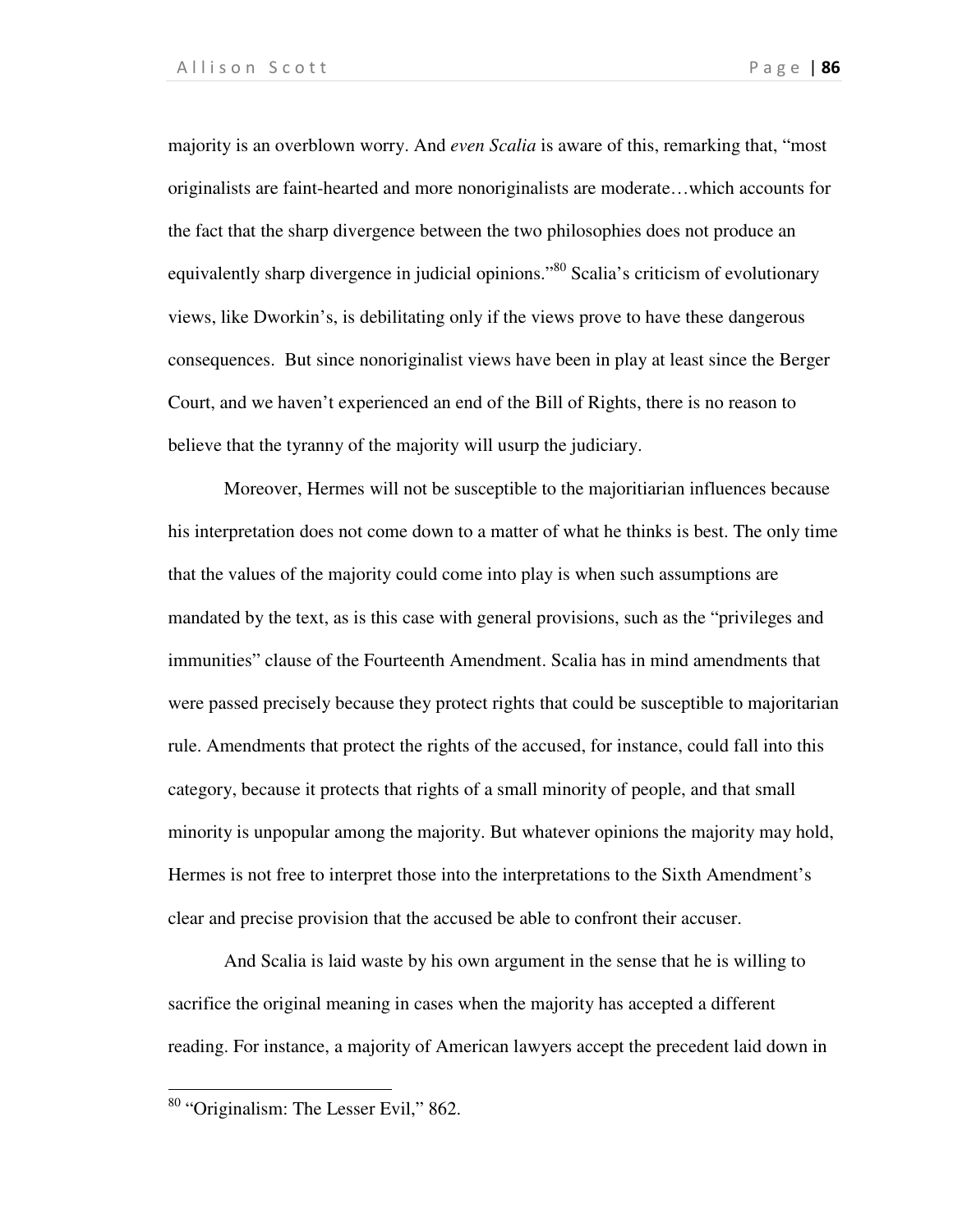majority is an overblown worry. And *even Scalia* is aware of this, remarking that, "most originalists are faint-hearted and more nonoriginalists are moderate…which accounts for the fact that the sharp divergence between the two philosophies does not produce an equivalently sharp divergence in judicial opinions."<sup>80</sup> Scalia's criticism of evolutionary views, like Dworkin's, is debilitating only if the views prove to have these dangerous consequences. But since nonoriginalist views have been in play at least since the Berger Court, and we haven't experienced an end of the Bill of Rights, there is no reason to believe that the tyranny of the majority will usurp the judiciary.

 Moreover, Hermes will not be susceptible to the majoritiarian influences because his interpretation does not come down to a matter of what he thinks is best. The only time that the values of the majority could come into play is when such assumptions are mandated by the text, as is this case with general provisions, such as the "privileges and immunities" clause of the Fourteenth Amendment. Scalia has in mind amendments that were passed precisely because they protect rights that could be susceptible to majoritarian rule. Amendments that protect the rights of the accused, for instance, could fall into this category, because it protects that rights of a small minority of people, and that small minority is unpopular among the majority. But whatever opinions the majority may hold, Hermes is not free to interpret those into the interpretations to the Sixth Amendment's clear and precise provision that the accused be able to confront their accuser.

 And Scalia is laid waste by his own argument in the sense that he is willing to sacrifice the original meaning in cases when the majority has accepted a different reading. For instance, a majority of American lawyers accept the precedent laid down in

 $\overline{a}$ 

<sup>80</sup> "Originalism: The Lesser Evil," 862.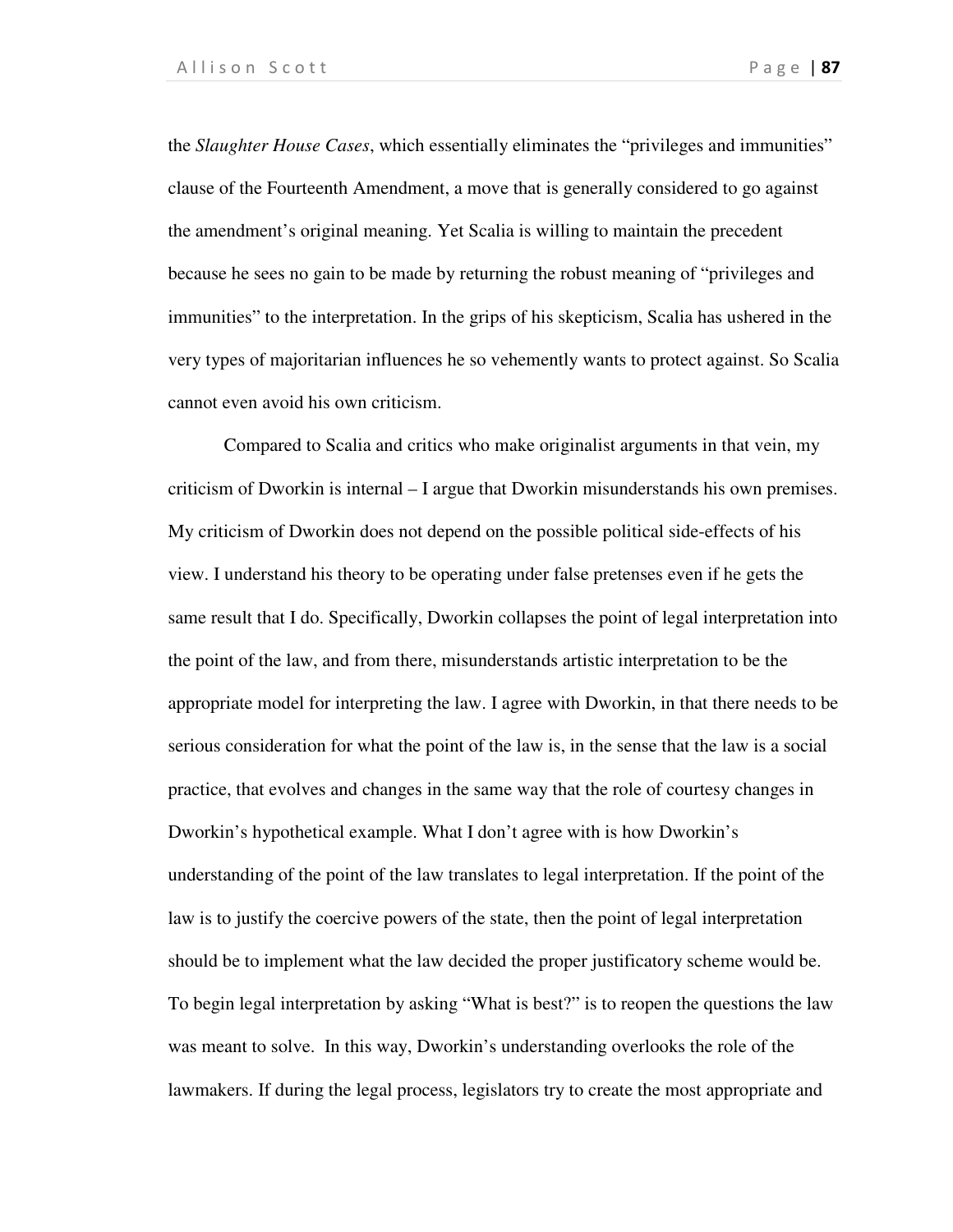the *Slaughter House Cases*, which essentially eliminates the "privileges and immunities" clause of the Fourteenth Amendment, a move that is generally considered to go against the amendment's original meaning. Yet Scalia is willing to maintain the precedent because he sees no gain to be made by returning the robust meaning of "privileges and immunities" to the interpretation. In the grips of his skepticism, Scalia has ushered in the very types of majoritarian influences he so vehemently wants to protect against. So Scalia cannot even avoid his own criticism.

 Compared to Scalia and critics who make originalist arguments in that vein, my criticism of Dworkin is internal – I argue that Dworkin misunderstands his own premises. My criticism of Dworkin does not depend on the possible political side-effects of his view. I understand his theory to be operating under false pretenses even if he gets the same result that I do. Specifically, Dworkin collapses the point of legal interpretation into the point of the law, and from there, misunderstands artistic interpretation to be the appropriate model for interpreting the law. I agree with Dworkin, in that there needs to be serious consideration for what the point of the law is, in the sense that the law is a social practice, that evolves and changes in the same way that the role of courtesy changes in Dworkin's hypothetical example. What I don't agree with is how Dworkin's understanding of the point of the law translates to legal interpretation. If the point of the law is to justify the coercive powers of the state, then the point of legal interpretation should be to implement what the law decided the proper justificatory scheme would be. To begin legal interpretation by asking "What is best?" is to reopen the questions the law was meant to solve. In this way, Dworkin's understanding overlooks the role of the lawmakers. If during the legal process, legislators try to create the most appropriate and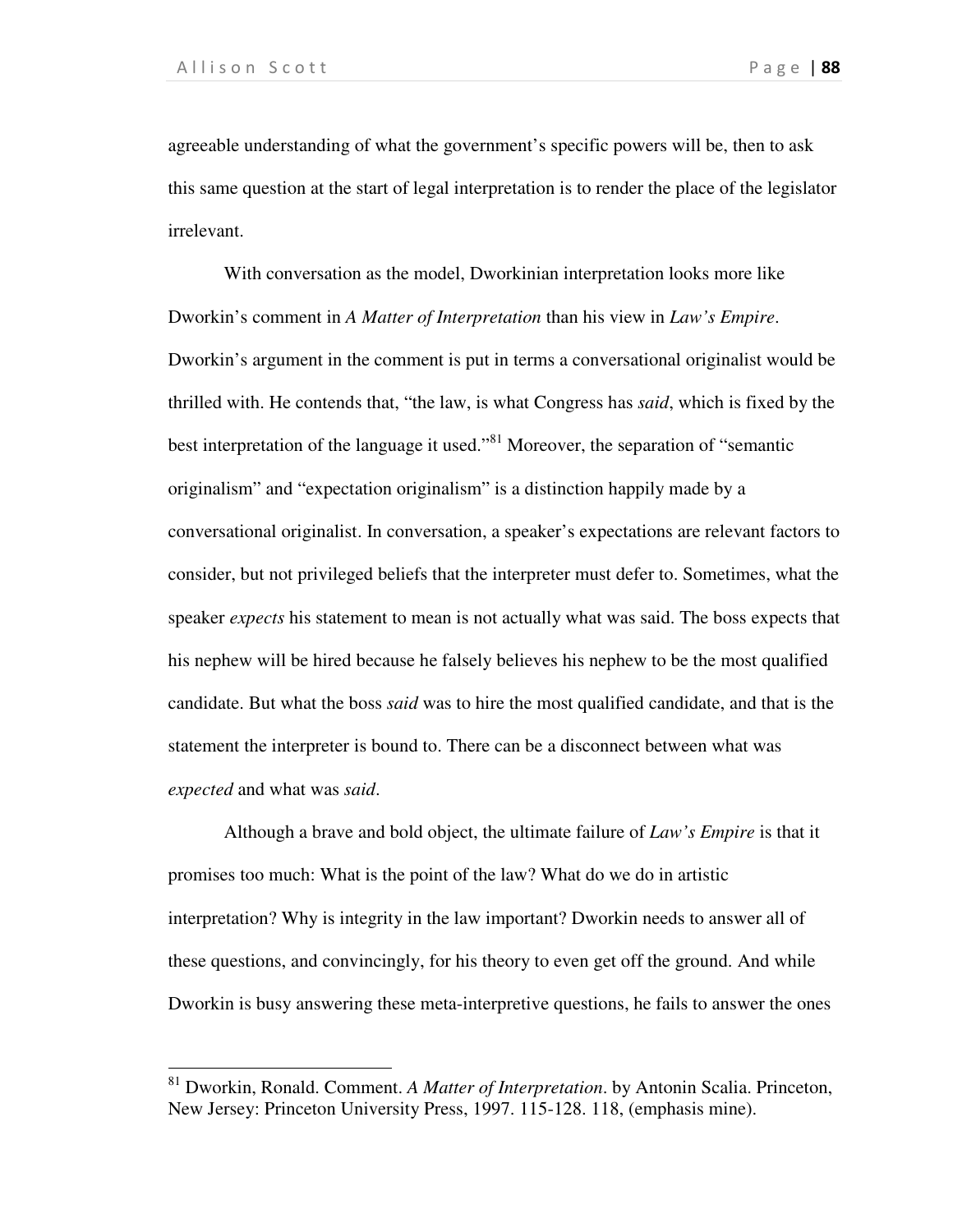$\overline{a}$ 

agreeable understanding of what the government's specific powers will be, then to ask this same question at the start of legal interpretation is to render the place of the legislator irrelevant.

 With conversation as the model, Dworkinian interpretation looks more like Dworkin's comment in *A Matter of Interpretation* than his view in *Law's Empire*. Dworkin's argument in the comment is put in terms a conversational originalist would be thrilled with. He contends that, "the law, is what Congress has *said*, which is fixed by the best interpretation of the language it used."<sup>81</sup> Moreover, the separation of "semantic originalism" and "expectation originalism" is a distinction happily made by a conversational originalist. In conversation, a speaker's expectations are relevant factors to consider, but not privileged beliefs that the interpreter must defer to. Sometimes, what the speaker *expects* his statement to mean is not actually what was said. The boss expects that his nephew will be hired because he falsely believes his nephew to be the most qualified candidate. But what the boss *said* was to hire the most qualified candidate, and that is the statement the interpreter is bound to. There can be a disconnect between what was *expected* and what was *said*.

 Although a brave and bold object, the ultimate failure of *Law's Empire* is that it promises too much: What is the point of the law? What do we do in artistic interpretation? Why is integrity in the law important? Dworkin needs to answer all of these questions, and convincingly, for his theory to even get off the ground. And while Dworkin is busy answering these meta-interpretive questions, he fails to answer the ones

<sup>81</sup> Dworkin, Ronald. Comment. *A Matter of Interpretation*. by Antonin Scalia. Princeton, New Jersey: Princeton University Press, 1997. 115-128. 118, (emphasis mine).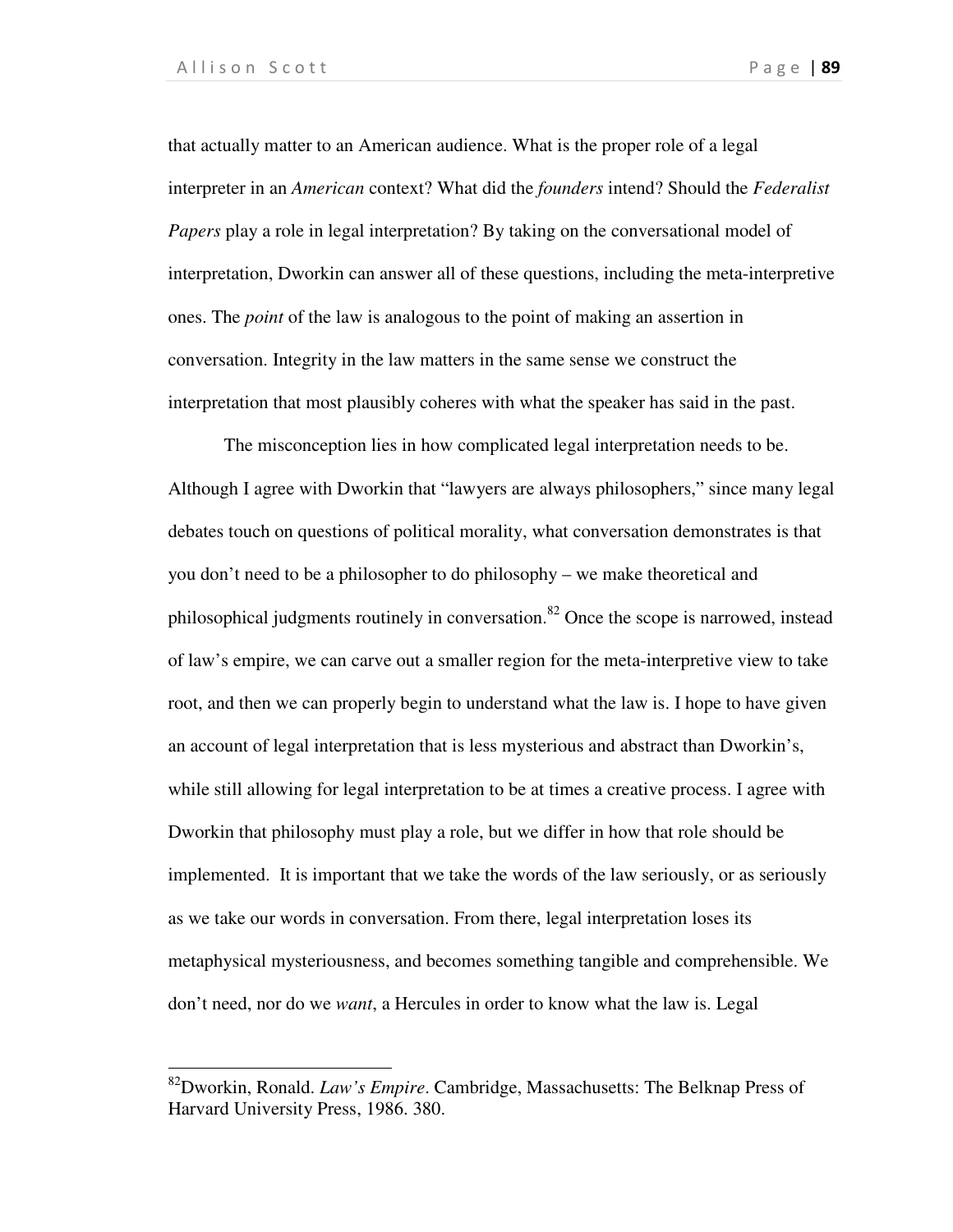$\overline{a}$ 

that actually matter to an American audience. What is the proper role of a legal interpreter in an *American* context? What did the *founders* intend? Should the *Federalist Papers* play a role in legal interpretation? By taking on the conversational model of interpretation, Dworkin can answer all of these questions, including the meta-interpretive ones. The *point* of the law is analogous to the point of making an assertion in conversation. Integrity in the law matters in the same sense we construct the interpretation that most plausibly coheres with what the speaker has said in the past.

 The misconception lies in how complicated legal interpretation needs to be. Although I agree with Dworkin that "lawyers are always philosophers," since many legal debates touch on questions of political morality, what conversation demonstrates is that you don't need to be a philosopher to do philosophy – we make theoretical and philosophical judgments routinely in conversation.<sup>82</sup> Once the scope is narrowed, instead of law's empire, we can carve out a smaller region for the meta-interpretive view to take root, and then we can properly begin to understand what the law is. I hope to have given an account of legal interpretation that is less mysterious and abstract than Dworkin's, while still allowing for legal interpretation to be at times a creative process. I agree with Dworkin that philosophy must play a role, but we differ in how that role should be implemented. It is important that we take the words of the law seriously, or as seriously as we take our words in conversation. From there, legal interpretation loses its metaphysical mysteriousness, and becomes something tangible and comprehensible. We don't need, nor do we *want*, a Hercules in order to know what the law is. Legal

<sup>82</sup>Dworkin, Ronald. *Law's Empire*. Cambridge, Massachusetts: The Belknap Press of Harvard University Press, 1986. 380.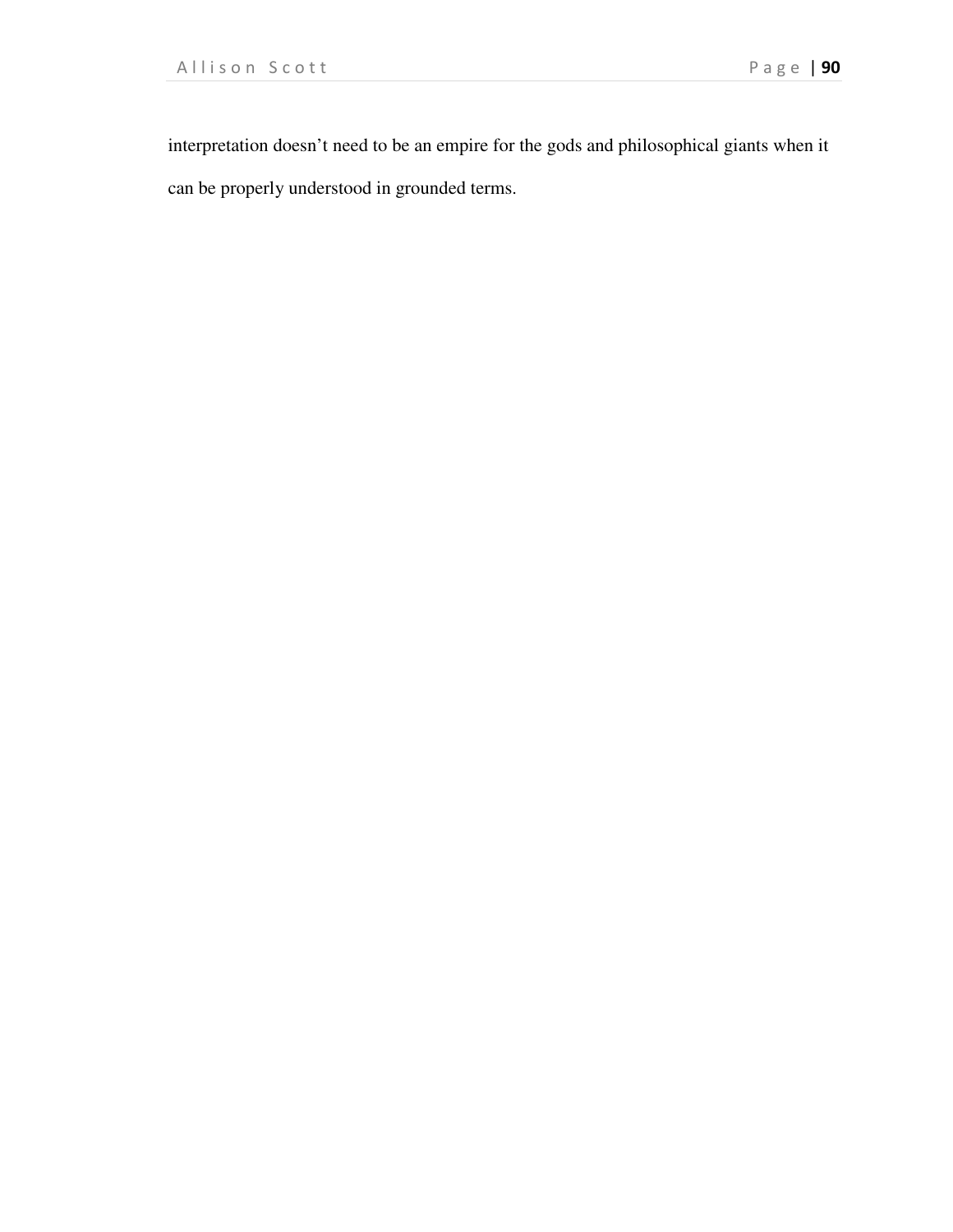interpretation doesn't need to be an empire for the gods and philosophical giants when it can be properly understood in grounded terms.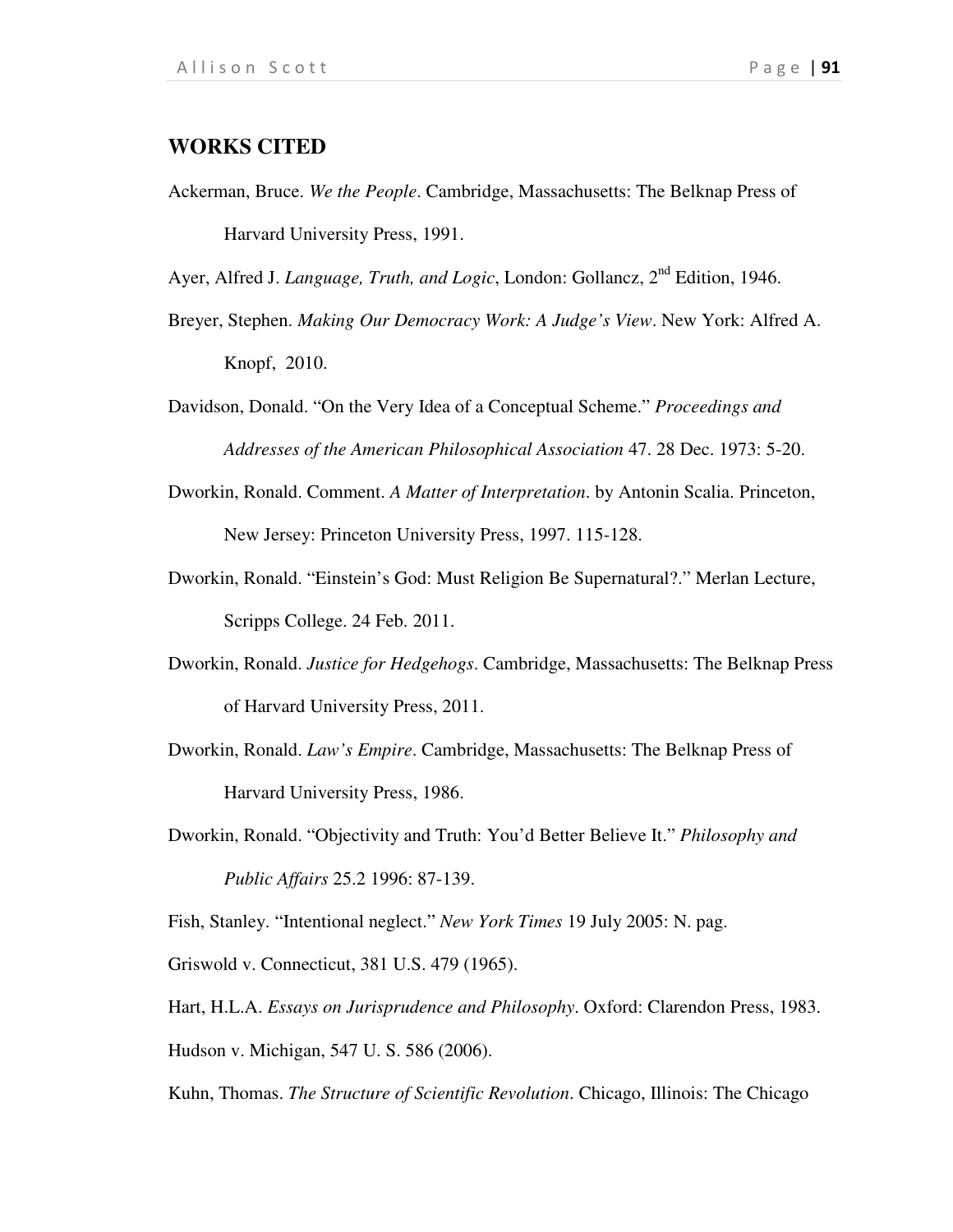## **WORKS CITED**

Ackerman, Bruce. *We the People*. Cambridge, Massachusetts: The Belknap Press of Harvard University Press, 1991.

Ayer, Alfred J. *Language, Truth, and Logic*, London: Gollancz, 2<sup>nd</sup> Edition, 1946.

- Breyer, Stephen. *Making Our Democracy Work: A Judge's View*. New York: Alfred A. Knopf, 2010.
- Davidson, Donald. "On the Very Idea of a Conceptual Scheme." *Proceedings and Addresses of the American Philosophical Association* 47. 28 Dec. 1973: 5-20.
- Dworkin, Ronald. Comment. *A Matter of Interpretation*. by Antonin Scalia. Princeton, New Jersey: Princeton University Press, 1997. 115-128.
- Dworkin, Ronald. "Einstein's God: Must Religion Be Supernatural?." Merlan Lecture, Scripps College. 24 Feb. 2011.
- Dworkin, Ronald. *Justice for Hedgehogs*. Cambridge, Massachusetts: The Belknap Press of Harvard University Press, 2011.
- Dworkin, Ronald. *Law's Empire*. Cambridge, Massachusetts: The Belknap Press of Harvard University Press, 1986.
- Dworkin, Ronald. "Objectivity and Truth: You'd Better Believe It." *Philosophy and Public Affairs* 25.2 1996: 87-139.

Fish, Stanley. "Intentional neglect." *New York Times* 19 July 2005: N. pag.

Griswold v. Connecticut, 381 U.S. 479 (1965).

Hart, H.L.A. *Essays on Jurisprudence and Philosophy*. Oxford: Clarendon Press, 1983. Hudson v. Michigan, 547 U. S. 586 (2006).

Kuhn, Thomas. *The Structure of Scientific Revolution*. Chicago, Illinois: The Chicago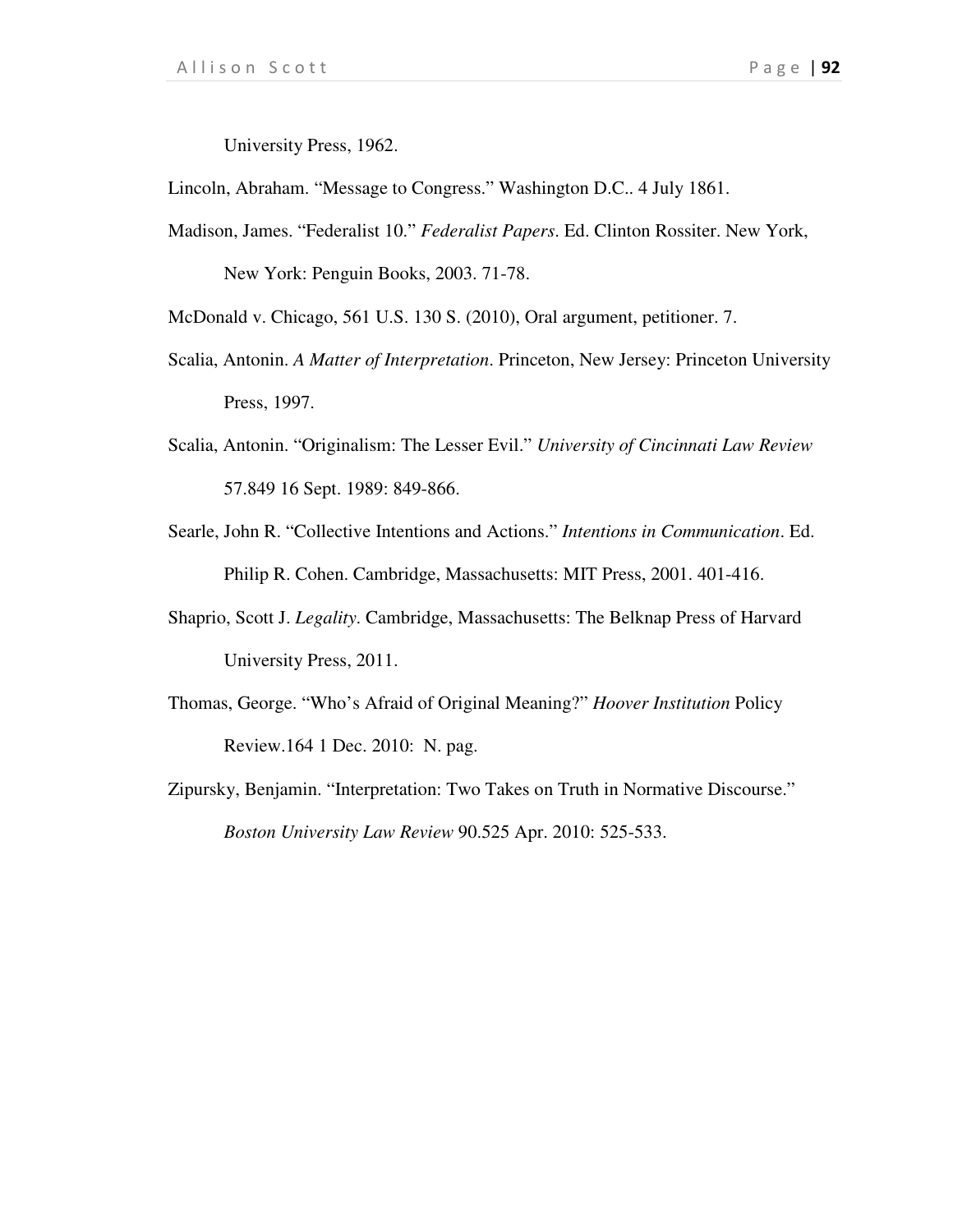University Press, 1962.

Lincoln, Abraham. "Message to Congress." Washington D.C.. 4 July 1861.

Madison, James. "Federalist 10." *Federalist Papers*. Ed. Clinton Rossiter. New York, New York: Penguin Books, 2003. 71-78.

McDonald v. Chicago, 561 U.S. 130 S. (2010), Oral argument, petitioner. 7.

- Scalia, Antonin. *A Matter of Interpretation*. Princeton, New Jersey: Princeton University Press, 1997.
- Scalia, Antonin. "Originalism: The Lesser Evil." *University of Cincinnati Law Review* 57.849 16 Sept. 1989: 849-866.
- Searle, John R. "Collective Intentions and Actions." *Intentions in Communication*. Ed. Philip R. Cohen. Cambridge, Massachusetts: MIT Press, 2001. 401-416.
- Shaprio, Scott J. *Legality*. Cambridge, Massachusetts: The Belknap Press of Harvard University Press, 2011.
- Thomas, George. "Who's Afraid of Original Meaning?" *Hoover Institution* Policy Review.164 1 Dec. 2010: N. pag.
- Zipursky, Benjamin. "Interpretation: Two Takes on Truth in Normative Discourse." *Boston University Law Review* 90.525 Apr. 2010: 525-533.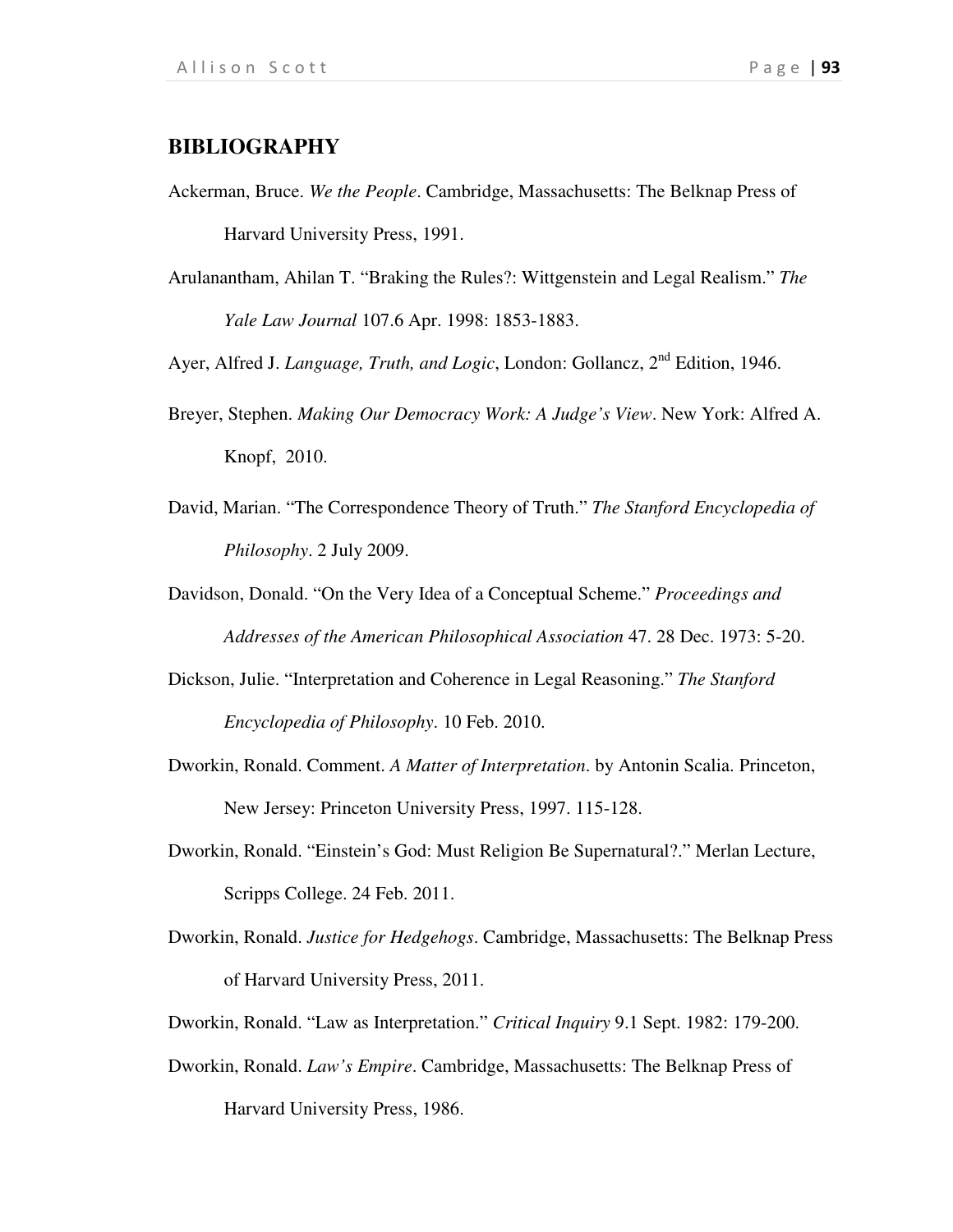## **BIBLIOGRAPHY**

- Ackerman, Bruce. *We the People*. Cambridge, Massachusetts: The Belknap Press of Harvard University Press, 1991.
- Arulanantham, Ahilan T. "Braking the Rules?: Wittgenstein and Legal Realism." *The Yale Law Journal* 107.6 Apr. 1998: 1853-1883.

Ayer, Alfred J. *Language, Truth, and Logic*, London: Gollancz, 2<sup>nd</sup> Edition, 1946.

- Breyer, Stephen. *Making Our Democracy Work: A Judge's View*. New York: Alfred A. Knopf, 2010.
- David, Marian. "The Correspondence Theory of Truth." *The Stanford Encyclopedia of Philosophy*. 2 July 2009.

Davidson, Donald. "On the Very Idea of a Conceptual Scheme." *Proceedings and Addresses of the American Philosophical Association* 47. 28 Dec. 1973: 5-20.

- Dickson, Julie. "Interpretation and Coherence in Legal Reasoning." *The Stanford Encyclopedia of Philosophy*. 10 Feb. 2010.
- Dworkin, Ronald. Comment. *A Matter of Interpretation*. by Antonin Scalia. Princeton, New Jersey: Princeton University Press, 1997. 115-128.
- Dworkin, Ronald. "Einstein's God: Must Religion Be Supernatural?." Merlan Lecture, Scripps College. 24 Feb. 2011.
- Dworkin, Ronald. *Justice for Hedgehogs*. Cambridge, Massachusetts: The Belknap Press of Harvard University Press, 2011.
- Dworkin, Ronald. "Law as Interpretation." *Critical Inquiry* 9.1 Sept. 1982: 179-200.
- Dworkin, Ronald. *Law's Empire*. Cambridge, Massachusetts: The Belknap Press of Harvard University Press, 1986.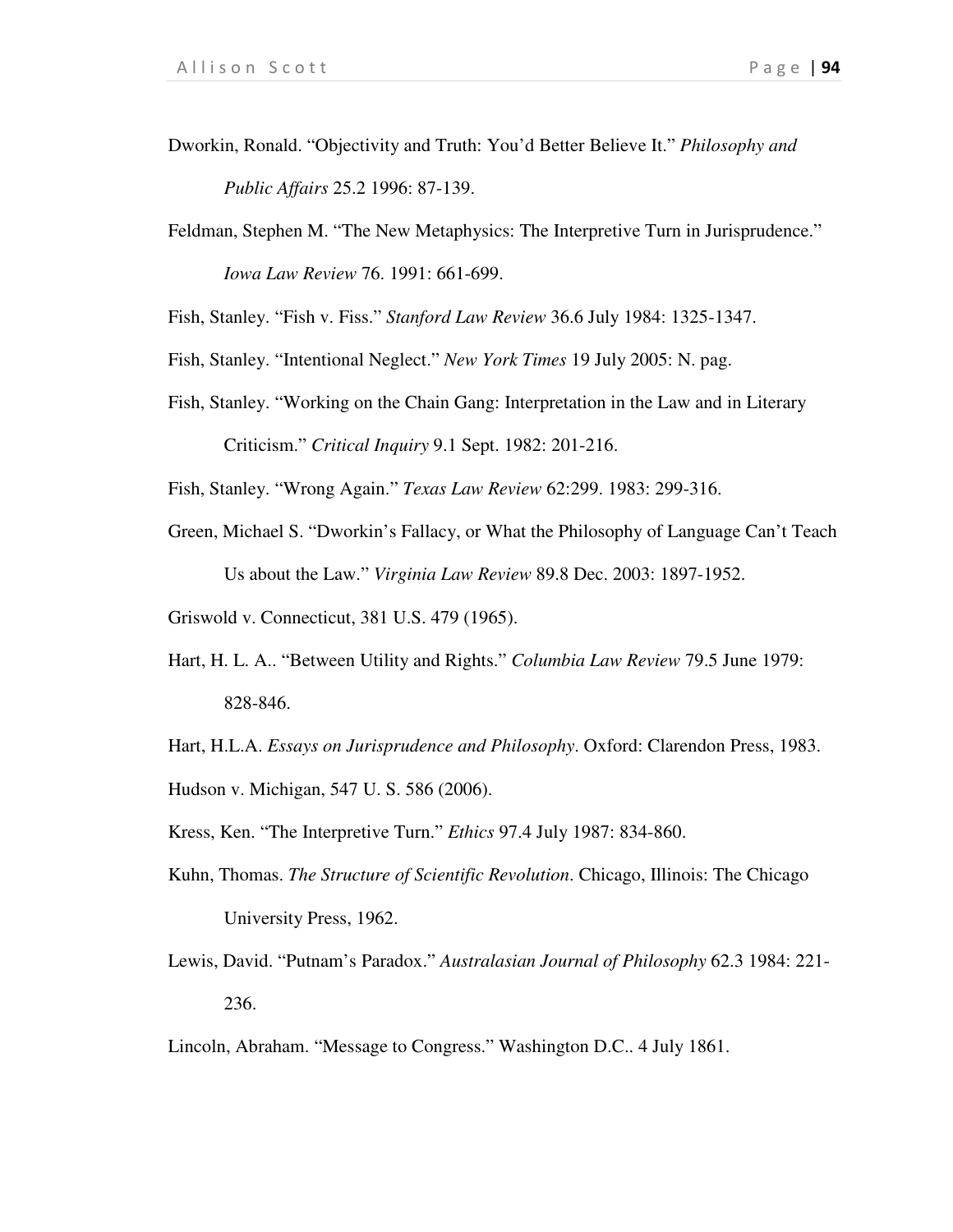- Dworkin, Ronald. "Objectivity and Truth: You'd Better Believe It." *Philosophy and Public Affairs* 25.2 1996: 87-139.
- Feldman, Stephen M. "The New Metaphysics: The Interpretive Turn in Jurisprudence." *Iowa Law Review* 76. 1991: 661-699.

Fish, Stanley. "Fish v. Fiss." *Stanford Law Review* 36.6 July 1984: 1325-1347.

- Fish, Stanley. "Intentional Neglect." *New York Times* 19 July 2005: N. pag.
- Fish, Stanley. "Working on the Chain Gang: Interpretation in the Law and in Literary Criticism." *Critical Inquiry* 9.1 Sept. 1982: 201-216.

Fish, Stanley. "Wrong Again." *Texas Law Review* 62:299. 1983: 299-316.

- Green, Michael S. "Dworkin's Fallacy, or What the Philosophy of Language Can't Teach Us about the Law." *Virginia Law Review* 89.8 Dec. 2003: 1897-1952.
- Griswold v. Connecticut, 381 U.S. 479 (1965).
- Hart, H. L. A.. "Between Utility and Rights." *Columbia Law Review* 79.5 June 1979: 828-846.
- Hart, H.L.A. *Essays on Jurisprudence and Philosophy*. Oxford: Clarendon Press, 1983.
- Hudson v. Michigan, 547 U. S. 586 (2006).
- Kress, Ken. "The Interpretive Turn." *Ethics* 97.4 July 1987: 834-860.
- Kuhn, Thomas. *The Structure of Scientific Revolution*. Chicago, Illinois: The Chicago University Press, 1962.
- Lewis, David. "Putnam's Paradox." *Australasian Journal of Philosophy* 62.3 1984: 221- 236.
- Lincoln, Abraham. "Message to Congress." Washington D.C.. 4 July 1861.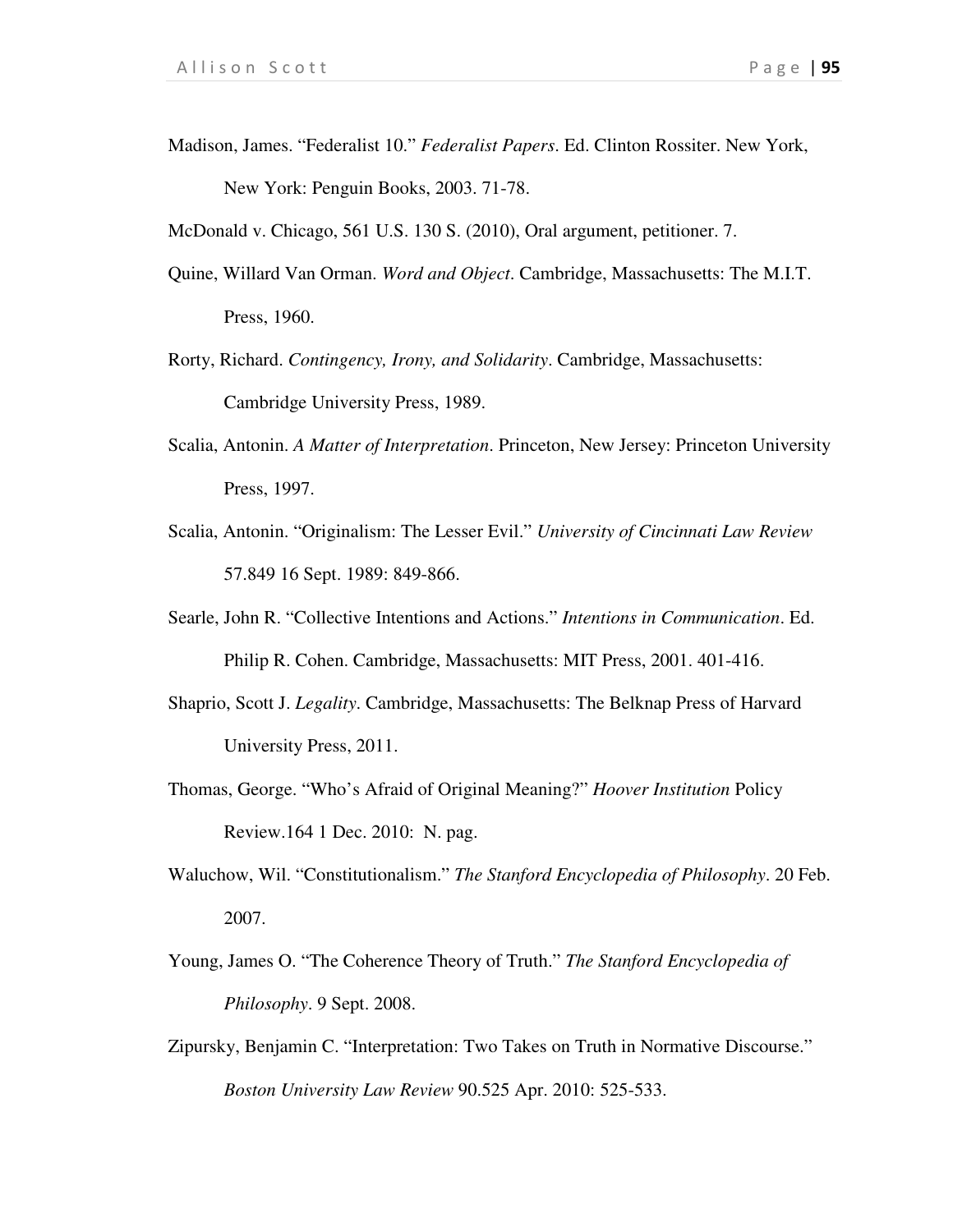Madison, James. "Federalist 10." *Federalist Papers*. Ed. Clinton Rossiter. New York, New York: Penguin Books, 2003. 71-78.

McDonald v. Chicago, 561 U.S. 130 S. (2010), Oral argument, petitioner. 7.

- Quine, Willard Van Orman. *Word and Object*. Cambridge, Massachusetts: The M.I.T. Press, 1960.
- Rorty, Richard. *Contingency, Irony, and Solidarity*. Cambridge, Massachusetts: Cambridge University Press, 1989.
- Scalia, Antonin. *A Matter of Interpretation*. Princeton, New Jersey: Princeton University Press, 1997.
- Scalia, Antonin. "Originalism: The Lesser Evil." *University of Cincinnati Law Review* 57.849 16 Sept. 1989: 849-866.
- Searle, John R. "Collective Intentions and Actions." *Intentions in Communication*. Ed. Philip R. Cohen. Cambridge, Massachusetts: MIT Press, 2001. 401-416.
- Shaprio, Scott J. *Legality*. Cambridge, Massachusetts: The Belknap Press of Harvard University Press, 2011.
- Thomas, George. "Who's Afraid of Original Meaning?" *Hoover Institution* Policy Review.164 1 Dec. 2010: N. pag.
- Waluchow, Wil. "Constitutionalism." *The Stanford Encyclopedia of Philosophy*. 20 Feb. 2007.
- Young, James O. "The Coherence Theory of Truth." *The Stanford Encyclopedia of Philosophy*. 9 Sept. 2008.
- Zipursky, Benjamin C. "Interpretation: Two Takes on Truth in Normative Discourse." *Boston University Law Review* 90.525 Apr. 2010: 525-533.